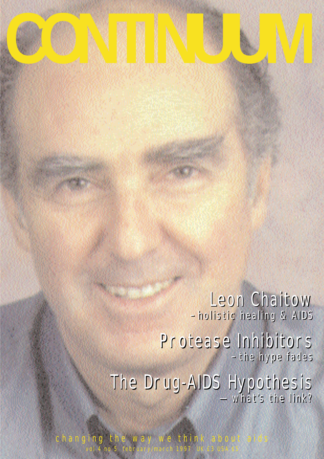Leon Chaitow –holistic healing & AIDS Leon Chaitow –holistic healing & AIDS

Protease Inhibitors –the hype fades Protease Inhibitors –the hype fades

The Drug-AIDS Hypothesis —what's the link? The Drug-AIDS Hypothesis —what's the link?

changing the way we think about aids vol 4 no 5 february/march 1997 UK £3 USA \$5

**CONTINUUM**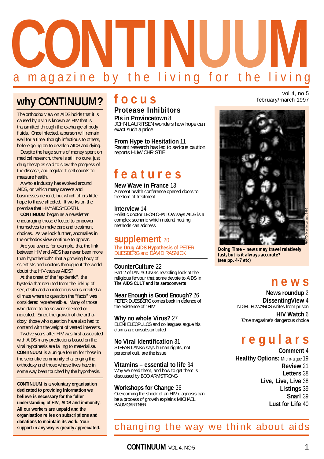

#### **why CONTINUUM?**

The orthodox view on AIDS holds that it is caused by a virus known as HIV that is transmitted through the exchange of body fluids. Once infected, a person will remain well for a time, though infectious to others, before going on to develop AIDS and dying.

Despite the huge sums of money spent on medical research, there is still no cure, just drug therapies said to slow the progress of the disease, and regular T-cell counts to measure health.

A whole industry has evolved around AIDS, on which many careers and businesses depend, but which offers little hope to those affected. It works on the premise that HIV=AIDS=DEATH.

**CONTINUUM** began as a newsletter encouraging those effected to empower themselves to make care and treatment choices. As we look further, anomalies in the orthodox view continue to appear.

Are you aware, for example, that the link between HIV and AIDS has never been more than hypothetical? That a growing body of scientists and doctors throughout the world doubt that HIV causes AIDS?

At the onset of the "epidemic", the hysteria that resulted from the linking of sex, death and an infectious virus created a climate where to question the "facts" was considered reprehensible. Many of those who dared to do so were silenced or ridiculed. Since the growth of the orthodoxy, those who question have also had to contend with the weight of vested interests.

Twelve years after HIV was first associated with AIDS many predictions based on the viral hypothesis are failing to materialise. **CONTINUUM** is a unique forum for those in the scientific community challenging the orthodoxy and those whose lives have in some way been touched by the hypothesis.

**CONTINUUM is a voluntary organisation dedicated to providing information we believe is necessary for the fuller understanding of HIV, AIDS and immunity. All our workers are unpaid and the organisation relies on subscriptions and donations to maintain its work. Your support in any way is greatly appreciated.**

#### **focus**

**Protease Inhibitors PIs in Provincetown** 8

JOHN LAURITSEN wonders how hope can exact such a price

**From Hype to Hesitation** 11 Recent research has led to serious caution reports HUW CHRISTIE

#### **features**

#### **New Wave in France** 13

A recent health conference opened doors to freedom of treatment

#### **Interview** 14

Holistic doctor LEON CHAITOW says AIDS is a complex scenario which natural healing methods can address

#### **supplement** <sup>20</sup> **The Drug AIDS Hypothesis** of PETER DUESBERG and DAVID RASNICK

#### **CounterCulture** 22

Part 2 of IAN YOUNG's revealing look at the religious fervour that some devote to AIDS in **The AIDS CULT and its seroconverts**

#### **Near Enough is Good Enough?** 26

PETER DUESBERG comes back in defence of the existence of "HIV"

**Why no whole Virus?** 27

ELENI ELEOPULOS and colleagues argue his claims are unsubstantiated

**No Viral Identification** 31 STEFAN LANKA says human rights, not personal cult, are the issue

**Vitamins – essential to life** 34 Why we need them, and how to get them is discussed by BOO ARMSTRONG

**Workshops for Change** 36 Overcoming the shock of an HIV diagnosis can be a process of growth explains MICHAEL **BAUMGARTNER** 

vol 4, no 5 february/march 1997



*Doing Time – news may travel relatively fast, but is it always accurate? (see pp. 4-7 etc)*

#### **news**

**News roundup** 2 **DissentingView** 4 NIGEL EDWARDS writes from prison **HIV Watch** 6

*Time* magazine's dangerous choice

#### **regulars**

**Comment** 4 **Healthy Options:** Micro-algae 19 **Review** 21 **Letters** 38 **Live, Live, Live** 38 **Listings** 39 **Snarl** 39 **Lust for Life** 40

changing the way we think about aids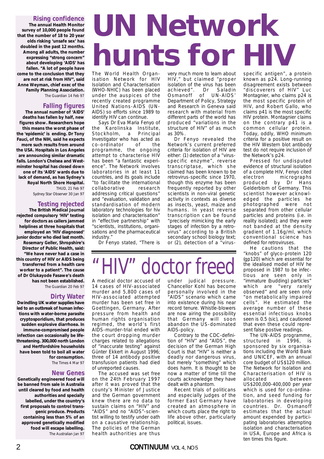#### **Rising confidence**

**The annual Health Monitor survey of 10,000 people found that the number of 18 to 20 year olds risking 'unsafe sex' has doubled in the past 12 months. Among all adults, the number expressing "strong concern" about developing 'AIDS' has fallen. "A lot of people have come to the conclusion that they are not at risk from HIV", said Anne Weyman, chief exec of the Family Planning Association.** *The Guardian 14 Feb 97*

#### **Falling figures**

**The annual number of 'AIDS' deaths has fallen by half, new figures show. Researchers hope this means the worst phase of the 'epidemic' is ending. Dr Tony Fauci, of the NIH, said he expects more such results from around the USA. Hospitals in Los Angeles are announcing similar dramatic falls. London's Chelsea and Westminster hospital has closed down one of its 'AIDS' wards due to lack of demand, as has Sydney's Royal North Shore Hospital.** *THUD, 21 Feb 97* 

*Sydney Star Observer 30 Jan 97*

#### **Testing rejected**

**The** *British Medical Journal* **rejected compulsory 'HIV' testing for doctors as callers jammed helplines at three hospitals that employed an 'HIV diagnosed' junior doctor who died last month. Rosemary Geller, Shropshire's Director of Public Health, said: "We have never had a case in this country of HIV or AIDS being transferred from a health care worker to a patient". The cause of Dr Olukayode Fasawe's death has not been established.**  *The Guardian 20 Feb 97*

#### **Dirty Water**

**Dwindling UK water supplies have led to an outbreak of human infections with water-borne parasite** *cryptosporidium,* **that produces sudden explosive diarrhoea. In immune-compromised people infection can occasionally be lifethreatening. 300,000 north London and Hertfordshire households have been told to boil all water for consumption.** *The Times 4 Mar 97*

#### **New Genes**

**Genetically engineered food will be banned from sale in Australia until cleared by food and health authorities and specially labelled, under the country's first proposals to control transgenic produce. Products containing less than 5% of an approved genetically modified food will escape labelling.** *The Australian Jan 97*

## **UN Network hunts for HIV**

The World Health Organisation Network for HIV Isolation and Characterisation (WHO-NHIC) has been placed under the auspices of the recently created programme United Nations-AIDS (UN-AIDS) so efforts since 1989 to identify HIV can continue.

Says Dr Eva Maria Fenyo of the Karolinska Institute, Stockholm, a Principal Investigator who has acted as co-ordinator of the programme, the ongoing attempt to characterise HIV has been "a fantastic experience". The Network involves laboratories in at least 11 countries, and its goals include to facilitate the international<br>collaborative research collaborative addressing critical questions" and "evaluation, validation and standardisation of modern laboratory technologies for hiv isolation and characterisation" in "effective partnership" with "scientists, institutions, organisations and the pharmaceutical industry."

Dr Fenyo stated, "There is

very much more to learn about HIV," but claimed "proper isolation of the virus has been achieved". Dr Saladin Osmanoff of UN-AIDS' Department of Policy, Strategy and Research in Geneva said research with material from different parts of the world has produced "variations in the structure of HIV" of as much as 30%.

Dr Fenyo revealed the Network's current preferred criteria for isolation of HIV are either: (1) detection of a "virusspecific enzyme", reverse transcriptase, which she claimed has been known to be retrovirus-specific since 1970, though this enzyme has been frequently reported by other scientists in non-viral genetic activity in contexts as diverse as insects, yeast, maize and humans. In yeast reverse transcription can be found "precisely mimicking the early stages of infection by a retrovirus" according to a British secondary school biology text; or (2), detection of a "virusspecific antigen", a protein known as p24. Long-running disagreement exists between "discoverers of HIV" Luc Montagnier, who claims p24 is the most specific protein of HIV, and Robert Gallo, who claims p41 is the most specific HIV protein. Montagnier claims on the contrary p41 is a common cellular protein. Today, oddly, WHO minimum criteria for a positive result on the HIV Western blot antibody test do not require inclusion of the Network's p24.

Pressed for undisputed evidence of structural isolation of a complete HIV, Fenyo cited<br>electron micrographs micrographs produced by Dr Hans Gelderblom of Germany. This scientist however acknowledged the particles he photographed were not separated from other cellular particles and proteins (i.e. in reality isolated); and they were not banded at the density gradient of 1.16g/ml, which conventional science has defined for retroviruses.

He cautions that the "knobs" of glyco-protein 120 (gp120) which are essential for the idealised model of HIV he proposed in 1987 to be infectious are seen only in "immature (budding) particles" which are "very rarely observed" and are seen only "on metabolically impaired cells". He estimated the average number of these essential infectious knobs seen is 0.5 (sic), and cautioned that even these could represent false postive readings.

The UN-AIDS programme, structured in 1996, is sponsored by six organisations including the World Bank and UNICEF, with an annual core budget of US\$120 million. The Network for Isolation and Characterisation of HIV is allocated between US\$200,000-400,000 per year which is used for co-ordination, and seed funding for laboratories in developing countries. Dr. Osmanoff estimates that the actual amount expended by participating laboratories attempting isolation and characterisation in USA, Europe and Africa is ten times this figure.

A medical doctor accused of 14 cases of HIV-associated murder and 5,800 cases of HIV-associated attempted murder has been set free in Goettingen, Germany. After pressure from health and human rights organisation regimed, the world's first AIDS-murder-trial ended with the court dropping murder charges related to allegations of "inaccurate testing" against Günter Ekkert in August 1996; three of 14 antibody positive transfusion patients had died

of unreported causes. The accused was set free on the 24th February 1997 after it was proved that the county's Minister of Justice and the German government knew there are no data to sustain claims on "HIV" and "AIDS" and no "AIDS"-scientist willing to testify under oath on a causative relationship. The policies of the German health authorities are thus under judical pressure. Chancellor Kohl has become personally involved in the .<br>"AIDS" scenario which came into existence during his near record tenure. Whistle-blowers are now airing the possibility that Germany will soon abandon the US-dominated AIDS-policy.

doctor free

Contrary to the CDC-definition of "HIV" and "AIDS", the decision of the German High Court is that "HIV" is neither a deadly nor dangerous virus, but merely "something" which does harm. It is thought to be now a matter of time till the courts acknowledge they have dealt with a phantom.

Recent trials of politicans and especially judges of the former East Germany have created an atmosphere in which courts place the right to life above other, particularly political, issues.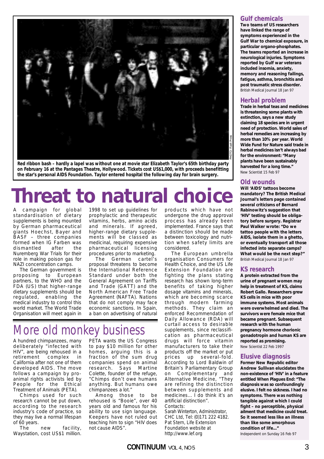

*Red ribbon bash – hardly a lapel was without one at movie star Elizabeth Taylor's 65th birthday party on February 16 at the Pantages Theatre, Hollywood. Tickets cost US\$1,000, with proceeds benefitting the star's personal AIDS Foundation. Taylor entered hospital the following day for brain surgery.*

### **Threat to natural choice**

A campaign for global standardisation of dietary supplements is being mounted by German pharmaceutical giants Hoechst, Bayer and BASF – three companies formed when IG Farben was<br>dismantled after the dismantled Nuremberg War Trials for their role in making poison gas for NAZI concentration camps.

The German government is proposing to European partners, to the WHO and the FDA (US) that higher-range dietary supplements should be regulated, enabling the medical industry to control this world market. The World Trade Organisation will meet again in 1998 to set up guidelines for prophylactic and therapeutic vitamins, herbs, amino acids and minerals. If agreed, higher-range dietary supplements will be classed as medicinal, requiring expensive pharmaceutical licensing procedures prior to marketing.

The German cartel's proposal threatens to become the International Reference Standard under both the General Agreement on Tariffs and Trade (GATT) and the North American Free Trade Agreement (NAFTA). Nations that do not comply may face economic sanctions. In Spain, a ban on advertising of natural

More old monkey business

A hundred chimpanzees, many deliberately "infected with HIV", are being rehoused in a<br>retirement complex in complex in California after not one of them developed AIDS. The move follows a campaign by proanimal rights activists led by People for the Ethical Treatment of Animals (PETA).

Chimps used for such research cannot be put down, according to the research industry's code of practice, so they may live a normal lifespan of 60 years.

The new facility, Waystation, cost US\$1 million. PETA wants the US Congress to pay \$10 million for other homes, arguing this is a fraction of the sum drug companies spend on animal research. Says Martine Colette, founder of the refuge. "Chimps don't owe humans anything. But humans owe chimpanzees a lot."

Among those to be rehoused is "Booie", over 40 years old and famous for his ability to use sign language. Keepers have not ruled out teaching him to sign "HIV does not cause AIDS".

products which have not undergone the drug approval process has already been implemented. France says that a distinction should be made between toxicology and nutrition when safety limits are considered.

The European umbrella organisation Consumers for Health Choice, and the US Life Extension Foundation are fighting the plans stating research has shown long-term benefits of taking higher dosage vitamins and minerals, which are becoming scarce through modern farming methods. They claim an enforced Recommendation of Daily Allowance (RDA) will curtail access to desirable supplements, since reclassification as pharmaceutical drugs will force vitamin manufacturers to take their products off the market or put prices up several-fold. According to Lord Baldwin of Britain's Parliamentary Group on Complementary and Alternative Medicine, "They are refining the distinction between supplements and medicines... I do think it's an artificial distinction".

Sarah Winterton, Administrator, CHC Ltd, Tel: (0)171 222 4182. Pat Stern, Life Extension Foundation website at http://www.lef.org

#### **Gulf chemicals**

**Two teams of US researchers have linked the range of symptoms experienced in the Gulf War to chemical exposure, in particular organo-phosphates. The teams reported an increase in neurological injuries. Symptoms reported by Gulf war veterans included insomia, anxiety, memory and reasoning failings, fatigue, asthma, bronchitis and post traumatic stress disorder.** *British Medical Journal 18 Jan 97*

#### **Herbal problem**

**Trade in herbal teas and medicines is threatening some plants with extinction, says a new study claiming 18 species are in urgent need of protection. World sales of herbal remedies are increasing by more than 10% per year. World Wide Fund for Nature said trade in herbal medicines isn't always bad for the environment: "Many plants have been sustainably harvested for a long time."** *New Scientist 15 Feb 97*

#### **Old wounds**

**Will 'AIDS' tattoos become mandatory? The** *British Medical Journal***'s letters page contained several criticisms of Bernard Rabinowitz's suggestion that 'HIV' testing should be obligatory before surgery. Registrar Paul Walker wrote: "Do we tattoo people with the letters AIDS, isolate them in a ghetto, or eventually transport all those infected into separate camps? What would be the next step?"** *British Medical Journal 18 Jan 97*

#### **KS research**

**A protein extracted from the urine of pregnant women may help in treatment of KS, claims Robert Gallo. Researchers grew KS cells in mice with poor immune systems. Most animals were overwhelmed and died. The survivors were female mice that became pregnant. Subsequent research with the human pregnancy hormone chorionic gonadotropin and human KS are reported as promising.** *New Scientist 22 Feb 1997*

#### **Elusive diagnosis**

**Former** *New Republic* **editor Andrew Sullivan elucidates the non-existence of 'HIV' in a feature entitled** *When Plagues End***: "The diagnosis was so confoundingly elusive. I felt no sickness. I had no symptoms. There was nothing tangible against which I could fight – no perceptible, physical ailment that medicine could treat. So it seemed less like an illness than like some amorphous condition of life..."**  *Independent on Sunday 16 Feb 97*

Contacts: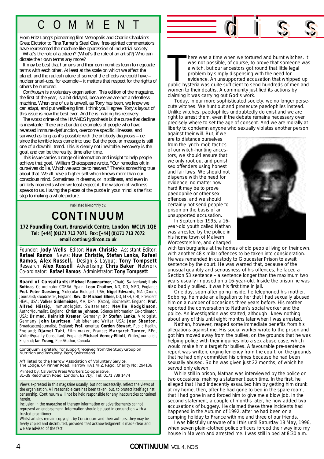## $\overline{C}$  O M M E N T  $\overline{C}$  ang's pioneering film Metropolis and Charlie Chaplain's

From Fritz Lang's pioneering film Metropolis and Charlie Chaplain's Great Dictator to Tina Turner's Steel Claw, free-spirited commentators have represented the machine-like oppression of industrial society.

What's the role of a citizen? (What's the role of an artist?) Who can dictate their own terms any more?

It may be best that humans and their communities learn to negotiate terms with each other. At least at the scale on which we affect the planet, and the radical nature of some of the effects we could have – nuclear snarl-ups, for example – it matters that respect for the rights of others be nurtured.

*Continuum* is a voluntary organisation. This edition of the magazine, the first of the year, is a bit delayed, because we are not a relentless machine. When one of us is unwell, as Tony has been, we know we can adapt, and put wellbeing first. I think you'll agree, Tony's layout of this issue is now the best ever. And he is making his recovery.

The worst crime of the HIV/AIDS hypothesis is the curse that decline is inevitable. There are abundant examples of people who have reversed immune dysfunction, overcome specific illnesses, and survived as long as it's possible with the antibody diagnosis – i.e. since the terrible tests came into use. But the popular message is still one of a downhill trend. This is clearly not inevitable. Recovery is the goal, and can be the reality, time after time.

This issue carries a range of information and insight to help people achieve that goal. William Shakespeare wrote, "Our remedies oft in ourselves do lie, Which we ascribe to heaven." There's something true about that. We all have a higher self which knows more than our conscious mind. Sometimes in dreams, or in stillness, and even in unlikely moments when we least expect it, the wisdom of wellness speaks to us. Having the pieces of the puzzle in your mind is the first step to making a whole picture.

Published bi-monthly by:

#### **CONTINUUM**

**172 Foundling Court, Brunswick Centre, London WC1N 1QE Tel: [+44] (0)171 713 7071 Fax: [+44] (0)171 713 7072 email continu@dircon.co.uk**

Founder: **Jody Wells** Editor: **Huw Christie** Assistant Editor: **Rafael Ramos** News: **Huw Christie, Stefan Lanka, Rafael Ramos, Alex Russell,** Design & Layout: **Tony Tompsett** Research: **Alex Russell** Advertising: **Chris Baker** Network Co-ordinator: **Rafael Ramos** Administrator: **Tony Tompsett**

**Board of Consultants: Michael Baumgartner**, (Chair), Switzerland; **Lluís Botinas**, Co-ordinator COBRA, Spain: **Leon Chaitow**, ND, DO, MRO, England; **Prof. Peter Duesberg**, Molecular Biologist, USA; **Nigel Edwards**, MA (Oxon), Journalist/Broadcaster, England; **Rev. Dr Michael Ellner**, DD, MSH, CHt, President HEAL, USA; **Volker Gildemeister**, MA, DPhil (Oxon), Biochemist, England; **Prof. Alfred Hässig**, Immunologist, Switzerland; **Neville Hodgkinson**, Author/Journalist, England; **Christine Johnson**, Science Information Co-ordinator, USA; **Dr med. Heinrich Kremer**, Germany; **Dr Stefan Lanka**, Virologist, Germany; **John Lauritsen**, Publisher and Writer, USA; **Joan Shenton**, Broadcaster/Journalist, England; **Prof.** emeritus **Gordon Stewart**, Public Health, England; **Djamel Tahi**, Film maker, France; **Margaret Turner**, BEd, Writer/Equality Consultant, England; **Michael Verney-Elliott**, Writer/Journalist, England; **Ian Young**, Poet/Author, Canada

*Continuum* is grateful for support received from the Study Group on<br>Nutrition and Immunity, Bern, Switzerland

Affiliated to the Harrow Association of Voluntary Service, The Lodge, 64 Pinner Road, Harrow HA1 4HZ. Regd. Charity No: 294136

Printed by: Calvert's Press Workers Co-operative, 31–39 Redchurch Road, London, E2 7DJ. Tel: 0171 739 1474

Views expressed in this magazine usually, but not necessarily, reflect the views of the organisation. All reasonable care has been taken, but, to protect itself against censorship, *Continuum* will not be held responsible for any inaccuracies contained herein.

Inclusion in the magazine of therapy information or advertisements cannot represent an endorsement. Information should be used in conjunction with a trusted practitioner.

Whilst articles remain copyright by *Continuum* and their authors, they may be freely copied and distributed, provided that acknowledgment is made clear and we are advised of the fact.

here was a time when we tortured and burnt witches. It was not possible, of course, to prove that someone was a witch, but our ancestors got round that little legal problem by simply dispensing with the need for evidence. here was a time when we tortured and burnt witches. It was not possible, of course, to prove that someone was a witch, but our ancestors got round that little legal problem by simply dispensing with the need for

diss diss

evidence. An unsupported accusation that whipped up women to their deaths. A community justified its actions by claiming it was carrying out God's work.

Today, in our more sophisticated society, we no longer persecute witches. We hunt out and prosecute paedophiles instead. Unlike witches, paedophiles undoubtedly do exist and we are right to arrest them, even if the debate remains necessary over precisely where to set the age of consent. And we are morally at liberty to condemn anyone who sexually violates another person

against their will. But, if we are to distance ourselves from the lynch-mob tactics of our witch-hunting ancestors, we should ensure that we only root out and punish sex offenders using honest and fair laws. We should not dispense with the need for evidence, no matter how hard it may be to prove paedophile or other sex offences, and we should certainly not send people to prison on the basis of an unsupported accusation.

In September 1995, a 16 year-old youth called Nathan was arrested by the police in his home town of Malvern, Worcestershire, and charged



with ten burglaries at the homes of old people living on their own, with another 48 similar offences to be taken into consideration. He was remanded in custody to Gloucester Prison to await sentence by the court. He was warned that, because of the unusual quantity and seriousness of his offences, he faced a Section 53 sentence – a sentence longer than the maximum two years usually imposed on a 16-year-old. Inside the prison he was also badly bullied. It was his first time in jail.

One day, soon after going inside, he telephoned his mother. Sobbing, he made an allegation to her that I had sexually abused him on a number of occasions three years before. His mother reported the conversation to Nathan's social worker and the police. An investigation was started, although I knew nothing about any of this until eight months later when I was arrested.

Nathan, however, reaped some immediate benefits from his allegations against me. His social worker wrote to the prison and got him moved away from the bullies, on the grounds that he was helping police with their inquiries into a sex abuse case, which would make him a target for bullies. A favourable pre-sentence report was written, urging leniency from the court, on the grounds that he had only committed his crimes because he had been sexually abused. So he was given just 22 months, of which he served only eleven.

While still in prison, Nathan was interviewed by the police on two occasions, making a statement each time. In the first, he alleged that I had indecently assaulted him by getting him drunk at my home, then, after he had gone to bed in the spare room, that I had gone in and forced him to give me a blow job. In the second statement, a couple of months later, he now added two accusations of buggery. He claimed these three incidents had happened in the Autumn of 1992, after he had been on a camping holiday to France with me and three of our friends.

I was blissfully unaware of all this until Saturday 18 May, 1996, when seven plain-clothed police officers forced their way into my house in Malvern and arrested me. I was still in bed at 8:30 a.m.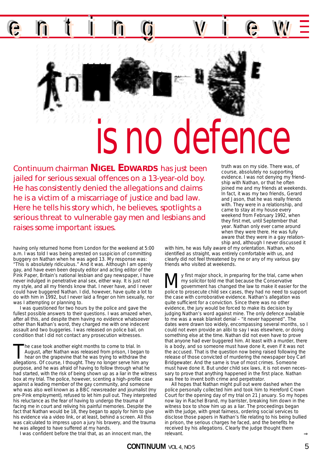

enting view

emt img view

*Continuum* chairman **NIGEL EDWARDS** has just been jailed for serious sexual offences on a 13-year-old boy. He has consistently denied the allegations and claims he is a victim of a miscarriage of justice and bad law. Here he tells his story which, he believes, spotlights a serious threat to vulnerable gay men and lesbians and raises some important issues.

having only returned home from London for the weekend at 5:00 a.m. I was told I was being arrested on suspicion of committing buggery on Nathan when he was aged 13. My response was: "This is absolutely ridiculous." And it was. Although I am openly gay, and have even been deputy editor and acting editor of the Pink Paper, Britain's national lesbian and gay newspaper, I have never indulged in penetrative anal sex, either way. It is just not my style, and all my friends know that. I never have, and I never could have buggered Nathan. I did, however, have quite a lot to do with him in 1992, but I never laid a finger on him sexually, nor was I attempting or planning to.

I was questioned for two hours by the police and gave the fullest possible answers to their questions. I was amazed when, after all this, and despite them having no evidence whatsoever other than Nathan's word, they charged me with one indecent assault and two buggeries. I was released on police bail, on condition that I did not contact any prosecution witnesses.

The case took another eight months to come to trial. In<br>August, after Nathan was released from prison, I began the<br>hear on the grapevine that he was trying to withdraw the<br>allegations. Of course I thought They no longer se August, after Nathan was released from prison, I began to allegations. Of course, I thought. They no longer serve him any purpose, and he was afraid of having to follow through what he had started, with the risk of being shown up as a liar in the witness box at my trial. The police, however, scenting a high-profile case against a leading member of the gay community, and someone who was also well known as a BBC newsreader and journalist (my pre-Pink employment), refused to let him pull out. They interpreted his reluctance as the fear of having to undergo the trauma of facing me in court and reliving his painful memories. Despite the fact that Nathan would be 18, they began to apply for him to give his evidence via a video link, or at least, behind a screen. All this was calculated to impress upon a jury his bravery, and the trauma he was alleged to have suffered at my hands.

I was confident before the trial that, as an innocent man, the

aware that they were in a gay relationship and, although I never discussed it with him, he was fully aware of my orientation. Nathan, who identified as straight, was entirely comfortable with us, and clearly did not feel threatened by me or any of my various gay friends who visited at weekends.

course, absolutely no supporting evidence. I was not denying my friendship with Nathan, or that he often joined me and my friends at weekends. In fact, it was my two friends, Gerard and Jason, that he was really friends with. They were in a relationship, and came to stay at my house every weekend from February 1992, when they first met, until September that year. Nathan only ever came around when they were there. He was fully

**My** first major shock, in preparing for the trial, came when<br>government has changed the law to make it easier for the<br>police to prosecute child sex cases, they had no need to support my solicitor told me that because the Conservative police to prosecute child sex cases, they had no need to support the case with corroborative evidence. Nathan's allegation was quite sufficient for a conviction. Since there was no other evidence, the jury would be forced to make its decision by judging Nathan's word against mine. The only defence available to me was a weak blanket denial – "it never happened". The dates were drawn too widely, encompassing several months, so I could not even provide an alibi to say I was elsewhere, or doing something else at the time. Nathan did not even have to prove that anyone had ever buggered him. At least with a murder, there is a body, and so someone must have done it, even if it was not the accused. That is the question now being raised following the release of those convicted of murdering the newspaper boy Carl Bridgewater. And the same is true of most crimes. Someone must have done it. But under child sex laws, it is not even necessary to prove that anything happened in the first place. Nathan was free to invent both crime and perpetrator.

All hopes that Nathan might pull out were dashed when the police personally collected him and took him to Hereford Crown Court for the opening day of my trial on 21 January. So my hopes now lay in Rachel Brand, my barrister, breaking him down in the witness box to show him up as a liar. The proceedings began with the judge, with great fairness, ordering social services to disclose those papers in Nathan's file relating to his being bullied in prison, the serious charges he faced, and the benefits he received by his allegations. Clearly the judge thought them relevant. ⇒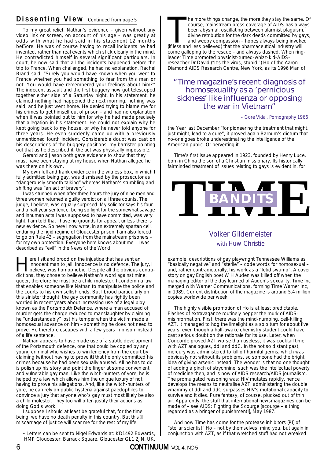#### **Dissenting View** *Continued from page 5*

To my great relief, Nathan's evidence – given without any video link or screen, on account of his age – was greatly at odds with what he had said in his statement 12 months bef5ore. He was of course having to recall incidents he had invented, rather than real events which stick clearly in the mind. He contradicted himself in several significant particulars. In court, he now said that all the incidents happened before the trip to France. When challenged, he had no explanation. Rachel Brand said: "Surely you would have known when you went to France whether you had something to fear from this man or not. You would have remembered your feelings about him?" The indecent assault and the first buggery now got telescoped together either side of a Saturday night. In his statement, he claimed nothing had happened the next morning, nothing was said, and he just went home. He denied trying to blame me for his crimes to get himself out of prison – and had no explanation when it was pointed out to him for why he had made precisely that allegation in his statement. He could not explain why he kept going back to my house, or why he never told anyone for three years. He even suddenly came up with a previously unmentioned fourth incident. Considerable doubt was cast on his descriptions of the buggery positions, my barrister pointing out that as he described it, the act was physically impossible.

Gerard and Jason both gave evidence to show that they must have been staying at my house when Nathan alleged he was there on his own.

My own full and frank evidence in the witness box, in which I fully admitted being gay, was dismissed by the prosecutor as "dangerously smooth talking" whereas Nathan's stumbling and shifting was "an act of bravery".

I was stunned when after three hours the jury of nine men and three women returned a guilty verdict on all three counts. The judge, I believe, was equally surprised. My solicitor says his four and a half year sentence, being so light for the somewhat savage and inhuman acts I was supposed to have committed, was very light. I am told that I have no grounds for appeal, unless there is new evidence. So here I now write, in an extremely spartan cell, enduring the rigid regime of Gloucester prison. I am also forced to go on Rule 43 – segregation from the mainstream prisoners – for my own protection. Everyone here knows about me – I was described as "evil" in the News of the World.

ere I sit and brood on the injustice that has sent an innocent man to jail. Innocence is no defence. The jury, I believe, was homophobic. Despite all the obvious contradictions, they chose to believe Nathan's word against mine: queer, therefore he must be a child molester. I condemn a law that enables someone like Nathan to manipulate the police and the courts to his own selfish ends. But I brood particularly on this sinister thought: the gay community has rightly been worried in recent years about increasing use of a legal ploy known as the Portsmouth Defence, where a man accused of murder gets the charge reduced to manslaughter by claiming he "understandably" lost his temper when the victim made a homosexual advance on him – something he does not need to prove. He therefore escapes with a few years in prison instead of a life sentence.

Nathan appears to have made use of a subtle development of the Portsmouth defence, one that could be copied by any young criminal who wishes to win leniency from the court by claiming (without having to prove it) that he only committed his crimes because he had been sexually abused. All he has to do is polish up his story and point the finger at some convenient and vulnerable gay man. Like the witch-hunters of yore, he is helped by a law which allows him the unique luxury of not having to prove his allegations. And, like the witch-hunters of yore, he can rely on public hysteria against paedophiles to convince a jury that anyone who's gay must most likely be also a child molester. They too will often justify their actions as doing God's work.

I suppose I should at least be grateful that, for the time being, we have no death penalty in this country. But this **c** miscarriage of justice will scar me for the rest of my life.

• Letters can be sent to Nigel Edwards at: KD1492 Edwards, HMP Gloucester, Barrack Square, Gloucester GL1 2JN, UK.

The more things change, the more they stay the same course, mainstream press coverage of AIDS has alw been abysmal, oscillating between alarmist plaguism<br>divine retribution for the dark deeds committed by gand weepy compas he more things change, the more they stay the same. Of course, mainstream press coverage of AIDS has always been abysmal, oscillating between alarmist plaguism, divine retribution for the dark deeds committed by gays, and weepy compassion – hopes always being invoked come galloping to the rescue – and always dashed. When ringleader Time promoted physicist-turned-whizz-kid-AIDSreseacher Dr David ("It's the virus, stupid!") Ho of the Aaron Diamond AIDS Research Centre, New York, as its 1996 Man of

#### *"Time magazine's recent diagnosis of homosexuality as a 'pernicious sickness' like influenza or opposing the war in Vietnam"*

#### – Gore Vidal, *Pornography* 1966

the Year last December "for pioneering the treatment that might, just might, lead to a cure", it proved again Barnum's dictum that no-one goes broke underestimating the intelligence of the American public. Or perverting it.

Time's first issue appeared in 1923, founded by Henry Luce, born in China the son of a Christian missionary. Its historically fairminded treatment of issues relating to gays is evident in, for

## TIMBANDITS R **BANDITS**

#### Volker Gildemeister with Huw Christie

example, descriptions of gay playwright Tennessee Williams as "basically negative" and "sterile" – code words for homosexual – and, rather contradictorally, his work as a "fetid swamp". A cover story on gay English poet W H Auden was killed off when the managing editor of the day learned of Auden's sexuality. Time Inc merged with Warner Communications, forming Time Warner Inc, in 1989. Current distribution of the magazine is around 5.4 million copies worldwide per week.

The highly visible promotion of Ho is at least predictable. Flashes of extravagance routinely pepper the murk of AIDSmisinformation. First, there was the mind-numbing, cell-killing AZT. It managed to hog the limelight as a solo turn for about five years, even though a half-awake chemistry student could have cast serious doubt on the rationale for its use. Later, when Concorde proved AZT worse than useless, it was cocktail time with AZT analogues, ddI and ddC. In the not so distant past, mercury was administered to kill off harmful germs, which was obviously not without its problems, so someone had the bright idea of giving arsenic instead. The wonder is that no one thought of adding a pinch of strychnine, such was the intellectual poverty of medicine then, and is now of AIDS research/AIDS journalism. The promulgated reasoning was: HIV mutates rapidly, hence develops the means to neutralise AZT; administering the double whammy of ddI and ddC surpasses HIV's mutational capacity to survive and it dies. Pure fantasy, of course, plucked out of thin air. Apparently, the stuff that international newsmagazines can be made of – see AIDS: Fighting the Scourge [scourge – a thing regarded as a bringer of punishment!], May 1987.

And now Time has come for the protease inhibitors (PI) of "stellar scientist" Ho – not by themselves, mind you, but again in conjunction with AZT, as if that wretched stuff had not wreaked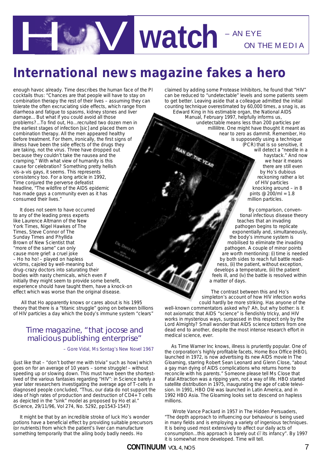## **International news magazine fakes a hero** Watch - AN EYE ON THE MEDIA

enough havoc already. Time describes the human face of the PI cocktails thus: "Chances are that people will have to stay on combination therapy the rest of their lives – assuming they can tolerate the often excruciating side effects, which range from diarrheoa and fatigue to spasms, kidney stones and liver damage... But what if you could avoid all those problems?...To find out, Ho...recruited two dozen men in the earliest stages of infection [sic] and placed them on combination therapy. All the men appeared healthy before treatment. For them, ironically, the first signs of illness have been the side effects of the drugs they are taking, not the virus. Three have dropped out because they couldn't take the nausea and the cramping." With what view of humanity is this cause for celebration? Something pretty hellish vis-a-vis gays, it seems. This represents consistency too. For a long article in 1992, Time conjured the perverse defeatist headline, "The wildfire of the AIDS epidemic has made gays a community even as it has consumed their lives."

It does not seem to have occurred to any of the leading press experts like Laurence Altmann of the New York Times, Nigel Hawkes of The Times, Steve Connor of The Sunday Times and Phyllida Brown of New Scientist that "more of the same" can only cause more grief: a cruel joke – Ho ho ho! – played on hapless victims, cajoled by well-meaning but drug-crazy doctors into saturating their bodies with nasty chemicals, which even if initially they might seem to provide some benefit, experience should have taught them, have a knock-on effect which was worse than the original disease.

All that Ho apparently knows or cares about is his 1995 theory that there is a "titanic struggle" going on between billions of HIV particles a day which the body's immune system "clears"

#### *Time magazine, "that jocose and malicious publishing enterprise"*

– Gore Vidal, *Ms Sontag's New Novel* 1967

(just like that – "don't bother me with trivia" such as how) which goes on for an average of 10 years – some struggle! – without speeding up or slowing down. This must have been the shortestlived of the various fantasies regarding "HIV": in Science barely a year later researchers investigating the average age of T-cells in diagnosed people concluded, "Thus, our data do not support the idea of high rates of production and destruction of CD4+ T cells as depicted in the "sink" model as proposed by Ho et al." (Science, 29/11/96, Vol 274, No. 5292, pp1543-1547)

It might be that by an incredible stroke of luck Ho's wonder potions have a beneficial effect by providing suitable precursors (or nutrients) from which the patient's liver can manufacture something temporarily that the ailing body badly needs. Ho

claimed by adding some Protease Inhibitors, he found that "HIV" can be reduced to "undetectable" levels and some patients seem to get better. Leaving aside that a colleague admitted the initial counting technique overestimated by 60,000 times, a snag is, as Edward King in his estimable organ, the National AIDS Manual, February 1997, helpfully informs us, undetectable means less than 200 particles per millilitre. One might have thought it meant as near to zero as dammit. Remember, Ho is supposedly using a technique (PCR) that is so sensitive, it **UNIOF THE TEAR** will detect a "needle in a haystack." And now we hear it means there are still even by Ho's dubious reckoning rather a lot

of HIV particles knocking around – in 8 pints  $@ 200$ /ml = 1.8 million particles.

By comparison, conventional infectious disease theory teaches that an invading pathogen begins to replicate exponentially and, simultaneously, the body's immune system is mobilised to eliminate the invading pathogen. A couple of minor points are worth mentioning: (i) time is needed by both sides to reach full battle readiness, (ii) the patient, without exception, develops a temperature, (iii) the patient feels ill, and (iv) the battle is resolved within a matter of days.

The contrast between this and Ho's simpleton's account of how HIV infection works could hardly be more striking. Has anyone of the well-known commentators asked why? Ah, but why bother: is it not axiomatic that AIDS "science" is fiendishly tricky, and HIV works in mysterious ways, surpassed in this respect only by the Lord Almighty? Small wonder that AIDS science totters from one dead end to another, despite the most intense research effort in medical science, ever.

As Time Warner Inc knows, illness is pruriently popular. One of the corporation's highly profitable facets, Home Box Office (HBO), launched in 1972, is now advertising its new AIDS movie In The Gloaming, starring Robert Sean Leonard and Glenn Close, "about a gay man dying of AIDS complications who returns home to reconcile with his parents." Someone please tell Ms Close that Fatal Attraction was a ripping yarn, not a way of life. HBO started satellite distribution in 1975, inaugurating the age of cable television. In 1991, HBO Olé was launched in Latin America, and in 1992 HBO Asia. The Gloaming looks set to descend on hapless millions.

Wrote Vance Packard in 1957 in The Hidden Persuaders, "The depth approach to influencing our behaviour is being used in many fields and is employing a variety of ingenious techniques. It is being used most extensively to affect our daily acts of consumption...this approach is barely out **out** its infancy". By 1997 it is somewhat more developed. Time will tell.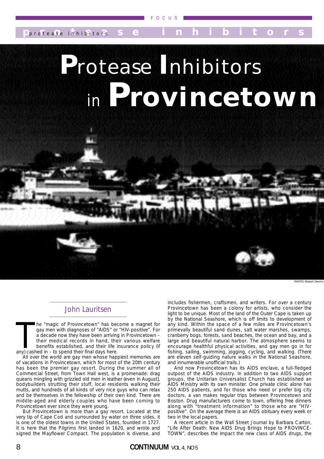#### **P**protease inhibitors

## **P***rotease* **I***nhibitors*  in *Provincetown*

#### John Lauritsen

he "magic of Provincetown" has been gay men with diagnoses of "AIDS" or<br>a decade now they have been arriving<br>their medical records in hand, the<br>benefits established, and their life is<br>any) cashed in – to spend their final he "magic of Provincetown" has become a magnet for gay men with diagnoses of "AIDS" or "HIV-positive". For a decade now they have been arriving in Provincetown – their medical records in hand, their various welfare benefits established, and their life insurance policy (if

All over the world are gay men whose happiest memories are of vacations in Provincetown, which for most of the 20th century has been the premier gay resort. During the summer all of Commercial Street, from Town Hall west, is a promenade: drag queans mingling with grizzled old men in leather (even in August), bodybuilders strutting their stuff, local residents walking their mutts, and hundreds of all kinds of very nice guys who can relax and be themselves in the fellowship of their own kind. There are middle-aged and elderly couples who have been coming to Provincetown ever since they were young.

But Provincetown is more than a gay resort. Located at the very tip of Cape Cod and surrounded by water on three sides, it is one of the oldest towns in the United States, founded in 1727. It is here that the Pilgrims first landed in 1620, and wrote and signed the Mayflower Compact. The population is diverse, and includes fishermen, craftsmen, and writers. For over a century Provincetown has been a colony for artists, who consider the light to be unique. Most of the land of the Outer Cape is taken up by the National Seashore, which is off limits to development of any kind. Within the space of a few miles are Provincetown's primevally beautiful sand dunes, salt water marshes, swamps, cranberry bogs, forests, sand beaches, the ocean and bay, and a large and beautiful natural harbor. The atmosphere seems to encourage healthful physical activities, and gay men go in for fishing, sailing, swimming, jogging, cycling, and walking. (There are eleven self-guiding nature walks in the National Seashore, and innumerable unofficial trails.)

PHOTO: Robert Denni

And now Provincetown has its AIDS enclave, a full-fledged outpost of the AIDS industry. In addition to two AIDS support groups, the Unitarian Universalist Church has established an AIDS Ministry with its own minister. One private clinic alone has 250 AIDS patients, and for those who need or prefer big city doctors, a van makes regular trips between Provincetown and Boston. Drug manufacturers come to town, offering free dinners along with "treatment information" to those who are "HIVpositive". On the average there is an AIDS obituary every week or two in the local papers.

A recent article in the Wall Street Journal by Barbara Carton, "Life After Death: New AIDS Drug Brings Hope to PROVINCE-TOWN", describes the impact the new class of AIDS drugs, the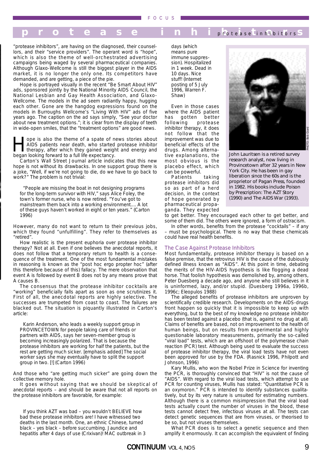#### protease inhibitors

F O C U S

"protease inhibitors", are having on the diagnosed, their counsellors, and their "service providers". The operant word is "hope", which is also the theme of well-orchestrated advertising campaigns being waged by several pharmaceutical companies. Although Glaxo-Wellcome is still the biggest player in the AIDS market, it is no longer the only one. Its competitors have demanded, and are getting, a piece of the pie.

Hope is portrayed visually in the recent "Be Smart About HIV" ads, sponsored jointly by the National Minority AIDS Council, the National Lesbian and Gay Health Association, and Glaxo-Wellcome. The models in the ad seem radiantly happy, hugging each other. Gone are the hangdog expressions found on the models in Burroughs Wellcome's "Living With HIV" ads of five years ago. The caption on the ad says simply, "See your doctor about new treatment options."; it is clear from the display of teeth in wide-open smiles, that the "treatment options" are good news.

spate of a spate of news stories about<br>AIDS patients near death, who started protease inhibitor<br>therapy, after which they gained weight and energy and<br>began looking forward to a full life expectancy. AIDS patients near death, who started protease inhibitor began looking forward to a full life expectancy.

Carton's Wall Street Journal article indicates that this new hope is not without its drawbacks. In one support group there is a joke, "Well, if we're not going to die, do we have to go back to work?" The problem is not trivial:

"People are missing the boat in not designing programs for the long-term survivor with HIV," says Alice Foley, the town's former nurse, who is now retired. "You've got to mainstream them back into a working environment.... A lot of these guys haven't worked in eight or ten years." (Carton 1996)

However, many do not want to return to their previous jobs, which they found "unfulfilling". They refer to themselves as "retired".

How realistic is the present euphoria over protease inhibitor therapy? Not at all. Even if one believes the anecdotal reports, it does not follow that a temporary return to health is a consequence of the treatment. One of the most fundamental mistakes in reasoning is known as the "post hoc ergo propter hoc" (after this therefore because of this) fallacy. The mere observation that event A is followed by event B does not by any means prove that A causes B.

The consensus that the protease inhibitor cocktails are "working" beneficially falls apart as soon as one scrutinizes it. First of all, the anecdotal reports are highly selective. The successes are trumpeted from coast to coast. The failures are blacked out. The situation is piquantly illustrated in Carton's article:

Karin Anderson, who leads a weekly support group in PROVINCETOWN for people taking care of friends or partners with AIDS, says her seven-member group is becoming increasingly polarized. That is because the protease inhibitors are working for half the patients, but the rest are getting much sicker. [emphasis added] The social worker says she may eventually have to split the support group in two. [!] (Carton 1996)

And those who "are getting much sicker" are going down the collective memory hole.

It goes without saying that we should be skeptical of anecdotal reports – and should be aware that not all reports on the protease inhibitors are favorable, for example:

If you think AZT was bad – you wouldn't BELIEVE how bad these protease inhibitors are! I have witnessed two deaths in the last month. One, an ethnic Chinese, turned black – yes black – before succumbing. Jaundice and hepatitis after 4 days of use (Crixivan)! MAC outbreak in 3 days (which means pure immune suppression). Hospitalized in 1 week. Dead in 10 days. Nice stuff! (Internet posting of 5 July 1996, Warren F. Shaw)

Even in those cases where the AIDS patient has gotten better following protease inhibitor therapy, it does not follow that the improvement was due to beneficial effects of the drugs. Among alternative explanations, the most obvious is the placebo effect, which can be powerful.

Patients taking protease inhibitors did so as part of a herd decision, in the context of hope generated by pharmaceutical propaganda. They expected



PHOTO: Bob Giard

John Lauritsen is a retired survey research analyst, now living in Provincetown after 32 years in New York City. He has been in gay liberation since the 60s and is the proprietor of Pagan Press, founded in 1982. His books include *Poison by Prescription: The AZT Story* (1990) and *The AIDS War* (1993).

to get better. They encouraged each other to get better, and some of them did. The others were ignored, a form of ostracism.

In other words, benefits from the protease "cocktails" – if any – must be psychological. There is no way that these chemicals could have real health benefits.

#### The Case Against Protease Inhibitors

Most fundamentally, protease inhibitor therapy is based on a false premise, that the retrovirus HIV is the cause of the dubiously defined illness known as "AIDS". At this point in time, debating the merits of the HIV-AIDS hypothesis is like flogging a dead horse. That foolish hypothesis was demolished by, among others, Peter Duesberg a decade ago, and anyone who still believes in it is uninformed, lazy, and/or stupid. (Duesberg 1996a, 1996b, 1996c; Eleopulos 1988)

The alleged benefits of protease inhibitors are unproven by scientifically credible research. Developments on the AIDS-drugs front happen so quickly that it is impossible to keep up with everything, but to the best of my knowledge no protease inhibitor has been tested against a placebo (that is, against no drug at all). Claims of benefits are based, not on improvement to the health of human beings, but on results from experimental and highly questionable laboratory measurements, primarily the so-called "viral load" tests, which are an offshoot of the polymerase chain reaction (PCR) test. Although being used to evaluate the success of protease inhibitor therapy, the viral load tests have not even been approved for use by the FDA. (Rasnick 1996, Philpott and Johnson, 1996)

Kary Mullis, who won the Nobel Prize in Science for inventing the PCR, is thoroughly convinced that "HIV" is not the cause of "AIDS". With regard to the viral load tests, which attempt to use PCR for counting viruses, Mullis has stated: "Quantitative PCR is an oxymoron." PCR is intended to identify substances qualitatively, but by its very nature is unsuited for estimating numbers. Although there is a common misimpression that the viral load tests actually count the number of viruses in the blood, these tests cannot detect free, infectious viruses at all. The tests can detect genetic sequences that are from viruses, or theorised to be so, but not viruses themselves.

What PCR does is to select a genetic sequence and then amplify it enormously. It can accomplish the equivalent of finding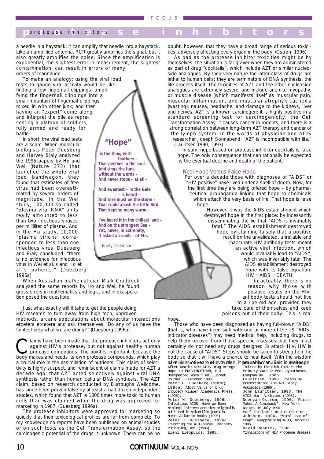#### **protease inhibitors** protease inhibitors

a needle in a haystack; it can amplify that needle into a haystack. Like an amplified antenna, PCR greatly amplifies the signal, but it also greatly amplifies the noise. Since the amplification is exponential, the slightest error in measurement, the slightest contamination, can result in errors of many orders of magnitude.

To make an analogy: using the viral load tests to gauge viral activity would be like finding a few fingernail clippings; amplifying the fingernail clippings into a small mountain of fingernail clippings mixed in with other junk; and then having an "expert" come along and interpret the pile as representing a platoon of soldiers, fully armed and ready for battle.

In short, the viral load tests are a scam. When molecular biologists Peter Duesberg and Harvey Bialy analyzed the 1995 papers by Ho and Wei (Nature 373) that launched the whole viral load bandwagon, they found that estimates of free virus had been overestimated by several orders of magnitude. In the Wei study, 100,000 so-called "plasma viral RNA" units really amounted to less than two infectious viruses per milliliter of plasma. And in the Ho study, 10,000 "plasma virions" corresponded to less than one infectious virus. Duesberg and Bialy concluded, "there is no evidence for infectious virus in Wei et al.'s and Ho et al.'s patients." (Duesberg 1996a)

**"Hope" is the thing with feathers –**

**That perches in the soul – And sings the tune without the words – And never stops – at all –**

**And sweetest – in the Gale – is heard – And sore must be the storm – That could abash the little Bird That kept so many warm –**

**I've heard it in the chillest land – And on the strangest Sea – Yet, never, in Extremity, It asked a crumb – of Me.**

*– Emily Dickinson*

When Australian mathematician Mark Craddock analyzed the same reports by Ho and Wei, he found gross errors in mathematics and logic, and in exasperation posed the question:

Just what exactly will it take to get the people doing HIV research to turn away from high tech, unproven methods, arcane speculations about molecular interactions etcetera etcetera and ask themselves "Do any of us have the faintest idea what we are doing?" (Duesberg 1996a)

laims have been made that the protease inhibitors act only against HIV's protease, but not against healthy human protease compounds. The point is important, because the body makes and needs its own protease compounds, which play a crucial role in the assimilation of nutrients. This claim of selectivity is highly suspect, and reminiscent of claims made for AZT a decade ago: that AZT acted selectively against viral DNA synthesis rather than human cellular DNA synthesis. The AZT claim, based on research conducted by Burroughs Wellcome, has since been proven false by at least a half dozen independent studies, which found that AZT is 1000 times more toxic to human cells than was claimed when the drug was approved for marketing in 1987. (Duesberg 1996a)

The protease inhibitors were approved for marketing so quickly that their toxicological profiles are far from complete. To my knowledge no reports have been published on animal studies or on such tests as the Cell Transformation Assay, so the carcinogenic potential of the drugs is unknown. There can be no doubt, however, that they have a broad range of serious toxicities, adversely affecting every organ in the body. (Ostrom 1996)

As bad as the protease inhibitor toxicities might be by themselves, the situation is far graver when they are administered as part of drug "cocktails", which include AZT or similar nucleoside analogues. By their very nature the latter class of drugs are lethal to human cells; they are terminators of DNA synthesis, the life process itself. The toxicities of AZT and the other nucleoside analogues are extremely severe, and include anemia; myopathy, or muscle disease (which manifests itself as muscular pain, muscular inflammation, and muscular atrophy); cachexia (wasting); nausea; headache; and damage to the kidneys, liver and nerves. AZT is a known carcinogen: it is highly positive in a standard screening test for carcinogenicity, the Cell Transformation Assay; it causes cancer in rodents; and there is a strong correlation between long-term AZT therapy and cancer of the lymph system. In the words of physician and AIDS researcher Joseph Sonnabend, "AZT is incompatible with life." (Lauritsen 1990, 1993)

In sum, hope based on protease inhibitor cocktails is false hope. The only consequence that can rationally be expected is the eventual decline and death of the patient.

#### Real Hope Versus False Hope

For over a decade those with diagnoses of "AIDS" or "HIV-positive" have lived under a spell of doom. Now, for the first time they are being offered hope – by pharmaceutical propaganda linking that hope to chemicals which attack the very basis of life. That hope is false hope.

> However, it was the AIDS establishment which destroyed hope in the first place: by incessantly disseminating the lie that "AIDS is invariably fatal." The AIDS establishment destroyed hope by claiming falsely that a positive result on the unvalidated, unreliable and inaccurate HIV-antibody tests meant an active viral infection, which would invariably lead to "AIDS", which was invariably fatal. The AIDS establishment destroyed hope with its false equation:  $HIV = AIDS = DEATH$ .

In actuality, there is no reason why those with positive results on the HIVantibody tests should not live to a ripe old age, provided they take care of themselves and keep poisons out of their body. This is real

hope.

Those who have been diagnosed as having full-blown "AIDS" (that is, who have been sick with one or more of the 29 "AIDSindicator diseases") may need medical help, including drugs, to help them recover from those specific diseases, but they most certainly do not need any drugs designed **to** attack HIV. HIV is not the cause of "AIDS"! Steps should be taken to strengthen the body so that it will have a chance to heal itself. With the wisdom of millions of tyears of evolution, it probably can a this is real hope.

After Death: New AIDS Drug Brings Hope to PROVINCETOWN, But Unexpected Woes." Wall Street Journal, 3 October 1996. Peter H. Duesberg (editor), 1996a. AIDS; Virus or Drug Induced? Kluwer Academics Press

(1996). Peter H. Duesberg, 1996b. Infectious AIDS: Have We Been Misled? Thirteen articles originally published in scientific journals. North Atlantic Books (1996) Peter H. Duesberg, 1996c. Inventing the AIDS Virus. Regnery Publishing, Inc. (1996). Eleni Eleopulos, 1988.

Induced by the Risk Factors the Primary Cause? Med. Hypotheses, Longman UK. John Lauritsen, 1990. Poison By Prescription: The AZT Story. Asklepios (1990). John Lauritsen, 1993. The AIDS War. Asklepios (1993). Neenyah Ostrom, 1996. "Poison Makes A Comeback". New York Native, 15 July 1996. Paul Philpott and Christine Johnson, 1996. "Viral Load of Crap". Reappraising AIDS, October 1996. David Rasnick, 1996.

"Inhibitors of HIV Protease Useless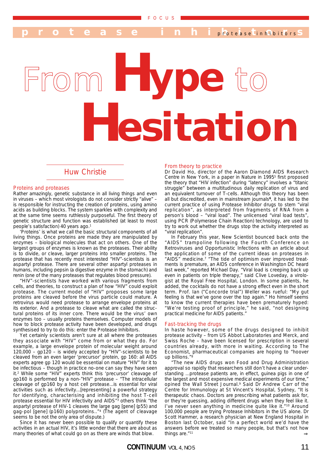FOCUS

#### **protease inhibitors** protease inhibitors

## om Hype *Hesitation*

#### Huw Christie

#### Proteins and proteases

Rather amazingly, genetic substance in all living things and even in viruses – which most virologists do not consider strictly "alive" – is responsible for instructing the creation of proteins, using amino acids as building blocks. The system sparkles with complexity and at the same time seems ruthlessly purposeful. The first theory of genetic structure and function was established (at least to most people's satisfaction) 40 years ago.1

'Proteins' is what we call the basic structural components of all living things. Once proteins are made they are manipulated by enzymes – biological molecules that act on others. One of the largest groups of enzymes is known as the proteases. Their ability is to divide, or cleave, larger proteins into smaller proteins. The protease that has recently most interested "HIV"-scientists is an aspartyl protease. There are several other aspartyl proteases in humans, including pepsin (a digestive enzyme in the stomach) and renin (one of the many proteases that regulates blood pressure).

"HIV"-scientists have worked with various fragments from cells, and theories, to construct a plan of how "HIV" could exploit protease. The current model of "HIV" proposes some large proteins are cleaved before the virus particle could mature. A retrovirus would need protease to arrange envelope proteins at its exterior. And a protease to cleave what are called the structural proteins of its inner core. There would be the virus' own enzymes too – usually proteins themselves. Computer models of how to block protease activity have been developed, and drugs synthesised to try to do this: enter the Protease Inhibitors.

Yet certainly scientists aren't sure at all where the proteases they associate with "HIV" come from or what they do. For example, a large envelope protein of molecular weight around 120,000 – gp120 – is widely accepted by "HIV"-scientists to be cleaved from an even larger 'precursor' protein, gp 160: all AIDS experts agree gp 120 would be essential on mature "HIV" for it to be infectious – though in practice no-one can say they have seen it.2 While some "HIV" experts think this 'precursor' cleavage of gp160 is performed by a non-"HIV" protease – "The intracellular cleavage of gp160 by a host cell protease...is essential for viral activities such as infectivity...[representing] a powerful strategy for identifying, characterising and inhibiting the host T-cell protease essential for HIV infectivity and AIDS"3 others think "the aspartyl protease of HIV-1 cleaves the large gag [gene] (p55) and gag-pol [gene] (p160) polyproteins.."4 (The agent of cleavage seems to be not the only area of dispute.)

Since it has never been possible to qualify or quantify these activities in an actual HIV, it's little wonder that there are about as many theories of what could go on as there are winds that blow.

#### From theory to practice

Dr David Ho, director of the Aaron Diamond AIDS Research Centre in New York, in a paper in Nature in 1995<sup>5</sup> first proposed the theory that "HIV infection" during "latency" involves a "titanic struggle" between a multitudinous daily replication of virus and an equivalent turnover of T-cells. Although this theory has been all but discredited, even in mainstream journals*6*, it has led to the current practice of using Protease Inhibitor drugs to stem "viral replication", as interpreted from fragments of RNA from a person's blood – "viral load". The unlicensed "viral load tests", using PCR (Polymerase Chain Reaction) technology, are used to try to work out whether the drugs stop the activity interpreted as "viral replication".

In February this year, New Scientist bounced back onto the "AIDS" trampoline following the Fourth Conference on Retroviruses and Opportunistic Infections with an article about the application of some of the current ideas on proteases in "AIDS" medicine.<sup>7</sup> "The tide of optimism over improved treatments is premature, an AIDS conference in Washington DC heard last week," reported Michael Day. "Viral load is creeping back up even in patients on triple therapy," said Clive Loveday, a virologist at the Royal Free Hospital, London. In some patients, he added, the cocktails do not have a strong effect even in the short term. Prof. Ian ("Concorde trial") Weller was rueful: "My gut feeling is that we've gone over the top again." Ho himself seems to know the current therapies have been prematurely hyped: "We're testing proof of principle," he said, "not designing practical medicine for AIDS patients."

#### Fast-tracking the drugs

In haste however, some of the drugs designed to inhibit protease activity – from US Abbot Laboratories and Merck, and Swiss Roche – have been licensed for prescription in several countries already, with more in waiting. According to The Economist, pharmaceutical companies are hoping to "hoover up billions."8

"The new AIDS drugs won Food and Drug Administration approval so rapidly that researchers still don't have a clear understanding ...protease patients are, in effect, guinea pigs in one of the largest and most expensive medical experiments of our time," opined the Wall Street Journal.<sup>9</sup> Said Dr Andrew Carr of the Centre for Immunology at St Vincent's Hospital, Sydney, "It is therapeutic chaos. Doctors are prescribing what patients ask for, or they're guessing, adding different drugs when they feel like it. I've never seen anything in medicine quite like it."<sup>10</sup> Around 100,000 people are trying Protease Inhibitors in the US alone. Dr Scott Hammer, a research physician at New England Hospital in Boston last October, said "In a perfect world we'd have the answers before we treated so many people, but that's not how things are."11 ⇒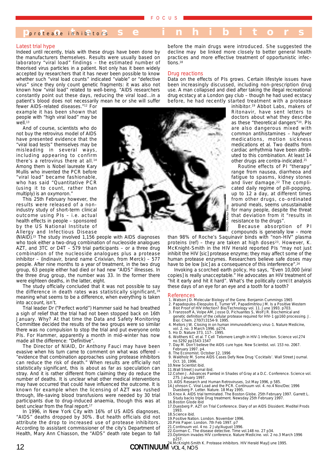#### protease inhibitors<sup>S</sup> S e In n n l b I t C

#### Latest trial hype

Indeed until recently, trials with these drugs have been done by the manufacturers themselves. Results were usually based on laboratory "viral load" findings – the estimated number of theorised virus particles in a patient. Not only has it been widely accepted by researchers that it has never been possible to know whether such "viral load counts" indicated "viable" or "defective virus" since they only count genetic fragments: it was also not known how "viral load" related to well-being. "AIDS researchers constantly point out these days, reducing the viral load...in a patient's blood does not necessarily mean he or she will suffer

fewer AIDS-related diseases."12 For example it has been shown that people with "high viral load" may be well.<sup>13</sup>

And of course, scientists who do not buy the retrovirus model of AIDS have presented evidence that the "viral load tests" themselves may be misleading in several ways, including appearing to confirm there's a retrovirus there at all.<sup>14</sup> Among them is Nobel laureate Kary Mullis who invented the PCR before "viral load" became fashionable, who has said "Quantitative PCR (using it to count, rather than multiply) is an oxymoron."

This 25th February however, the results were released of a nonindustry study of short-term clinical outcome using PIs – i.e. actual health effects in people – sponsored by the US National Institute of Allergy and Infectious Disease

(NIAID).15 The study involved 1,156 people with AIDS diagnoses who took either a two-drug combination of nucleoside analogues AZT, and 3TC or D4T – 579 trial participants – or a three drug combination of the nucleoside analogues plus a protease inhibitor – (indinavir, brand name Crixivian, from Merck) – 577 people. After nine months to a year of treatment, in the two drug group, 63 people either had died or had new "AIDS" illnesses. In the three drug group, the number was 33. In the former there were eighteen deaths, in the latter, eight.

The study officially concluded that it was not possible to say the difference in death rates was statistically significant,<sup>16</sup> meaning what seems to be a difference, when everything is taken into account, isn't.

Trial leader Dr ("Perfect world") Hammer said he had breathed a sigh of relief that the trial had not been stopped back on 16th January. Why? At that time the Data and Safety Monitoring Committee decided the results of the two groups were so similar there was no compulsion to stop the trial and put everyone onto PIs. For Hammer, apparently a month in mid-winter has now made all the difference: "Definitive".

The Director of NIAID, Dr Anthony Fauci may have been evasive when his turn came to comment on what was offered – "evidence that combination approaches using protease inhibitors can reduce the risk of death." When results are officially not statistically significant, this is about as far as speculation can stray. And it is rather different from claiming they do reduce the number of deaths. It is unclear what other medical interventions may have occurred that could have influenced the outcome. It is known for example when the licensing of AZT was rushed through, life-saving blood transfusions were needed by 30 trial participants due to drug-induced anaemia, though this was at best unclear from the final report.17

In 1996, in New York City with 16% of US AIDS diagnoses. "AIDS" deaths dropped by 30%. But health officials did not attribute the drop to increased use of protease inhibitors. According to assistant commissioner of the city's Department of Health, Mary Ann Chiasson, the "AIDS" death rate began to fall before the main drugs were introduced. She suggested the decline may be linked more closely to better general health practices and more effective treatment of opportunistic infections.<sup>18</sup>

#### Drug reactions

Data on the effects of PIs grows. Certain lifestyle issues have been increasingly discussed, including non-prescription drug use. A man collapsed and died after taking the illegal recreational drug ecstacy at a London gay club – though he had used ecstacy before, he had recently started treatment with a protease

inhibitor.19 Abbot Labs, makers of Ritonavir, have sent letters to doctors about what they describe as these "theoretical dangers"20. PIs are also dangerous mixed with common antihistamines – hayfever medications, motion sickness medications et al. Two deaths from cardiac arrhythmia have been attributed to this combination. At least 14 other drugs are contra-indicated.21

Routine effects of PI "therapy" range from nausea, diarrheoa and fatigue to spasms, kidney stones and liver damage.22 The complicated daily regime of pill-popping, up to 12 a day, at different times from other drugs, co-ordinated around meals, seems unsustainable for many people, despite the threat that deviation from it "results in resistance to the drugs".

Because absorption of PI compounds is generally low – more

than 98% of Roche's Saquinavir binds with "non-HIV" plasma proteins (ref) – they are taken at high doses $23$ . However, K. McKnight-Smith in the HIV Herald reported PIs "may not just inhibit the HIV [sic] protease enzyme; they may affect some of the human protease enzymes. Researchers believe safe doses may have to be low [sic] as a consequence of this interference".<sup>24</sup>

Invoking a scorched earth policy, Ho says, "Even 10,000 [viral copies] is really unacceptable." He advocates an HIV treatment of "hit it early and hit it hard". What's the politically correct analysis these days of an eye for an eye and a tooth for a tooth?

#### **References**

- 1. Watson JD. Molecular Biology of the Gene. Benjamin Cummings 1965
- 2. Papadopulos-Eleopulos E, Turner VF, Papadimitriou JM. Is a Positive Western Blot Proof of HIV Infection? Bio/Technology vol. 11. June 1993. p703. 3. Franzosoff A, Volpe AM, Josse D, Pichuantes S, Wolf JR. Biochemical and
- 
- genetic definition of the cellular protease required for HIV-1 gp160 processing. J. Biol. Chem. 270(7):3154-9. 1995. 4. Mellors JW. Closing in on human immunodeficiency virus-1. Nature Medicine,
- vol. 2, no. 3 March 1996. p274. 5. Ho D. Nature 373, 117-. 1995.
- 6. Wolthers KC *et al.* T Cell Telomere Length in HIV-1 Infection. *Science* vol.274
- no.5292 pp1543-1547 7. Day M. Don't believe the AIDS cure hype. New Scientist. vol. 153 no. 2067. February 1997. p4.
- 8. The Economist. October 12, 1996
- 9. Waldholz M. Some AIDS Cases Defy New Drug 'Cocktails'. Wall Street Journal. Oct. 10, 1996.
- 10.New Scientist ibid. 11.Wall Street Journal ibid.
- 12.Cohen J. Advances Painted in Shades of Gray at a D.C. Conference. Science vol. 275. January 1997.
- 13. AIDS Research and Human Retroviruses, 1st May 1996, p 585.
- 14.Johnson C. Viral Load and the PCR. Continuum vol. 4. no.4 Nov/Dec 1996<br>Duesberg P. Letter. Nature. 18 May 1995.<br>15.Knox A. AIDS trial terminated. The Boston Globe. 25th February 1997. Garrett L.<br>Study backs triple Drug
- 16.Boston Glode ibid 17.Duesberg P. AZT on Trial Conference. Diary of an AIDS Dissident. Meditel Prods 1993.
- 18.Science ibid.
- 19.Positive Nation. London. November 1996.
- 20.Pink Paper. London. 7th Feb 1997. p7
- 21.Continuum vol. 4 no. 2 July/August 1996.
- 22.Gorman C. The disease detective. Time vol.148 no. 27 p34. 23.Optimism invades HIV conference. Nature Medicine. vol. 2 no.3 March 1996



12 **CONTINUUM** VOL 4, NO 5

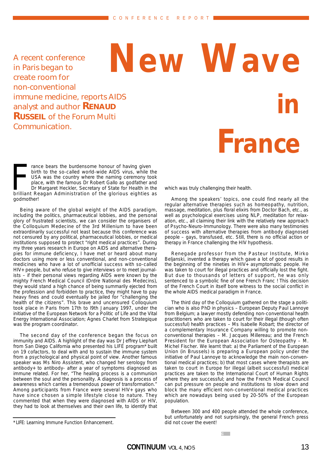A recent conference in Paris began to create room for non-conventional immune medicine, reports AIDS analyst and author **RENAUD RUSSEIL** of the Forum Multi Communication.

## *New Wave in France*

France bears the burdensome honour of having given<br>birth to the so-called world-wide AIDS virus, while the<br>USA was the country where the naming ceremony took<br>place, with the famous Dr Robert Gallo as godfather and<br>Dr Marga rance bears the burdensome honour of having given birth to the so-called world-wide AIDS virus, while the USA was the country where the naming ceremony took place, with the famous Dr Robert Gallo as godfather and Dr Margaret Heckler, Secretary of State for Health in the godmother!

Being aware of the global weight of the AIDS paradigm, including the politics, pharmaceutical lobbies, and the personal glory of frustrated scientists, we can consider the organisers of the Colloquium Medecine of the 3rd Millenium to have been extraordinarily successful not least because this conference was not censured by any political, pharmaceutical lobbies, or medical institutions supposed to protect "right medical practices". During my three years research in Europe on AIDS and alternative therapies for immune deficiency, I have met or heard about many doctors using more or less conventional, and non-conventional medicines who have a lot of unofficial success with so-called HIV+ people, but who refuse to give interviews or to meet journalists – if their personal views regarding AIDS were known by the mighty French Medical Council (Ordre National des Medecins), they would stand a high chance of being summarily ejected from the profession and forbidden to practice, they might have to pay heavy fines and could eventually be jailed for "challenging the health of the citizens". This brave and uncensured Colloquium took place in Paris from 17th to l9th January 1997, under the initiative of the European Network for a Politic of Life and the Vital Energy International Association; Agnes Charlet from Strategique was the program coordinator.

The second day of the conference began the focus on immunity and AIDS. A highlight of the day was Dr Jeffrey Liephart from San Diego California who presented his LIFE program\* built on 19 cofactors, to deal with and to sustain the immune system from a psychological and physical point of view. Another famous speaker was Ms Niro Assistent, who changed her serology from antibody+ to antibody- after a year of symptoms diagnosed as immune related. For her, "The healing process is a communion between the soul and the personality. A diagnosis is a process of awareness which carries a tremendous power of transformation." Among participants from France were several HIV+ gays who have since chosen a simple lifestyle close to nature. They commented that when they were diagnosed with AIDS or HIV, they had to look at themselves and their own life, to identify that

which was truly challenging their health.

Among the speakers' topics, one could find nearly all the regular alternative therapies such as homeopathy, nutrition, massage, meditation, plus floral elixirs from Doctor Bach, etc., as well as psychological exercises using NLP, meditation for relaxation, etc., all claiming their link with the relatively new approach of Psycho-Neuro-Immunology. There were also many testimonies of success with alternative therapies from antibody diagnosed people – gays, transfused, etc. Still, there is no official action or therapy in France challenging the HIV hypothesis.

Renegade professor from the Pasteur Institute, Mirko Beljanski, invented a therapy which gave a lot of good results in the beginning of the nineties in HIV+ asymptomatic people. He was taken to court for illegal practices and officially lost the fight. But due to thousands of letters of support, he was only sentenced to a symbolic fine of one French Franc ! This decision of the French Court in itself bore witness to the social conflict in the whole AIDS medical paradigm in France.

The third day of the Colloquium gathered on the stage a politician who is also PhD in physics – European Deputy Paul Lannoye from Belgium; a lawyer mostly defending non-conventional health practitioners who are taken to court for their illegal (though often successful) health practices – Ms Isabelle Robart; the director of a complementary Insurance Company willing to promote nonconventional therapies – M. Jacques Millereau; and the French President for the European Association for Osteopathy – M. Michel Fischer. We learnt that: a) the Parliament of the European Union (in Brussels) is preparing a European policy under the initiative of Paul Lannoye to acknowledge the main non-conventional medical practices; b) that most cases where therapists are taken to court in Europe for illegal (albeit successful) medical practices are taken to the International Court of Human Rights where they are successful; and how the French Medical Council can put pressure on people and institutions to slow down and block the many efficient non-conventional medical practices which are nowadays being used by 20-50% of the European population.

Between 300 and 400 people attended the whole conference, but unfortunately and not surprisingly, the general French press did not cover the event!

**c**

*<sup>\*</sup>LIFE: Learning Immune Function Enhancement.*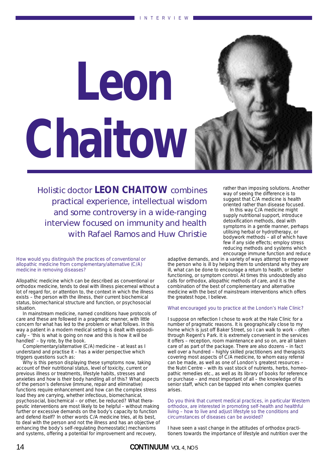## *Leon Chaitow*

*Holistic doctor LEON CHAITOW combines practical experience, intellectual wisdom and some controversy in a wide-ranging interview focused on immunity and health with Rafael Ramos and Huw Christie*

How would you distinguish the practices of conventional or allopathic medicine from complementary/alternative (C/A) medicine in removing diseases?

Allopathic medicine which can be described as conventional or orthodox medicine, tends to deal with illness piecemeal without a lot of regard for, or attention to, the context in which the illness exists – the person with the illness, their current biochemical status, biomechanical structure and function, or psychosocial situation.

In mainstream medicine, named conditions have protocols of care and these are followed in a pragmatic manner, with little concern for what has led to the problem or what follows. In this way a patient in a modern medical setting is dealt with episodically – 'this is what is going on now and this is how it will be handled' – by rote, by the book.

Complementary/alternative (C/A) medicine – at least as I understand and practise it – has a wider perspective which triggers questions such as:

Why is this person displaying these symptoms now, taking account of their nutritional status, level of toxicity, current or previous illness or treatments, lifestyle habits, stresses and anxieties and how is their body handling all of this? What aspects of the person's defensive (immune, repair and eliminative) functions require enhancement and how can the complex stress load they are carrying, whether infectious, biomechanical, psychosocial, biochemical – or other, be reduced? What therapeutic interventions are most likely to be helpful – without making further or excessive demands on the body's capacity to function and defend itself? In other words C/A medicine tries, at its best, to deal with the person and not the illness and has an objective of enhancing the body's self-regulating (homeostatic) mechanisms and systems, offering a potential for improvement and recovery,

rather than imposing solutions. Another way of seeing the difference is to suggest that C/A medicine is health oriented rather than disease focused.

In this way C/A medicine might supply nutritional support, introduce detoxification methods, deal with symptoms in a gentle manner, perhaps utilising herbal or hydrotherapy, or bodywork methods – all of which have few if any side effects; employ stress reducing methods and systems which encourage immune function and reduce

adaptive demands, and in a variety of ways attempt to empower the person who is ill by helping them to understand why they are ill, what can be done to encourage a return to health, or better functioning, or symptom control. At times this undoubtedly also calls for orthodox, allopathic methods of care, and it is the combination of the best of complementary and alternative medicine with the best of mainstream interventions which offers the greatest hope, I believe.

#### What encouraged you to practice at the London's Hale Clinic?

I suppose on reflection I chose to work at the Hale Clinic for a number of pragmatic reasons. It is geographically close to my home which is just off Baker Street, so I can walk to work – often through Regent's Park. It is extremely convenient in the services it offers – reception, room maintenance and so on, are all taken care of as part of the package. There are also dozens – in fact well over a hundred – highly skilled practitioners and therapists covering most aspects of C/A medicine, to whom easy referral can be made, as well as one of London's greatest resources – the Nutri Centre – with its vast stock of nutrients, herbs, homeopathic remedies etc., as well as its library of books for reference or purchase – and most important of all – the knowledge of its senior staff, which can be tapped into when complex queries arises.

Do you think that current medical practices, in particular Western orthodox, are interested in promoting self-health and healthful living – how to live and adjust lifestyle so the conditions and circumstances of diseases can be avoided?

I have seen a vast change in the attitudes of orthodox practitioners towards the importance of lifestyle and nutrition over the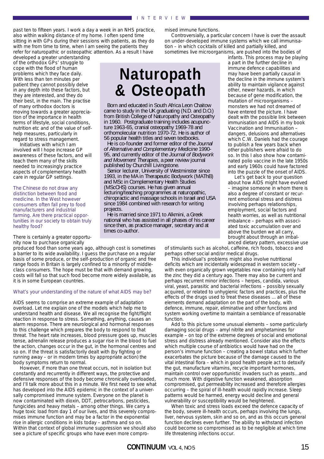past ten to fifteen years. I work a day a week in an NHS practice, also within walking distance of my home. I often spend time sitting in with GPs during their sessions with patients, as they do with me from time to time, when I am seeing the patients they refer for naturopathic or osteopathic attention. As a result I have

developed a greater understanding of the orthodox GPs' struggle to cope with the flood of human problems which they face daily. With less than ten minutes per patient they cannot possibly delve in any depth into these factors, but they are interested, and they do their best, in the main. The practise of many orthodox doctors is moving towards a greater appreciation of the importance in health terms of lifestyle, social conditions, nutrition etc and of the value of selfhelp measures, particularly in regard to stress management.

Initiatives with which I am involved will I hope increase GP awareness of these factors, and will teach them many of the skills needed to increasingly practice aspects of complementary health care in regular GP settings.

The Chinese do not draw any distinction between food and medicine. In the West however consumers often fall prey to food manufacturers and industrial farming. Are there practical opportunities in our society to obtain truly healthy food?

**Naturopath & Osteopath**

Born and educated in South Africa Leon Chaitow came to study in the UK graduating (N.D. and D.O.) from British College of Naturopathy and Osteopathy in 1960. Postgraduate training includes acupuncture 1963-65, cranial osteopathy 1969-78 and orthomolecular nutrition 1970-72. He is author of 56 popular health titles and seven textbooks.

He is co-founder and former editor of the *Journal of Alternative and Complementary Medicine* 1990- 95, and currently editor of the *Journal of Bodywork and Movement Therapies*, a peer review journal published by Churchill Livingstone.

Senior lecturer, University of Westminster since 1993, in the MA in Therapeutic Bodywork (MAThB) and MSc in Complementary Health Studies (MScCHS) courses. He has given annual lecturing/teaching programmes at naturopathic, chiropractic and massage schools in Israel and USA since 1984 combined with research for writing projects.

He is married since 1971 to Alkmini, a Greek national who has assisted in all phases of his career since then, as practice manager, secretary and at times co-author.

There is certainly a greater opportunity now to purchase organically

produced food than some years ago, although cost is sometimes a barrier to its wide availability. I guess the purchase on a regular basis of some produce, or the self-production of organic and free range foods in Britain is largely confined to a minority of middleclass consumers. The hope must be that with demand growing, costs will fall so that such food become more widely available, as it is in some European countries.

#### What's your understanding of the nature of what AIDS may be?

AIDS seems to comprise an extreme example of adaptation overload. Let me explain one of the models which help me to understand health and disease. We all recognise the fight/flight reaction in response to stress. Something, anything, causes an alarm response. There are neurological and hormonal responses to this challenge which prepares the body to respond to that threat. The heart rate increases, blood pressure goes up, muscles tense, adrenalin release produces a sugar rise in the blood to fuel the action, changes occur in the gut, in the hormonal centres and so on. If the threat is satisfactorily dealt with (by fighting or running away – or in modern times by appropriate action) the body symptoms return to normal.

However, if more than one threat occurs, not in isolation but constantly and recurrently in different ways, the protective and defensive responses of the body become chronically overloaded, and I'll talk more about this in a minute. We first need to see what has developed into the AIDS epidemic in the context of a universally compromised immune system. Everyone on the planet is now contaminated with dioxin, DDT, petrocarbons, pesticides, fungicides and heavy metals – among other things. We carry a huge toxic load from day 1 of our lives, and this severely compromises immune function and may be a factor in the exponential rise in allergic conditions in kids today – asthma and so on. Within that context of global immune suppression we should also see a picture of specific groups who have even more compromised immune functions.

Controversially, a particular concern I have is over the assault on under-developed immune systems which we call immunisation – in which cocktails of killed and partially killed, and sometimes live microorganisms, are pushed into the bodies of

> infants. This process may be playing a part in the further decline in immune defence capabilities and may have been partially causal in the decline in the immune system's ability to maintain vigilance against other, newer hazards, in which because of gene modification, the mutation of microorganisms – monsters we had not dreamed of have entered the picture. I have dealt with the possible link between immunisation and AIDS in my book Vaccination and Immunisation – dangers, delusions and alternatives which C.W. Daniels had the courage to publish a few years back when other publishers were afraid to do so. In this I also show how contaminated polio vaccine in the late 1950s and early 1960s could have factored into the puzzle of the onset of AIDS.

> Let's get back to your question about how AIDS might have evolved – imagine someone in whom there is also a degree of constant or recurrent emotional stress and distress involving perhaps relationships, employment, social factors and health worries, as well as nutritional imbalance – perhaps with associated toxic accumulation over and above the burden we all carry, brought about through an imbalanced dietary pattern, excessive use

of stimulants such as alcohol, caffeine, rich foods, tobacco and perhaps other social and/or medical drugs.

This individual's problems might also involve nutritional deficits which are incidentally widespread in western society – with even organically grown vegetables now containing only half the zinc they did a century ago. There may also be current and perhaps recurrent minor infections – herpes, candida, various viral, yeast, parasitic and bacterial infections – possibly sexually acquired, or related to unhygienic factors and practices, plus the effects of the drugs used to treat these diseases ... all of these elements demand adaptation on the part of the body, with defence, immune, repair, eliminative and other functions and system working overtime to maintain a semblance of reasonable function.

Add to this picture some unusual elements – some particularly damaging social drugs – amyl nitrite and amphetamines for example – on top of the extreme degrees of social and emotional stress and distress already mentioned. Consider also the effects which multiple course of antibiotics would have had on the person's immune function – creating a bowel status which further exacerbates the picture because of the damage caused to the vital intestinal flora – which in good health people act to detoxify the gut, manufacture vitamins, recycle important hormones, maintain control over opportunistic invaders such as yeasts...and much more. With digestive function weakened, absorption compromised, gut permeability increased and therefore allergies occurring – the spiral of ill-health would rapidly increase. Sleep patterns would be harmed, energy would decline and general vulnerability or susceptibility would be heightened.

When toxic and stress loads exceed the defence capacity of the body, severe ill-health occurs, perhaps involving the lungs, liver, nervous system, skin and so on, and as this occurs general function declines even further. The ability to withstand infection could become so compromised as to be negligible at which time life threatening infections occur.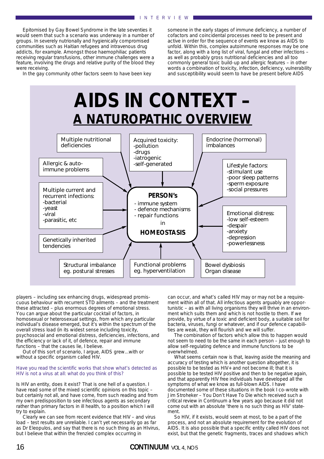Epitomised by Gay Bowel Syndrome in the late seventies it would seem that such a scenario was underway in a number of groups. In severely nutrionally and hygienically compromised communities such as Haitian refugees and intravenous drug addicts, for example. Amongst those haemophiliac patients receiving regular transfusions, other immune challenges were a feature, involving the drugs and relative purity of the blood they were receiving.

In the gay community other factors seem to have been key

someone in the early stages of immune deficiency, a number of cofactors and coincidental processes need to be present and active in order for the sequence of events we know as AIDS to unfold. Within this, complex autoimmune responses may be one factor, along with a long list of viral, fungal and other infections – as well as probably gross nutritional deficiencies and all too commonly general toxic build-up and allergic features – in other words a combination of toxicity, infection, deficiency, vulnerability and susceptibility would seem to have be present before AIDS



players – including sex enhancing drugs, widespread promiscuous behaviour with recurrent STD ailments – and the treatment these attracted – plus enormous degrees of emotional stress. You can argue about the particular cocktail of factors, in homosexual or heterosexual settings, from which any particular individual's disease emerged, but it's within the spectrum of the overall stress load (in its widest sense including toxicity, psychosocial and emotional distress, deficiencies, infections, and the efficiency or lack of it, of defence, repair and immune functions – that the causes lie, I believe.

Out of this sort of scenario, I argue, AIDS grew...with or without a specific organism called HIV.

#### Have you read the scientific works that show what's detected as HIV is not a virus at all: what do you think of this?

Is HIV an entity, does it exist? That is one hell of a question. I have read some of the mixed scientific opinions on this topic – but certainly not all, and have come, from such reading and from my own predisposition to see infectious agents as secondary rather than primary factors in ill health, to a position which I will try to explain.

Clearly we can see from recent evidence that HIV – and virus load – test results are unreliable. I can't yet necessarily go as far as Dr Eleopulos, and say that there is no such thing as an HIvirus, but I believe that within the frenzied complex occurring in

can occur, and what's called HIV may or may not be a requirement within all of that. All infectious agents arguably are opportunistic – as with all living organisms they will thrive in an environment which suits them and which is not hostile to them. If we provide, by virtue of a toxic and deficient body, a suitable soil for bacteria, viruses, fungi or whatever, and if our defence capabilities are weak, they will flourish and we will suffer.

The combination of factors which allow this to happen would not seem to need to be the same in each person – just enough to allow self-regulating defence and immune functions to be overwhelmed.

What seems certain now is that, leaving aside the meaning and accuracy of testing which is another question altogether, it is possible to be tested as HIV+ and not become ill; that it is possible to be tested HIV positive and then to be negative again, and that apparently HIV free individuals have developed all the symptoms of what we know as full-blown AIDS. I have documented some of these situations in the book I co-wrote with Jim Stroheker – You Don't Have To Die which received such a critical review in Continuum a few years ago because it did not come out with an absolute 'there is no such thing as HIV' statement.

So HIV, if it exists, would seem at most, to be a part of the process, and not an absolute requirement for the evolution of AIDS. It is also possible that a specific entity called HIV does not exist, but that the genetic fragments, traces and shadows which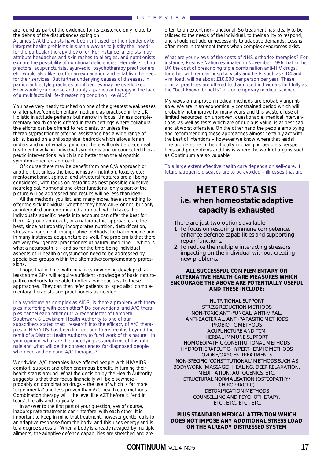are found as part of the evidence for its existence only relate to the debris of the disturbances going on.

At times C/A therapists have been criticised for their tendency to interpret health problems in such a way as to justify the "need" for the particular therapy they offer. For instance, allergists may attribute headaches and skin rashes to allergies, and nutritionists explore the possibility of nutritional deficiencies. Herbalists, chiropractors, acupuncturists, ayurvedic, psychotherapy practitioners, etc. would also like to offer an explanation and establish the need for their services. But further underlying causes of diseases, in particular lifestyle practices or influences may be overlooked. How would you choose and apply a particular therapy in the face of a multifactorial life-threatening condition like AIDS?

You have very neatly touched on one of the greatest weaknesses of alternative/complementary medicine as practised in the UK. Holistic in attitude perhaps but narrow in focus. Unless complementary health care is offered in team settings where collaborative efforts can be offered to recipients, or unless the therapist/practitioner offering assistance has a wide range of skills, based on a philosophical bedrock which allows for an understanding of what's going on, there will only be piecemeal treatment involving individual symptoms and unconnected therapeutic interventions, which is no better than the allopathic symptom-oriented approach.

Of course there may be benefit from one C/A approach or another, but unless the biochemistry – nutrition, toxicity etc; mentoemotional, spiritual and structural features are all being considered, with focus on restoring as best possible digestive, neurological, hormonal and other functions, only a part of the picture will be addressed and results will be less than ideal.

All the methods you list, and many more, have something to offer the sick individual, whether they have AIDS or not, but only an integrated and coordinated approach which takes the individual's specific needs into account can offer the best for them. A group approach, or a naturopathic approach, are the best, since naturopathy incorporates nutrition, detoxification, stress management, manipulative methods, herbal medicine and in many instances acupuncture as well. The problem is that there are very few 'general practitioners of natural medicine' – which is what a naturopath is – and so for the time being individual aspects of ill-health or dysfunction need to be addressed by specialised groups within the alternative/complementary professions.

I hope that in time, with initiatives now being developed, at least some GPs will acquire sufficient knowledge of basic naturopathic methods to be able to offer a wider access to these approaches. They can then refer patients to 'specialist' complementary therapists and practitioners as needed.

In a syndrome as complex as AIDS, is there a problem with therapies interfering with each other? Do conventional and A/C therapies cancel each other out? A recent letter of Lambeth Southwark & Lewisham Health Authority to one of our subscribers stated that: "research into the efficacy of A/C therapies in HIV/AIDS has been limited, and therefore it is beyond the remit of a District Health Authority to fund work of this nature". In your opinion, what are the underlying assumptions of this rationale and what will be the consequences for diagnosed people who need and demand A/C therapies?

Worldwide, A/C therapies have offered people with HIV/AIDS comfort, support and often enormous benefit, in turning their health status around. What the decision by the Health Authority suggests is that their focus financially will be elsewhere – probably on combination drugs – the use of which is far more 'experimental' and less proven than A/C health care methods. Combination therapy will, I believe, like AZT before it, 'end in tears', literally and tragically.

In answer to the first part of your question, yes of course, inappropriate treatments can 'interfere' with each other. It is important to keep in mind that treatment, however gentle, calls for an adaptive response from the body, and this uses energy and is to a degree stressful. When a body is already ravaged by multiple ailments, the adaptive defence capabilities are stretched and are

often to an extent non-functional. So treatment has ideally to be tailored to the needs of the individual, to their ability to respond, and should not add unnecessarily to adaptive demands. Less is often more in treatment terms when complex syndromes exist.

What are your views of the costs of NHS orthodox therapies? For instance, Positive Nation estimated in November 1996 that in the UK the cost of prescribing triple combination anti-HIV drugs, together with regular hospital visits and tests such as CD4 and viral load, will be about £10,000 per person per year. These clinical practices are offered to diagnosed individuals faithfully as the "best known benefits" of contemporary medical science.

My views on unproven medical methods are probably unprintable. We are in an economically constrained period which will probably not improve for many years and this wasteful use of limited resources, on unproven, questionable, medical interventions, as well as tests which are of dubious value, is at best sad and at worst offensive. On the other hand the people employing and recommending these approaches almost certainly act with the best of intentions – however we know where that leads! The problems lie in the difficulty in changing people's perspectives and perceptions and this is where the work of organs such as Continuum are so valuable.

To a large extent effective health care depends on self-care. If future iatrogenic diseases are to be avoided – illnesses that are

#### **HETEROSTASIS i.e. when homeostatic adaptive capacity is exhausted**

There are just two options available:

- 1. To focus on restoring immune competence, enhance defence capabilities and supporting repair functions.
- 2. To reduce the multiple interacting stressors impacting on the individual without creating new problems.

#### **ALL SUCCESSFUL COMPLEMENTARY OR ALTERNATIVE HEALTH CARE MEASURES WHICH ENCOURAGE THE ABOVE ARE POTENTIALLY USEFUL AND THESE INCLUDE:**

NUTRITIONAL SUPPORT STRESS REDUCTION METHODS NON-TOXIC ANTI-FUNGAL, ANTI-VIRAL, ANTI-BACTERIAL, ANTI-PARASITIC METHODS PROBIOTIC METHODS ACUPUNCTURE AND TCM HERBAL IMMUNE SUPPORT HOMOEOPATHIC CONSTITUTIONAL METHODS HYDROTHERAPEUTIC-HYPERTHERMIC METHODS OZONE/OXYGEN TREATMENTS NON-SPECIFIC 'CONSTITUTIONAL' METHODS SUCH AS BODYWORK (MASSAGE), HEALING, DEEP RELAXATION, MEDITIATION, AUTOGENICS, ETC. STRUCTURAL NORMALISATION (OSTEOPATHY/ CHIROPRACTIC) DETOXIFICATION METHODS COUNSELLING AND PSYCHOTHERAPY, ETC., ETC., ETC., ETC.

**PLUS STANDARD MEDICAL ATTENTION WHICH DOES NOT IMPOSE ANY ADDITIONAL STRESS LOAD ON THE ALREADY DISTRESSED SYSTEM**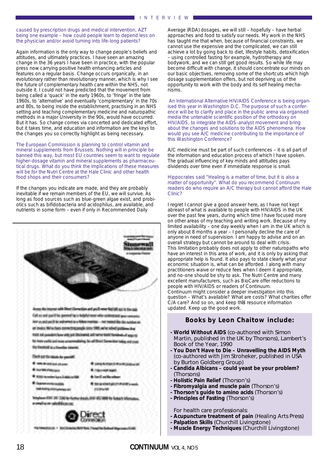caused by prescription drugs and medical intervention, AZT being one example – how could people learn to depend less on the physician and/or avoid turning into life-long patients?

Again information is the only way to change people's beliefs and attitudes, and ultimately practices. I have seen an amazing change in the 36 years I have been in practice, with the popular press now carrying positive health enhancing articles and features on a regular basis. Change occurs organically, in an evolutionary rather than revolutionary manner, which is why I see the future of complementary health care within the NHS, not outside it. I could not have predicted that the movement from being called a 'quack' in the early 1960s, to 'fringe' in the late 1960s, to 'alternative' and eventually 'complementary' in the 70s and 80s, to being inside the establishment, practising in an NHS setting and teaching complementary medicine and naturopathic methods in a major University in the 90s, would have occurred. But it has. So change comes via concerted and dedicated effort, but it takes time, and education and information are the keys to the changes you so correctly highlight as being necessary.

The European Commission is planning to control vitamin and mineral supplements from Brussels. Nothing will in principle be banned this way, but most EU countries seem to want to regulate higher-dosage vitamin and mineral supplements as pharmaceutical drugs. What do you think the implications of these measures will be for the Nutri Centre at the Hale Clinic and other health food shops and their consumers?

If the changes you indicate are made, and they are probably inevitable if we remain members of the EU, we will survive. As long as food sources such as blue-green algae exist, and probiotics such as bifidobacteria and acidophilus, are available, and nutrients in some form – even if only in Recommended Daily



Average (RDA) dosages, we will still – hopefully – have herbal approaches and food to satisfy our needs. My work in the NHS has taught me that when, because of financial constraints, we cannot use the expensive and the complicated, we can still achieve a lot by going back to diet, lifestyle habits, detoxification – using controlled fasting for example, hydrotherapy and bodywork, and we can still get good results. So while life may become difficult with change, it should concentrate our minds on our basic objectives, removing some of the shortcuts which high dosage supplementation offers, but not depriving us of the opportunity to work with the body and its self healing mechanisms.

An International Alternative HIV/AIDS Conference is being organised this year in Washington D.C. The purpose of such a conference will be to clarify and place in the public arena via organised media the untenable scientific position of the orthodoxy on HIV/AIDS, to integrate the AIDS-analyst movement and bring about the changes and solutions to the AIDS phenomena. How would you see A/C medicine contributing to the importance of this Washington Conference?

A/C medicine must be part of such conferences – it is all part of the information and education process of which I have spoken. The gradual influencing of key minds and attitudes pays dividends over time even if immediate response is small.

Hippocrates said "Healing is a matter of time, but it is also a matter of opportunity". What do you recommend Continuum readers do who require an A/C therapy but cannot afford the Hale Clinic?

**c** C/A care? And so on, and keep this resource information I regret I cannot give a good answer here, as I have not kept abreast of what is available to people with HIV/AIDS in the UK over the past few years, during which time I have focused more on other areas of my teaching and writing work. Because of my limited availability – one day weekly when I am in the UK which is only about 8 months a year – I personally decline the care of anyone in need of supervision. I am happy to advise and on an overall strategy but cannot be around to deal with crisis. This limitation probably does not apply to other naturopaths who have an interest in this area of work, and it is only by asking that appropriate help is found. It also pays to state clearly what your economic situation is, what can be afforded. I along with many practitioners waive or reduce fees when I deem it appropriate, and no-one should be shy to ask. The Nutri Centre and many excellent manufacturers, such as BioCare offer reductions to people with HIV/AIDS or readers of Continuum. Continuum might consider a deeper investigation into this question – What's available? What are costs? What charities offer updated. Keep up the good work.

#### **Books by Leon Chaitow include:**

- *World Without AIDS* (co-authored with Simon Martin, published in the UK by Thorsons), Lambert's Book of the Year, 1990
- *You Don't Have to Die Unravelling the AIDS Myth* (co-authored with Jim Stroheker, published in USA by Burton Goldberg Group)
- *Candida Albicans could yeast be your problem?* (Thorsons)
- *Holistic Pain Relief* (Thorson's)
- *Fibromyalgia and muscle pain* (Thorson's)
- *Thorson's guide to amino acids* (Thorson's)
- *Principles of Fasting* (Thorson's)

For health care professionals:

- *Acupuncture treatment of pain* (Healing Arts Press)
- *Palpation Skills* (Churchill Livingstone)
- *Muscle Energy Techniques* (Churchill Livingstone)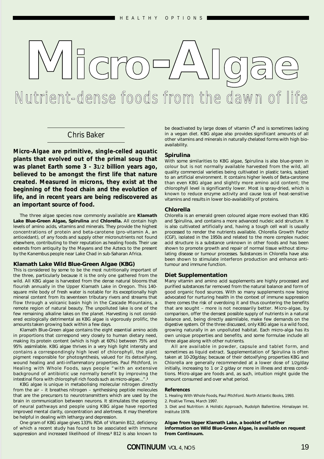

Nutrient-dense foods from the dawn

#### Chris Baker

**Micro-Algae are primitive, single-celled aquatic plants that evolved out of the primal soup that was planet Earth some 3 - 31/2 billion years ago, believed to be amongst the first life that nature created. Measured in microns, they exist at the beginning of the food chain and the evolution of life, and in recent years are being rediscovered as an important source of food.**

The three algae species now commonly available are **Klamath Lake Blue-Green Algae, Spirulina** and **Chlorella.** All contain high levels of amino acids, vitamins and minerals. They provide the highest concentrations of protein and beta-carotene (pro-vitamin A, an antioxidant), of any foods and supply other micronutrients not found elsewhere, contributing to their reputation as healing foods. Their use extends from antiquity by the Mayans and the Aztecs to the present by the Kanembus people near Lake Chad in sub-Saharan Africa.

#### **Klamath Lake Wild Blue-Green Algae (KBG)**

This is considered by some to be the most nutritionally important of the three, particularly because it is the only one gathered from the wild. All KBG algae is harvested from the dense natural blooms that flourish annually in the Upper Klamath Lake in Oregon. This 140 square mile body of fresh water is notable for its exceptionally high mineral content from its seventeen tributary rivers and streams that flow through a volcanic basin high in the Cascade Mountains, a remote region of natural beauty. The unpolluted lake is one of the few remaining alkaline lakes on the planet. Harvesting is not considered ecologically detrimental as KBG algae is vigorously prolific, the amounts taken growing back within a few days.

Klamath Blue-Green algae contains the eight essential amino acids in proportions that correspond very closely to human dietary need, making its protein content (which is high at 60%) between 75% and 95% assimilable. KBG algae thrives in a very high light intensity and contains a correspondingly high level of chlorophyll, the plant pigment responsible for photosynthesis, valued for its detoxifying, wound healing and anti-inflammatory properties. Paul Pitchford, in *Healing with Whole Foods*, says people "with an extensive background of antibiotic use normally benefit by improving the intestinal flora with chlorophyll rich foods such as micro-algae...".*<sup>1</sup>*

KBG algae is unique in metabolising molecular nitrogen directly from the air – it breathes nitrogen – synthesising peptide molecules that are the precursors to neurotransmitters which are used by the brain in communication between neurons. It stimulates the opening of neural pathways and people using KBG algae have reported improved mental clarity, concentration and alertness. It may therefore be helpful in dealing with lethargy and depression.

One gram of KBG algae gives 133% RDA of Vitamin B12, deficiency of which a recent study has found to be associated with immune suppression and increased likelihood of illness.*<sup>2</sup>* B12 is also known to be deactivated by large doses of vitamin C*<sup>3</sup>* and is sometimes lacking in a vegan diet. KBG algae also provides significant amounts of all other vitamins and minerals in naturally chelated forms with high bioavailability.

#### **Spirulina**

With some similarities to KBG algae, Spirulina is also blue-green in colour but is not normally available harvested from the wild, all quality commercial varieties being cultivated in plastic tanks, subject to an artificial environment. It contains higher levels of Beta-carotene than even KBG algae and slightly more amino acid content; the chlorophyll level is significantly lower. Most is spray-dried, which is known to reduce enzyme activity and cause loss of heat-sensitive vitamins and results in lower bio-availability of proteins.

#### **Chlorella**

Chlorella is an emerald green coloured algae more evolved than KBG and Spirulina, and contains a more advanced nucleic acid structure. It is also cultivated artificially and, having a tough cell wall is usually processed to render the nutrients available. Chlorella Growth Factor (CGF), isolated in the 1950s and related to the more complex nucleic acid structure is a substance unknown in other foods and has been shown to promote growth and repair of normal tissue without stimulating disease or tumour processes. Substances in Chlorella have also been shown to stimulate interferon production and enhance antitumour and immune function.

#### **Diet Supplementation**

Many vitamin and amino acid supplements are highly processed and purified substances far removed from the natural balance and form of good organic food sources. With so many supplements now being advocated for nurturing health in the context of immune suppression there comes the risk of overdoing it and thus countering the benefits that are sought – more is not necessarily better. Micro-algae, by comparison, offer the densest possible supply of nutrients in a natural balance and, being directly assimilable, make few demands on the digestive system. Of the three discussed, only KBG algae is a wild food, growing naturally in an unpolluted habitat. Each micro-alga has its own unique properties and benefits, and some formulae include all three algae along with other nutrients.

All are available in powder, capsule and tablet form, and sometimes as liquid extract. Supplementation of Spirulina is often taken at 10-20g/day; because of their detoxifying properties KBG and Chlorella are generally recommended at a lower dose of 1/2g/day initially, increasing to 1 or 2 g/day or more in illness and stress conditions. Micro-algae are foods and, as such, intuition might guide the amount consumed and over what period.

#### **References**

- 1. *Healing With Whole Foods*, Paul Pitchford. North Atlantic Books, 1993.
- 2. *Positive Times*, March 1997.

3. *Diet and Nutrition: A Holistic Approach*, Rudolph Ballentine. Himalayan Int. Institute 1978.

*Algae from Upper Klamath Lake,* **a booklet of further information on Wild Blue-Green Algae, is available on request from** *Continuum.*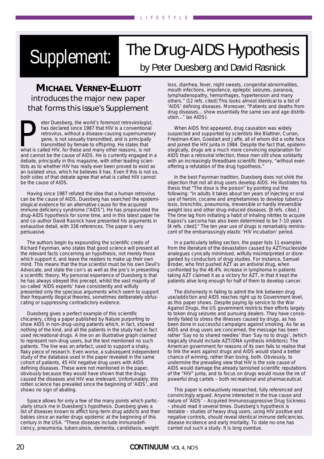### Supplement: The Drug-AIDS Hypothesis by Peter Duesberg and David Rasnick

#### **MICHAEL VERNEY-ELLIOTT** introduces the major new paper that forms this issue's Supplement

Peter Duesberg, the world's foremost retrovirologist,<br>has declared since 1987 that HIV is a conventional<br>retrovirus, without a disease-causing supernumera<br>gene, is not sexually transmitted, and is principally<br>transmitted b has declared since 1987 that HIV is a conventional retrovirus, without a disease-causing supernumerary gene, is not sexually transmitted, and is principally transmitted by female to offspring. He states that and cannot be the cause of AIDS. He is currently engaged in a debate, principally in this magazine, with other leading scientists as to whether HIV has really ever been proved to exist as an isolated virus, which he believes it has. Even if this is not so, both sides of that debate agree that what is called HIV cannot be the cause of AIDS.

Having since 1987 refuted the idea that a human retrovirus can be the cause of AIDS, Duesberg has searched the epidemiological evidence for an alternative cause for the acquired immune deficiency syndrome ("AIDS"). He has propounded the drug-AIDS hypothesis for some time, and in this latest paper he and co-author David Rasnick have presented his arguments in exhaustive detail, with 338 references. The paper is very persuasive.

The authors begin by expounding the scientific credo of Richard Feynman, who states that good science will present all the relevant facts concerning an hypothesis, not merely those which support it, and leave the readers to make up their own mind. This means that the true scientist must be his own Devil's Advocate, and state the con's as well as the pro's in presenting a scientific theory. My personal experience of Duesberg is that he has always obeyed this precept, whilst the vast majority of so-called 'AIDS experts' have consistently and wilfully presented only the specious arguments which seem to support their frequently illogical theories, sometimes deliberately obfuscating or suppressing contradictory evidence.

Duesberg gives a perfect example of this scientific chicanery, citing a paper published by Nature purporting to show AIDS in non-drug-using patients which, in fact, showed nothing of the kind, and all the patients in the study had in fact used recreational drugs. A line on an illustrative graph claimed to represent non-drug users, but the text mentioned no such patients. The line was an artefact, used to support a shaky, flaky piece of research. Even worse, a subsequent independent study of the database used in the paper revealed in the same cohort of patients, 45 HIV negative drug users with AIDS defining diseases. These were not mentioned in the paper, obviously because they would have shown that the drugs caused the diseases and HIV was irrelevant. Unfortunately, this rotten science has prevailed since the beginning of 'AIDS', and shows no sign of abating.

Space allows for only a few of the many points which particularly struck me in Duesberg's hypothesis. Duesberg gives a list of diseases known to afflict long-term drug addicts and their babies since an earlier drugs epidemic at the beginning of this century in the USA. "These diseases include immunodeficiency, pneumonia, tuberculosis, dementia, candidiasis, weight

loss, diarrhea, fever, night sweats, congenital abnormalities, mouth infections, impotence, epileptic seizures, paranoia, Iymphadenopathy, hemorrhages, hypertension and many others." (12 refs. cited) This looks almost identical to a list of 'AIDS' defining diseases. Moreover, "Patients and deaths from drug diseases... show essentially the same sex and age distribution..." (as AIDS).

When AIDS first appeared, drug causation was widely suspected and supported by scientists like Blattner, Curran, Friedman-Kien, Goedart and Jaffe, all of whom did a volte face and joined the HIV junta in 1984. Despite the fact that, epidemiologically, drugs are a much more convincing explanation for AIDS than a retroviral infection, these men still show solidarity with an increasingly threadbare scientific theory, "without even offering a refutation of the drug hypothesis."

In the best Feynman tradition, Duesberg does not shirk the objection that not all drug users develop AIDS. He illustrates his thesis that "The dose is the poison" by pointing out the following: "In adults it takes about ten years of injecting or oral use of heroin, cocaine and amphetamines to develop tuberculosis, bronchitis, pneumonia, irreversible or hardly irreversible weight loss and other drug-induced diseases. [8 refs. cited.] The time lag from initiating a habit of inhaling nitrites to acquire Kaposi's sarcoma has also been determined to be 7-10 years [4 refs. cited]." The ten year use of drugs is remarkably reminiscent of the embarrassingly elastic 'HIV incubation' period.

In a particularly telling section, the paper lists 11 examples from the literature of the devastation caused by AZT/nucleoside analogues cynically minimised, wilfully misinterpreted or disregarded by conductors of drug studies. For instance, Samuel Broder, who first pushed AZT as an antiviral drug, when confronted by the 46.4% increase in Iymphoma in patients taking AZT claimed it as a victory for AZT, in that it kept the patients alive long enough for half of them to develop cancer.

The dishonesty in failing to admit the link between drug use/addiction and AIDS reaches right up to Government level, as this paper shows. Despite paying lip service to the War Against Drugs, the US govemment restricts their efforts largely to token drug seizures and pursuing dealers. They have consistently failed to stress the illnesses caused by drugs, as has been done in successful campaigns against smoking. As far as AIDS and drug users are concerned, the message has been rather 'Say no to shared needles' than 'Say no to drugs', (which tragically should include AZT/DNA synthesis inhibitors). The American government for reasons of its own fails to realise that to link the wars against drugs and AIDS would stand a better chance of winning, rather than losing, both. Obviously, to undermine the prevailing view that HIV is the sole cause of AIDS would damage the already tarnished scientific reputations of the "HIV" junta, and to focus on drugs would rouse the ire of powerful drug cartels – both recreational and pharmaceutical.

This paper is exhaustively researched, fully referenced and convincingly argued. Anyone interested in the true cause and nature of 'AIDS' – Acquired Immunosuppressive Drug Sickness – should read it several times. Duesberg's hypothesis is testable – studies of heavy drug users, using HIV positive and negative controls, should reveal identical immune deficiencies, disease incidence and early mortality. To date no-one has carried out such a study. It is long overdue.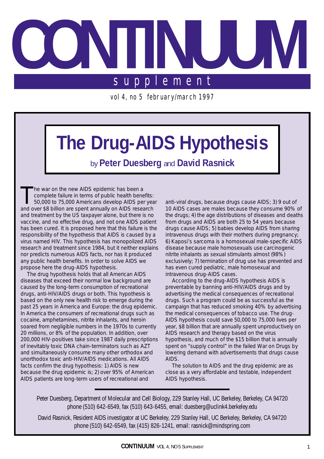

vol 4, no 5 february/march 1997

### **The Drug-AIDS Hypothesis**

by **Peter Duesberg** and **David Rasnick**

The war on the new AIDS epidemic has been a<br>complete failure in terms of public health bene<br>50,000 to 75,000 Americans develop AIDS pe complete failure in terms of public health benefits: 50,000 to 75,000 Americans develop AIDS per year and over \$8 billion are spent annually on AIDS research and treatment by the US taxpayer alone, but there is no vaccine, and no effective drug, and not one AIDS patient has been cured. It is proposed here that this failure is the responsibility of the hypothesis that AIDS is caused by a virus named HIV. This hypothesis has monopolized AIDS research and treatment since 1984, but it neither explains nor predicts numerous AIDS facts, nor has it produced any public health benefits. In order to solve AIDS we propose here the drug-AIDS hypothesis.

The drug hypothesis holds that all American AIDS diseases that exceed their normal low background are caused by the long-term consumption of recreational drugs, anti-HIV/AIDS drugs or both. This hypothesis is based on the only new health risk to emerge during the past 25 years in America and Europe: the drug epidemic. In America the consumers of recreational drugs such as cocaine, amphetamines, nitrite inhalants, and heroin soared from negligible numbers in the 1970s to currently 20 millions, or 8% of the population. In addition, over 200,000 HIV-positives take since 1987 daily prescriptions of inevitably toxic DNA chain-terminators such as AZT and simultaneously consume many other orthodox and unorthodox toxic anti-HIV/AIDS medications. All AIDS facts confirm the drug hypothesis: 1) AIDS is new because the drug epidemic is; 2) over 95% of American AIDS patients are long-term users of recreational and

anti-viral drugs, because drugs cause AIDS; 3) 9 out of 10 AIDS cases are males because they consume 90% of the drugs; 4) the age distributions of diseases and deaths from drugs and AIDS are both 25 to 54 years because drugs cause AIDS; 5) babies develop AIDS from sharing intravenous drugs with their mothers during pregnancy; 6) Kaposi's sarcoma is a homosexual male-specific AIDS disease because male homosexuals use carcinogenic nitrite inhalants as sexual stimulants almost (98%) exclusively; 7) termination of drug use has prevented and has even cured pediatric, male homosexual and intravenous drug-AIDS cases.

According to the drug-AIDS hypothesis AIDS is preventable by banning anti-HIV/AIDS drugs and by advertising the medical consequences of recreational drugs. Such a program could be as successful as the campaign that has reduced smoking 40% by advertising the medical consequences of tobacco use. The drug-AIDS hypothesis could save 50,000 to 75,000 lives per year, \$8 billion that are annually spent unproductively on AIDS research and therapy based on the virus hypothesis, and much of the \$15 billion that is annually spent on "supply control" in the failed War on Drugs by lowering demand with advertisements that drugs cause AIDS.

The solution to AIDS and the drug epidemic are as close as a very affordable and testable, independent AIDS hypothesis.

Peter Duesberg, Department of Molecular and Cell Biology, 229 Stanley Hall, UC Berkeley, Berkeley, CA 94720 phone (510) 642-6549, fax (510) 643-6455, email: duesberg@uclink4.berkeley.edu

David Rasnick, Resident AIDS investigator at UC Berkeley, 229 Stanley Hall, UC Berkeley, Berkeley, CA 94720 phone (510) 642-6549, fax (415) 826-1241, email: rasnick@mindspring.com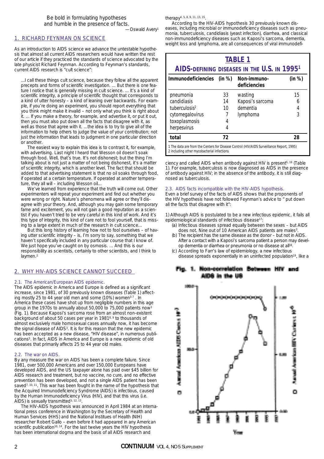-Oswald Avery<sup>1</sup>

#### 1. RICHARD FEYNMAN ON SCIENCE

As an introduction to AIDS science we advance the untestable hypothesis that almost all current AIDS researchers would have written the rest of our article if they practiced the standards of science advocated by the late physicist Richard Feynman. According to Feynman's standards, current AIDS research is "cult science":

...I call these things cult science, because they follow all the apparent precepts and forms of scientific investigation. ... But there is one feature I notice that is generally missing in cult science. ... It's a kind of scientific integrity, a principle of scientific thought that corresponds to a kind of utter honesty – a kind of leaning over backwards. For example, if you're doing an experiment, you should report everything that you think might make it invalid – not only what you think is right about it. ... If you make a theory, for example, and advertise it, or put it out, then you must also put down all the facts that disagree with it, as well as those that agree with it. ...the idea is to try to give all of the information to help others to judge the value of your contribution; not just the information that leads to judgment in one particular direction or another.

The easiest way to explain this idea is to contrast it, for example, with advertising. Last night I heard that Wesson oil doesn't soak through food. Well, that's true. It's not dishonest; but the thing I'm talking about is not just a matter of not being dishonest, it's a matter of scientific integrity, which is another level. The fact that should be added to that advertising statement is that no oil soaks through food, if operated at a certain temperature. If operated at another temperature, they all will – including Wesson oil..

We've learned from experience that the truth will come out. Other experimenters will repeat your experiment and find out whether you were wrong or right. Nature's phenomena will agree or they'll disagree with your theory. And, although you may gain some temporary fame and excitement, you will not gain a good reputation as a scientist if you haven't tried to be very careful in this kind of work. And it's this type of integrity, this kind of care not to fool yourself, that is missing to a large extent in much of the research in cult science.

But this long history of learning how not to fool ourselves – of having utter scientific integrity – is, I'm sorry to say, something that we haven't specifically included in any particular course that I know of. We just hope you've caught on by osmosis. ... And this is our responsibility as scientists, certainly to other scientists, and I think to laymen.2

#### 2. WHY HIV-AIDS SCIENCE CANNOT SUCCEED

#### 2.1. The American/European AIDS epidemic.

The AIDS epidemic in America and Europe is defined as a significant increase, since 1981, of 30 previously known diseases (Table 1) affecting mostly 25 to 44 year old men and some (10%) women<sup>3-7</sup>. In America these cases have shot up from negligible numbers in this age group in the 1970s to annually about 50,000 to 75,000 patients now3 (Fig. 1). Because Kaposi's sarcoma rose from an almost non-existent background of about 50 cases per year in 19818, 9 to thousands of almost exclusively male homosexual cases annually now, it has become the signal disease of AIDS3. It is for this reason that the new epidemic has been accepted as a new disease, "HIV disease", in numerous publications5. In fact, AIDS in America and Europe is a new epidemic of old diseases that primarily affects 25 to 44 year old males.

#### 2.2. The war on AIDS

By any measure the war on AIDS has been a complete failure. Since 1981, over 500,000 Americans and over 150,000 Europeans have developed AIDS, and the US taxpayer alone has paid over \$45 billion for AIDS research and treatment, but no vaccine, no cure, and no effective prevention has been developed, and not a single AIDS patient has been saved<sup>7, 10, 11</sup>. This war has been fought in the name of the hypothesis that the Acquired Immunodeficiency Syndrome (AIDS) is infectious, caused by the Human Immunodeficiency Virus (HIV), and that this virus (i.e. AIDS) is sexually transmitted<sup>5, 12, 13</sup>.

The HIV-AIDS hypothesis was announced in April 1984 at an international press conference in Washington by the Secretary of Health and Human Services (HHS) and the National Institues of Health (NIH) researcher Robert Gallo – even before it had appeared in any American scientific publication<sup>10, 14</sup>. For the last twelve years the HIV hypothesis has been international dogma and the basis of all AIDS research and

therapy4, 5, 8, 9, 11, 13, 15.

According to the HIV-AIDS hypothesis 30 previously known diseases, including microbial or immunodeficiency diseases such as pneumonia, tuberculosis, candidiasis (yeast infection), diarrhea, and classical non-immunodeficiency diseases such as Kaposi's sarcoma, dementia, weight loss and lymphoma, are all consequences of viral immunodefi-

| <b>TABLE 1</b>                                                        |    |                  |    |  |  |
|-----------------------------------------------------------------------|----|------------------|----|--|--|
| AIDS-DEFINING DISEASES IN THE U.S. IN 1995 <sup>1</sup>               |    |                  |    |  |  |
| Non-immuno-<br>(in %)<br>Immunodeficiencies<br>(in %)<br>deficiencies |    |                  |    |  |  |
| pneumonia                                                             | 33 | wasting          | 15 |  |  |
| candidiasis                                                           | 14 | Kaposi's sarcoma | 6  |  |  |
| tuberculosis <sup>2</sup>                                             | 10 | dementia         | 4  |  |  |
| cytomegalovirus                                                       |    | lymphoma         | 3  |  |  |
| toxoplasmosis                                                         | 4  |                  |    |  |  |
| herpesvirus                                                           | 4  |                  |    |  |  |
| total                                                                 | 72 |                  | 28 |  |  |

ciency and called AIDS when antibody against HIV is present<sup>5, 16</sup> (Table 1). For example, tuberculosis is now diagnosed as AIDS in the presence of antibody against HIV; in the absence of the antibody, it is still diagnosed as tuberculosis.

#### 2.3. AIDS facts incompatible with the HIV-AIDS hypothesis.

Even a brief survey of the facts of AIDS shows that the proponents of the HIV hypothesis have not followed Feynman's advice to " put down all the facts that disagree with it":

1) Although AIDS is postulated to be a new infectious epidemic, it fails all epidemiological standards of infectious disease17:

- (a) Infectious diseases spread equally between the sexes but AIDS does not. Nine out of 10 American AIDS patients are males<sup>3</sup>
- (b) The recipient has the same disease as the donor but not in AIDS. After a contact with a Kaposi's sarcoma patient a person may develop dementia or diarrhea or pneumonia or no disease at all<sup>18</sup>.
- (c) According to Farr's law of epidemiology, a new infectious disease spreads exponentially in an uninfected population<sup>19</sup>, like a

#### Non-consistion Selves HIV and AIDS in the US

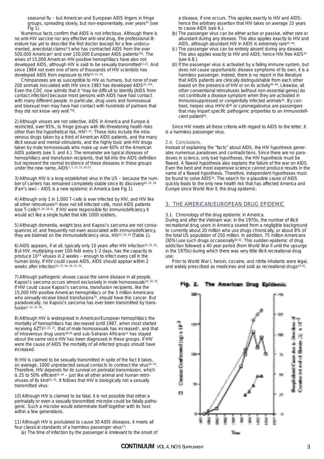seasonal flu – but American and European AIDS lingers in fringe groups, spreading slowly, but non-exponentially, over years<sup>20</sup> (see Fig 1).

Numerous facts confirm that AIDS is not infectious. Although there is no anti-HIV vaccine nor any effective anti-viral drug, the professional literature has yet to describe the first doctor (except for a few undocumented, anecdotal claims<sup>15</sup>) who has contracted AIDS from the over 500,000 American3 and over 150,000 European AIDS patients350. The wives of 15,000 American HIV-positive hemophiliacs have also not developed AIDS, although HIV is said to be sexually transmitted21-23. And since 1984 not even one of tens of thousands of HIV scientists has developed AIDS from exposure to HIV<sup>10, 22, 24</sup>.

Chimpanzees are as susceptible to HIV as humans, but none of over 200 animals inoculated with HIV since 1983 has developed AIDS25, 354. Even the CDC now admits that it "may be difficult to identify [AIDS from contact infection] because most persons with AIDS have had contact with many different people. In particular, drug users and homosexual and bisexual men may have had contact with hundreds of partners that they did not know very well."26.

2) Although viruses are not selective, AIDS in America and Europe is restricted, over 95%, to fringe groups with life-threatening health risks other than the hypothetical risk, HIV<sup>3, 25</sup>. These risks include the intravenous drugs taken by a third of American AIDS patients, and the many illicit sexual and mental stimulants, and the highly toxic anti-HIV drugs taken by male homosexuals who make up over 60% of the American AIDS patients (see 3. and 4.). The remainder are typical diseases of hemophiliacs and transfusion recipients, that fall into the AIDS definition but represent the normal incidence of these diseases in these groups under the new name, AIDS<sup>3, 7, 11, 13, 25-27</sup>

3) Although HIV is a long-established virus in the US – because the number of carriers has remained completely stable since its discovery<sup>24, 25, 2</sup> (Farr's law) – AIDS is a new epidemic in America (see Fig 1).

4) Although only 1 in 1,000 T-cells is ever infected by HIV, and HIV like all other retroviruses<sup>25</sup> does not kill infected cells, most AIDS patients lose T-cells<sup>10, 25, 29-31</sup>. If HIV were responsible for immunodeficiency it would act like a single bullet that kills 1000 soldiers.

5) Although dementia, weight loss and Kaposi's sarcoma are not consequences of, and frequently not even associated with immunodeficiency, they are blaimed on the immunodeficiency virus, HIV13, 24, 25 (Table 1).

6) AIDS appears, if at all, typically only 10 years after HIV infection<sup>13, 32, 33</sup>. But HIV, multiplying over 100-fold every 1-2 days, has the capacity to produce 1014 viruses in 2 weeks – enough to infect every cell in the human body. If HIV could cause AIDS, AIDS should appear within 2 weeks after infection<sup>10, 17, 24, 30, 31, 34</sup>.

7) Although pathogenic viruses cause the same disease in all people, Kaposi's sarcoma occurs almost exclusively in male homosexuals<sup>10, 24, 35</sup>. If HIV could cause Kaposi's sarcoma, transfusion recipients, like the 15,000 HIV-positive American hemophiliacs or the 3 million Americans who annually receive blood transfusions<sup>25</sup>, should have this cancer. But paradoxically, no Kaposi's sarcoma has ever been transmitted by transfusion<sup>7, 22, 23, 36</sup>

8) Although HIV is widespread in American/European hemophiliacs the mortality of hemophiliacs has decreased (until 1987, when most started receiving AZT)<sup>22, 23, 37</sup>, that of male homosexuals has increased<sup>3</sup>, and that of intravenous drug users38-40 and sub-Saharan Africans41 has stayed about the same since HIV has been diagnosed in these groups. If HIV were the cause of AIDS the mortality of all infected groups should have increased.

9) HIV is claimed to be sexually transmitted in spite of the fact it takes, on average, 1000 unprotected sexual contacts to contract the virus<sup>42, 43</sup>. Therefore, HIV depends for its survival on perinatal transmission, which is 25 to 50% efficient<sup>25, 44</sup> – just like all other animal and human retroviruses of its kind25, 45. It follows that HIV is biologically not a sexually transmitted virus.

10) Although HIV is claimed to be fatal, it is not possible that either a perinatally or even a sexually transmitted microbe could be fatally pathogenic. Such a microbe would exterminate itself together with its host within a few generations.

11) Although HIV is postulated to cause 30 AIDS diseases, it meets all four classical standards of a harmless passenger virus17:

(a) The time of infection by the passenger is irrelevant to the onset of

a disease, if one occurs. This applies exactly to HIV and AIDS; hence the arbitrary assertion that HIV takes on average 10 years to cause AIDS (see 6.).

- (b) The passenger virus can be either active or passive, either rare or abundant during any disease. This also applies exactly to HIV and AIDS, although abundant HIV in AIDS is extremely rare30, 46.
- (c) The passenger virus can be entirely absent during any disease. This also applies exactly to HIV and AIDS; hence HIV-free AIDS47 (see 6.8.).
- (d) If the passenger virus is activated by a failing immune system, but does not cause opportunistic disease symptoms of its own, it is a harmless passenger. Indeed, there is no report in the literature that AIDS patients are clinically distinguishable from each other based on the presence of HIV or on its activity<sup>30, 46</sup>. Likewise, all other conventional retroviruses (without non-essential genes) do not contribute a disease symptom when they are activated in immunosuppressed or congenitally infected animals<sup>45</sup>. By contrast, herpes virus HHV-6<sup>48</sup> or cytomegalovirus are passengers that may impart specific pathogenic properties to an immunodeficient patient<sup>49</sup>.

Since HIV meets all these criteria with regard to AIDS to the letter, it is a harmless passenger virus.

#### 2.4. Conclusions.

Instead of explaining the "facts" about AIDS, the HIV hypothesis generates numerous paradoxes and contradictions. Since there are no paradoxes in science, only bad hypotheses, the HIV hypothesis must be flawed. A flawed hypothesis also explains the failure of the war on AIDS. Even the best and most expensive science cannot produce results in the name of a flawed hypothesis. Therefore, independent hypotheses must be found to solve AIDS<sup>34</sup>. The search for a plausible cause of AIDS quickly leads to the only new health risk that has affected America and Europe since World War II, the drug epidemic.

#### 3. THE AMERICAN/EUROPEAN DRUG EPIDEMIC

3.1. Chronology of the drug epidemic in America.

During and after the Vietnam war, in the 1970s, the number of illicit recreational drug users in America soared from a negligible background to currently about 20 million who use drugs chronically, or about 8% of the total US population of 250 million. In addition, 75 million Americans (30%) use such drugs occasionally<sup>50-52</sup>. This sudden epidemic of drug addiction followed a 40 year period (from World War II until the upsurge in the 1970s) during which there was very little illicit recreational drug use.

Prior to World War I, heroin, cocaine, and nitrite inhalants were legal, and widely prescribed as medicines and sold as recreational drugs<sup>53-55</sup>.

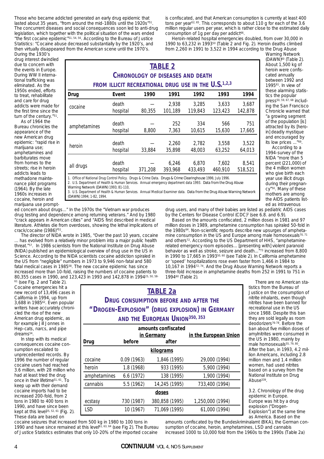Those who became addicted generated an early drug epidemic that lasted about 35 years, "from around the mid-1880s until the 1920s"51. The concurrent diseases and social consequences soon led to anti-drug legislation, which together with the political situation of the wars ended "the first cocaine epidemic"<sup>51, 54, 56</sup>. According to the Bureau of Justice Statistics: "Cocaine abuse decreased substantially by the 1920's, and then virtually disappeared from the American scene until the 1970's.

is confiscated, and that American consumption is currently at least 400 tons per year52, 65. This corresponds to about 110 g for each of the 3.6 million regular users per year, which is rather close to the estimated daily consumption of 1g per day per addict<sup>66</sup>

Heroin-related hospital emergencies doubled, from over 30,000 in 1990 to 63,232 in 199350 (Table 2 and Fig. 2). Heroin deaths climbed from 2,260 in 1991 to 3,522 in 1994 according to the Drug Abuse

> Warning Network  $(DAWN)^{60}$  (Table 2). About 1,500 kg of heroin were confiscated annually between 1992 and 199561. In view of these alarming statistics the popular press50, 59, 67, 68 including the San Francisco Chronicle warned that "a growing segment of the population [is] attracted by its [heroin] deadly mystique and encouraged by its low prices ..."69. According to a 1994-survey of the NIDA "more than 5 percent (221,000) of the 4 million women who give birth each year use illicit drugs during their pregnancy"50. Many of these mothers are among the AIDS patients list-

During the 1930's drug interest dwindled due to concern with the events in Europe. During WW II international trafficking was eliminated. As the 1950s ended, efforts to treat, rehabilitate and care for drug addicts were made for the first time since the turn of the century."51.

As of 1964 the Bureau chronicles the appearance of the new American drug epidemic: "rapid rise in marijuana use; amphetamines and barbiturates move from homes to the streets; rise in heroin addicts leads to methadone maintenance pilot programs (1964). By the late 1960s increases in cocaine, heroin and marijuana use prompt-

| <b>CHRONOLOGY OF DISEASES AND DEATH</b> |         |                  |                  |                  |                                                                 |  |
|-----------------------------------------|---------|------------------|------------------|------------------|-----------------------------------------------------------------|--|
|                                         |         |                  |                  |                  |                                                                 |  |
| Event                                   | 1990    | 1991             | 1992             | 1993             | 1994                                                            |  |
| death<br>hospital                       | 80,355  | 2.938<br>101,189 | 3.285<br>119,843 | 3.633<br>123,423 | 3,687<br>142,878                                                |  |
| death<br>hospital                       | 8.800   | 252<br>7.363     | 334<br>10.615    | 566<br>15.630    | 751<br>17.665                                                   |  |
| death<br>hospital                       | 33,884  | 2,260<br>35,898  | 2,782<br>48,003  | 3.558<br>63.252  | 3,522<br>64,013                                                 |  |
| death<br>hospital                       | 371,208 | 6,246<br>393,968 | 6.870<br>433,493 | 7.602<br>460,910 | 8,541<br>518,521                                                |  |
|                                         |         |                  | <b>TABLE 2</b>   |                  | FROM ILLICIT RECREATIONAL DRUG USE IN THE U.S. <sup>1,2,3</sup> |  |

1. Office of National Drug Control Policy. Drugs & Crime Data. *Drugs & Crime Clearinghouse* 1996; July 1996.

2. U.S. Department of Health & Human Services. Annual emergency department data 1993. *Data from the Drug Abuse Warning Network (DAWN)* 1993; 81-110,

3. U.S. Department of Health & Human Services. Annual Medical Examiner data. *Data from the Drug Abuse Warning Network (DAWN)* 1994; 1-82, 1994.

ed concern about drugs..." In the 1970s the "Vietnam war produces drug testing and dependence among returning veterans." And by 1980 "crack appears in American cities" and "AIDS first described in medical literature. Athletes die from overdoses, showing the lethal implications of crack/cocaine (1986)"57

The director of NIDA wrote in 1985, "Over the past 10 years, cocaine ... has evolved from a relatively minor problem into a major public health threat."57. In 1986 scientists from the National Institute on Drug Abuse (NIDA) published an epidemiological overview of drug use in the US in Science. According to the NIDA scientists cocaine addiction spiraled in the US from "negligible" numbers in 1973 to 9,946 non-fatal and 580 fatal medical cases in 198558. The new cocaine epidemic has since increased more than 10-fold, raising the numbers of cocaine patients to 80,355 cases in 1990, and 123,423 in 1993 and 142,878 in 199425, 50, 58-

<sup>61</sup> (see Fig. 2 and Table 2). Cocaine emergencies hit a new record of 13,496 cases in California in 1994, up from 3,688 in 198562. Even popular writers have accurately chronicled the rise of the new American drug epidemic, as for example Jill Jonnes in Hep-cats, narcs, and pipe dreams<sup>54</sup>.

In step with its medical consequences cocaine consumption escalated to unprecedented records. By 1996 the number of regular cocaine users had reached 3.6 million, with 28 million who had at least tried the drug once in their lifetime51, 61. To keep up with their demand cocaine imports had to be increased 200-fold, from 2 tons in 1980 to 400 tons in 1990, and have since been kept at this level<sup>25, 52, 61</sup> (Fig. 2). These data are based on

|              |            | amounts confiscated<br>in Germany | in the European Union |  |  |
|--------------|------------|-----------------------------------|-----------------------|--|--|
| Drug         | before     | after                             |                       |  |  |
| kilograms    |            |                                   |                       |  |  |
| cocaine      | 0.09(1963) | 1,846 (1995)                      | 29,000 (1994)         |  |  |
| heroin       | 1.8 (1968) | 933 (1995)                        | 5,900 (1994)          |  |  |
| amphetamines | 6.6(1972)  | 138 (1995)                        | 1,900 (1994)          |  |  |
| cannabis     | 5.5 (1962) | 14,245 (1995)                     | 733,400 (1994)        |  |  |
| doses        |            |                                   |                       |  |  |
| ecstasy      | 730 (1987) | 380,858 (1995)                    | 1,250,000 (1994)      |  |  |
| <b>LSD</b>   | 10 (1967)  | 71,069 (1995)                     | 61,000 (1994)         |  |  |

cocaine seizures that increased from 500 kg in 1980 to 100 tons in 1990 and have since remained at this level61, 63, 64 (see Fig 2). The Bureau of Justice Statistics estimates that only 10-20% of the imported cocaine

amounts confiscated by the Bundeskriminalamt (BKA), the German consumption of cocaine, heroin, amphetamines, LSD and cannabis increased 1000 to 10,000 fold from the 1960s to the 1990s (Table 2a)

ed as intravenous drug users, and many of their babies are listed as pediatric AIDS cases by the Centers for Disease Control (CDC)<sup>3</sup> (see 6.8. and 6.9).

Based on the amounts confiscated, 2 million doses in 1981 and 97 million doses in 1989, amphetamine consumption has spiraled 50-fold in the 1980s<sup>64</sup>. Non-scientific reports describe new upsurges of amphetamine consumption in the US and Europe among male homosexuals<sup>70, 71</sup> and others<sup>72</sup>. According to the US Department of HHS, "amphetaminerelated emergency room episodes... [presenting with] violent paranoid behavior as well as stroke, seizure and death..."73 increased from 8,800 in 1990 to 17,665 in 1993 $50, 60$  (see Table 2). In California amphetamine or 'speed' hospitalizations rose even faster from 1,466 in 1984 to 10,167 in 199472, 74. And the Drug Abuse Warning Network reports a three-fold increase in amphetamine deaths from 252 in 1991 to 751 in 199460 (Table 2).

> There are no American statistics from the Bureau of Justice on the consumption of nitrite inhalants, even though nitrites have been banned for recreational use in the US since 1988. Despite this ban they are sold legally as room deodorizers76-78. Before the ban about five million doses of amylnitrites were consumed in the US in 1980, mainly by male homosexuals<sup>55, 79, 80</sup> After the ban, in 1993, 4.2 million Americans, including 2.8 million men and 1.4 million women, had used nitrites based on a survey from the National Institute on Drug Abuse<sup>339</sup>.

3.2. Chronology of the drug epidemic in Europe. Europe was hit by a drug explosion ("Drogen-Explosion") at the same time as America. Based on the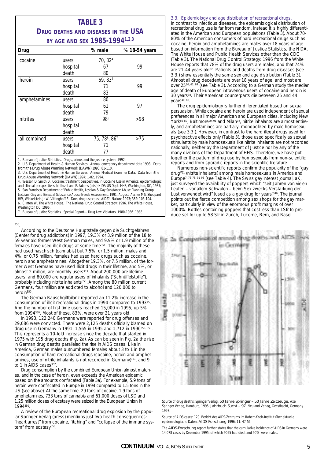#### **TABLE 3 DRUG DEATHS AND DISEASES IN THE USA BY AGE AND SEX 1985-19941,2,3**

| Drug         |          | % male                    | % 18-54 years |
|--------------|----------|---------------------------|---------------|
| cocaine      | users    | 70, 82 <sup>4</sup>       |               |
|              | hospital | 67                        | 99            |
|              | death    | 80                        |               |
| heroin       | users    | 69, 83 <sup>4</sup>       |               |
|              | hospital | 71                        | 99            |
|              | death    | 83                        |               |
| amphetamines | users    | 80                        |               |
|              | hospital | 61                        | 97            |
|              | death    | 79                        |               |
| nitrites     | users    | 985                       | >98           |
|              | hospital |                           |               |
|              | death    |                           |               |
| all combined | users    | 75, 78 <sup>6</sup> , 867 | >75           |
|              | hospital | 71                        |               |
|              | death    | 77                        |               |

1. Bureau of Justice Statistics. Drugs, crime, and the justice system. 1992;

2. U.S. Department of Health & Human Services. Annual emergency department data 1993. *Data from the Drug Abuse Warning Network (DAWN)* 1993; 81-110.

3. U.S. Department of Health & Human Services. Annual Medical Examiner Data. *Data from the Drug Abuse Warning Network (DAWN)* 1994; 1-82, 1994.

4. Wesson D, Smith D. Cocaine: treatment perspectives, in *Cocaine Use in America: epidemiologic and clinical perspec tives,* N. Kozel and E. Adams (eds.) NIDA US Dept. HHS, Washington, DC, 1985; 5. San Francisco Department of Public Health, Lesbian & Gay Substance Abuse Planning Group. Lesbian, Gay and Bisexual Substance Abuse Needs Assessment. 1991, August; Ascher MS, Sheppard HW, Winkelstein Jr W, Vittinghoff E. Does drug use cause AIDS? *Nature* 1993; 362: 103-104.

6. Clinton W, The White House. The National Drug Control Strategy: 1996. The White House, Washington DC, 1996.

7. Bureau of Justice Statistics. Special Report—Drug Law Violators, 1980-1986. 1988.

350.

According to the Deutsche Hauptstelle gegen die Suchtgefahren (Center for drug addictions) in 1997, 19.3% or 3.9 million of the 18 to 59 year old former West German males, and 9.9% or 1.9 million of the females have used illicit drugs at some time351. The majority of these had used haschisch (cannabis) but 7.5%, or 1.5 million, males and 4%, or 0.75 million, females had used hard drugs such as cocaine, heroin and amphetamines. Altogether 19.3%, or 7.5 million, of the former West Germans have used illicit drugs in their lifetime, and 5%, or almost 2 million, are monthly users<sup>353</sup>. About 200,000 are lifetime users, and 80,000 are regular users of inhalants ("Schnüffelstoffe"), probably including nitrite inhalants<sup>353</sup>. Among the 80 million current Germans, four million are addicted to alcohol and 120,000 to heroin<sup>350</sup>

The German Rauschgiftbilanz reported an 11.2% increase in the consumption of illicit recreational drugs in 1994 compared to 199375. And the number of first time users reached 15,000 in 1995, up 5% from 1994350. Most of these, 83%, were over 21 years old.

In 1993, 122,240 Germans were reported for drug offenses and 29,086 were convicted. There were 2,125 deaths officially blamed on drug use in Germany in 1991, 1,565 in 1995 and 1,712 in 1996350, 353. This represents a 10-fold increase since the decade that started in 1975 with 195 drug deaths (Fig. 2a). As can be seen in Fig. 2a the rise in German drug deaths paralleled the rise in AIDS cases. Like in America, German males outnumbered females about 3 to 1 in the consumption of hard recreational drugs (cocaine, heroin and amphetamines, use of nitrite inhalants is not recorded in Germany)<sup>351</sup>, and 9 to 1 in AIDS cases<sup>352</sup>

Drug consumption by the combined European Union almost matches, and in the case of heroin, even exceeds the American epidemic based on the amounts confiscated (Table 3a). For example, 5.9 tons of heroin were confiscated in Europe in 1994 compared to 1.5 tons in the US (see above). At the same time, 29 tons of cocaine, 1.9 tons of amphetamines, 733 tons of cannabis and 61,000 doses of LSD and 1.25 million doses of ecstasy were seized in the European Union in 1994350.

A review of the European recreational drug explosion by the popular Springer Verlag (press) mentions just two health consequences: "heart arrest" from cocaine, "itching" and "collapse of the immune system" from ecstasy<sup>350</sup>.

#### 3.3. Epidemiology and age distribution of recreational drugs.

In contrast to infectious diseases, the epidemiological distribution of recreational drug use is far from random. Instead it is highly differentiated in the American and European populations (Table 3). About 70- 80% of the American consumers of hard recreational drugs such as cocaine, heroin and amphetamines are males over 18 years of age based on information from the Bureau of Justice Statistics, the NIDA, The White House and Public Health Services other than the CDC (Table 3). The National Drug Control Strategy: 1996 from the White House reports that 78% of the drug users are males, and that 74% are 21-44 years old<sup>52</sup>. Patients and deaths from drug diseases (see 3.3.) show essentially the same sex and age distribution (Table 3). Almost all drug decedents are over 18 years of age, and most are over 2560, 61, 84 (see Table 3). According to a German study the median age of death of European intravenous users of cocaine and heroin is 30 years38. Their American counterparts die between 25 and 44 years40, 85.

The drug epidemiology is further differentiated based on sexual persuasion. While cocaine and heroin are used independent of sexual preferences in all major American and European cities, including New Preferences at all the state in the Milan<sup>92</sup>, nitrite inhalants are almost entire-<br>York<sup>86-89</sup>. Baltimore<sup>90, 91</sup> and Milan<sup>92</sup>, nitrite inhalants are almost entirely, and amphetamines are partially, monopolized by male homosexuals (see 3.3.). However, in contrast to the hard illegal drugs used for psychoactive effects only (Table 3), those used specifically as sexual stimulants by male homosexuals like nitrite inhalants are not recorded nationally, neither by the Department of Justice nor by any of the many divisions of the Department of HHS. Therefore, we have put together the pattern of drug use by homosexuals from non-scientific reports and from sporadic reports in the scientific literature.

Numerous non-scientific reports confirm the popularity of the "gay drug"91 (nitrite inhalants) among male homosexuals in America and Europe7, 76-78, 91-95 (see Table 4). The Swiss gay interest journal, aK, just surveyed the availability of poppers which "seit Jahren von vielen Leuten – vor allem Schwulen – beim Sex zwecks Verstärkung der Lust verwendet wird" [used as a gay drug for years]<sup>340</sup>. The journal points out the fierce competition among sex shops for the gay market, particularly in view of the enormous profit margins of over 1000%. Bottles containing poppers that cost less than 1Sfr to produce sell for up to 58 Sfr in Zurich, Lucerne, Bern, and Basel.



Source of drug deaths: Springer Verlag. *50 Jahre Springer – 50 Jahre Zeitzeuge.* Axel Springer Verlag, Hamburg, 1996; *Jahrbuch Sucht – 97.* Neuland Verlag, Geesthacht, Germany.  $1007$ 

Source of AIDS cases: 120. Bericht des AIDS-Zentrums im Robert-Koch-Institut über aktuelle epidemiologische Daten. *AIDS-Forschung* 1996; 11: 47-56.

The *AIDS-Forschung* report further states that the cumulative incidence of AIDS in Germany were 14,078 cases by December 1995, of which 9055 had died, and 90% were males.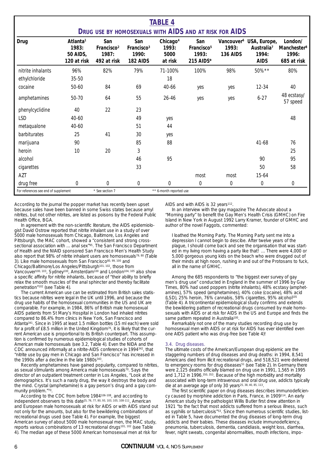|                                      |                                                          |                                                        |                                                    | <b>TABLE 4</b>                                   |                                                     |                                             |                                                                |                                                            |
|--------------------------------------|----------------------------------------------------------|--------------------------------------------------------|----------------------------------------------------|--------------------------------------------------|-----------------------------------------------------|---------------------------------------------|----------------------------------------------------------------|------------------------------------------------------------|
|                                      |                                                          | DRUG USE BY HOMOSEXUALS WITH AIDS AND AT RISK FOR AIDS |                                                    |                                                  |                                                     |                                             |                                                                |                                                            |
| Drug                                 | Atlanta <sup>1</sup><br>1983:<br>50 AIDS,<br>120 at risk | San<br>Francisco <sup>2</sup><br>1987:<br>492 at risk  | San<br>Francisco <sup>3</sup><br>1990:<br>182 AIDS | Chicago <sup>4</sup><br>1993:<br>5000<br>at risk | San<br>Francisco <sup>5</sup><br>1993:<br>215 AIDS* | Vancouver <sup>6</sup><br>1993:<br>136 AIDS | USA, Europe,<br>Australia <sup>7</sup><br>1994:<br><b>AIDS</b> | London/<br>Manchester <sup>8</sup><br>1996:<br>685 at risk |
| nitrite inhalants                    | 96%                                                      | 82%                                                    | 79%                                                | 71-100%                                          | 100%                                                | 98%                                         | 50%**                                                          | 80%                                                        |
| ethylchloride                        | 35-50                                                    |                                                        |                                                    | 18                                               |                                                     |                                             |                                                                |                                                            |
| cocaine                              | $50 - 60$                                                | 84                                                     | 69                                                 | 40-66                                            | yes                                                 | yes                                         | 12-34                                                          | 40                                                         |
| amphetamines                         | 50-70                                                    | 64                                                     | 55                                                 | 26-46                                            | yes                                                 | yes                                         | $6 - 27$                                                       | 48 ecstasy/<br>57 speed                                    |
| phenylcyclidine                      | 40                                                       | 22                                                     | 23                                                 |                                                  |                                                     |                                             |                                                                |                                                            |
| <b>LSD</b>                           | 40-60                                                    |                                                        | 49                                                 | yes                                              |                                                     |                                             |                                                                | 48                                                         |
| metaqualone                          | 40-60                                                    |                                                        | 51                                                 | 44                                               |                                                     |                                             |                                                                |                                                            |
| barbiturates                         | 25                                                       | 41                                                     | 30                                                 | yes                                              |                                                     |                                             |                                                                |                                                            |
| marijuana                            | 90                                                       |                                                        | 85                                                 | 88                                               |                                                     |                                             | 41-68                                                          | 76                                                         |
| heroin                               | 10                                                       | 20                                                     | 3                                                  |                                                  |                                                     |                                             |                                                                | 25                                                         |
| alcohol                              |                                                          |                                                        | 46                                                 | 95                                               |                                                     |                                             | 90                                                             | 95                                                         |
| cigarettes                           |                                                          |                                                        | 33                                                 |                                                  |                                                     |                                             | 50                                                             | 58                                                         |
| <b>AZT</b>                           |                                                          |                                                        |                                                    |                                                  | most                                                | most                                        | 15-64                                                          |                                                            |
| drug free                            | $\mathbf{0}$                                             | $\Omega$                                               | 0                                                  | $\Omega$                                         | 0                                                   | 0                                           | 0                                                              | $\mathbf 0$                                                |
| For references see end of supplement |                                                          | * See section 7                                        |                                                    | ** 6-month reported use                          |                                                     |                                             |                                                                |                                                            |

According to the journal the popper market has recently been upset because sales have been banned in some Swiss states because amyl nitrites, but not other nitrites, are listed as poisons by the Federal Public Health Office, BGA.

In agreement with the non-scientific literature, the AIDS epidemiologist David Ostrow reported that nitrite inhalant use in a study of over 5000 male homosexuals from Chicago, Baltimore, Los Angeles and Pittsburgh, the MAC cohort, showed a "consistent and strong crosssectional association with ... anal sex<sup>"95</sup>. The San Francisco Department of Health and the NIAID sponsored San Francisco Men's Health Study also report that 98% of nitrite inhalant users are homosexuals<sup>79, 80</sup> (Table 3). Like male homosexuals from San Francisco80, 99, 100 and Chicago/Baltimore/Los Angeles/Pittsburgh101, 102, those from Vancouver<sup>100, 103</sup>, Sydney<sup>100</sup>, Amsterdam<sup>100</sup> and London<sup>104, 105</sup> also show a specific affinity for nitrite inhalants, because of "their ability to briefly relax the smooth muscles of the anal sphincter and thereby facilitate penetration"102 (see Table 4).

The current American use can be estimated from British sales statistics because nitrites were legal in the UK until 1996, and because the drug use habits of the homosexual communities in the US and UK are comparable. For example, in 1984, 86% of British male homosexual AIDS patients from St Mary's Hospital in London had inhaled nitrites compared to 86.4% from clinics in New York, San Francisco and Atlanta341. Since in 1995 at least 1.5 million bottles (15 ml each) were sold for a profit of £8.5 million in the United Kingdom<sup>76</sup>, it is likely that the current American use is proportional to its British counterpart. This assumption is confirmed by numerous epidemiological studies of cohorts of American male homosexuals (see 3.2, Table 4). Even the NIDA and the CDC announced informally at a nitrite-AIDS conference in 1994342, that "nitrite use by gay men in Chicago and San Francisco" has increased in the 1990s after a decline in the late 1980s<sup>343</sup>.

Recently amphetamines have gained popularity, compared to nitrites, as sexual stimulants among America male homosexuals<sup>70</sup>. Says the director of an outpatient treatment center in Los Angeles, "Look at the demographics. It's such a nasty drug, the way it destroys the body and the mind. Crystal (amphetamine) is a gay person's drug and a gay community problem."70.

According to the CDC from before 1984<sup>106-108</sup>, and according to independent observers to this date25, 76, 77, 80, 93, 103, 105, 108-111, American and European male homosexuals at risk for AIDS or with AIDS stand out not only for the amounts, but also for the bewildering combinations of recreational drugs used (see Table 4). For example, the biggest American survey of about 5000 male homosexual men, the MAC study, reports various combinations of 13 recreational drugs<sup>101, 102</sup> (see Table 4). The median age of these 5000 American homosexual men at risk for

AIDS and with AIDS is 32 years<sup>112</sup>.

In an interview with the gay magazine The Advocate about a "Morning party" to benefit the Gay Men's Health Crisis (GMHC) on Fire Island in New York in August 1992 Larry Kramer, founder of GMHC and author of the novel Faggots, commented:

I loathed the Morning Party. The Morning Party sent me into a depression I cannot begin to descibe. After twelve years of the plague, I should come back and see the organisation that was started in my living room having a party like that! ... There were 4,000 or 5,000 gorgeous young kids on the beach who were drugged out of their minds at high noon, rushing in and out of the Protosans to fuck, all in the name of GMHC.

Among the 685 respondents to "the biggest ever survey of gay men's drug use" conducted in England in the summer of 1996 by Gay Times, 80% had used poppers (nitrite inhalants), 48% ecstasy (amphetamines), 57% speed (amphetamines), 40% coke (cocaine), 48% acid (LSD), 25% heroin, 76% cannabis, 58% cigarettes, 95% alcohol105 (Table 4). A tricontinental epidemiological study confirms and extends the bewildering pattern of recreational drugs consumed by male homosexuals with AIDS or at risk for AIDS in the US and Europe and finds the same pattern repeated in Australia<sup>100</sup>.

Remarkably not one of the many studies recording drug use by homosexual men with AIDS or at risk for AIDS has ever identified even one AIDS patient who was drug-free (see Table 4)!

#### 3.4. Drug diseases.

The ultimate costs of the American/European drug epidemic are the staggering numbers of drug diseases and drug deaths: in 1994, 8,541 Americans died from illicit recreational drugs, and 518,521 were delivered to emergency rooms for drug diseases<sup>51</sup> (see Table 2). In Germany there were 2,125 deaths officially blamed on drug use in 1991, 1,565 in 1995 and 1,712 in 1996.<sup>350, 353</sup>. Because of the high morbidity and mortality associated with long-term intravenous and oral drug use, addicts typically die at an average age of only 30 years<sup>25, 38, 40, 85, 113</sup>

The first scientific paper on drug diseases describes immunodeficiency caused by morphine addiction in Paris, France, in 1909114. An early American study by the pathologist Willis Butler first drew attention in 1921 "to the fact that most addicts suffered from a serious illness, such as syphilis or tuberculosis<sup>"53</sup>. Since then numerous scientific studies, listed in Table 5, have documented the drug diseases of long-term drug addicts and their babies. These diseases include immunodeficiency, pneumonia, tuberculosis, dementia, candidiasis, weight loss, diarrhea, fever, night sweats, congenital abnormalities, mouth infections, impo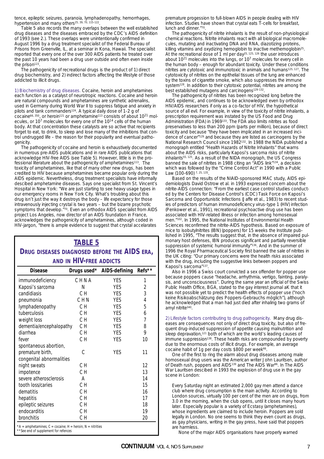tence, epileptic seizures, paranoia, lymphadenopathy, hemorrhages, hypertension and many others<sup>25, 39, 70, 115-122</sup>.

Table 5 also records the many overlaps between the well established drug diseases and the diseases embraced by the CDC's AIDS definition of 1993 (see 2.). These overlaps were unintentionally confirmed in August 1996 by a drug treatment specialist of the Federal Bureau of Prisons from Greenville, IL, at a seminar in Kona, Hawaii. The specialist reported that every one of the over 300 AIDS patients he treated over the past 10 years had been a drug user outside and often even inside the prison<sup>123</sup>

The pathogenicity of recreational drugs is the product of 1) direct drug biochemistry, and 2) indirect factors affecting the lifestyle of those addicted to illicit drugs.

1) Biochemistry of drug diseases. Cocaine, heroin and amphetamines each function as a catalyst of neurotropic reactions. Cocaine and heroin are natural compounds and amphetamines are synthetic adrenalins, used in Germany during World War II to suppress fatigue and anxiety in pilots and tank commanders<sup>124</sup>. A typical daily dose of 1-2 g of  $\overline{\text{cocaine}}^{66, 350}$ , or heroin<sup>121</sup> or amphetamine<sup>113</sup> consists of about 10<sup>21</sup> molecules, or 107 molecules for every one of the 1014 cells of the human body. At that concentration these catalysts are so active that recipients forget to eat, to drink, to sleep and lose many of the inhibitions that control undrugged life – the reason for their popularity and eventual pathogenicity.

The pathogenicity of cocaine and heroin is exhaustively documented in numerous pre-AIDS publications and in rare AIDS publications that acknowledge HIV-free AIDS (see Table 5). However, little is in the professional literature about the pathogenicity of amphetamines<sup>113</sup>. The toxicity of amphetamines, like that of many other new drugs, has been credited to HIV because amphetamines became popular only during the AIDS epidemic. Nevertheless, drug treatment specialists have informally descibed amphetamine diseases. Says one specialist from St. Vincent's Hospital in New York: "We are just starting to see heavy usage types in our emergency rooms in New York City. What's troubling about this drug isn't just the way it destroys the body – life expectancy for those intravenously injecting crystal is two years – but the bizarre psychotic symptoms that develop.<sup>"70</sup>. Even an orthodox AIDS specialist from AIDS project Los Angeles, now director of an AIDS foundation in France, acknowledges the pathogenicity of amphetamines, although coded in HIV-jargon, "there is ample evidence to suggest that crystal accelarates

#### **TABLE 5 DRUG DISEASES DIAGNOSED BEFORE THE AIDS ERA, AND IN HIV-FREE ADDICTS**

| <b>Disease</b>                                            | Drugs used* | AIDS-defining | Refs** |  |  |
|-----------------------------------------------------------|-------------|---------------|--------|--|--|
| immunodeficiency                                          | CHNA        | YES           | 1      |  |  |
| Kaposi's sarcoma                                          | N           | YES           | 2      |  |  |
| candidiasis                                               | C H         | <b>YES</b>    | 3      |  |  |
| pneumonia                                                 | CHN         | YES           | 4      |  |  |
| lymphadenopathy                                           | C H         | <b>YES</b>    | 5      |  |  |
| tuberculosis                                              | CН          | YES           | 6      |  |  |
| weight loss                                               | CН          | <b>YES</b>    | 7      |  |  |
| dementia/encephalopathy                                   | CН          | YES           | 8      |  |  |
| diarrhea                                                  | CН          | <b>YES</b>    | 9      |  |  |
| fever                                                     | CН          | YES           | 10     |  |  |
| spontaneous abortion,                                     |             |               |        |  |  |
| premature birth,                                          | C           | YES           | 11     |  |  |
| congenital abnormalities                                  |             |               |        |  |  |
| night sweats                                              | CН          |               | 12     |  |  |
| impotence                                                 | CН          |               | 13     |  |  |
| severe atherosclerosis                                    | А           |               | 14     |  |  |
| tooth loss/caries                                         | CН          |               | 15     |  |  |
| dematitis                                                 | CН          |               | 16     |  |  |
| hepatitis                                                 | CН          |               | 17     |  |  |
| epileptic seizures                                        | CН          |               | 18     |  |  |
| endocarditis                                              | CН          |               | 19     |  |  |
| bronchitis                                                | CН          |               | 20     |  |  |
| *A = amphetamines; C = cocaine; H = heroin; N = nitrities |             |               |        |  |  |

\*\*See end of supplement for refences

premature progession to full-blown AIDS in people dealing with HIV infection. Studies have shown that crystal eats T-cells for breakfast, lunch and dinner."70.

The pathogenicity of nitrite inhalants is the result of non-physiological chemical reactions. Nitrite inhalants react with all biological macromolecules, mutating and inactivating DNA and RNA, diazotizing proteins, killing vitamins and oxydizing hemoglobin to inactive methemoglobin25. At the recreational dose of 1 ml per day<sup>25, 125, 126</sup> the user introduces about  $10^{21}$  molecules into the lungs, or  $10^7$  molecules for every cell in the human body – enough for abundant toxicity. Under these conditions nitrites are cytotoxic and immunotoxic in animals and humans125, 127. The cytotoxicity of nitrites on the epithelial tissues of the lung are enhanced by the toxins of cigarette smoke, which also suppresses the immune system<sup>128</sup>. In addition to their cytotoxic potential, nitrites are among the best established mutagens and carcinogens<sup>129-132</sup>.

The pathogenicity of nitrites has been recognized long before the AIDS epidemic, and continues to be acknowledged even by orthodox HIV/AIDS researchers if only as a co-factor of HIV, the hypothetical source of all evil. For example, in view of the toxicity of nitrite inhalants, a prescription requirement was instated by the US Food and Drug Administration (FDA) in 1969133. The FDA also limits nitrites as food preservatives to less than 200 ppm (parts per million), because of direct toxicity and because "they have been implicated in an increased incidence of cancer"129 and because they are listed as carcinogens by the National Research Council since 1982132. In 1988 the NIDA published a monograph entitled "Health Hazards of Nitrite Inhalants" that warns about the AIDS risks, particularly Kaposi's sarcoma risks of nitrite inhalants<sup>55, 125</sup>. As a result of the NIDA monograph, the US Congress banned the sale of nitrites in 1988 citing an "AIDS link"134, a decision which was followed by the "Crime Control Act" in 1990 with a Public Law (100-690) 7, 25, 135

Based on the results of the NIAID-sponsored MAC study, AIDS epidemiologists David Ostrow et al. in 1993 expressed concern about the nitrite-AIDS connection: "From the earliest case control studies conducted by the Centers for Disease Control's (CDC) Task Force on Kaposi's Sarcoma and Opportunistic Infections (Jaffe et al., 1983) to recent studies of predictors of human immunodeficiency virus-type 1 (HIV) infection (Penkower et al., 1991), recreational psychoactive drug use has been associated with HIV-related illness or infection among homosexual men."102. In 1995, the National Institutes of Environmental Health Sciences reconfirmed the nitrite-AIDS hypothesis. Based on exposure of mice to isobutylnitrites (IBN) (poppers) for 15 weeks the Institute published in 1995, "The results suggest that, in the absence of impaired pulmonary host defenses, IBN produces significant and partially reversible suppression of systemic humoral immunity"<sup>136</sup>. And in the summer of 1996 the Royal Pharmaceutical Society first banned the sale of nitrites in the UK citing: "Our primary concerns were the health risks associated with the drug, including the suggestive links between poppers and Kaposi's sarcoma"137.

Also in 1996 a Swiss court convicted a sex offender for popper use because poppers cause "headache, arrhythmia, vertigo, fainting, paralysis, and unconsciousness". During the same year an official of the Swiss Public Health Office, BGA, stated to the gay interest journal aK that it was not possible yet to predict the health effects of popper use ("noch keine Risikoabschätzung des Poppers-Gebrauchs möglich"), although he acknowledged that a man had just died after inhaling two grams of amyl nitrite<sup>340</sup>.

2) Lifestyle factors contributing to drug pathogenicity. Many drug diseases are consequences not only of direct drug toxicity, but also of frequent drug-induced suppression of appetite causing malnutrition and sleep depravation,<sup>121</sup> both of which are the world's leading causes of immune suppression<sup>138</sup>. These health risks are compounded by poverty due to the enormous costs of illicit drugs. For example, an average cocaine habit of 1g per day costs \$800 per week<sup>66</sup>.

One of the first to ring the alarm about drug diseases among male homosexual drug users was the American writer John Lauritsen, author of Death rush, poppers and AIDS<sup>139</sup> and The AIDS War<sup>96</sup>. In The AIDS War Lauritsen descibed in 1993 the explosion of drug use in the gay scene in London:

Every Saturday night an estimated 2,000 gay men attend a dance club where drug consumption is the main activity. According to London sources, virtually 100 per cent of the men are on drugs, from 3.0 in the morning, when the club opens, until it closes many hours later. Especially popular is a variety of Ecstasy (amphetamines), whose ingredients are claimed to include heroin. Poppers are sold legally in London. No one seems to think they even count as drugs, as gay physicians, writing in the gay press, have said that poppers are harmless.

None of the major AIDS organisations have properly warned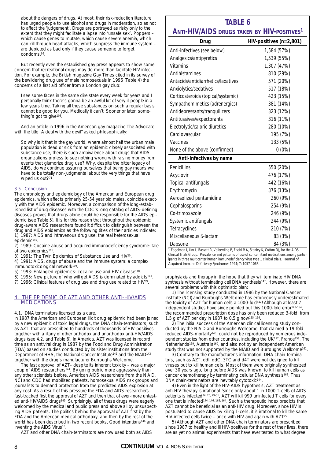about the dangers of drugs. At most, their risk-reduction literature has urged people to use alcohol and drugs in moderation, so as not to affect the 'judgement'. Drugs are portrayed as risky only to the extent that they might facilitate a lapse into 'unsafe sex'. Poppers – which cause genes to mutate, which cause severe anemia, which can kill through heart attacks, which suppress the immune system – are depicted as bad only if they cause someone to forget condoms.96.

But recently even the established gay press appears to show some concern that recreational drugs may do more than facilitate HIV infection. For example, the British magazine Gay Times cited in its survey of the bewildering drug use of male homosexuals in 1996 (Table 4) the concerns of a first aid officer from a London gay club:

I see some faces in the same dire state every week for years and I personally think there's gonna be an awful lot of very ill people in a few years time. Taking all these substances on such a regular basis cannot be good for you. Medically it can't. Sooner or later, something's got to give<sup>105</sup>.

And an article in 1996 in the American gay magazine The Advocate with the title "A deal with the devil" asked philosophically:

So why is it that in the gay world, where almost half the urban male population is dead or sick from an epidemic closely associated with substance use, there is such ambivalence about drugs that AIDS organizations profess to see nothing wrong with raising money from events that glamorize drug use? Why, despite the bitter legacy of AIDS, do we continue assuring ourselves that being gay means we have to be totally non-judgmental about the very things that have wiped us out?<sup>71</sup>

#### 3.5. Conclusion.

The chronology and epidemiology of the American and European drug epidemics, which affects primarily 25-54 year old males, coincide exactly with the AIDS epidemic. Moreover, a comparison of the long-established list of drug diseases with the CDC's long catalog of AIDS-defining diseases proves that drugs alone could be responsible for the AIDS epidemic (see Table 5). It is for this reason that throughout the epidemic drug-aware AIDS researchers found it difficult to distinguish between the drug and AIDS epidemics as the following titles of their articles indicate: 1) 1987: AIDS and intravenous drug use: the real heterosexual epidemic<sup>140</sup>

2) 1989: Cocaine abuse and acquired immunodeficiency syndrome: tale of two epidemics<sup>116</sup>

3) 1991: The Twin Epidemics of Substance Use and HIV20.

4) 1991: AIDS, drugs of abuse and the immune system: a complex immunotoxicological network<sup>119</sup>.

- 5) 1993: Entangled epidemics: cocaine use and HIV disease<sup>118</sup>.
- 6) 1995: New picture of who will get AIDS is dominated by addicts<sup>141</sup>.

7) 1996: Clinical features of drug use and drug use related to HIV39.

#### 4. THE EPIDEMIC OF AZT AND OTHER ANTI-HIV/AIDS **MEDICATIONS**

4.1. DNA terminators licensed as a cure.

In 1987 the American and European illicit drug epidemic had been joined by a new epidemic of toxic legal drugs, the DNA chain-terminators, such as AZT, that are prescribed to hundreds of thousands of HIV-positives together with a litany of other orthodox and unorthodox anti-HIV/AIDS drugs (see 4.2. and Table 6). In America, AZT was licensed in record time as an antiviral drug in 1987 by the Food and Drug Administration (FDA) based on studies conducted by its sister institutions from the Department of HHS, the National Cancer Institute<sup>142</sup> and the NIAID<sup>143</sup> together with the drug's manufacturer Burroughs Wellcome.

The fast approval of AZT– despite its inherent toxicity – was a major coup of AIDS researchers144. By going public more aggressively than any other scientists before, American AIDS researchers from the NIAID, NCI and CDC had mobilized patients, homosexual AIDS risk groups and journalists to demand protection from the predicted AIDS explosion at any cost. As a result of this pressure the FDA and AIDS researchers fast-tracked first the approval of AZT and then that of ever-more untested anti-HIV/AIDS drugs<sup>145</sup>. Surprisingly, all of these drugs were eagerly welcomed by the medical and public press and above all by unsuspecting AIDS patients. The politics behind the approval of AZT first by the FDA and the American medical orthodoxy, and then by the rest of the world has been described in two recent books, Good intentions<sup>146</sup> and Inventing the AIDS Virus<sup>10</sup>.

AZT and other DNA chain-terminators are now used both as AIDS

#### **TABLE 6 ANTI-HIV/AIDS DRUGS TAKEN BY HIV-POSITIVES1**

| Drug                                                                                                                                                                                                                                                                                                                                                     | HIV-positives (n=2,801) |  |  |  |
|----------------------------------------------------------------------------------------------------------------------------------------------------------------------------------------------------------------------------------------------------------------------------------------------------------------------------------------------------------|-------------------------|--|--|--|
| Anti-infectives (see below)                                                                                                                                                                                                                                                                                                                              | 1,584 (57%)             |  |  |  |
| Analgesics/antipyretics                                                                                                                                                                                                                                                                                                                                  | 1,539 (55%)             |  |  |  |
| <b>Vitamins</b>                                                                                                                                                                                                                                                                                                                                          | 1,307 (47%)             |  |  |  |
| Antihistamines                                                                                                                                                                                                                                                                                                                                           | 810 (29%)               |  |  |  |
| Antacids/antidiarrhetics/laxatives                                                                                                                                                                                                                                                                                                                       | 571 (20%)               |  |  |  |
| Anxiolytics/sedatives                                                                                                                                                                                                                                                                                                                                    | 517 (18%)               |  |  |  |
| Corticosteroids (topical/systemic)                                                                                                                                                                                                                                                                                                                       | 423 (15%)               |  |  |  |
| Sympathomimetics (adrenergics)                                                                                                                                                                                                                                                                                                                           | 381 (14%)               |  |  |  |
| Antidepressants/tranquilizers                                                                                                                                                                                                                                                                                                                            | 323 (12%)               |  |  |  |
| Antitussives/expectorants                                                                                                                                                                                                                                                                                                                                | 316 (11%)               |  |  |  |
| Electrolytic/caloric diuretics                                                                                                                                                                                                                                                                                                                           | 280 (10%)               |  |  |  |
| Cardiovascular                                                                                                                                                                                                                                                                                                                                           | 195 (7%)                |  |  |  |
| Vaccines                                                                                                                                                                                                                                                                                                                                                 | 133 (5%)                |  |  |  |
| None of the above (confirmed)                                                                                                                                                                                                                                                                                                                            | $0(0\%)$                |  |  |  |
| Anti-Infectives by name                                                                                                                                                                                                                                                                                                                                  |                         |  |  |  |
| Penicillins                                                                                                                                                                                                                                                                                                                                              | 550 (20%)               |  |  |  |
| Acyclovir                                                                                                                                                                                                                                                                                                                                                | 476 (17%)               |  |  |  |
| Topical antifungals                                                                                                                                                                                                                                                                                                                                      | 442 (16%)               |  |  |  |
| Erythromycin                                                                                                                                                                                                                                                                                                                                             | 376 (13%)               |  |  |  |
| Aerosolized pentamidine                                                                                                                                                                                                                                                                                                                                  | 260 (9%)                |  |  |  |
| Cephalosporins                                                                                                                                                                                                                                                                                                                                           | 254 (9%)                |  |  |  |
| Co-trimoxazole                                                                                                                                                                                                                                                                                                                                           | 246 (9%)                |  |  |  |
| Systemic antifungals                                                                                                                                                                                                                                                                                                                                     | 244 (9%)                |  |  |  |
| Tetracyclines                                                                                                                                                                                                                                                                                                                                            | 210 (7%)                |  |  |  |
| Miscellaneous B-lactam                                                                                                                                                                                                                                                                                                                                   | 83 (3%)                 |  |  |  |
| Dapsone                                                                                                                                                                                                                                                                                                                                                  | 84 (3%)                 |  |  |  |
| 1 Fogelman I, Lim L, Bassett R, Volberding P, Fischl MA, Stanley K, Cotton DJ, for the AIDS<br>Clinical Trials Group. Prevalence and patterns of use of concomitant medications among partic-<br>ipants in three multicenter human immunodeficiency virus type 1 clinical trials. Journal of<br>Acquired Immune Deficiency Syndromes 1994; 7: 1057-1063. |                         |  |  |  |

prophylaxis and therapy in the hope that they will terminate HIV DNA synthesis without terminating cell DNA synthesis<sup>147</sup>. However, there are several problems with this optimistic plan:

1) The licensing study conducted in 1986 by the National Cancer Institute (NCI) and Burroughs Wellcome has erroneously underestimated the toxicity of AZT for human cells a 1000-fold<sup>142</sup>! Although at least 7 independent studies have since pointed out this 1000-fold error<sup>148-154</sup>, the recommended prescription dose has only been reduced 3-fold, from 1.5 g of AZT per day in 1987 to 0.5 g now155, 156.

2) The initial success of the American clinical licensing study conducted by the NIAID and Burroughs Wellcome, that claimed a 19-fold reduced AIDS-mortality<sup>143</sup>, could not be reproduced by numerous independent studies from other countries, including the UK157, France<sup>158</sup>, The Netherlands<sup>159</sup>, Australia<sup>160</sup>, and also not by an independent American study that was not supported by the NIAID and Burroughs Wellcome<sup>161</sup>.

3) Contrary to the manufacturer's information, DNA chain-terminators, such as AZT, ddI, ddC, 3TC and d4T were not designed to kill viruses but to kill human cells. Most of them were originally synthesized over 30 years ago, long before AIDS was known, to kill human cells as cancer chemotherapy by terminating cellular DNA synthesis<sup>162</sup>. Thus DNA chain-terminators are inevitably cytotoxic<sup>144</sup>.

4) Even in the light of the HIV-AIDS hypothesis, AZT treatment as anti-HIV therapy is irrational. Since only about 1 in 1000 T-cells of AIDS patients is infected<sup>24, 25, 29-31</sup>, AZT will kill 999 uninfected T cells for every one that is infected<sup>144, 146, 163, 164</sup>. Such a therapeutic index predicts that AZT cannot be beneficial as an anti-HIV drug. Moreover, since HIV is postulated to cause AIDS by killing T-cells, it is irrational to kill the same HIV-infected cells twice – once with HIV and again with AZT<sup>25</sup>

5) Although AZT and other DNA chain terminators are prescribed since 1987 to healthy and ill HIV-positives for the rest of their lives, there are as yet no animal experiments that have ever tested to what degree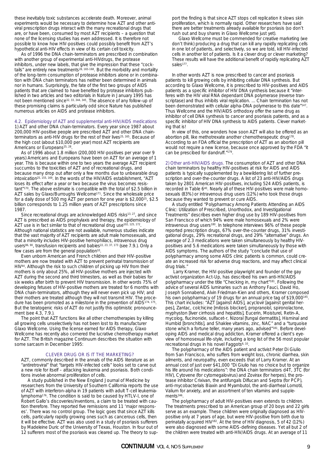these inevitably toxic substances accelerate death. Moreover, animal experiments would be necessary to determine how AZT and other antiviral prescription drugs interact with the many recreational drugs that are, or have been, consumed by most AZT recipients – a question that none of the licensing studies has even addressed. It is therefore not possible to know how HIV-positives could possibly benefit from AZT's hypothetical anti-HIV effects in view of its certain cell toxicity.

As of 1996 the DNA chain-terminators are prescribed in combination with another group of experimental anti-HIVdrugs, the protease inhibitors, under new labels, that give the impression that these "cocktails" are entirely new treatments<sup>28, 165-168</sup>. But the morbidity and mortality of the long-term consumption of protease inhibitors alone or in combination with DNA chain terminators has neither been determined in animals nor in humans. Surprisingly, the fate of the first two groups of AIDS patients that are claimed to have benefited by protease inhibitors published in two articles and two editorials in Nature in January 1995 has not been mentioned since32, 33, 344, 345. The absence of any follow-up of these promising claims is particularly odd since Nature has published numerous articles on AIDS and protease inhibitors.

#### 4.2. Epidemiology of AZT and supplemental anti-HIV/AIDS medications

1) AZT and other DNA chain-terminators. Every year since 1987 about 200,000 HIV-positive people are prescribed AZT and other DNA chainterminators as anti-HIV drugs for the rest of their lives<sup>25, 165</sup>. Because of the high cost (about \$10,000 per year) most AZT recipients are Americans or Europeans<sup>25, 28</sup>

As of 1996 about 1.8 million (200,000 HIV-positives per year over 9 years) Americans and Europeans have been on AZT for an average of 1 year. This is because within one to two years the average AZT recipient succumbs to the toxicities of AZT and of recreational drugs, and because many drop out after only a few months due to unbearable drug intoxication25, 155, 169. In the words of the HIV/AIDS establishment, "AZT loses its effect after a year or two because the virus becomes resistant"170. The above estimate is compatible with the total of \$2.5 billion in AZT sales by Glaxo/Burroughs Wellcome<sup>171</sup>. Since the wholesale price for a daily dose of 500 mg AZT per person for one year is \$2,000<sup>25</sup>, \$2.5 billion corresponds to 1.25 million years of AZT prescriptions since 1987.

Since recreational drugs are acknowledged AIDS risks<sup>13, 27</sup>, and since AZT is prescribed as AIDS prophylaxis and therapy, the epidemiology of AZT use is in fact similar to that of recreational drug use<sup>102, 125, 172</sup>. Although national statistics are not available, numerous studies indicate that the vast majority of AZT recipients are adult male homosexuals, and that a minority includes HIV-positive hemophiliacs, intravenous drug users<sup>86, 90</sup>, transfusion recipients and babies<sup>22, 23, 37, 173</sup> (see 7.9.). Only a few cases are from the general population<sup>10</sup>.

Even unborn American and French children and their HIV-positive mothers are now treated with AZT to prevent perinatal transmission of HIV44. Although the risk to such children of picking up HIV from their mothers is only about 25%, all HIV-positive mothers are injected with AZT during the second and third trimesters, as well as their babies for six weeks after birth to prevent HIV transmission. In other words 75% of developing fetuses of HIV-positive mothers are treated for 6 months with DNA chain-terminators, although they will never even pick up HIV; and their mothers are treated although they will not transmit HIV. The procedure has been promoted as a milestone in the prevention of AIDS174, 175. But the teratogenic risks of AZT do not justify this optimistic pronouncement (see 4.3, 7.9.).

The point that AZT functions like all other chemotherapies by killing all growing cells unselectively has not been lost to its manufacturer Glaxo Wellcome. Using the license earned for AIDS therapy, Glaxo Wellcome has recently also cornered the lucrative chemotherapy market for AZT. The British magazine Continuum describes the situation with some sarcasm in December 1995:

#### CLEVER DRUG OR IS IT THE MARKETING?

AZT, commonly described in the annals of the AIDS literature as an "antiretroviral" that "targets HIV-infected cells" looks set to carve out a new role for itself – attacking leukemia and psoriasis. Both conditions involve abnormal proliferation of cells.

A study published in the New England Journal of Medicine by researchers from the University of Southern California reports the use of AZT with interferon-alpha in 19 patients with adult T-cell leukemialymphoma176. The condition is said to be caused by HTLV-I, one of Robert Gallo's discoveries/inventions, a claim to be treated with caution therefore. They reported five remissions and 11 'major responses'. There was no control group. The logic goes that since AZT kills cells, particularly rapidly growing ones such as cancerous cells, then it will be effective. AZT was also used in a study of psoriasis sufferers by Madeleine Duric of the University of Texas, Houston. In four out of 12 sufferers most of the psoriasis was cleared up. The theory to support the finding is that since AZT stops cell replication it slows skin proliferation, which is normally rapid. Other researchers have said there are better treatments already available for psoriasis (so don't rush out and buy shares in Glaxo Wellcome just yet).

Glaxo Wellcome must be commended for creative marketing (we don't think) producing a drug that can kill any rapidly replicating cells in one lot of patients, and selectively, so we are told, kill HIV-infected cells in another lot of patients. Is it a clever drug or clever marketing? These results will have the additional benefit of rapidly replicating AZT sales<sup>177</sup>.

In other words AZT is now prescribed to cancer and psoriasis patients to kill growing cells by inhibiting cellular DNA synthesis. But according to Glaxo Wellcome, it is prescribed to HIV-positives and AIDS patients as a specific inhibitor of HIV DNA synthesis because it "interferes with the HIV viral RNA dependant DNA polymerase (reverse transcriptase) and thus inhibits viral replication. ... Chain termination has not been demonstrated with cellular alpha-DNA polymerase to this date"<sup>147</sup>. Thus Wellcome and the HIV/AIDS orthodoxy offer the same drug as inhibitor of cell DNA synthesis to cancer and psoriasis patients, and as a specific inhibitor of HIV DNA synthesis to AIDS patients. Clever marketing that is!

In view of this, one wonders how soon AZT will also be offered as an abortion pill, like methotrexate another chemotherapeutic drug<sup>178</sup> According to an FDA official the prescription of AZT as an abortion pill would not require a new license, because once approved by the FDA "it can be prescibed for dandruff."179.

2) Other anti-HIV/AIDS drugs. The consumption of AZT and other DNA chain terminators by healthy HIV-positives at risk for AIDS and AIDS patients is typically supplemented by a bewildering list of further prescription and over-the-counter drugs. A list of 23 anti-HIV/AIDS drugs taken by 2801 American HIV-positives, including 524 AIDS patients, is recorded in Table 640. Nearly all of these HIV-positives were male homosexuals (83%) or intravenous drug users (12%) who took those drugs because they wanted to prevent or cure AIDS.

A study entitled "Polypharmacy Among Patients Attending an AIDS Clinic: Utilization of Prescribed, Unorthodox, and Investigational Treatments" describes even higher drug use by 189 HIV-positives from San Francisco of which 94% were male homosexuals and 2% were intravenous drug users<sup>180</sup>. In telephone interviews 96% of these people reported prescription drugs, 67% over-the-counter drugs, 31% investigational drugs, 29% recreational drugs, and 29% "alternative" drugs. An average of 2.3 medications were taken simultaneously by healthy HIVpositives and 5.6 medications were taken simultaneously by those with AIDS symptoms. The authors of the study "conclude that use of polypharmacy among some AIDS clinic patients is common, could create an increased risk for adverse drug reactions, and may affect clinical drug trials."

Larry Kramer, the HIV-positive playwright and founder of the gay activist organization Act-Up, has described his own anti-HIV/AIDS polypharmacy under the title "Checking in, my chart"181. Following the advice of several AIDS luminaries such as Anthony Fauci, David Ho, Joseph Sonnabend, Alvin Friedman-Kien and others, Kramer composed his own polypharmacy of 19 drugs for an annual price tag of \$19,000<sup>145</sup>. This chart includes: "AZT [against AIDS], acyclovir [against genital herpes], Zantac, colchicine [mitosis blocker], propranolol, spironolactone, myphyston [liver cirrhosis and hepatitis], Eucerin, Moisturel, Retin-A, mycolog, flucinonide, sulfacet-r, Nizoral [fungal dermatitis], Hisminal and Humbid [bronchitis], and Shaklee vitamins, zinc, NAC" and a "turquoise stone which a fortune teller, many years ago, advised"<sup>181</sup>. Before developing AIDS and medical drug addiction, Kramer offered a client's eyeview of homosexual life-style, including a long list of the 56 most popular recreational drugs in his novel Faggots<sup>6, 10</sup>.

The polypharmacy of the AIDS patient and activist Peter Di Giulio from San Francisco, who suffers from weight loss, chronic diarrhea, skin ailments, and neuropathy, even exceeds that of Larry Kramer. At an annual cost of just over \$41,000 "Di Giulio has no choice but to organize his life around his medications": the DNA chain terminators d4T, 3TC (for HIV), Cytovene (for cytomegalovirus) and Zovirax (for herpes), the protease inhibitor Crixivan, the antifungals Diflucan and Septra (for PCP), anti-mycobacterials Biaxin and Myambutol, the anti-diarrheal Lomotil, Valium for anxiety, and an assortment of ten vitamins and supplements<sup>346</sup>.

The polypharmacy of adult HIV-positives even extends to children. The treatments prescribed to an American group of 20 boys and 22 girls serve as an example. These children were originally diagnosed as HIVpositive only at 7 years of age, but were HIV-positive from birth due to perinatally acquired HIV182. At the time of HIV diagnosis, 5 of 42 (12%) were also diagnosed with some AIDS-defining diseases. Yet all but 2 of the children were treated with anti-HIV/AIDS drugs. At an average of 11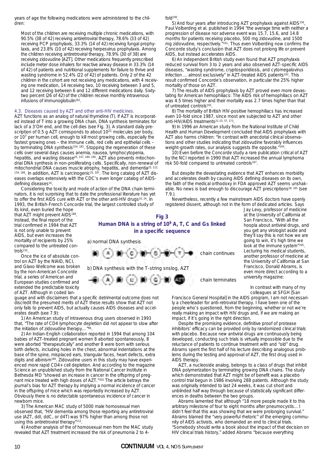years of age the following medications were administered to the children:

Most of the children are receiving multiple chronic medications, with 90.5% (38 of 42) receiving antiretroviral therapy, 78.6% (33 of 42) receiving PCP prophylaxis, 33.3% (14 of 42) receiving fungal prophylaxis, and 23.8% (10 of 42) receiving herpesvirus prophylaxis. Among the children receiving antiretroviral therapy, 78.9% (30 of 38) are receiving zidovudine [AZT]. Other medications frequently prescribed include meter dose inhalers for reactive airway disease in 33.3% (14 of 42) of patients and nutritional supplements for failure to thrive and wasting syndrome in 52.4% (22 of 42) of patients. Only 2 of the 42 children in the cohort are not receiving any medications, with 4 receiving one medication, 14 receiving two, 10 receiving between 3 and 5, and 12 receiving between 6 and 12 different medications daily. Sixtytwo percent (26 of 42) of the children receive monthly intravenous infusions of immunoglobulin<sup>182</sup>.

#### 4.3. Diseases caused by AZT and other anti-HIV medicines.

AZT functions as an analog of natural thymidine (T). If AZT is incorporated instead of T into a growing DNA chain, DNA synthesis terminates for lack of a 3'OH end, and the cell dies (see Fig. 3). A standard daily prescription of 0.5 g AZT corresponds to about  $10^{21}$  molecules per body, or 107 per human cell, enough to kill most growing cells, especially the fastest growing ones – the immune cells, red cells and epithelial cells – by terminating DNA synthesis<sup>154, 183</sup>. Stopping the regeneration of these cells over several days causes anemia, nausea, lymphocytopenia, hepatitis, and wasting disease<sup>25, 147, 184, 185</sup>. AZT also prevents mitochondrial DNA synthesis in non-proliferating cells. Specifically, non-renewal of mitochondrial DNA causes muscle atrophy, hepatitis, and dementia<sup>25, 112,</sup> 154, 186. In addition, AZT is carcinogenic25, 187. The long catalog of AZT diseases overlaps extensively with the CDC's even longer catalog of AIDSdefining diseases<sup>16</sup>

Considering the toxicity and mode of action of the DNA chain terminators, it is not surprising that to date the professional literature has yet to offer the first AIDS cure with AZT or the other anti-HIV drugs<sup>10, 24</sup>. In 1993, the British-French Concorde trial, the largest controlled study of

its kind, even buried the hope that AZT might prevent AIDS<sup>188</sup>. Instead, the final report of the trial confirmed in 1994 that AZT is not only unable to prevent AIDS, but even increases the mortality of recipients by 25% compared to the untreated controls<sup>155</sup>.

Once the ice of absolute control on AZT by the NIAID, NCI, and Glaxo Wellcome was broken by the non-American Concorde trial, a series of American and European studies confirmed and extended the predictable toxicity of AZT. Although in coded lan-

**Fig 3 Human DNA is a string of 109 A, T, C and Gs linked in a specific sequence**

a) normal DNA synthesis



b) DNA synthesis with the T-string snslog, AZT



guage and with disclaimers that a specific detrimental outcome does not discredit the presumed merits of AZT these results show that AZT not only fails to prevent AIDS, but actually causes AIDS diseases and accelerates death (see 7.9):

1) An American study of intravenous drug users observed in 1993 that, "The rate of CD4 lymphocyte depletion did not appear to slow after the initiation of zidovudine therapy…"86.

2) An Indian-English collaboration reported in 1994 that among 104 babies of AZT-treated pregnant women 8 aborted spontaneously, 8 were aborted "therapeutically" and another 8 were born with serious birth defects, including holes in the chest, abnormal indentations at the base of the spine, misplaced ears, triangular faces, heart defects, extra digits and albinism<sup>189</sup>. Zidovudine users in this study may have experienced more rapid CD4+ cell depletion. And according to the magazine Science an unpublished study from the National Cancer Institute in Bethesda MD "showed an increase in cancer in the offspring of pregnant mice treated with high doses of AZT."355 The article betrays the journal's bias for AZT therapy by implying a normal incidence of cancer in the offspring of mice which was reportedly increased by AZT. Obviously there is no detectable spontaneous incidence of cancer in newborn mice.

3) The American MAC study of 5000 male homosexual men observed that, "HIV dementia among those reporting any antiretroviral use (AZT, ddI, ddC, or d4T) was 97% higher than among those not using this antiretroviral therapy"<sup>112</sup>.

4) Another analysis of the of homosexual men from the MAC study revealed that AZT treatment increased the risk of pneumonia 2 to 4fold190.

5) And four years after introducing AZT prophylaxis against AIDS<sup>156</sup>, Paul Volberding et al. published in 1994 "the average time with neither a progression of disease nor adverse event was 15.7, 15.6, and 14.8 months for patients receiving placebo, 500 mg zidovudine, and 1500 mg zidovudine, respectively.<sup>"191</sup>. Thus even Volberding now confirms the Concorde study's conclusion that AZT does not prolong life or prevent AIDS, but instead accelerates AIDS.

6) An independent British study even found that AZT prophylaxis reduced survival from 3 to 2 years and also observed AZT-specific AIDS diseases, "wasting syndrome, cryptosporidiosis, and cytomegalovirus infection ... almost exclusively" in AZT-treated AIDS patients<sup>192</sup>. This result confirmed Concorde's observation, in particular the 25% higher mortality of those on AZT.

7) The results of AIDS prophylaxis by AZT proved even more devastating for American hemophiliacs: The AIDS risk of hemophiliacs on AZT was 4.5 times higher and their mortality was 2.7 times higher than that of untreated controls<sup>193</sup>.

8) The mortality of British HIV-positive hemophiliacs has increased even 10-fold since 1987, since most are subjected to AZT and other anti-HIV/AIDS treatments21-23, 37, 173.

9) In 1996 an American study from the National Institute of Child Health and Human Development concluded that AIDS prophylaxis with AZT also harms children: "In contrast with anecdotal clinical observations and other studies indicating that zidovudine favorably influences weight-growth rates, our analysis suggests the opposite."<sup>194</sup>

10) Even before the Concorde study a rare publication critical of AZT by the NCI reported in 1990 that AZT increased the annual lymphoma risk 50-fold compared to untreated controls<sup>187</sup>.

But despite the devastating evidence that AZT enhances morbidity and accelerates death by causing AIDS defining diseases on its own, the faith of the medical orthodoxy in FDA approved AZT seems unshakable. No news is bad enough to discourage AZT prescriptions<sup>28, 165</sup> (see 7.9.).

Nevertheless, recently a few mainstream AIDS doctors have openly registered dissent, although not in the form of dedicated articles. Says

Jay Levy, professor of medicine at the University of California at San Francisco, "With all the hoopla about antiviral drugs, and you get any virologist aside and they'll say this is not how we are going to win, it's high time we look at the immune system"195. Lecturing his medical students, another professor of medicine at the University of California at San Francisco, Donald Abrams, is even more direct according to a university magazine:

In contrast with many of my colleagues at SFGH [San

Francisco General Hospital] in the AIDS program, I am not necessarily a cheerleader for anti-retroviral therapy. I have been one of the people who's questioned, from the beginning, whether or not we're really making an impact with HIV drugs and, if we are making an impact, if it's going in the right direction.

chain terminates

Despite the promising evidence, definitive proof of protease inhibitors' efficacy can be provided only by randomized clinical trials with placebo. Because new antiviral drugs are continuously being developed, conducting such trials is virtually impossible due to the reluctance of patients to continue treatment with and "old" drug. Abrams spent the first half of his lecture describing analogous problems during the testing and approval of AZT, the first drug used in AIDS therapy.

AZT, a nucleoside analog, belongs to a class of drugs that inhibit DNA polymerization by terminating growing DNA chains. The study which demonstrated that AZT might be of benefit was a placebo control trial begun in 1986 involving 288 patients. Although the study was originally intended to last 24 weeks, it was cut short and unblinded half way through because of statistically significant differences in deaths between the two groups.

Abrams lamented that although "18 more people made it to this arbitrary milestone of four to eight months after pneumocystis... I didn't feel that this was showing that we were prolonging survival." Abrams blamed the "very powerful rhetoric" of the emerging community of AIDS activists, who demanded an end to clinical trials. "Somebody should write a book about the impact of that decision on HIV clinical trials history," added Abrams "because everything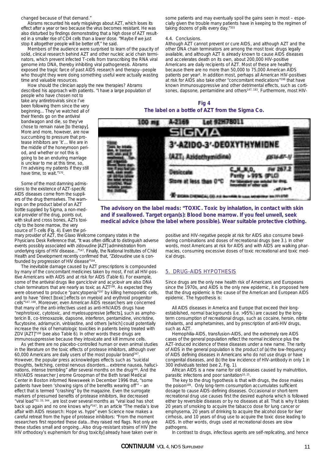changed because of that demand."

Abrams recounted his early misgivings about AZT, which loses its effect after a year or two because the virus becomes resistant. He was also disturbed by findings demonstrating that a high dose of AZT resulted in a smaller rise of CD4 cells than a lower dose. "Maybe if we just stop it altogether people will be better off," he said.

Members of the audience were surprised to learn of the paucity of solid, clinical research behind AZT and other nucleic acid chain terminators, which prevent infected T-cells from transcribing the RNA viral genome into DNA, thereby inhibiting viral pathogenesis. Abrams exposed the tragic farce of past AIDS research and therapy--people who thought they were doing something useful were actually wasting time and valuable resources.

How should the clinician apply the new therapies? Abrams described his approach with patients. "I have a large population of

people who have chosen not to take any antiretrovirals since I've been following them since the very beginning... They've watched all of their friends go on the antiviral bandwagon and die, so they've chose to remain naive [to therapy]. More and more, however, are now succumbing to pressure that protease inhibitors are 'it'... We are in the middle of the honeymoon period, and whether or not this is going to be an enduring marriage is unclear to me at this time, so, I'm advising my patients if they still have time, to wait."170.

Some of the most damning admissions to the existence of AZT-specific AIDS diseases come from the suppliers of the drug themselves. The warnings on the product label of an AZT bottle supplied by Sigma, a non-medical provider of the drug, points out, with skull and cross bones, AZTs toxicity to the bone marrow, the very source of T-cells (Fig. 4). Even the prisome patients and may eventually spoil the gains seen in most – especially given the trouble many patients have in keeping to the regimen of taking dozens of pills every day."355

#### 4.4. Conclusions.

Although AZT cannot prevent or cure AIDS, and although AZT and the other DNA chain terminators are among the most toxic drugs legally available, and although AZT is already known to cause AIDS diseases and accelerates death on its own, about 200,000 HIV-positive Americans are daily recipients of AZT. Most of these are healthy because there are no more than 50,000 to 75,000 American AIDS patients per year3. In addition most, perhaps all American HIV-positives at risk for AIDS also take other "concomitant medications"198 that have known immunosuppressive and other detrimental effects, such as cortisones, dapsone, pentamidine and others<sup>147, 183</sup>. Furthermore, most HIV-

#### **Fig 4 The label on a bottle of AZT from the** *Sigma* **Co.**



**The advisory on the label reads: "TOXIC. Toxic by inhalation, in contact with skin and if swallowed. Target organ(s): Blood bone marrow. If you feel unwell, seek medical advice (show the label where possible). Wear suitable protective clothing.**

mary provider of AZT, the Glaxo Wellcome company states in the Physicians Desk Reference that, "It was often difficult to distinguish adverse events possibly associated with zidovudine [AZT] administration from underlying signs of HIV disease..."147. Finally, the National Institutes of Child Health and Development recently confirmed that, "Zidovudine use is confounded by progression of HIV disease"194.

The inevitable damage caused by AZT prescriptions is compounded by many of the concomitant medicines taken by most, if not all HIV-positive Americans with AIDS and at risk for AIDS (Table 6). For example, some of the antiviral drugs like ganciclovir and acyclovir are also DNA chain terminators that are nearly as toxic as AZT196. As expected they were observed to produce "pancytopenia"<sup>197</sup> by killing hemopoietic cells, and to have "direct [toxic] effects on myeloid and erythroid progenitor cells"147, 198. Moreover, even American AIDS researchers are concerned that many of the anti-infectives used as anti-HIV/AIDS drugs have "nephrotoxic, cytotoxic, and myelosuppresive [effects], such as amphotericin B, co-trimoxazole, dapsone, interferon, pentamidine, vincristine, flucytosine, adriamycin, vinblastine, and others [which] could potentially increase the risk of hematologic toxicities in patients being treated with ZDV [AZT]"<sup>198</sup> (see also Table 6). In other words these drugs are immunosuppressive because they intoxicate and kill immune cells.

As yet there are no placebo-controlled human or even animal studies in the literature on the toxic effects of protease inhibitors, although over 60,000 Americans are daily users of the most popular brand347. However, the popular press acknowledges effects such as "suicidal thoughts, twitching, central nervous disorders…extreme nausea, hallucinations, intense trembling" after several months on the drug346. And the HIV/AIDS researcher Jerome Groopman of the Beth Israel Medical Center in Boston informed Newsweek in December 1996 that, "some patients have been 'showing signs of the benefits wearing off'" – an effect that is termed "crashing" by the magazine. Even the surrogate markers of presumed benefits of protease inhibitors, like decreased "viral load"32, 33, 344 , are lost over several months as "viral load has shot back up again and no one knows why"347. In an article "The media's love affair with AIDS research: Hope vs. hype" even Science now makes a careful retreat from the hype of protease inhibitors: "From the moment researchers first reported these data...they raised red flags. Not only are these studies small and ongoing...Also drug-resistant strains of HIV [the HIV orthodoxy's euphemism for drug toxicity] already have taken over in

positive and HIV-negative people at risk for AIDS also consume bewildering combinations and doses of recreational drugs (see 3.). In other words, most Americans at risk for AIDS and with AIDS are walking pharmacies, consuming excessive doses of toxic recreational and toxic medical drugs.

#### 5. DRUG-AIDS HYPOTHESIS

Since drugs are the only new health risk of Americans and Europeans since the 1970s, and AIDS is the only new epidemic, it is proposed here that the drug epidemic is the cause of the American and European AIDS epidemic. The hypothesis is:

All AIDS diseases in America and Europe that exceed their longestablished, normal backgrounds (i.e. >95%) are caused by the longterm consumption of recreational drugs, such as cocaine, heroin, nitrite inhalants, and amphetamines, and by prescription of anti-HIV drugs, such as AZT.

Hemophilia-AIDS, transfusion-AIDS, and the extremely rare AIDS cases of the general population reflect the normal incidence plus the AZT-induced incidence of these diseases under a new name. The rarity of AIDS in the general population is the product of (a) the low-frequency of AIDS defining diseases in Americans who do not use drugs or have congenital diseases, and (b) the low incidence of HIV-antibody in only 1 in 300 individuals tested (see 2, Fig. 1).

African AIDS is a new name for old diseases caused by malnutrition, parasitic infections and poor sanitation<sup>10, 25</sup>

The key to the drug hypothesis is that with drugs, the dose makes the poison<sup>199</sup>. Only long-term consumption accumulates sufficient dosage to cause AIDS-defining diseases. Occasional or short-term recreational drug use causes first the desired euphoria which is followed either by reversible diseases or by no diseases at all. That is why it takes 20 years of smoking to acquire the tabacco dose for lung cancer or emphysema, 20 years of drinking to acquire the alcohol dose for liver cirrhosis, and 10 years of drug use to acquire the toxic dose leading to AIDS. In other words, drugs used at recreational doses are slow pathogens.

In contrast to drugs, infectious agents are self-replicating, and hence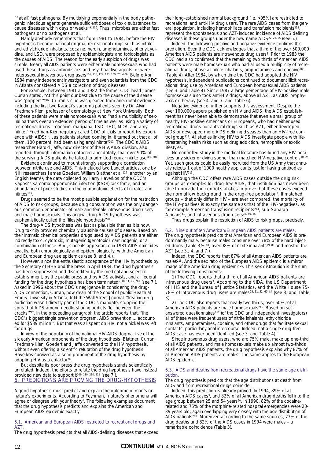(if at all) fast pathogens. By multiplying exponentially in the body pathogenic infectious agents generate sufficient doses of toxic substances to cause diseases within days or weeks<sup>49, 200</sup>. Thus, microbes are either fast pathogens or no pathogens at all.

Hardly anybody remembers that from 1981 to 1984, before the HIV hypothesis became national dogma, recreational drugs such as nitrite and ethylchloride inhalants, cocaine, heroin, amphetamines, phenylcyclidine, and LSD, were proposed by epidemiologists and toxicologists as the causes of AIDS. The reason for the early suspicion of drugs was simple. Nearly all AIDS patients were either male homosexuals who had used these drugs as aphrodisiacs and psychoactive agents, or were heterosexual intravenous drug users<sup>106, 125, 127, 133, 139, 201-206</sup>. Before April 1984 many independent investigators and even scientists from the CDC in Atlanta considered AIDS a collection of drug diseases.

For example, between 1981 and 1982 the former CDC head James Curran stated, "At this point our best clue to the cause of the disease was 'poppers'<sup>"207</sup>. Curran's clue was gleaned from anecdotal evidence including the first two Kaposi's sarcoma patients seen by Dr. Alvin Friedman-Kien, professor of dermatology at New York University. Both of these patients were male homosexuals who "had a multiplicity of sexual partners over an extended period of time as well as using a variety of recreational drugs – cocaine, marijuana, LSD, THC, MDA, and amyl nitrite." Friedman-Kien regularly called CDC officials to report his experience with AIDS: "…as patients started coming in, it turned out that all of them, 100 percent, had been using amyl nitrite"207. The CDC's AIDS researcher Harold Jaffe, now director of the HIV/AIDS division, also reported, through information gathered anecdotally, that over 90% of the surviving AIDS patients he talked to admitted regular nitrite use<sup>106, 207</sup>.

Evidence continued to mount strongly supporting a correlation between nitrite use and AIDS. This included two Lancet articles, one by NIH researchers James Goedert, William Blattner et al.<sup>127</sup>, another by an English team81, the data collected by Harry Haverkos of the CDC's Kaposi's sarcoma opportunistic infection (KSOI) task force, and an abundance of prior studies on the immunotoxic effects of nitrates and nitrites<sup>125</sup>

Drugs seemed to be the most plausible explanation for the restriction of AIDS to risk groups, because drug consumption was the only dangerous common denominator of male and female intravenous drug users and male homosexuals. This original drug-AIDS hypothesis was euphemistically called the "lifestyle hypothesis"208.

The drug-AIDS hypothesis was just as plausible then as it is now. Drug toxicity provides chemically plausible causes of disease. Based on their intrinsic chemical properties drugs used by AIDS patients are either indirectly toxic, cytotoxic, mutagenic (genotoxic), carcinogenic, or a combination of these. And, since its appearance in 1981 AIDS coincides exactly, both chronologically and epidemiologically, with the American and European drug use epidemics (see 3. and 4.).

However, since the enthusiastic acceptance of the HIV hypothesis by the Secretary of HHS and the press in April 1984, the drug hypothesis has been suppressed and discredited by the medical and scientific establishment, by the public press and by AIDS activists, and all federal funding for the drug hypothesis has been terminated<sup>6, 10, 11, 95, 209</sup> (see 7.). Asked in 1996 about the CDC's negligence in considering the drug-AIDS connection, Curran, now dean of the School of public Health at Emory University in Atlanta, told the Wall Street Journal, "treating drug addiction wasn't directly part of the CDC's mandate, stopping the spread of AIDS among needle-sharing addicts 'fell between the cracks'"27. In the preceeding paragraph the article reports that, "the CDC's biggest single prevention program, AIDS prevention ... accounted for \$589 million ". But that was all spent on HIV, not a nickel was left for drugs.

In view of the popularity of the national HIV-AIDS dogma, five of the six early American proponents of the drug hypothesis, Blattner, Curran, Friedman-Kien, Goedert and Jaffe converted to the HIV hypothesis, without even offering a scientific refutation of the drug hypothesis. Haverkos survived as a semi-proponent of the drug hypothesis by adopting HIV as a cofactor<sup>78</sup>.

But despite its poor press the drug hypothesis stands scientifically unrefuted. Indeed, the efforts to refute the drug hypothesis have instead provided new data to support it109, 110, 210, 211 (see 7.). **PREDICTIONS ARE PROVING THE DRUG-HYPOTHESIS** 

A good hypothesis must predict and explain the outcome of man's or nature's experiments. According to Feynman, "nature's phenomena will agree or disagree with your theory". The following examples document that the drug hypothesis predicts and explains the American and European AIDS epidemic exactly.

#### 6.1. American and European AIDS restricted to recreational drugs and AZT.

The drug hypothesis predicts that all AIDS-defining diseases that exceed

their long-established normal background (i.e. >95%) are restricted to recreational and anti-HIV drug users. The rare AIDS cases from the general population, including hemophiliacs and transfusion recipients<sup>212</sup> represent the spontaneous and AZT-induced incidence of AIDS defining diseases in these groups under the new name AIDS<sup>22, 23, 25</sup> (see 5.).

Indeed, the following positive and negative evidence confirms this prediction. Even the CDC acknowledges that a third of the over 500,000 American AIDS patients are intravenous drug users<sup>3</sup>. Prior to 1983 the CDC had also confirmed that the remaining two thirds of American AIDS patients were male homosexuals who had all used a multiplicity of recreational drugs, above all nitrite inhalants, amphetamines and cocaine106 (Table 4). After 1984, by which time the CDC had adopted the HIV hypothesis, independent publications continued to document illicit recreational drug use by American and European homosexual AIDS patients (see 3. and Table 4). Since 1987 a large percentage of HIV-positive male homosexuals also took anti-HIV drugs, above all AZT, as AIDS prophylaxis or therapy (see 4. and 7. and Table 6).

Negative evidence further supports this assessment. Despite the over 100,000 papers published on HIV and AIDS, the AIDS establishment has never been able to demonstrate that even a small group of healthy HIV-positive Americans or Europeans, who had neither used recreational drugs nor antiviral drugs such as AZT, either developed AIDS or developed more AIDS defining diseases than an HIV-free control group213. All studies linking HIV to AIDS investigate people with lifethreatening health risks such as drug addiction, hemophilia or exotic lifestyles.

No controlled study in the medical literature has found any HIV-positives any sicker or dying sooner than matched HIV-negative controls<sup>10, 25</sup>. Yet, such groups could be easily recruited from the US Army that annually rejects 1 out of 1000 healthy applicants just for having antibodies against HIV213.

Although the CDC offers rare AIDS cases outside the drug risk groups as examples for drug-free AIDS, that institution has never been able to provide the control statistics to prove that these cases exceed the normal low background in the drug-free population<sup>3</sup>. If matched groups – that only differ in HIV – are ever compared, the mortality of the HIV-positives is exactly the same as that of the HIV-negatives, as for example American transfusion recipients<sup>214</sup>, sub-Saharan Africans<sup>41</sup>, and intravenous drug users<sup>38, 40, 85</sup>.

Thus drugs explain the restriction of AIDS to risk groups, precisely.

#### 6.2. Nine out of ten American/European AIDS patients are males.

The drug hypothesis predicts that American and European AIDS is predominantly male, because males consume over 78% of the hard injected drugs (Table 3)<sup>52, 60</sup>, over 98% of nitrite inhalants<sup>79, 80</sup> and most of the AZT (see 3., 4. and 7.).

Indeed, the CDC reports that 87% of all American AIDS patients are males215. And the sex ratio of the European AIDS epidemic is a mirror image of the American drug epidemic<sup>25</sup>. This sex distribution is the sum of the following constituents:

1) The CDC reports that a third of all American AIDS patients are intravenous drug users<sup>3</sup>. According to the NIDA, the US Department of HHS and the Bureau of Justice Statistics, and the White House 75- 78% of intravenous drug users are males25, 51, 52, 60, 84 (see 3. and Table 3).

2) The CDC also reports that nearly two thirds, over 60%, of all American AIDS patients are male homosexuals<sup>216</sup>. Based on selfanswered questionnaires<sup>217</sup> (of the CDC and independent investigators) all of these were frequent users of nitrite inhalants, ethylchloride inhalants, amphetamines, cocaine, and other drugs that facilitate sexual contacts, particularly anal intercourse. Indeed, not a single drug-free AIDS case has ever been identified (see 3. and Table 4).

Since intravenous drug users, who are 75% male, make up one-third of all AIDS patients, and male homosexuals make up almost two-thirds of all American AIDS patients, the drug hypothesis explains why 87% of all American AIDS patients are males. The same applies to the European AIDS epidemic.

#### 6.3. AIDS and deaths from recreational drugs have the same age distribution.

The drug hypothesis predicts that the age distributions at death from AIDS and from recreational drugs coincide.

Indeed, this prediction is already proved. In 1994, 89% of all American AIDS cases<sup>3</sup>, and 82% of all American drug deaths fell into the age group between 25 and 54 years<sup>60</sup>. In 1990, 82% of the cocainerelated and 75% of the morphine-related hospital emergencies were 20- 39 years old, again overlapping very closely with the age distribution of AIDS patients<sup>218</sup>. Moreover, according to the same sources, 77% of the drug deaths and 82% of the AIDS cases in 1994 were males – a remarkable coincidence (Table 3).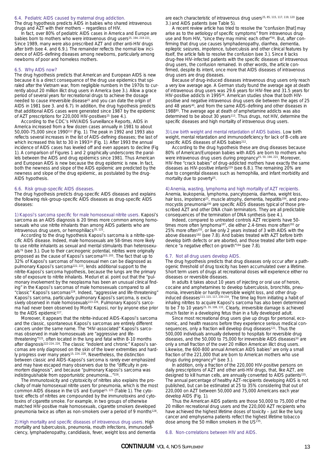#### 6.4. Pediatric AIDS caused by maternal drug addiction.

The drug hypothesis predicts AIDS in babies who shared intravenous drugs and AZT with their mothers – regardless of HIV.

In fact, over 80% of pediatric AIDS cases in America and Europe are babies born to mothers who were intravenous drug users<sup>25, 194, 219-221</sup> Since 1989, many were also prescribed AZT and other anti-HIV drugs after birth (see 4. and 6.9.). The remainder reflects the normal low incidence of AIDS-defining diseases among newborns, particularly among newborns of poor and homeless mothers.

#### 6.5. Why AIDS now?

The drug hypothesis predicts that American and European AIDS is new because it is a direct consequence of the drug use epidemics that spiraled after the Vietnam war, from negligible numbers in the 1970s to currently about 20 million illict drug users in America (see 3.). Allow a grace period of several years for recreational drugs to achieve the dosage needed to cause irreversible disease<sup>25</sup> and you can date the origin of AIDS in 1981 (see 3. and 6.7). In addition, the drug hypothesis predicts that additional AIDS cases were generated since 1987 by the epidemic of AZT prescriptions for 220,000 HIV-positives<sup>25</sup> (see 4.).

According to the CDC's HIV/AIDS Surveillance Reports, AIDS in America increased from a few dozen cases annually in 1981 to about 50,000-75,000 since 1990<sup>212</sup> (Fig. 1). The peak in 1992 and 1993 also reflects several increases in the list of AIDS-defining diseases; the last of which increased this list to 30 in 1993<sup>16</sup> (Fig. 1). After 1993 the annual incidence of AIDS cases has leveled off and even appears to decline (Fig 1). A comparison of Figures 1 and 2 graphically underscores the parallels between the AIDS and drug epidemics since 1981. Thus American and European AIDS is new because the drug epidemic is new. In fact, both the newness and slope of the AIDS epidemic are predicted by the newness and slope of the drug epidemic, as postulated by the drug-AIDS hypothesis.

#### 6.6. Risk group-specific AIDS diseases.

The drug hypothesis predicts drug-specific AIDS diseases and explains the following risk-group-specific AIDS diseases as drug-specific AIDS diseases:

1) Kaposi's sarcoma specific for male homosexual nitrite users. Kaposi's sarcoma as an AIDS diagnosis is 20 times more common among homosexuals who use nitrite inhalants than among AIDS patients who are intravenous drug users, or hemophiliacs<sup>35, 125</sup>

According to the drug hypothesis Kaposi's sarcoma is a nitrite-specific AIDS disease. Indeed, male homosexuals are 58-times more likely to use nitrite inhalants as sexual and mental stimulants than heterosexuals<sup>79</sup> (see 3.). Due to their carcinogenic potential, nitrites were originally proposed as the cause of Kaposi's sarcoma203, 205. The fact that up to 32% of Kaposi's sarcomas of homosexual men can be diagnosed as pulmonary Kaposi's sarcoma222, 223, lends additional support to the nitrite-Kaposi's sarcoma hypothesis, because the lungs are the primary site of exposure to nitrite inhalants. Meduri et al. point out that the "pulmonary involvement by the neoplasma has been an unusual clinical finding" in the Kaposi's sarcomas of male homosexuals compared to all "classic" Kaposi's sarcomas224. Indeed, "aggressive and life-threatening" Kaposi's sarcoma, particularly pulmonary Kaposi's sarcoma, is exclusively observed in male homosexuals<sup>223-226</sup>. Pulmonary Kaposi's sarcoma had never been observed by Moritz Kaposi, nor by anyone else prior to the AIDS epidemic<sup>227</sup>.

Moreover, it appears that the nitrite-induced AIDS-Kaposi's sarcoma and the classic, spontaneous Kaposi's sarcomas are entirely different cancers under the same name. The "HIV-associated" Kaposi's sarcomas observed in male homosexuals are "aggressive and lifethreatening"225, often located in the lung and fatal within 8-10 months after diagnosis<sup>222-224, 226</sup>. The classic "indolent and chronic" Kaposi's sarcomas are only diagnosed on the skin of the lower extremities and hardly progress over many years15, 224, 228. Nevertheless, the distinction between classic and AIDS-Kaposi's sarcoma is rarely ever emphasized and may have escaped many observers due to the "difficulty in premortem diagnosis", and because "pulmonary Kaposi's sarcoma was indistinguishable from opportunistic pneumonia..."226.

The immunotoxicity and cytotoxicity of nitrites also explains the proclivity of male homosexual nitrite users for pneumonia, which is the most common AIDS disease in the US and Europe25, 125 (Table 1). The cytotoxic effects of nitrites are compounded by the immunotoxins and cytotoxins of cigarette smoke. For example, in two groups of otherwise matched HIV-positive male homosexuals, cigarette smokers developed pneumonia twice as often as non-smokers over a period of 9 months128.

2) High mortality and specific diseases of intravenous drug users. High mortality and tuberculosis, pneumonia, mouth infections, immunodeficiency, lymphadenopathy, candidiasis, fever, weight loss and dementia are each characteristic of intravenous drug users<sup>25, 85, 115, 117, 119, 120</sup> (see 3.) and AIDS patients (see Table 5).

A recent review article has tried to resolve the "confusion [that] may arise as to the aetiology of specific symptoms" from intravenous drug use and from HIV, "since they may mimic each other"<sup>39</sup>. But, after confirming that drug use causes lymphadenopathy, diarrhea, dementia, epileptic seizures, impotence, tuberculosis and other clinical features by itself, the article fails to resolve the confusion (see 3.). Since it lacks drug-free HIV-infected patients with the specific diseases of intravenous drug users, the confusion remained. In other words, the article confirmed, despite its intent, once more that AIDS diseases of intravenous drug users are drug diseases.

Because of drug-induced diseases intravenous drug users only reach a very low average age. A German study found the average age at death of intravenous drug users was 29.6 years for HIV-free and 31.5 years for HIV-positive addicts in 1995<sup>38</sup>. American studies show that both HIVpositive and negative intravenous drug users die between the ages of 25 and 48 years<sup>40</sup>, and from the same AIDS-defining and other diseases in 198885. The average age at death of amphetamine addicts was also determined to be about 30 years<sup>113</sup>. Thus drugs, not HIV, determine the specific diseases and high mortality of intravenous drug users.

#### 3) Low birth weight and mental retardation of AIDS babies. Low birth weight, mental retardation and immunodeficiency for lack of B-cells are specific AIDS diseases of AIDS babies<sup>212</sup>.

According to the drug hypothesis these are drug diseases because 80% of American/European babies with AIDS are born to mothers who were intravenous drug users during pregnancy<sup>25, 50, 194, 221</sup>. Moreover, HIV-free "crack babies" of drug-addicted mothers have exactly the same diseases as HIV-positive infants<sup>229</sup> (see 6.8.). The remaining 20% are due to congenital diseases such as hemophilia, and infant morbidity and mortality due to poverty<sup>25</sup>.

#### 4) Anemia, wasting, lymphoma and high mortality of AZT recipients.

Anemia, leukopenia, lymphoma, pancytopenia, diarrhea, weight loss, hair loss, impotence<sup>25</sup>, muscle atrophy, dementia, hepatitis<sup>184</sup>, and pneumocystis pneumonia190 are specific AIDS diseases typical of those prescribed AZT and other DNA chain terminators. They are all predictable consequences of the termination of DNA synthesis (see 4.).

Indeed, compared to untreated controls AZT recipients have 50 times more often lymphoma<sup>187</sup>, die either 2.4-times more often<sup>193</sup> or 25% more often155, or live only 2 years instead of 3 with AIDS with the above diseases<sup>192</sup> (see 7.8). And babies treated with AZT before birth develop birth defects or are aborted, and those treated after birth experience "a negative effect on growth"194 (see 7.8).

#### 6.7. Not all drug users develop AIDS.

The drug hypothesis predicts that drug diseases only occur after a pathogenic threshold of drug toxicity has been accumulated over a lifetime. Short term users of drugs at recreational doses will experience either no diseases or reversible diseases.

In adults it takes about 10 years of injecting or oral use of heroin, cocaine and amphetamines to develop tuberculosis, bronchitis, pneumonia, irreversible or hardly reversible weight loss, and other druginduced diseases<sup>113, 115, 117, 230-234</sup>. The time lag from initiating a habit of inhaling nitrites to acquire Kaposi's sarcoma has also been determined to be 7 to 10 years<sup>25, 35, 108, 133</sup>. Clearly, irreversible damage is achieved much faster in a developing fetus than in a fully developed adult.

Since most recreational drug users give up drugs for personal, economic, and health reasons before they experience serious medical consequences, only a fraction will develop drug diseases<sup>121</sup>. Thus the 500,000 individuals annually delivered to hospitals for reversible drug diseases, and the 50,000 to 75,000 for irreversible AIDS diseases<sup>50</sup> are only a small fraction of the over 20 million American illict drug users. Likewise, the 600-800 annual American AIDS babies<sup>3</sup> are only a small fraction of the 221,000 that are born to American mothers who use drugs during pregnancy<sup>50</sup> (see 3.).

In addition, only a fraction of the 220,000 HIV-positive persons on daily prescriptions of AZT and other anti-HIV drugs, that, like AZT, are designed to kill human cells, are annually converted to AIDS patients<sup>155</sup>. The annual percentage of healthy AZT-recipients developing AIDS is not published, but can be estimated at 25 to 35% considering that out of 220,000 on AZT between 50,000 and 75,000 Americans each year develop AIDS (Fig. 1).

Thus the American AIDS patients are those 50,000 to 75,000 of the 20 million recreational drug users and the 220,000 AZT recipients who have achieved the highest lifetime doses of toxicity – just like the lung cancer and emphysema patients reflect the highest lifetime tobacco dose among the 50 million smokers in the US235.

6.8. Non-correlations between HIV and AIDS.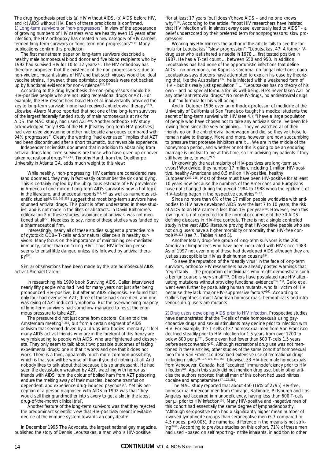The drug hypothesis predicts (a) HIV without AIDS, (b) AIDS before HIV, and (c) AIDS without HIV. Each of these predictions is confirmed. 1) Long-term survivors or "non-progressors". In view of the appearance of growing numbers of HIV carriers who are healthy even 15 years after infection, the HIV orthodoxy has created a new category of HIV carriers, termed long-term survivors or "long-term non-progressors"236. Many publications confirm this prediction.

The first mainstream paper on long-term survivors described a healthy male homosexual blood donor and five blood recipients who by 1992 had survived HIV for 10 to 12 years<sup>237</sup>. The HIV orthodoxy has therefore proposed that the existence of the non-progressors is due to non-virulent, mutant strains of HIV and that such viruses would be ideal vaccine strains. However, these optimistic proposals were not backed up by functional evidence for non-virulence<sup>236, 238</sup>

According to the drug hypothesis the non-progressors should be HIV-positive people who are not using recreational drugs or AZT. For example, the HIV-researchers David Ho et al. inadvertantly provided the key to long-term survival: "none had received antiretroviral therapy"239. Likewise, Alvaro Munoz reported that not one of the long-term survivors of the largest federally funded study of male homosexuals at risk for AIDS, the MAC study, had used AZT<sup>240</sup>. Another orthodox HIV study acknowledged "only 38% of the HLP [healthy long-term HIV-positives] had ever used zidovudine or other nucleoside analogues compared with 94% progressors". Clearly the wording "had ever used" implies that AZT had been discontinued after a short traumatic, but reversible experience.

Independent scientists document that in addition to abstaining from antiviral drugs long-term survivors are those who have given up or never taken recreational drugs<sup>241-243</sup>. Timothy Hand, from the Ogelthorpe University in Atlanta GA, adds much weight to this view:

While healthy, 'non-progressing' HIV carriers are considered rare (and doomed), they may in fact vastly outnumber the sick and dying. This is certainly implied by the ubiquitous estimate of HIV prevalence in America of one million. Long-term AIDS survival is now a hot topic in the literature, and anecdotal reports<sup>244, 245</sup> as well as numerous scientific studies<sup>99, 239, 246-252</sup> suggest that most long-term survivors have shunned antiviral drugs. This point is often understated in these studies, and is not made in the titles or abstracts. In David Baltimore's editorial on 2 of these studies, avoidance of antivirals was not mentioned at all<sup>253</sup>. Needless to say, none of these studies was funded by a pharmaceutical firm.

Interestingly, nearly all of these studies suggest a protective role of cytotoxic CD8+ T-cells and/or natural killer cells in healthy survivors. Many focus on the importance of maintaining cell-mediated immunity, rather than on "killing HIV". Thus HIV infection per se seems to entail little danger, unless it is followed by antiviral thera $py^{254}$ .

Similar observations have been made by the late homosexual AIDS activist Michael Callen:

In researching his 1990 book Surviving AIDS, Callen interviewed nearly fifty people who had lived for many years not just after being pronounced HIV-positive, but after an AIDS diagnosis. He found that only four had ever used AZT; three of those had since died, and one was dying of AZT-induced lymphoma. But the overwhelming majority of long-term survivors had somehow managed to resist the enormous pressure to take AZT.

The pressure did not just come from doctors, Callen told the Amsterdam meeting<sup>7, 255</sup>, but from a certain segment of AIDS activism that seemed driven by a 'drugs-into-bodies' mentality. 'I feel many AIDS activist friends who are in the forefront of this frenzy are very misleading to people with AIDS, who are frightened and desperate. They only seem to talk about two possible outcomes of taking experimental drugs: one is that it works and one that it does not work. There is a third, apparently much more common possibility, which is that you will be worse off than if you did nothing at all. And nobody likes to talk about that because it is so unpleasant'. He had seen the devastation wreaked by AZT, watching with horror as friends with AIDS 'turn the colour of boiled ham from AZT poisoning, endure the melting away of their muscles, become transfusion dependent, and experience drug-induced psychosis'. Yet his perception of a person diagnosed with AIDS in 1992 was that 'they would sell their grandmother into slavery to get a slot in the latest drug-of-the-month clinical trial'.

Another feature of the long-term survivors was that they rejected the predominant scientific view that HIV-positivity meant inevitable decline of the immune system towards an early death7.

In December 1995 The Advocate, the largest national gay magazine, published the story of Dennis Leoutsakas, a man who is HIV-positive

"for at least 17 years [but] doesn't have AIDS – and no one knows why"256. According to the article, "most HIV researchers have insisted that HIV infection will, in almost every case, eventually lead to AIDS" – a belief underscored by their preferred term for nonprogressors: slow progressors.

Wearing his HIV blinkers the author of the article fails to see the formula for Leoutsakas' "slow progression": "Leoutsakas, 47: A former IVdrug user who last shared a needle in 1978 ... first tested positive in 1987. He has a T-cell count ... between 650 and 950. In addition, Leoutsakas has had none of the opportunistic infections that define AIDS – no pneumonia, no Kaposi's sarcoma, no fungal infections, nada. Leoutsakas says doctors have attempted to explain his case by theorizing that, like the Australians<sup>237</sup>, he is infected with a weakened form of HIV – but it's really just speculation." ... "Leoutsakas has no theory of his own – and no special formula for his well-being. He's never taken AZT or any other antiretroviral drugs." No more IV-drugs, no antiretroviral drugs – but "no formula for his well-being"!

And in October 1996 even an orthodox professor of medicine at the University of California at San Francisco taught his medical students the secret of long-term survival with HIV (see 4.): "I have a large population of people who have chosen not to take any antivirals since I've been following them since the very beginning... They've watched all of their friends go on the antiretroviral bandwagon and die, so they've chose to remain naive to therapy. More and more, however, are now succumbing to pressure that protease inhibitors are it ... We are in the middle of the honeymoon period, and whether or not this is going to be an enduring marriage is unclear to me at this time, so I'm advising my patients if they still have time, to wait."170

Unknowingly the vast majority of HIV-positives are long-term survivors! Worldwide, they number 17 million, including 1 million HIV-positive, healthy Americans and 0.5 million HIV-positive, healthy Europeans<sup>257, 258</sup>. Most of these must have been HIV-positive for at least 10 years now because the numbers of the Americans and Europeans have not changed during the period 1984 to 1988 when the epidemic of HIV-testing began in the respective countries<sup>25, 28</sup>.

Since no more than 6% of the 17 million people worldwide with antibodies to HIV have developed AIDS over the last 7 to 10 years, the risk of AIDS to an HIV-carrier is less than 1% per year<sup>258</sup>. However, even this low figure is not corrected for the normal occurence of the 30 AIDSdefining diseases in HIV-free controls. There is not a single controlled study in the vast AIDS literature proving that HIV-positive people who are not drug users have a higher morbidity or mortality than HIV-free controls<sup>10, 213</sup> (see 7., Tables  $4$  and 5).

Another totally drug-free group of long-term survivors is the 200 American chimpanzees who have been inoculated with HIV since 1983. As of 1997 not even one of these had developed AIDS although they are just as susceptible to HIV as their human cousins<sup>354</sup>.

To save the reputation of the "deadly virus" in the face of long-term survivors, orthodox HIV researchers have already posted warnings that "regrettably ... the proportion of individuals who might demonstrate such a benign course is very small"<sup>259</sup>. Others have postulated rare HIV attenuating mutations without providing functional evidence<sup>236, 238</sup>. Gallo et al. went even further by postulating human mutants, who fall victim of HIV because they lack "major HIV-suppressive factors"260. According to Gallo's hypothesis most American homosexuals, hemophiliacs and intravenous drug users are mutants!

2) Drug users developing AIDS prior to HIV infection. Prospective studies have demonstrated that the T-cells of male homosexuals using psychoactive drugs and sexual stimulants may decline prior to infection with HIV. For example, the T-cells of 37 homosexual men from San Francisco declined steadily prior to HIV infection for 1.5 years from over 1200 to below 800 per µl<sup>261</sup>. Some even had fewer than 500 T-cells 1.5 years before seroconversion<sup>262</sup>. Although recreational drug use was not mentioned in these articles, other studies of the same cohort of homosexual men from San Francisco described extensive use of recreational drugs including nitrites80, 107, 109, 140, 263. Likewise, 33 HIV-free male homosexuals from Vancouver, Canada, had "acquired" immunodeficiency prior to HIV infection264. Again this study did not mention drug use, but in other articles the authors reported that all men of this cohort had used nitrites, cocaine and amphetamines<sup>47, 103, 265</sup>.

The MAC study reported that about 450 (16% of 2795) HIV-free, homosexual American men from Chicago, Baltimore, Pittsburgh and Los Angeles had acquired immunodeficiency, having less than 600 T-cells per µl, prior to HIV infection<sup>101</sup>. Many HIV-positive and -negative men of this cohort had essentially the same degree of lymphadenopathy: "Although seropositive men had a significantly higher mean number of involved lymphnode groups than seronegative men (5.7 compared to 4.5 nodes, p<0.005), the numerical difference in the means is not striking"266. According to previous studies on this cohort, 71% of these men had used –based on self reporting– nitrite inhalants, in addition to other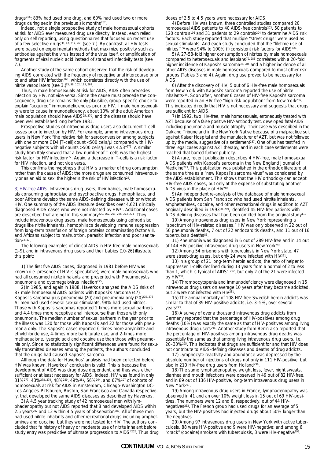drugs266; 83% had used one drug, and 60% had used two or more drugs during sex in the previous six months<sup>267</sup>

Indeed, not a single prospective study of male homosexual cohorts at risk for AIDS ever measured drug use directly. Instead, each relied only on self reporting, using questionnaires that focused on recent use of a few selective drugs<sup>31, 47, 217, 263</sup> (see 7.). By contrast, all HIV tests were based on experimental methods that maximize positivity such as antibodies against the virus instead of the virus itself, or amplification of fragments of viral nucleic acid instead of standard infectivity tests (see 7.).

Another study of the same cohort observed that the risk of developing AIDS correlated with the frequency of receptive anal intercourse prior to and after HIV infection<sup>268</sup>, which correlates directly with the use of nitrite vasodilaters (see 3.)25, 98, 102, 125, 269.

Thus, in male homosexuals at risk for AIDS, AIDS often precedes infection by HIV, not vice versa. Since the cause must precede the consequence, drug use remains the only plausible, group-specific choice to explain "acquired" immunodeficiencies prior to HIV. If male homosexuality were to cause immunodeficiency, about 10% of the adult American male population should have AIDS<sup>25, 270</sup>, and the disease should have been well established long before 1981.

Prospective studies of intravenous drug users also document T-cell losses prior to infection by HIV. For example, among intravenous drug users in New York "the relative risk for seroconversion among subjects with one or more CD4 [T-cell] count <500 cells/ul compared with HIVnegative subjects with all counts >500 cells/µl was 4.53"<sup>271</sup>. A similar study from Italy showed that a low number of T-cells was the highest risk factor for HIV infection<sup>272</sup>. Again, a decrease in T-cells is a risk factor for HIV infection, and not vice versa.

This confirms the hypothesis that HIV is a marker of drug consumption, rather than the cause of AIDS: the more drugs are consumed intravenously or as an aid to sex, the higher is the risk of HIV infection<sup>25</sup>.

3) HIV-free AIDS. Intravenous drug users, their babies, male homosexuals consuming aphrodisiac and psychoactive drugs, hemophiliacs, and poor Africans develop the same AIDS-defining diseases with or without HIV. One summary of the AIDS literature describes over 4,621 clinically diagnosed AIDS cases who were not infected by HIV47. Additional cases are described that are not in this summary220, 262, 263, 266, 273, 274. They include intravenous drug users, male homosexuals using aphrodisiac drugs like nitrite inhalants, hemophiliacs developing immune suppression from long-term transfusion of foreign proteins contaminating factor VIII, and Africans subject to malnutrition, parasitic infection and poor sanitation23, 47.

The following examples of clinical AIDS in HIV-free male homosexuals (1-9), and in intravenous drug users and their babies (10-26) illustrate this point:

1) The first five AIDS cases, diagnosed in 1981 before HIV was known (i.e. presence of HIV is speculative), were male homosexuals who had all consumed nitrite inhalants and presented with Pneumocystis pneumonia and cytomegalovirus infection<sup>275</sup>.

2) In 1985, and again in 1988, Haverkos analyzed the AIDS risks of 87 male homosexual AIDS patients with Kaposi's sarcoma (47), Kaposi's sarcoma plus pneumonia (20) and pneumonia only (20)<sup>205, 276</sup>. All men had used several sexual stimulants, 98% had used nitrites. Those with Kaposi's sarcomas reported 2 times more sexual partners and 4.4 times more receptive anal intercourse than those with only pneumonia. The median number of sexual partners in the year prior to the illness was 120 for those with Kaposi's and 22 for those with pneumonia only. The Kaposi's cases reported 6-times more amylnitrite and ethylchloride use, 4-times more barbiturate use, and 2-times more methaqualone, lysergic acid and cocaine use than those with pneumonia only. Since no statistically significant differences were found for sexually transmitted diseases among the patients, the authors concluded that the drugs had caused Kaposi's sarcoma.

Although the data for Haverkos' analysis had been collected before HIV was known, Haverkos' conclusion is valid. This is because the development of AIDS was drug dose dependent, and thus was either sufficient or at least necessary for AIDS. Indeed, HIV was found in only 31%277, 43%278, 279, 48%280, 49%281, 56%264, and 67%107 of cohorts of homosexuals at risk for AIDS in Amsterdam, Chicago-Washington DC-Los Angeles-Pittsburgh, Boston, San Francisco and Canada respectively, that developed the same AIDS diseases as described by Haverkos.

3) A 4.5 year tracking study of 42 homosexual men with lymphadenopathy but not AIDS reported that 8 had developed AIDS within 2.5 years<sup>202</sup> and 12 within 4.5 years of observation<sup>282</sup>. All of these men had used nitrite inhalants and other recreational drugs including amphetamines and cocaine, but they were not tested for HIV. The authors concluded that "a history of heavy or moderate use of nitrite inhalant before study entry was predictive of ultimate progression to AIDS"202. Thus drug doses of 2.5 to 4.5 years were necessary for AIDS.

4) Before HIV was known, three controlled studies compared 20 homosexual AIDS patients to 40 AIDS-free controls<sup>203</sup>, 50 patients to 120 controls106 and 31 patients to 29 controls204 to determine AIDS risk factors. Each study reported that multiple "street drugs" were used as sexual stimulants. And each study concluded that the "lifetime use of nitrites"<sup>106</sup> were 94% to 100% (!) consistent risk factors for AIDS<sup>204</sup>.

5) A 27-58-fold higher consumption of nitrites by male homosexuals compared to heterosexuals and lesbians<sup>79, 283</sup> correlates with a 20-fold higher incidence of Kaposi's sarcoma<sup>35, 284</sup> and a higher incidence of all other AIDS diseases in male homosexuals compared to most other risk groups (Tables 3 and 4). Again, drug use proved to be necessary for AIDS.

6) After the discovery of HIV, 5 out of 6 HIV-free male homosexuals from New York with Kaposi's sarcoma reported the use of nitrite inhalants<sup>285</sup>. Soon after, another 6 cases of HIV-free Kaposi's sarcoma were reported in an HIV-free "high risk population" from New York<sup>286</sup> This indicates directly that HIV is not necessary and suggests that drugs are sufficient for AIDS.

7) In 1992, two HIV-free, male homosexuals, erroneously treated with AZT because of a false positive HIV-antibody test, developed fatal AIDS including pneumonia and muscle atrophy. Their case was described in the Oakland Tribune and in the New York Native because of a malpractice suit against Kaiser Hospital and the manufacturer of AZT, but was not followed up by the media, suggestive of a settlement<sup>287</sup>. One of us has testified in three legal cases against AZT therapy, and in each case settlements were reached that barred further publicity.

8) A rare, recent publication describes 4 HIV-free, male homosexual AIDS patients with Kaposi's sarcoma in the New England Journal of Medicine273. This publication was published in the orthodox literature at the same time as a "new Kaposi's sarcoma virus" was considered by the AIDS establishment. This shows that the HIV orthodoxy can accept HIV-free AIDS cases, but only at the expense of substituting another AIDS virus in the place of HIV<sup>288</sup>.

9) An independent re-analysis of the database of male homosexual AIDS patients from San Francisco who had used nirtrite inhalants, amphetamines, cocaine, and other recreational drugs in addition to AZT originally described in 199380, 289, identified 45 HIV-free patients with AIDS defining diseases that had been omitted from the original study110.

10) Among intravenous drug users in New York representing a "spectrum of HIV-related diseases," HIV was only observed in 22 out of 50 pneumonia deaths, 7 out of 22 endocarditis deaths, and 11 out of 16 tuberculosis deaths85

11) Pneumonia was diagnosed in 6 out of 289 HIV-free and in 14 out of 144 HIV-positive intravenous drug users in New York<sup>290</sup>

12) Among 54 prisoners with tuberculosis in New York state, 47 were street-drug users, but only 24 were infected with HIV<sup>291</sup>

13) In a group of 21 long-term heroin addicts, the ratio of helper to suppresser T-cells declined during 13 years from a normal of 2 to less than 1, which is typical of AIDS<sup>5, 292</sup>, but only 2 of the 21 were infected by HIV<sup>232</sup>.

14) Thrombocytopenia and immunodeficiency were diagnosed in 15 intravenous drug users on average 10 years after they became addicted, but 2 were not infected with HIV<sup>231</sup>

15) The annual mortality of 108 HIV-free Swedish heroin addicts was similar to that of 39 HIV-positive addicts, i.e. 3–5%, over several years<sup>293</sup>

16) A survey of over a thousand intravenous drug addicts from Germany reported that the percentage of HIV-positives among drug deaths (10%) was exactly the same as that of HIV-positives among living intravenous drug users<sup>294</sup>. Another study from Berlin also reported that the percentage of HIV-positives among intravenous drug deaths was essentially the same as that among living intravenous drug users, i.e. 20–30%295. This indicates that drugs are sufficient for and that HIV does not contribute to AIDS-defining diseases and deaths of drug addicts.

17) Lymphocyte reactivity and abundance was depressed by the absolute number of injections of drugs not only in 111 HIV-positive, but also in 210 HIV-free drug users from Holland<sup>296</sup>.

18) The same lymphadenopathy, weight loss, fever, night sweats, diarrhea and mouth infections were observed in 49 out of 82 HIV-free, and in 89 out of 136 HIV-positive, long-term intravenous drug users in New York<sup>297</sup>

19) Among intravenous drug users in France, lymphadenopathy was observed in 41 and an over 10% weight loss in 15 out of 69 HIV-positives. The numbers were 12 and 8, respectively, out of 44 HIVnegatives<sup>233</sup>. The French group had used drugs for an average of 5 years, but the HIV-positives had injected drugs about 50% longer than the negatives.

20) Among 97 intravenous drug users in New York with active tuberculosis, 88 were HIV-positive and 9 were HIV-negative; and among 6 "crack" (cocaine) smokers with tuberculosis, 3 were HIV-negative298.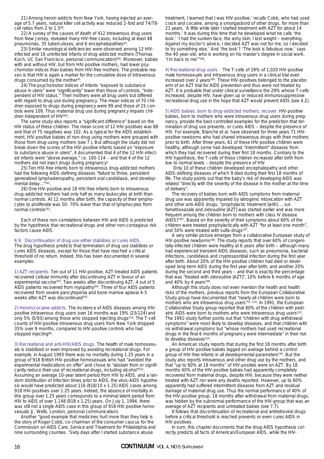21) Among heroin addicts from New York, having injected an average of 5.7 years, natural killer cell activity was reduced 2-fold and T4/T8 cell ratios from 2 to 1.589

22) A survey of the causes of death of 412 intravenous drug users from New Jersey, revealed many HIV-free cases, including at least 48 pneumonias, 35 tuberculoses, and 6 encephalopathies<sup>40</sup>

23) Similar neurological deficiencies were observed among 12 HIVinfected and 16 uninfected infants of drug-addicted mothers (Thomas Koch, UC San Francisco, personal communication)299. Moreover, babies with and without HIV, but from HIV-positive mothers, had lower psychomotor indices than babies from HIV-free mothers. The probable reason is that HIV is again a marker for the cumulative dose of intravenous drugs consumed by the mother<sup>25</sup>.

24) The psychomotor indices of infants "exposed to substance abuse in utero" were "significantly" lower than those of controls, "independent of HIV status." Their mothers were all drug users but differed with regard to drug use during pregnancy. The mean indices of 70 children exposed to drugs during pregnancy were 99 and those of 25 controls were 109. Thus maternal drug use during pregnancy impairs children independent of HIV<sup>300</sup>

The same study also reports a "significant difference" based on the HIV status of these children. The mean score of 12 HIV-positives was 88 and that of 75 negatives was 102. As is typical for the AIDS establishment, HIV-positive babies of non-drug using mothers were grouped with those from drug-using mothers (see 7.). But although the study did not break down the scores of the HIV-positive infants based on "exposure to substance abuse in utero", it documented that 4 of the 12 HIV-infected infants were "above average," i.e. 100-114 – and that 4 of the 12 mothers did not inject drugs during pregnancy!

25) Ten HIV-free infants born to intravenous drug-addicted mothers had the following AIDS-defining diseases "failure to thrive, persistent generalized lymphadenopathy, persistent oral candidiasis, and developmental delay..."301

26) One HIV-positive and 18 HIV-free infants born to intravenous drug-addicted mothers had only half as many leukocytes at birth than normal controls. At 12 months after birth, the capacity of their lymphocytes to proliferate was 50- 70% lower than that of lymphocytes from normal controls<sup>302</sup>.

Each of these non-correlations between HIV and AIDS is predicted by the hypothesis that recreational drugs and other non-contagious risk factors cause AIDS.

#### 6.9. Discontinuation of drug use either stabilizes or cures AIDS.

The drug hypothesis predicts that termination of drug use stabilizes or cures AIDS diseases, except for those that have reached a critical threshold of no return. Indeed, this has been documented in several examples:

1) AZT-recipients. Ten out of 11 HIV-positive, AZT-treated AIDS patients recovered cellular immunity after discontinuing AZT in favour of an experimental vaccine<sup>303</sup>. Two weeks after discontinuing AZT, 4 out of 5 AIDS patients recovered from myopathy<sup>304</sup>. Three of four AIDS patients recovered from severe pancytopenia and bone marrow aplasia 4-5 weeks after AZT was discontinued<sup>305</sup>.

2) Heroin/cocaine-addicts. The incidence of AIDS diseases among HIVpositive intravenous drug users over 16 months was 19% (23/124) and only 5% (5/93) among those who stopped injecting drugs<sup>234</sup>. The T-cell counts of HIV-positive intravenous drug users from New York dropped 35% over 9 months, compared to HIV-positive controls who had stopped injecting<sup>88</sup>.

3) Recreational and anti-HIV/AIDS drugs. The health of male homosexuals is stabilized or even improved by avoiding recreational drugs. For example, in August 1993 there was no mortality during 1.25 years in a group of 918 British HIV-positive homosexuals who had "avoided the experimental medications on offer" and chose to "abstain from or significantly reduce their use of recreational drugs, including alcohol<sup>"242</sup> Assuming an average 10-year latent period from HIV to AIDS, and a random distribution of infection times prior to AIDS, the virus-AIDS hypothesis would have predicted about 116 (918/10 x 1.25) AIDS cases among 918 HIV-positives over 1.25 years. Indeed, the absence of mortality in this group over 1.25 years corresponds to a minimal latent period from HIV to AIDS of over 1,148 (918 x 1.25) years. On July 1, 1994, there was still not a single AIDS case in this group of 918 HIV-positive homosexuals (J. Wells, London, personal communication).

Another "good example that medicines hurt more than they help is the story of Roger Cobb, co-chairman of the consumer caucus for the Commission on AIDS Care, Service and Treatment for Philadelphia and nine surrounding counties. 'Sixty days after I started substance abuse

treatment, I learned that I was HIV-positive,' recalls Cobb, who had used crack and cocaine, among a smorgasbord of other drugs, for more than 21 years. 'A little while later I started treatment with AZT for about 14 months.' It was during this time that he developed what he calls 'the look.' 'I had the sunken face, the ashy skin; I lost weight – everything. Against my doctor's advice, I decided AZT was not for me, so I decided to try something else.' And 'the look'? 'The look is fabulous now,' says the 40-year-old, who is working on his master's degree in social work. 'I'm back to me'"348.

4) Recreational drug users. The T-cells of 29% of 1,020 HIV-positive male homosexuals and intravenous drug users in a clinical trial even increased over 2 years<sup>306</sup>. These HIV-positives belonged to the placebo arm of an AZT trial for AIDS prevention and thus were not treated by AZT. It is probable that under clinical surveillance the 29% whose T-cells increased, despite HIV, have given up or reduced immunosuppressive recreational drug use in the hope that AZT would prevent AIDS (see 4.2).

5) AIDS babies, born to drug-addicted mothers, recover. HIV-positive babies, born to mothers who were intravenous drug users during pregnancy, provide the best controlled examples for the prediction that termination of drug use prevents, or cures AIDS – despite the presence of HIV. For example, Blanche et al. have observed for three years 71 HIVpositive newborns who had shared intravenous drugs with their mothers prior to birth. After three years, 61 of these HIV-positive children were healthy, although some had developed "intermittent" diseases from which they had recovered during their first 18 months. Contrary to the HIV hypothesis, the T-cells of these children increased after birth from low to normal levels – despite the presence of HIV.

Only 10 of these children developed encephalopathy and other AIDS-defining diseases of which 9 died during their first 18 months of life. The study points out that the baby's risk of developing AIDS was related "directly with the severity of the disease in the mother at the time of delivery".

The recovery of babies born with AIDS symptoms from maternal drug use was apparently impaired by iatrogenic intoxication with AZT and other anti-AIDS drugs, "prophylactic treatment [with] ... sulfamethoxazale and zidovudine [AZT] was started earlier and was more frequent among the children born to mothers with class IV disease (AIDS)"307. Based on the severity of their symptoms about 60% of the children were treated prophylactically with AZT "for at least one month", and 50% were treated with sulfa-drugs<sup>307</sup>.

A very similar picture emerges from a collaborative European study of HIV-positive newborns<sup>308</sup>. The study reports that over 60% of congenitally-infected children were healthy at 6 years after birth – although many had experienced transient AIDS diseases, such as pneumonia, bacterial infections, candidiasis and cryptosporidial infection during the first year after birth. About 20% of the HIV-positive children had died or developed long-term AIDS during the first year after birth, and another 20% during the second and third years – and that is exactly the percentage that was "treated with zidovudine [AZT]", 10% before 6 months of age and 40% by 4 years<sup>308</sup>.

Although this study does not even mention the health and health risks of the mothers, previous reports from the European Collaborative Study group have documented that "nearly all children were born to mothers who are intravenous drug users"25, 219. In 1991, the European Collaborative Study group reported that 80% of the children with pediatric AIDS were born to mothers who were intravenous drug users<sup>220</sup>. The 1991-study further points out that "children with drug withdrawal symptoms" were most likely to develop diseases, and that children with no withdrawal symptoms but "whose mothers had used recreational drugs in the final 6 months of pregnancy were intermediate" in their risk to develop diseases<sup>220</sup>.

An American study reports that during the first 18 months after birth a group of HIV-positive babies lagged on average behind a control group of HIV-free infants in all developmental parameters<sup>194</sup>. But the study also reports intravenous and other drug use by the mothers, and that "up to 60% at 18 months" of HIV-posities were on AZT. By 18 months 40% of the HIV-positive babies had apparently completely recovered from maternal drugs, despite HIV, because they were neither treated with AZT nor were any deaths reported. However, up to 60% apparently had suffered intermittent diseases from AZT and residual damage of maternal drug use. Thus the normal performance of 40% of the HIV-positive group, 18 months after withdrawal from maternal drugs, was hidden by the subnormal performance of the HIV-group that was an average of AZT recipients and untreated babies (see 7.7).

It follows that discontinuation of recreational and antiretroviral drugs before a critical threshold is reached prevents or even cures AIDS in HIV-positives.

In sum, this chapter documents that the drug-AIDS hypothesis correctly predicts all facts of American/European AIDS, while the HIV-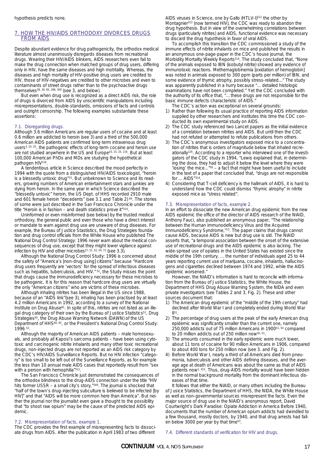#### 7. HOW THE HIV/AIDS ORTHODOXY DIVORCES DRUGS FROM AIDS

Despite abundant evidence for drug pathogenicity, the orthodox medical literature almost unanimously disregards diseases from recreational drugs. Wearing their HIV/AIDS blinkers, AIDS researchers even fail to make the drug connection when matched groups of drug users, differing only in HIV, have the same diseases and high motrtality. Whereas, the diseases and high mortality of HIV-positive drug users are credited to HIV, those of HIV-negatives are credited to other microbes and even to contaminants of street drugs rather than to the psychoactive drugs themselves<sup>38, 39, 85, 288, 309</sup> (see 3, and below).

But even when drug use is recognized as a direct AIDS risk, the role of drugs is divorced from AIDS by unscientific manipulations including misrepresentations, double-standards, omissions of facts and controls and outright censorship. The following examples substantiate these assertions:

#### 7.1. Disregarding drugs.

Although 3.6 million Americans are regular users of cocaine and at least 0.6 million are addicted to heroin (see 3) and a third of the 500,000 American AIDS patients are confirmed long-term intravenous drug users<sup>3, 10, 25</sup>, the pathogenic effects of long-term cocaine and heroin use are not studied anywhere in the US and Europe10, 15, 25, 116. But at least 100,000 American PhDs and MDs are studying the hypothetical pathogen HIV<sup>116</sup>.

A tendentious article in Science described the mood perfectly in 1994 with the quote from a distinguished HIV/AIDS toxicologist, "heroin is a blessedly untoxic drug"15. But unbeknown to Science and its readers, growing numbers of American entertainment stars and junkies are dying from heroin. In the same year in which Science described the "blessedly untoxic" heroin, the US Dept. of HHS recorded 2910 male and 601 female heroin "decedents" (see 3.1 and Table 2) 60. The stories of some were just described in the San Francisco Chronicle under the title "Heroin is in fashion – and death statistics prove it"310

Uninformed or even misinformed (see below) by the trusted medical orthodoxy, the general public and even those who have a direct interest or mandate to warn against drug use are unaware of drug diseases. For example, the Bureau of Justice Stastistics, the Drug Strategies foundation and drug control officials from the White House who published The National Drug Control Strategy: 1996 never warn about the medical consequences of drug use, except that they might lower vigilance against infection by HIV and other microbes<sup>27, 51, 52, 54, 73</sup> (see 3.3).

Although the National Drug Control Study: 1996 is concerned about the safety of "America's [non-drug using] citizens" because "Hardcore drug users frequently are 'vectors' for the spread of infectious diseases such as hepatitis, tuberculosis, and HIV." 52, the Study misses the point that drugs cause the immunodeficiency necessary for these microbes to be pathogenic. It is for this reason that hardcore drug users are virtually the only "American citizens" who are victims of these microbes.

Although inhaling nitrites has been illegal in the US since 1988, because of an "AIDS link"(see 3), inhaling has been practised by at least 4.2 million Americans in 1992, according to a survey of the National Institute on Drug Abuse<sup>81</sup>. In spite of this, nitrites are not listed as an illegal drug category of their own by the Bureau of Justice Statistics<sup>51</sup>, Drug Strategies<sup>50</sup>, the Drug Abuse Warning Network (DAWN) of the US Department of HHS<sup>60, 82</sup>, or the President's National Drug Control Study: 1996 52.

Although the majority of American AIDS patients – male homosexuals, and probably all Kaposi's sarcoma patients – have been using cytotoxic and carcinogenic nitrite inhalants and many other toxic recreational drugs, non-injected drugs are not reported as an AIDS risk category by the CDC's HIV/AIDS Surveillance Reports. But no HIV infection "category" is too small to be left out of the Surveillance Reports, as for example the less than 10 annual male AIDS cases that reportedly result from "sex with a person with hemophilia"311

The San Francisco Chronicle just demonstrated the consequences of the orthodox blindness to the drug-AIDS connection under the title "HIV hits former USSR - a small city's story,"349. The journal is shocked that "half of the town's drug-injecting subculture is believed to be infected [by HIV]" and that "AIDS will be more common here than America". But neither the journal nor the journalist even gave a thought to the possibility that "to shoot raw opium" may be the cause of the predicted AIDS epidemic.

#### 7.2. Misrepresentation of facts, example 1.

The CDC provides the first example of misrepresenting facts to dissociate drugs from AIDS. After the publication in April 1983 of two different

AIDS viruses in Science, one by Gallo (HTLV-I)312 the other by Montagnier<sup>313</sup> (now termed HIV), the CDC was ready to abandon the drug hypothesis. But in view of the overwhelming correlations between drugs (particularly nitrites) and AIDS, functional evidence was necessary to discard the drug hypothesis in favor of viral AIDS.

To accomplish this transition the CDC commissioned a study of the immune effects of nitrite inhalants on mice and published the results in an anonymous one-page-paper in the CDC's house journal, the Morbidity Mortality Weekly Reports<sup>314</sup>. The study concluded that, "None of the animals exposed to IBN (isobutyl nitrite) showed any evidence of immunotoxic reactions. Methemaglobinemia [oxidation of hemoglobin] was noted in animals exposed to 300 ppm (parts per million) of IBN, and some evidence of thymic atrophy, possibly stress-related..." The study was apparently published in a hurry because "... detailed histologic examinations have not been completed." Yet the CDC concluded with the authority of its office that, "…these drugs are not responsible for the basic immune defects characteristic of AIDS.

The CDC's action was exceptional on several grounds: 1) Rather than following its usual practice of reporting AIDS information supplied by other researchers and institutes this time the CDC conducted its own experimental study on AIDS.

- 2) The CDC study referenced two Lancet papers as the initial evidence of a correlation between nitrites and AIDS. But until then the CDC had not refuted or attempted to refute publications from others.
- 3) The CDC's anonymous investigators exposed mice to a concentration of nitrites that is orders of magnitude below that inhaled recreationally126. According to a reporter who interviewd one of the investigators of the CDC study in 1994, "Lewis explained that, in determining the dose, they had to adjust it below the level where they were 'losing' the mice..."95 – a fact that might have been useful to include in the text of a paper that concluded that, "drugs are not responsible for ... AIDS"314.
- 4) Considering that T-cell deficiency is the hallmark of AIDS, it is hard to understand how the CDC could dismiss "thymic atrophy" in nitrite exposed mice as "stress related".

#### 7.3. Misrepresentation of facts, example 2.

In an effort to dissociate the new American drug epidemic from the new AIDS epidemic the office of the director of AIDS research of the NIAID, Anthony Fauci, also published an anonymous paper, "The relationship between the Human immunodeficiency Virus and the Acquired Immunodeficiency Syndrome, "13. The paper claims that drugs cannot cause AIDS, because AIDS is new but drug use is old. The NIAID asserts that, "a temporal association between the onset of the extensive use of recreational drugs and the AIDS epidemic is also lacking. The wide-spread use of opiates in the United States has existed since the middle of the 19th century. ... the number of individuals aged 25 to 44 years reporting current use of marijuana, cocaine, inhalants, hallucinogens and cigarettes declined between 1974 and 1992, while the AIDS epidemic worsened."

However, the NIAID's information is hard to reconcile with information from the Bureau of Justice Statistics, the White House, the Department of HHS Drug Abuse Warning System, the NIDA and even private investigators (see Tables 2 and 3, Fig. 2). These and other sources document that:

- 1) The American drug epidemic of the "middle of the 19th century" had declined after World War I and completely ended during World War II51.
- 2) The percentage of drug users at the peak of the early American drug epidemic was significantly smaller than the current one, namely 250,000 addicts out of 75 million Americans in 190051, 54 compared to 20 million addicts out of 250 million now<sup>50, 51</sup>.
- 3) The amounts consumed in the early epidemic were much lower, about 11 tons of cocaine for 90 million Americans in 1906, compared to about 400 tons for 250 million now (see 3. and Fig. 2).
- Before World War I, nearly a third of all Americans died from pneumonia, tuberculosis and other AIDS defining diseases, and the average age at death of Americans was about the same as that of AIDS patients now<sup>1, 315</sup>. Thus, drug-AIDS mortality would have been hidden in the normal background mortality from the dominant infectious diseases of that time.

It follows that either the NIAID, or many others including the Bureau of Jusice Statistics, the Department of HHS, the NIDA, the White House as well as non-governmental sources misrepresent the facts. Even the major source of drug use in the NIAID's anonymous report, David Courtwright's Dark Paradise: Opiate Addiction in America Before 1940, documents that the number of American opium addicts had dwindled to a few thousand, mostly doctors, by 1940, and that drug arrests had fallen below 3000 per year by that time53.

7.4. Different standards of verification for HIV and drugs.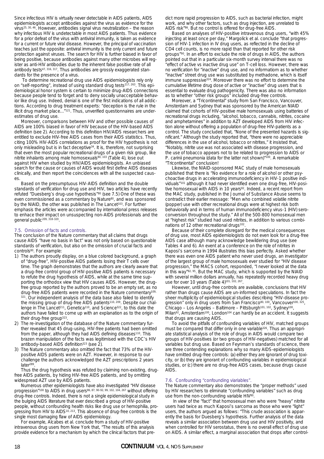Since infectious HIV is virtually never detectable in AIDS patients, AIDS epidemiologists accept antibodies against the virus as evidence for the virus25, 30, 46. However, antibodies signal virus neutralization – the reason why infectious HIV is undetectable in most AIDS patients. Thus evidence for a prior defeat of the virus with antiviral immunity, is taken as evidence for a current or future viral disease. However, the principal of vaccination teaches just the opposite: antiviral immunity is the only current and future protection against viruses. The search for HIV is further biased in favor of being positive, because antibodies against many other microbes will register as anti-HIV antibodies due to the inherent false positive rate of all antibody tests47, 316, 317. Thus antibodies are grossly exaggerated standards for the presence of a virus.

To determine recreational drug use AIDS epidemiologists rely only on "self-reporting", instead of using standard drug tests<sup>217, 263</sup>. This epidemiological honor system is certain to minimize drug-AIDS connections because people tend to forget and to deny socially unacceptable behavior like drug use. Indeed, denial is one of the first indications of all addictions. According to drug treatment experts: "deception is the rule in the illicit drug market place..."121. Thus, unverified questionnaires are underestimates of drug use.

Moreover, comparisons between HIV and other possible causes of AIDS are 100% biased in favor of HIV because of the HIV-based AIDS definition (see 2). According to this definition HIV/AIDS researchers are entitled to exclude HIV-free AIDS cases from their AIDS statistics. Thus, citing 100% HIV-AIDS correlations as proof for the HIV hypothesis is not only misleading but is in fact deceptive<sup>34</sup>. It is, therefore, not surprising that even the most popular recreational drugs of a given risk group, like nitrite inhalants among male homosexuals<sup>80, 103</sup> (Table 4), lose out against HIV when studied by HIV/AIDS epidemiologists. An unbiased search for the cause or causes of AIDS would first define AIDS diseases clinically, and then report the coincidences with all the suspected causes.

Based on the presumptuous HIV-AIDS definition and the double standards of verification for drug use and HIV, two articles have recently refuted "Duesberg's drug-use hypothesis"80 (see 7.5) One of these was even commissioned as a commentary by Nature<sup>80</sup>, and was sponsored by the NIAID, the other was published in The Lancet<sup>103</sup>. For further emphasis the articles were accompanied by international press releases to enhace their impact on unsuspecting non-AIDS professionals and the general public209, 318-320.

#### 7.5. Omission of facts and controls.

The conclusion of the Nature commentary that all claims that drugs cause AIDS "have no basis in fact" was not only based on questionable standards of verification, but also on the omission of crucial facts and controls<sup>80</sup>. For example:

- 1) The authors proudly display, on a blue colored background, a graph of "drug-free", HIV-positive AIDS patients losing their T cells over time. The graph demonstrates that the authors are clearly aware that a drug-free control group of HIV-positive AIDS patients is necessary to refute the drug hypothesis of AIDS, while at the same time supporting the orthodox view that HIV causes AIDS. However, the drugfree group reported by the authors proved to be an empty set, as no drug-free AIDS patients were recorded in the Nature commentary109, 321. Our independent analysis of the data base also failed to identify the missing group of drug-free AIDS patients<sup>110, 209</sup>. Despite our challenge in The Lancet<sup>211</sup>, Genetica<sup>110</sup>, and Science<sup>322</sup>, to this date the authors have failed to come up with an explanation as to the origin of their drug-free group<sup>323</sup>
- The re-investigation of the database of the Nature commentary further revealed that 45 drug-using, HIV-free patients had been omitted from the paper, although they had AIDS defining diseases<sup>110</sup>. This brazen manipulation of the facts was legitimised with the CDC's HIV antibody-based AIDS definition<sup>323</sup> (see 2).
- 3) The Nature commentary also omitted the fact that 73% of the HIVpositive AIDS patients were on AZT. However, in response to our challenge the authors acknowledged the AZT prescriptions 2 years later<sup>289</sup>

Thus the drug hypothesis was refuted by claiming non-existing, drugfree AIDS patients, by hiding HIV-free AIDS patients, and by omitting widespread AZT use by AIDS patients.

Numerous other epidemiologists have also investigated "HIV disease progression"<sup>100</sup> to AIDS in drug users<sup>86, 87, 90-92, 99, 102, 104, 267 without offering</sup> drug-free controls. Indeed, there is not a single epidemiological study in the bulging AIDS literature that ever described a group of HIV-positive people, without confounding health risks like drug use or hemophilia, progressing from HIV to AIDS<sup>10, 213</sup>. This absence of drug-free controls is the single most damaging flaw of AIDS epidemiology.

For example, Alcabes et al. conclude from a study of HIV-positive intravenous drug users from New York that, "The results of this analysis provide evidence for a mechanism by which the clinical factors that predict more rapid progression to AIDS, such as bacterial infection, might work, and why other factors, such as drug injection, are unrelated to AIDS risk"86. But no control is offered for drug-free AIDS.

Based on analyses of HIV-positive intravenous drug users, "with 45% injecting at least once per day," Margolick et al. conclude "that progression of HIV-1 infection in IV drug users, as reflected in the decline of CD4 cell counts, is no more rapid than that reported for other risk groups"90. In an effort to exclude the role of drugs in AIDS, the authors pointed out that in a particular six-month survey interval there was no "effect of active vs inactive drug use" on T-cell loss. However, there was no verification for "inactive" drug use, and no informatiom as to whether "inactive" street drug use was substituted by methadone, which is itself immune suppressive<sup>324</sup>. Moreover there was no effort to determine the cumulative lifetime drug dose of active or "inactive" drug users that is essential to evaluate drug pathogenicity. There was also no information as to whether "other risk groups" included drug-free controls.

Moreover, a "Tricontinental" study from San Francisco, Vancouver, Amsterdam and Sydney that was sponsored by the American NIAID claimed that cohorts of HIV-positive male homosexuals using batteries of recreational drugs including, "alcohol, tobacco, cannabis, nitrites, cocaine and amphetamines" in addition to AZT developed AIDS from HIV infection alone without offering a population of drug-free HIV-patients as a control. The study concluded that, "None of the presented hazards is significant." Although the study reported that, "there were no appreciable differences in the use of alcohol, tobacco or nitrites," it insisted that, "Notably, nitrite use was not associated with disease progression, and the use of tobacco appears not to be related to progression to AIDS or P. carinii pneumonia (data for the latter not shown)"<sup>100</sup>. A remarkable "Tricontinental" conclusion!

Likewise, the NIAID-sponsored MAC study of male homosexuals published that there is "No evidence for a role of alcohol or other psychoactive drugs in accelerating immunodeficiency in HIV-1 positive individuals"101 although it had never identified even one drug-free, HIV-positive homosexual with AIDS in 10 years<sup>82</sup>. Indeed, a recent report from the MAC study, published in the Journal of Substance Abuse seems to contradict their earlier message: "Men who combined volatile nitrite (popper) use with other recreational drugs were at highest risk both behaviorally and in terms of human immunodeficiency virus-1 (HIV) seroconversion throughout the study." All of the 500-800 homosexual men at "highest risk" studied had used nitrites, in addition to various combinations of 12 other recreational drugs<sup>102</sup>

Because of their complete disregard for the medical consequences of drug use, most AIDS epidemiologists do not even look for a drug-free AIDS case although many acknowledge bewildering drug use (see Tables 4 and 6). An event at a conference on the role of nitrites in Kaposi's sarcoma in 1994 illustrates this bias perfectly. Asked whether there was even one AIDS patient who never used drugs, an investigator of the largest group of male homosexuals ever studied for "HIV disease progression," the MACS cohort, responded, "I never looked at the data in this way"82, 95. But the MAC study, which is supported by the NIAID with several million dollars annually, has repeatedly recorded heavy drug use for over 10 years (Table 4)<sup>101, 102, 267</sup>.

However, until drug-free controls are available, conclusions that HIV rather than drugs cause AIDS are un-informed speculations. In fact the sheer multiplicity of epidemiological studies describing "HIV-disease progression" only in drug users from San Francisco<sup>80, 100</sup>, Vancouver<sup>100, 325</sup>, Chicago – Los Angeles – Baltimore – Pittsburgh101, 102, Sydney100, Milan<sup>92</sup>, Amsterdam<sup>100</sup>, London<sup>104</sup> can hardly be an accident. It suggests that drugs are causing AIDS.

To avoid the pitfalls of confounding variables of HIV, matched groups must be compared that differ only in one variable326. Thus an appropriate statistical analysis of the role of drugs in AIDS would compare two groups of HIV-positives (or two groups of HIV-negatives) matched for all variables but drug use. Based on Feynman's standards of science, there are three contending explanations why so many AIDS-epidemiologists have omitted drug-free controls: (a) either they are ignorant of drug toxicity, or (b) they are ignorant of confounding variables in epidemiological studies, or (c) there are no drug-free AIDS cases, because drugs cause AIDS.

#### 7.6. Confounding "confounding viariables".

The Nature commentary also demonstrates the "proper methods" used by HIV researchers to eliminate "confounding variables" such as drug use from the non-confounding variable HIV<sup>80</sup>.

In view of the "fact" that homosexual men who were "heavy" nitrite users had twice as much Kaposi's sarcoma as those who were "light" users, the authors argued as follows: "This crude association is apparently the basis for Duesberg's hypothesis. Further analysis of the data reveals a similar association between drug use and HIV positivity, and when controlled for HIV serostatus, there is no overall effect of drug use on AIDS. A similar effect, a marginal association that drops after control-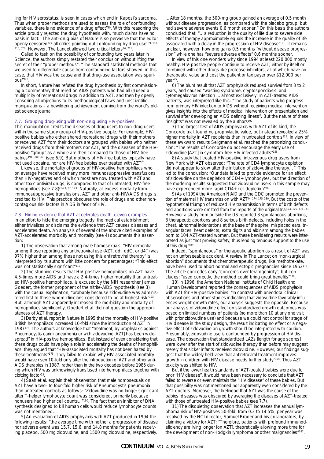ling for HIV serostatus, is seen in cases which end in Kaposi's sarcoma. Thus when proper methods are used to assess the role of confounding variables, there is no evidence of a drug effect<sup>"80</sup>. With this reasoning the article proudly rejected the drug hypothesis with, "such claims have no basis in fact." The anti-drug bias of Nature is so pervasive that the editor openly censored<sup>327</sup> all critics pointing out confounding by drug use<sup>109, 110,</sup> 210, 328. However, The Lancet allowed two critical letters46, 211.

Called to task on the possibility of confounding two years later in Science, the authors simply restated their conclusion without lifting the secret of their "proper methods": "The standard statistical methods that we used to differentiate cause from confounding factors showed, in this case, that HIV was the cause and that drug-use association was spurious"323.

In short, Nature has refuted the drug hypothesis by first commissioning a commentary that relied on AIDS patients who had all (!) used a multiplicity of recreational drugs in addition to AZT, and then by openly censoring all objections to its methodological flaws and unscientific manipulations – a bewildering achievement coming from the world's oldest science journal.

#### 7.7. Grouping drug-using with non-drug using HIV-positives.

This manipulation credits the diseases of drug users to non-drug users within the same study group of HIV-positive people. For example, HIVpositive babies who either shared recreational drugs with their mothers or received AZT from their doctors are grouped with babies who neither received drugs from their mothers nor AZT, and the diseases of the HIVpositive "group" as a whole are then compared to those of HIV-free babies194, 300, 307 (see 6.9). But mothers of HIV-free babies typically have not used cocaine, nor are HIV-free babies ever treated with AZT25.

Likewise, the mortality of groups of HIV-positive hemophiliacs who on average have received many more immunosuppressive transfusions than HIV-negatives and of which most are now treated with AZT and other toxic antiviral drugs, is compared to that of untreated, HIV-free hemophiliacs (see 7.8)21-23, 37, 173. Naturally, all excess mortality from immunosuppressive transfusions, AZT and other anti-HIV/AIDS drugs is credited to HIV. This practice obscures the role of drugs and other noncontagious risk factors in AIDS in favor of HIV.

#### 7.8. Hiding evidence that AZT accelerates death, eleven examples.

In an effort to hide the emerging tragedy, the medical establishment either trivializes or disclaims the evidence that AZT causes diseases and accelerates death. An analysis of several of the above cited examples of AZT-accelerated morbidity and mortality (see 4) documents this assertion

1) The observation that among male homosexuals, "HIV dementia among those reporting any antiretroviral use (AZT, ddI, ddC, or d4T) was 97% higher than among those not using this antiretroviral therapy" is interpreted by its authors with little concern for percentages: "This effect was not statistically significant"112

2) The stunning results that HIV-positive hemophiliacs on AZT have 4.5-times more AIDS and have a 2.4-times higher mortality than untreated HIV-positive hemophiliacs, is excused by the NIH researcher James Goedert, the former proponent of the nitrite-AIDS hypothesis (see 3), with the casual explanation, "probably because zidovudine was administered first to those whom clinicians considered to be at highest risk"193. But, although AZT apparently increased the morbidity and mortality of hemophiliacs significantly, Goedert et al. did not question the appropriateness of AZT therapy.

3) Darby et al. report in Nature in 1995 that the mortality of HIV-positive British hemophiliacs increased 10-fold since the introduction of AZT in 1987173. The authors acknowledge that "treatment, by prophylaxis against Pneumocystis carinii pneumonia or with zidovudine [AZT] has been widespread" in HIV-positive hemophiliacs. But instead of even considering that these drugs could have play a role in accelerating the deaths of hemophiliacs, they argued that "HIV-associated mortality has not been halted by these treatments"173. They failed to explain why HIV-associated mortality would have risen 10-fold only after the introduction of AZT and other anti-AIDS therapies in 1987, rather than in the two decades before 1985 during which HIV was unknowingly transfused into hemophiliacs together with clotting factor<sup>23</sup>

4) Saah et al. explain their observation that male homosexuals on AZT have a two- to four-fold higher risk of Pneumocystis pneumonia than untreated controls as follows: "Zidovudine was no longer significant after T-helper lymphocyte count was considered, primarily because nonusers had higher cell counts..."190. The fact that an inhibitor of DNA synthesis designed to kill human cells would reduce lymphocyte counts was not mentioned.

5) An evaluation of AIDS prophylaxis with AZT produced in 1994 the following results: "the average time with neither a progression of disease nor adverse event was 15.7, 15.6, and 14.8 months for patients receiving placebo, 500 mg zidovudine, and 1500 mg zidovudine, respectively.

…After 18 months, the 500-mg group gained an average of 0.5 month without disease progression, as compared with the placebo group, but had severe adverse events 0.6 month sooner." On this basis the authors concluded that, "…a reduction in the quality of life due to severe side effects of therapy approximately equals the increase in the quality of life associated with a delay in the progression of HIV disease"191. It remains unclear, however, how one gains 0.5 months "without disease progression" while one has "severe adverse effects" 0.6 months sooner.

In view of this one wonders why since 1994 at least 220,000 mostly healthy, HIV-positive people continue to receive AZT, either by itself or combined with other drugs like protease inhibitors, all of which have no therapeutic value and cost the patient or tax payer over \$12,000 per year<sup>25</sup>

6) The blunt result that AZT prophylaxis reduced survival from 3 to 2 years, and caused "wasting syndrome, cryptosporidiosis, and cytomegalovirus infection ... almost exclusively" in AZT-treated AIDS patients, was interpreted like this: "The study of patients who progress from primary HIV infection to AIDS without receiving medical intervention gives insights into the effects of medical intervention on presentation and survival after developing an AIDS defining illness". But the nature of these "insights" was not revealed by the authors<sup>192</sup>.

7) The largest test of AIDS prophylaxis with AZT of its kind, the Concorde trial, found no prophylactic value, but instead revealed a 25% higher mortality in AZT recipients than in untreated controls<sup>329</sup>. In view of these awkward results Seligmann et al. reached the patronizing conclusion: "The results of Concorde do not encourage the early use of zidovudine [AZT] in symptom-free HIV-infected adults"155.

8) A study that treated HIV-positive, intravenous drug users from New York with AZT observed: "The rate of CD4 lymphocyte depletion did not appear to slow after the initiation of zidovudine therapy…". This led to the conclusion: "Our data failed to provide evidence for an effect of zidovudine on the depletion of CD4+ lymphocytes, but the direction of the modeling results suggested that zidovudine users in this sample may have experienced more rapid CD4+ cell depletion"86.

9) As of 1994 the American NIAID and the CDC promoted the prevention of maternal HIV transmission with AZT44, 174, 175, 330. But the costs of the hypothetical triumph of reduced HIV transmission in terms of birth defects and abortions were omitted from the reports of the original trial<sup>174, 175, 330-333</sup>. However a study from outside the US reported 8 spontaneous abortions, 8 therapeutic abortions and 8 serious birth defects, including holes in the chest, abnormal indentations at the base of the spine, misplaced ears, triangular faces, heart defects, extra digits and albinism among the babies born to 104 AZT-treated women. But these bewildering results were interpreted as just "not proving safety, thus lending tenuous support to the use of this drug"189.

Indeed, "spontaneous" or therapeutic abortion as a result of AZT was not an unforseeable accident. A review in The Lancet on "non-surgical abortion" documents that chemotherapeutic drugs, like methotrexate, have been used to abort normal and ectopic pregnancies since 1952<sup>178</sup>. The article concedes early "concerns over teratogenicity", but concludes: "used correctly, the method could bring great benefits"<sup>178</sup>

10) In 1996, the American National Institute of Child Health and Human Development reported the consequences of AIDS prophylaxis with AZT for HIV-positive babies: "In contrast with anecdotal clinical observations and other studies indicating that zidovudine favorably influences weight-growth rates, our analysis suggests the opposite. Because our analysis of zidovudine effect on standardized growth outcomes was based on limited numbers of patients (no more than 10 at any one visit with prior zidovudine use) and because we could not control for stage of HIV disease in the study design, the result indicating no effect or a negative effect of zidovudine on growth should be interpreted with caution. Presumably, zidovudine use is confounded by progression of HIV disease. The observation that standardized LAZs [length for age scores] were lower after the start of zidovudine therapy than before may suggest merely that sicker infants received zidovudine. However, our findings suggest that the widely held view that antiretroviral treatment improves growth in children with HIV disease needs further study"194. Thus AZT toxicity was shifted to HIV.

But if the lower health standards of AZT-treated babies were due to prior "HIV disease", it would have been necessary to conclude that AZT failed to reverse or even maintain the "HIV disease" of these babies. But that possibility was not mentioned nor apparently even considered by the AZT-doctors. Moreover, the likelihood that AZT was the cause of the babies' diseases was obscured by averaging the diseases of AZT-treated with those of untreated HIV-positive babies (see 7.7).

11) The disquieting observation that AZT increases the annual lymphoma risk of HIV-positives 50-fold, from 0.3 to 14.5%, per year was resolved by the NCI director, Samuel Broder and his collaborators, by claiming a victory for AZT: "Therefore, patients with profound immunodeficiency are living longer [on AZT], theoretically allowing more time for the development of non-Hodgkin lymphoma or other malignancies"187.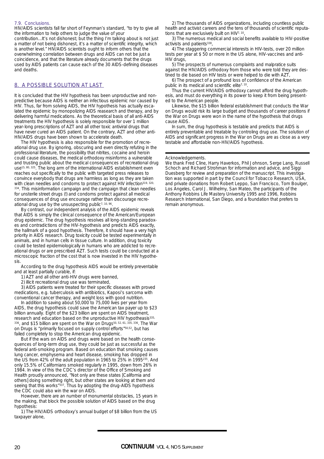#### 7.9. Conclusions.

HIV/AIDS scientists fall far short of Feynman's standard, "to try to give all the information to help others to judge the value of your

contribution...It's not dishonest; but the thing I'm talking about is not just a matter of not being dishonest, it's a matter of scientific integrity, which is another level." HIV/AIDS scientists ought to inform others that the overwhelming correlation between drugs and AIDS can not be just a coincidence, and that the literature already documents that the drugs used by AIDS patients can cause each of the 30 AIDS-defining diseases and deaths.

#### 8. A POSSIBLE SOLUTION AT LAST

It is concluded that the HIV hypothesis has been unproductive and nonpredictive because AIDS is neither an infectious epidemic nor caused by HIV. Thus, far from solving AIDS, the HIV hypothesis has actually escalated the epidemic by monopolizing AIDS reasearch and therapy, and by delivering harmful medications. As the theoretical basis of all anti-AIDS treatments the HIV hypothesis is solely responsible for over 1 million year-long prescriptions of AZT and all other toxic antiviral drugs that have never cured an AIDS patient. On the contrary, AZT and other anti-HIV/AIDS drugs have been shown to accelerate death.

The HIV hypothesis is also responsible for the promotion of recreational drug use. By ignoring, obscuring and even directly refuting in the professional literature, the possibility that nitrites, cocaine and heroin could cause diseases, the medical orthodoxy misinforms a vulnerable and trusting public about the medical consequences of recreational drug use15, 80, 325. The long arm of the international AIDS establishment even reaches out specifically to the public with targeted press releases to convince everybody that drugs are harmless as long as they are taken with clean needles and condoms to protect against HIV infection<sup>319, 320</sup> 334. This misinformation campaign and the campaign that clean needles for unsterile street drugs (!) and condoms protect against all medical consequences of drug use encourage rather than discourage recreational drug use by the unsuspecting public<sup>7, 10, 96</sup>

By contrast, our independent analysis of the AIDS epidemic reveals that AIDS is simply the clinical consequence of the American/European drug epidemic. The drug hypothesis resolves all long-standing paradoxes and contradictions of the HIV-hypothesis and predicts AIDS exactly, the hallmark of a good hypothesis. Therefore, it should have a very high priority in AIDS research. Drug toxicity could be tested experimentally in animals, and in human cells in tissue culture. In addition, drug toxicity could be tested epidemiologically in humans who are addicted to recreational drugs or are prescribed AZT. Such tests could be conducted at a microscopic fraction of the cost that is now invested in the HIV hypothesis.

According to the drug hypothesis AIDS would be entirely preventable and at least partially curable, if:

1) AZT and all other anti-HIV drugs were banned,

2) illicit recreational drug use was terminated,

3) AIDS patients were treated for their specific diseases with proved medications, e.g. tuberculosis with antibiotics, Kaposi's sarcoma with conventional cancer therapy, and weight loss with good nutrition.

In addition to saving about 50,000 to 75,000 lives per year from AIDS, the drug hypothesis could save the American tax payer up to \$23 billion annually. Eight of the \$23 billion are spent on AIDS treatment, research and education based on the unproductive HIV hypotheasis<sup>335</sup> 336, and \$15 billion are spent on the War on Drugs50, 52, 61, 335, 336. The War on Drugs is "primarily focused on supply control efforts"50,52, but has failed completely to stop the American drug epidemic.

But if the wars on AIDS and drugs were based on the health consequences of long-term drug use, they could be just as successful as the federal anti-smoking program. Based on education that smoking causes lung cancer, emphysema and heart disease, smoking has dropped in the US from 42% of the adult population in 1965 to 25% in 1995235. And only 15.5% of Californians smoked regularly in 1995, down from 26% in 1984. In view of this the CDC's director of the Office of Smoking and Health proudly announced, "Not only are these states [California and others] doing something right, but other states are looking at them and seeing that this works"337. Thus by adopting the drug-AIDS hypothesis the CDC could also win the war on AIDS.

However, there are an number of monumental obstacles, 15 years in the making, that block the possible solution of AIDS based on the drug hypothesis:

1) The HIV/AIDS orthodoxy's annual budget of \$8 billion from the US taxpayer alone,

2) The thousands of AIDS organizations, including countless public health and activist careers and the tens of thousands of scientific reputations that are exclusively built on HIV<sup>7, 10</sup>

3) The numerous medical and social benefits available to HIV-positive activists and patients<sup>338</sup>,

4) The staggering commercial interests in HIV-tests, over 20 million tests per year at \$ 50 or more in the US alone, HIV-vaccines and anti-HIV drugs.

5) The prospects of numerous complaints and malpratice suits against the HIV/AIDS orthodoxy from those who were told they are destined to die based on HIV tests or were helped to die with AZT,

6) The prospect of a profound loss of confidence of the American public in its medical and scientific elite<sup>7, 10</sup>.

Thus the current HIV/AIDS orthodoxy cannot afford the drug hypothesis, and must do everything in its power to keep it from being presented to the American people.

Likewise, the \$15 billion federal establishment that conducts the War on Drugs would risk its large budget and thousands of career positions if the War on Drugs were won in the name of the hypothesis that drugs cause AIDS.

In sum, the drug hypothesis is testable and predicts that AIDS is entirely preventable and treatable by controling drug use. The solution of AIDS and significant progress in the War on Drugs are as close as a very testable and affordable non-HIV/AIDS hypothesis.

#### Acknowledgements.

We thank Fred Cline, Harry Haverkos, Phil Johnson, Serge Lang, Russell Schoch and Richard Strohman for information and advice, and Siggi Duesberg for review and preparation of the manuscript. This investigation was supported in part by the Council for Tobacco Research, USA, and private donations from Robert Leppo, San Francisco, Tom Boulger, Los Angeles, Carol J. Wilhelmy, San Mateo, the participants of the Anthony Robbins Life Mastery University 1995 and 1996, Robbins Research International, San Diego, and a foundation that prefers to remain anonymous.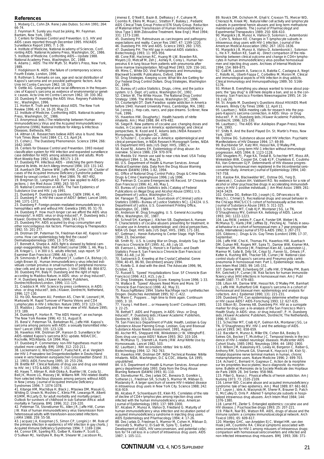#### **References**

1. Moberg CL, Cohn ZA. Rene Jules Dubos. Sci Am 1991; 264: 66-74.

2. Feynman R. Surely you must be joking, Mr. Feynman. Bantam, New York, 1985. 3. Centers for Disease Control and Prevention. U.S. HIV and

AIDS cases reported through December 1995. HIV/AIDS Surveillance Report 1995; 7: 1-39.

4. Institute of Medicine, National Academy of Sciences. Conf-<br>ronting AIDS. National Academy Press, Washington, DC, 1986.<br>5. Institute of Medicine. Confronting AIDS—Update 1988.<br>National Academy Press, Washington, DC, 1988

7. Hodgkinson N. AIDS: the failure of contemporary science.

Fourth Estate, London, 1996.<br>8. Rothman S. Remarks on sex, age and racial distribution of<br>Kaposi's sarcoma and on possible pathogenic factors. Acta<br>Unio Int Contra Cancrum 1962; 18: 326.<br>9. Oettle AG. Geographical and raci

Inc., Washington, 1996.<br>11. Horton R. Truth and heresy about AIDS. The New York<br>Review 1996; 43: 14, 16-20, May 23.<br>12. Institute of Medicine. Confronting AIDS. National Academy<br>Press, Washington, DC, 1986.<br>13. Anonymous (

Immunodeficiency Virus and the Acquired Immunodeficiency Syndrome (1996), National Institute for Allergy & Infectious Diseases, Bethesda, MD.

14. Altman LK. Researchers believe AIDS virus is found. New York Times (New York) 1984: C1, C3, April 24. 15. Cohen J. The Duesberg Phenomenon. Science 1994; 266: 1642-1649.

16. Centers for Disease Control and Prevention. 1993 revised classification system for HIV infection and expanded surveillance

case definition for AIDS among adolescents and adults. Morb<br>Mort Weekly Rep 1992; 41(No. RR17): 1-19.<br>17. Duesberg PH. Infectious AIDS – stretching the germ theory<br>beyond its limits. Int Arch Allergy Immunol 1994; 103: 131

19. Bregman DJ, Langmuir AD. Farr's law applied to AIDS pro-<br>jections. J Am Med Assoc 1990; 263: 50-57.<br>20. National Commission on AIDS. The Twin Epidemics of<br>Substance Use and HIV. July 1991.<br>21. Duesberg P. Is HIV the ca

346: 1371-1372.

23. Duesberg P. Foreign-protein-mediated immunodeficiency in hemophiliacs with and without HIV. Genetica 1995; 95: 51-70. 24. Duesberg P. How much longer can we afford the AIDS virus monopoly?, in AIDS: virus or drug-induced?, P. Duesberg (eds.) Kluwer, Dordrecht, Netherlands, 1996; 241-270.

25. Duesberg PH. AIDS acquired by drug consumption and other noncontagious risk factors. Pharmacology & Therapeutics 1992; 55: 201-277.

26. Drotman DP, Peterman TA, Friedman-Kien AE. Kaposi's sar-<br>coma. How can epidemiology help find the cause?<br>Dermatoepidemiology 1995; 13: 575-582.<br>27. Bennett A, Sharpe A. AIDS fight is skewed by federal cam-<br>paign exagge

P. H. Duesberg (eds.) Kluwer Academic Publishers, Dordrecht/Boston/London, 1996; 111-125. 31. Craddock M. HIV: Science by press conference, in AIDS:

virus- or drug induced?, (eds.) Kluwer, Dordrecht, Netherland, 1996; 127-130. 32. Ho DD, Neumann AU, Perelson AS, Chen W, Leonard JM,

Markowitz M. Rapid Turnover of Plasma Virions and CD4 Lymphocytes in HIV-1 Infection. Nature 1995; 373: 123-126. 33. Maddox J. Duesberg and the new view of HIV. Nature 1995;

373: 189.<br>
21. Duesberg P, Horton R. "The AIDS Heresy": an exchange.<br>
31. Duesberg P, Horton R. "The AIDS Heresy": an exchange.<br>
35. Beral V, Peterman TA, Berkelman RL, Jaffe HW. Kaposi's<br>
sarcoma among persons with AIDS:

Beil JK, Moore LG, Massey JW, Williams NM. HIV-related deaths<br>from selected infectious diseases among persons without AIDS<br>in New Jersey. Journal of Acquired Immune Deficiency<br>Syndromes 1994; 7: 1074-1078.<br>41. Kitange HM,

mortality in Tanzania. BMJ 1996; 312: 216-220.<br>42. Peterman TA, Stoneburner RL, Allen JR, Jaffe HW, Curran<br>JW. Risk of human immunodeficiency virus transmission from<br>heterosexual adults with transfusion-associated infectio

the primary infection in epidemics of HIV infection in gay chorts. J<br>Acquired Immune Deficiency Syndromes 1994; 7: 1169-1184.<br>44. Connor EM, Sperling RS, Gelber R, Kiselev P, Scott G,<br>O'Sullivan MJ, VanDyke R, Bey M, Shear

Jimenez E, O'Neill E, Bazin B, Delfraissy J-F, Culnane M, Coombs R, Elkins M, Moye J, Stratton P, Balsley J, Pediatric AIDS Clinical Trials Group Protocol 076 Study Group. Reduction

of Maternal-Infant Transmission of Human Immunodeficiency<br>Virus Type 1 With Zidovudine Treatment. New Engl J Med 1994;<br>431: 1173-1180.<br>45. Duesberg PH. Retroviruses as carcinogens and pathogens:<br>expectations and reality. C

51. Bureau of Justice Statistics. Drugs, crime, and the justice system. U.S. Dept. of Justice, Washington DC, 1992. 52. Clinton W, The White House. The National Drug Control<br>Strategy: 1996. The White House, Washington DC, 1996.<br>53. Courtwright DT. Dark Paradise: opiate addiction in America<br>before 1940. Harvard University Press, Cambridg

55. Haverkos HW, Dougherty J. Health hazards of nitrite inhalants. Am J Med 1988; 84: 479-482. 56. Siegel R. New patterns of cocaine use: changing doses and

routes, in Cocaine use in America: epidemiologic and clinical perspectives, N. Kozel and E. Adams (eds.) NIDA Research Monographs, Washington DC, 1985; 57. Schuster C. Cocaine use in America: epidemiological and

clinical perspectives, in NIDA Research Monograph Series, NIDA<br>US Department HHS (eds.) US Dept. HHS, 1985; v.<br>58. Kozel NJ, Adams EH. Epidemiology of drug abuse: An<br>overview. Science 1986; 234: 970-974.<br>59. Meddis SV. Her

60. U.S. Department of Health & Human Services. Annual Medical Examiner data. Data from the Drug Abuse Warning Network (DAWN) 1994; 1-82, 1994.

61. Office of National Drug Control Policy. Drugs & Crime Data.<br>Drugs & Crime Clearinghouse 1996; July 1996.<br>62. Perlman D. Cocaine Emergencies Hit Record. SF Chronicle<br>(San Francisco) 1996: A1, A9, May 1.<br>63. Bureau of Ju

Washington, DC, 1989.<br>65. Anderson W. Drug Smuggling. U. S. General Accounting<br>Office, Washington, DC, 1987.<br>66. Schnoll SH, Karrigan J, Kitchen SB, Daghestani A, Hansen<br>66. Schnoll SH, Karrigan J, Kitchen SB, Daghestani A

Statistics Prove It. San Francisco Chronicle (San Francisco) 1996: A1-A8, Jul 30. 70. Sadownick D. Kneeling at the Crystal Cathedral. Genre

1994; 40-45, 86-90, December/January 1994.

71. Rotello G. A deal with the devil. The Advocate 1996; 96,<br>October, 15.<br>72. Russell S. 'Speed' Hospitalizations Soar. SF Chronicle (San<br>Francisco) 1996: A13, A15, July 2.<br>73. Drug Strategies. Keeping Score. Keeping Score

77. Young I. Hell Bent ... or Heavenly Scent? Continuum 1995; 3: 22-25.

78. Bethell T. AIDS and Poppers, in AIDS: Virus- or Drug Induced?, P. Duesberg (eds.) Kluwer Academic Publishers, Dordrecht, 1996; 315-323.

79. San Francisco Department of Public Health, Lesbian & Gay Substance Abuse Planning Group. Lesbian, Gay and Bisexual Substance Abuse Needs Assessment. 1991, August. 80. Ascher MS, Sheppard HW, Winkelstein Jr W, Vittinghoff E. Does drug use cause AIDS? Nature 1993; 362: 103-104. 81. McManus TJ, Starrett LA, Harris JRW. Amyl Nitrite Use by

Homosexuals. Lancet 1982; 503.<br>82. Lauritsen J. NIH reconsiders nitrites' link to AIDS.<br>Biotechnology 1994; 12: 762-763.<br>83. Haverkos HW, Drotman DP. NIDA Technical Review: Nitrite<br>Inhalants. NIDA, Washington, D.C & CDC, A

unpublished.

84. U.S. Department of Health & Human Services. Annual emer-<br>gency department data 1993. Data from the Drug Abuse<br>Warning Network (DAWN) 1993; 81-110.<br>85. Stoneburner RL, Des Jarlais DC, Benezra D, Gorelkin L,<br>Sotheran JL,

in intravenous drug users in New York City. Science 1988; 242:<br>916-919.<br>86. Alcabes P, Schoenbaum EE, Klein RS. Correlates of the rate of decline of CD4+ lymphocytes among injection drug users<br>of decline of CD4+ lymphocyte tors for T4 cell loss in a cohort of intravenous drug users. AIDS 1987; 1: 105-111.

89. Novick DM, Ochshorn M, Ghali V, Croxson TS, Mercer WD, Chiorazzi N, Kreek MJ. Natural killer cell activity and lymphocyte subsets in parenteral heroin abusers and long-term methadone maintenance patients. The Journal o

men and injecting drug users. Archives of Internal Medicine<br>1994; 154: 869-875.<br>92. Galli M, Lazzarin A, Saracco A, Balotta C, Castagna A, Negri<br>C, Ridolfo AL, Uberti-Foppa C, Corbellino M, Moroni M. Clinical<br>and immunolog

S176. 93. Mirken B. Everything you always wanted to know about pop-pers; the "gay drug" is still here despite a ban, and so is the con-troversy. San Francisco Frontiers Newsmagazine 1995; 14: 16-

19, July 20.<br>94. St. Angelo M. Duesberg's Questions About HIV/AIDS Merit<br>Answers. Windy City Times 1996: 12, April 11.<br>95. Lauritsen J. NIDA meeting calls for research into the pop-<br>95. Lauritsen J. NIDA meeting calls for

York, 1993.

97. Shilts R. And the Band Played On. St. Martin's Press, New York, 1987.

98. Ostrow DG. Substance abuse and HIV infection. Psychiatric<br>Manifestations of HIV Disease 1994; 17: 69-89.<br>99. Buchbinder SP, Katz MH, Hessol NA, O'Malley PM,<br>Holmberg SD. Long-term HIV-1 infection without immunologic<br>pr

747-758.<br>101. Kaslow RA, Blackwelder WC, Ostrow DG, Yerg D,<br>Palenicek J, Coulson AH, Valdiserri RO. No evidence for a role of<br>alcohol or other psychoactive drugs in accelerating immunodefi-<br>ciency in HIV-1-positive individ

102. Ostrow DG, Beltran ED, Joseph JG, DiFranceisco W, Wesch J, Chmiel JS. Recreational drugs and sexual behavior in the Chicago MACS/CCS cohort of homosexually active men. Journal of Substance Abuse 1993; 5: 311-325.

103. Schechter MT, Craib KJP, Montaner JSG, Le TN, O'Shaughnessy MV, Gelmon KA. Aetiology of AIDS. Lancet 1993; 341: 1222-1223.

104. Lau RKW, Jenkins P, Caun K, Forster SM, Weber JN,<br>McManus TJ, Harris JRW, Jeffries DJ, Pinching AJ. Trends in sexu-<br>al behaviour in a cohort of homosexual men: a 7 year prospective-<br>study. International Journal of STD September.

106. Jaffe HW, Choi K, Thomas PA, Haverkos HW, Auerbach DM, Guinan ME, Rogers MF, Spira TJ, Darrow WW, Kramer MA, Friedman SM, Monroe JM, Friedman-Kien AE, Laubenstein LJ, Marmor M, Safai B, Dritz SK, Crispi SJ, Fannin SL, Orkwis JP, Kelter A, Rushing WR, Thacker SB, Curran JW. National case-control study of Kaposi's sarcoma and Pneumocystis carinii

pneumonia in homosexual men: Part 1, Epidemiologic results.<br>Ann Intern Med 1983; 99: 145-151.<br>107. Darrow WW, Echenberg DF, Jaffe HW, O'Malley PM, Byers<br>RH, Getchell JP, Curran JW: Risk factors for human immunode-<br>ficiency

TN, O'Shaughnessy MV. HIV-1 and the aetiology of AIDS. Lancet 1993; 341: 658-659.

112. Bacellar H, Munoz A, Miller EN, Cohen BA, Besley D,<br>Selnes OA, Becker JT, McArthur JC. Temporal trends in the inci-<br>dence of HIV-1-related neurologic diseases: Multicenter AIDS<br>Cohort Study, 1985-1992. Neurology 1994;

Striatal dopamine nerve terminal markers in human, chronic metamphetamine users. Nature Medicine 1996; 2: 699-703. 114. Achard C, Bernard H, Gagneux C. Action de la morphine

sur les proprietes leucocytaires; leuco-diagnostic du morphin-isme. Bulletin et Memoires de la Societe Medicale des Hopitaux de Paris 1909; 28, 3rd Series: 958-966.

115. Pillari G, Narus J. Physical effects of heroin addiction. Am J<br>Nursing 1973; 73: 2105-2109.<br>116. Lerner WD. Cocaine abuse and acquired immunodeficiency<br>116. Lerner WD. Cocaine abuse and acquired immunodeficiency<br>syndr

1376-1380. 118. Larrat PE, Zierler S. Entangled epidemics: cocaine use and HIV disease. J Psychoactive drugs 1993; 25: 207-221. 119. Pillai R, Nair BS, Watson RR. AIDS, drugs of abuse and the immune system: a complex immunotoxicological network. Arch Toxicol 1991; 65: 609-617.

120. Mientjes GHC, van Ameijden EJC, Weigel HM, van den Hoek JAR, Countinho RA. Clinical symptoms associated with seroconversion for HIV-1 among misusers of intravenous drugs: comparison with homosexual seroconverters and infected and non-infected intravenous drug misusers. BMJ 1993; 306: 371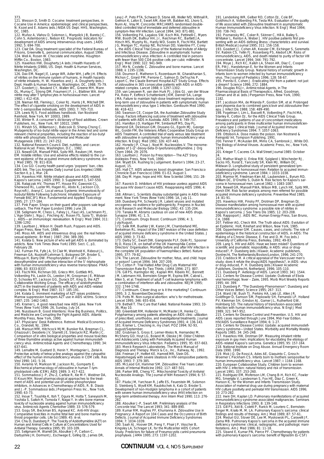373.

121. Wesson D, Smith D. Cocaine: treatment perspectives, in<br>Cocaine Use in America: epidemiologic and clinical perspectives<br>N. Kozel and E. Adams (eds.) NIDA US Dept. HHS, Washington,

DC, 1985. 122. Muñoz A, Vlahov D, Solomon L, Margolick JB, Bareta JC, Cohn S, Astemborski J, Nelson KE. Prognostic indicators for development of AIDS among intranvenous drug users. JAIDS 1992; 5: 694-700.

123. Clair DA. Drug treatment specialist of the Federal Bureau of

Prisons, Greenville IL. personal communication, August 1996.<br>124. Weil A, Rosen W. Chocolate and morphine. Houghton<br>Mifflin Co., Boston, 1983.<br>125. Haverkos HW, Dougherty JA (eds.) Health Hazards of<br>Nitrite Inhalants (1988 Dept. Health & Human Services, Washington, DC, 1988; 75-79.<br>127. Goedert JJ, Neuland CY, Wallen WC, Greene MH, Mann<br>DL, Murray C, Strong DM, Fraumeni JF, Jr., Blattner WA. Amyl<br>nitrite may alter T lymphocytes in homosexual

128. Nieman RB, Fleming J, Coker RJ, Harris JR, Mitchell DM.<br>The effect of cigarette smoking on the development of AIDS in<br>HIV-1-seropositive individuals. AIDS 1993; 7: 705-710.<br>129. Lewis RJS. Food additives handbook. Van

132. National Research Council. Diet, nutrition, and cancer. National Acad. Press, Washington, D.C., 1982. 133. Newell GR, Mansell PWA, Spitz MR, Reuben JM, Hersh

EM. Volatile nitrites: Use and adverse effects related to the cur-<br>rent epidemic of the acquired immune deficiency syndrome. Am<br>J Med 1985; 78: 811-816.<br>134. Cox GD. County health panel urges 'poppers' ban, cites<br>AIDS link

Kaposi's sarcoma. JAIDS 1990; 3: Supplement 1, S47-S50.<br>136. Ratajczak HV, Thomas PT, House RV, Gaworski CL,<br>Sherwood RL, Luster MI, Hagen KL, Abdo K, Jackson CD,<br>Roycroft J, Aranyi C. Local versus Systemic Immunotoxicity

1995; 27: 177-184. 137. Pink Paper. Shops on their guard after poppers sale legal setback. The Pink Paper (London) 1996: June 28.

138. Seligmann M, Chess L, Fahey JL, Fauci AS, Lachmann PJ,<br>L'Age-Stehr J, Ngu J, Pinching AJ, Rosen FS, Spira TJ, Wybran<br>J. AIDS—an immunologic reevaluation. N Engl J Med 1984; 311:

1286-1292.<br>139. Lauritsen J, Wilson H. Death Rush, Poppers and AIDS.<br>Pagan Press, New York, 1986.<br>140. Moss AR. AIDS and intravenous drug use: the real hetero-<br>sexual epidemic. Br Med J 1987; 294: 389-390.<br>141. Kolata G. N

February 28.<br>142. Furman PA, Fyfe JA, St Clair M, Weinhold K, Rideout JL,<br>Freeman GA, Nusinoff-Lehrman S, Bolognesi DP, Broder S,<br>Mitsuya H, Barry DW. Phosphorylation of 3'-azido-3'-<br>deoxythymidine and selective interactio with human immunodeficiency virus reverse transcriptase. PNAS

1986: 83: 8333-8337.<br>143. Fischl MA, Richman DD, Grieco MH, Gottlieb MS,<br>Volberding PA, Laskin OL, Leedon JM, Groopman JE, Mildvan<br>D, Schooley RT, Jackson GG, Durack DT, King D, the AZT<br>Collaborative Working Group. The eff

1987: 235: 1462-1463.<br>145. Kramer L. A good news/bad new AIDS joke. New York<br>Times (New York) 1996: 26, Sunday, July 14.<br>146. Nussbaum B. Good Intentions: How Big Business, Politics,<br>and Medicine are Corrupting the Fight A

147. Physicians' Desk Reference. Retrovir. Medical Economics Co., Orandell, NJ, 1994. 148. Mansuri MM, Hitchcock MJM, Buroker RA, Bregman CL,

Ghazzouli I, Desiderio JV, Starrett JE, Sterzycki RZ, Martin JC.<br>Comparison of in vitro biological properties and mouse toxicities<br>of three thymidine analogs active against human immunodefi-<br>ciency virus. Antimicrobial Age

149. Lemaître M, Guetard D, Henin Y, Montagnier L, Zerial A. Protective activity of tetracycline analogs against the cytopathic effect of the human immunodeficiency viruses in CEM cells. Res enect of the numan immunodenciency viruses in Central<br>Virol 1990; 141: 5-16.<br>150. Avramis VI, Markson W, Jackson RL, Gomperts E

150. Avramis VI, Markson W, Jackson RL, Gomperts E.<br>Biochemical pharmacology of zidovudine in human T-lym-<br>Biochemical pharmacology of zidovudine in human T-lym-<br>phoblastoid cells (CEM). AIDS 1989; 3: 417-422.<br>El Kouni MH.

1990; 63-73.

152. Inoue T, Tsushita K, Itoh T, Ogura M, Hotta T, Saneyoshi M,<br>Yoshida S, Saitoh H, Tomoda Y, Nagai Y. In vitro bone marrow<br>toxicity of nucleoside analog against human immunodeficiency<br>virus. Antimicrob Agents Chemother

Comparative toxicities in murine fetal liver and bone marrow ery-throid progenitor cells. Life Sci 1989; 45: iii-vii. 154. Chiu D, Duesberg P. The Toxicity of Azidothymidine (AZT) on Human and Animal Cells in Culture at Concentrations Used for Antiviral Therapy. Genetica 1995; 95: 103-109. 155. Seligmann M, Warrell DA, Aboulker J-P, Carbon C,

Darbyshire JH, Dormont J, Eschwege E, Girling DJ, James DR,

Levy J-P, Peto PTA, Schwarz D, Stone AB, Weller IVD, Withnall R, Gelmon K, Lafon E, Swart AM, Aber VR, Babiker AG, Lhoro S, Nunn AJ, Vray M. Concorde: MRC/ANRS randomised double-blind controlled trial of immediate and deferred zidovudine in symptom-free HIV infection. Lancet 1994; 343: 871-881.<br>156. Volberding PA, Lagakos SW, Koch MA, Pettinelli C, Myers<br>MW, Booth DK, Balfour HH, Jr., Reichman RC, Bartlett JA,<br>Hirsch MS, Murphy RL, Hardy WD, Soeiro R, Fischl and Infectious Disease. Zidovudine in asymptomatic human<br>immunodeficiency virus infection: A controlled trial in persons<br>with fewer than 500 CD4-positive cells per cubic millimeter. N<br>Engl J Med 1990; 322: 941-949.<br>157. Mi

1988; ii: 1195-1196. 158. Dournon E, Matheron S, Rozenbaum W, Gharakhanian S, Michon C, Girard PM, Perrone C, Salmon D, DeTruchis P, Leport C, the Claude Bernard Hospital AZT Study Group. Effects

of zidovudine in 365 consecutive patients with AIDS or AIDS-<br>related complex. Lancet 1988; ii: 1297-1302.<br>159. van Leeuwen R, van den Hurk PJ, Jöbis GJ, van der Wouw<br>PA, Reiss P, Eeftinck Schattenkerk JKM, Danner SA, Lange long-term use of zidovudine in patients with symptomatic human immunodeficiency virus type 1 infection. Genitourin Med 1990;

66: 418-422.<br>160. Swanson CE, Cooper DA, the Australian Zidovudine Study<br>Group. Factors influencing outcome of treatment with zidovudine<br>of patients with AIDS in Australia. AIDS 1990; 4: 749-757.<br>161. Hamilton JD, Hartigan

AIDS Treatment. A controlled trial of early versus late treatment<br>with zidovudine in symptomatic human immunodeficiency virus<br>infection. N Engl J Med 1992; 326: 437-443.<br>162. Horwitz JP, Chua J, Noel M. Nucleosides.V. The

163. Lauritsen J. Poison by Prescription—The AZT Story. Asklepios Press, New York, 1990. 164. Wyatt EA. Rushing to Judgement. Barron's 1994; 23-27,

August, 15.

165. Hall CT. AIDS advances boost drugmaker. San Francisco Chronicle (San Francisco) 1996: E1-E2, August 1. 166. Day M. Hype, hope and HIV. New Scientist 1996; 151: 28-

31. 167. Rasnick D. Inhibitors of HIV protease useless against AIDS because HIV doesn't cause AIDS. Reappraising AIDS 1996; 4: 1-4.

168. Altman L. Scientists display substantial gains in AIDS treat-

ment. New York Times (New York) 1996: 1A, July 11.<br>169. Duesberg PH, Schwartz JR. Latent viruses and mutated<br>oncogenes: no evidence for pathogenicity. Progress in Nucleic<br>Acid Research and Molecular Biology 1992; 43: 135-2 170. Tanaka M. Abrams cautious on use of new AIDS drugs. Synapse 1996; 41: 1, 5. 171. Continuum. Drugs Boost. Continuum 1996; 4: 3,

July/August. 172. Selik RM, Buehler JW, Karon JM, Chamberland ME, Berkelman RL. Impact of the 1987 revision of the case definition of acquired immune deficiency syndrome in the United States. J

AIDS 1990; 3: 73-82.<br>173. Darby SC, Ewart DW, Giangrande PLF, Dolin PJ, Spooner<br>RJD, Rizza CR, on behalf of the UK Haemophilia Centre<br>Directors' Organisation. Mortality before and after HIV infection in<br>the complete UK pop

174. The Lancet. Zidovudine for mother, fetus, and child: hope<br>or poison? Lancet 1994; 344: 207-209.<br>175. Cotton P. Trial Halted After Drug Cuts Maternal HIV<br>Transmission Rate By Two Thirds. JAMA 1994; 271: 807.<br>176. Gill 332: 1744-1748.

177. Continuum. Clever drug or is it the marketing? Continuum 1995; 3: 2, November/December. 178. Potts M. Non-surgical abortion: who's for methotrexate.

Lancet 1995; 346: 655-656. 179. Bethell T. The Cure that Failed. National Review 1993; 33-

36, May 10. 180. Greenblatt RM, Hollander H, McMaster JR, Henke CJ.

Polypharmacy among patients attending an AIDS clinic: utilization of prescribed, unorthodox, and investigational treatments. Journal of Acquired Immune Deficiency Syndromes 1991; 4: 136-143. 181. Kramer L. Checking in, my chart. POZ 1994; 92-93,

August/September.<br>182. Grubman S, Gross E, Lerner-Weiss N, Hernandez M,<br>McSherry GD, Hoyt LG, Boland M, Oleske JM. Older Children<br>and Adolescents Living with Perinatally Acquired Human Immunodeficiency Virus Infection. Pediatrics 1995; 95: 657-663.<br>183. Merck Research Laboratories. The Merck Manual of<br>Diagnosis and Therapy. Merck & Co., Inc., Rahway, NJ, 1992.<br>184. Freiman JP, Helfert KE, Hamrell MR, Ste

Hepatomegaly with severe steatosis in HIV-seropositive patients.<br>AIDS 1993; 7: 379-385.<br>185. McLeod GX, Hammer SM. Zidovudine: Five Years Later.<br>Annals of Internal Medicine 1992; 117: 487-501.<br>186. Parker WB, Cheng YC. Mit

61.<br>187. Pluda JM, Yarchoan R, Jaffe ES, Feuerstein IM, Solomon<br>D, Steinberg S, Wyvill KM, Raubitschek A, Katz D, Broder S.<br>Development of non-Hodgkin lymphoma in a cohort of patients<br>with severe human immunodeficiency vir

282.<br>188. Aboulker J-P, Swart AM. Preliminary analysis of the<br>Concorde trial. The Lancet 1993; 341: 889-890.<br>189. Kumar RM, Hughes PF, Khurranna A. Zidovudine Use in<br>Defects. Journal of Acquired Immune Deficiency Syndromes

190. Saah AJ, Hoover DR, Peng Y, Phair JP, Visscher B, Kingsley LA, Schrager LK, for the Multicenter AIDS Cohort Study. Predictors for failure of Pneumocystis carinii pneumonia prophylaxis. JAMA 1995; 273: 1197-1202.

191. Lenderking WR, Gelber RD, Cotton DJ, Cole BF, Goldhirsch A, Volberding PA, Testa MA. Evaluation of the quality of life associated with Zidovudine treatment in asymptomatic Human Immunodeficiency Virus infection. N Engl J Med 1994;

330: 738-743. 192. Poznansky MC, Coker R, Skinner C, Hill A, Bailey S, Whitaker L, Renton A, Weber J. HIV positive patients first pre-

senting with an AIDS defining illness: characteristics and survival.<br>British Medical Journal 1995; 311: 156-158.<br>193. Goederf JJ, Cohen AR, Kessler CM, Eichinger S, Seremetis<br>SV, Rabkin CS, Yellin FJ, Rosenberg PS, Aledort

infants born to women infected by human immunodeficiency<br>virus. The Journal of Pediatics 1996; 128: 58-67.<br>195. Pennisi E, Cohen J. Eradicating HIV from a patient: not just<br>a dream? Science 1996; 272: 1884.<br>196. Douglas RG

197. Jacobson MA, de Miranda P, Gordon SM, et al. Prolonged pancytopenia due to combined ganciclovir and zidovuduine ther-apy. J Infect Dis 1988; 158: 489-490.

198. Fogelman I, Lim L, Bassett R, Volberding P, Fischl MA, Stanley K, Cotton DJ, for the AIDS Clinical Trials Group. Prevalence and patterns of use of concomitant medications among participants in three multicenter human immunodeficien-cy virus type 1 clinical trials. Journal of Acquired Immune Deficiency Syndromes 1994; 7: 1057-1063.

199. Ottoboni A. Dose makes the poison. Van Nostrand & Reingold/ Int. Tompson Publishing, 1991. 200. Fenner F, McAuslan BR, Mims CA, Sambrook J, White DO.

The Biology of Animal Viruses. Academic Press, Inc., New York, 1974.

201. Krieger T, Caceres CA. Wall Street Journal 1985: October

24.<br>202. Mathur-Wagh U, Enlow RW, Spigland I, Winchester RJ,<br>Sacks HS, Rorat E, Yancovitz SR, Klein MJ, William DC,<br>Mildwan D. Longitudinal study of persistent generalized lym-<br>phadenopathy in homosexual men: Relation to a William DC, D'Onofrio S, Dubin N. Risk factors for Kaposi's sar-<br>coma in homosexual men. Lancet 1982; i: 1083-1087.<br>204. Newell GR, Mansell PWA, Wilson MB, Lynch HK, Spitz MR,<br>Hersh EM. Risk factor analysis among men refer 14: 81-91.

205. Haverkos HW, Pinsky PF, Drotman DP, Bregman DJ.<br>Disease manifestation among homosexual men with acquired<br>Immunodeficiency syndrome: a possible role of nitrites in<br>Kaposi's sarcoma. J Sex Trans Dis 1985; 12: 203-208.<br>2

207. Fettner AG, Check WA. The Truth about AIDS: Evolution of an Epidemic. Holt, Rinehart and Wilson, New York, 1985. 208. Oppenheimer GM. Causes, cases, and cohorts: The role of epidemiology in the historical construction of AIDS, in AIDS: The Making of a Chronic Disease, E. Fee and D. M. Fox (eds.)<br>University of California Press, Berkeley, 1992; 49-83.<br>209. Lang S. HIV and AIDS: Have we been misl

210. Craddock M. A critical appraisal of the Vancouver men's<br>study; does it refule the drugs/AIDS hypothesis?, in AIDS: virus<br>or drug-induced, P. H. Duesberg (eds.) Kluwer Academic<br>Publishers, Dordrecht, Netherland, 1996;

213. Duesberg P. "The Duesberg-Phenomenon": Duesberg and<br>Other Voices (letter). Science 1995; 267: 313.<br>214. Ward JW, Bush TJ, Perkins HA, Lieb LE, Allen JR,<br>Goldfinger D, Samson SM, Pepkowitz SH, Fernando LP, Holland<br>PV,

1989: 321: 947-952.<br>215. Centers for Disease Control and Prevention. U.S. HIV and<br>215. Centers for Disease Control and Prevention.<br>HIV/AIDS Surveillance Report 1994; 6: 1-27.<br>216. Centers for Disease Control. Update: acqui

219. Mok JQ, De Rossi A, Ades AE, Giaquinto C, Grosch-<br>Woerner I, Peckham CS. Infants born to mothers seropositive for<br>human immunodeficiency virus. Lancet 1987; i: 1164-1168.<br>220. European Collaborative Study. Children bo

Lancet 1991; 337: 253-260.<br>221. Rodriguez EM, Mofenson LM, Chang B-H, Rich KC, Fowler<br>MG, Smeriglio V, Landesman S, Fox HE, Diaz C, Green K,<br>Hanson IC, for the Women and Infants Transmission Study.<br>Association of maternal

222. Irwin DH, Kaplan LD. Pulmonary manifestations of acquired<br>immunodeficiency syndrome-associated malignancies. Seminars<br>in Respiratory Infections 1993; 8: 139-148.<br>223. Gill PS, Akil B, Coletti P, Rarick M, Louriero C,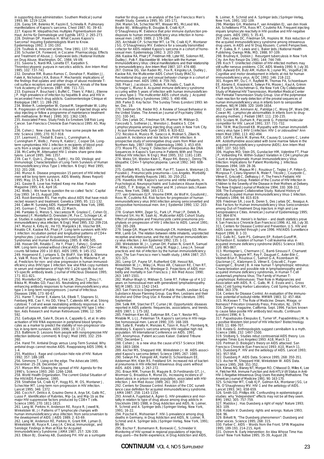in supporting dose administration. Southern Medical Journal

1993; 86: 1219-1224. 226. Garay SM, Belenko M, Fazzini E, Schinella R. Pulmonary manifestations of Kaposi's sarcoma. Chest 1987; 91: 39-43. 227. Kaposi M. Idiopathisches multiples Pigmentsarkom der Haut. Archiv für Dermatologie und Syphilis 1872; 2: 265-273. 228. Drotman DP, Haverkos H. What Causes Kaposi's

Sarcoma? Inquiring Epidemiologists Want to Know.<br>
Epidemiology 1992; 3: 191-193.<br>
Epidemiology 1992; 3: 191-193.<br>
Epidemiology 1992; 3: 191-193.<br>
230. Schuster CR. Foreword, in Cocaine: Pharmacology, Effects<br>
and Treatment

cell surface receptors and antigenic markers. Annals of the New<br>York Academy of Sciences 1987: 496: 711-721.<br>233. Espinoza P, Bouchard I, Buffet C, Thiers V, Pillot J, Etienne<br>JP. High prevalence of infection by hepatitis

stop injecting or follow a programme of maintenance treatment with methadone. Br Med J 1990; 301: 1362-1365. 235. Associated Press. Study Finds Ex-Smokers Still Risk Lung

Cancer. San Francisco Chronicle (San Francisco) 1995: A5, May

23. 236. Cohen J. New clues found to how some people live with

HIV. Science 1995; 270: 917-918.<br>237. Learmont J, Tindall B, Evans L, Cunningham A,<br>Cunningham P, Wells J, Penny R, Kaldor J, Cooper DA. Long-<br>term symptomless HIV-1 infection in recipients of blood prod-<br>ucts from a singl

tyions. Lancet 1995; 346: 1357.<br>239. Cao Y, Quin L, Zhang L, Safrit J, Ho DD. Virologic and<br>Immunologic Characterization of Long-Term Survivors of Human<br>Immunodeficiency Virus Type 1 Infection. N Engl J Med 1995;

332: 201-208.<br>
240: Munoz A. Disease progression 15 percent of HIV-infected<br>
240. Munoz A. Disease progression 15 percent of HIV-infected<br>
men will be long-term survivors. AIDS Weekly, (News Report)<br>
1995: May, 15 & 29: 5-

247. Munoz A, Kirby AJ, He YD, Margolick JB, Visscher BR,<br>Rinaldo CR, Kaslow RA, Phair JP. Long-term survivors with HIV-<br>Timection: incubation period and longitudinal patterns of CD4+<br>lymphocytes. Journal of Acquired Immun in serum and maintenance of high HIV-1 p24-specific but not V3-specific antibody levels. Journal of Infectious Diseases 1995; 171: 811-821.

250. Montefiori DC, Pantaleo G, Fink LM, Zhou JT, Zhou JY, Bilska M, Miralles GD, Fauci AS. Neutralizing and infection-enhancing antibody responses to human immunodeficiency virus type 1 in long-term nonprogressors. Journal of Infectious Diseases 1996; 173: 60-67. 251. Harrer T, Harrer E, Kalams SA, Elbeik T, Staprans SI,

Feinberg MB, Cao Y, Ho DD, Yilma T, Caliendo AM, et al. Strong<br>cytotoxic T cell and weak neutralizing antibody responses in a<br>subset of persons with stable nonprogressing HIV type 1 infec-<br>tion. Aids Research and Human Ret

252. Garbulgia AR, Salvi R, Dicaro A, Cappiello G, et al. In vitro activation of HIV RNA expression in peripheral blood lympho-cytes as a marker to predict the stability of non-progressor sta-tus in long-term survivors. AIDS 1996; 10: 17-21.

253. Baltimore D. Lessons from people with nonprogressive HIV infection (editorial; comment). N Engl J Med 1995; 332: 259- 260.

254. Hand TH. Antiviral Drugs versus Long-Term Survival; Why antiviral drugs cannot resolve AIDS. Reappraising AIDS 1996; 4:  $1 - 4.$ 

255. Maddox J. Rage and confusion hide role of HIV. Nature

1992; 357: 188-189,<br>256. Simmons T. Living on the edge. The Advocate 1995;<br>December: 25-28, December 26.<br>257. Merson MH. Slowing the spread of HIV: Agenda for the<br>1990's. Science 1993; 260: 1266-1268.<br>258. World Health Org

260. Cocchi F, DeVico A, Grazino-Demo A, Arya SK, Gallo RC,<br>Lusso P. Identification of Rabntes, Mip-1a, and Mip-1b as the<br>major HIV-suppressive factors produced by CD8+ T cells.<br>Science 1995: 270: 1811-1815.<br>261. Lang W, P

Winkelstein W, Royce R, Levy JA. Clinical, Immunologic, and<br>Serologic Findings in Men at Risk for Acquired<br>Immunodeficiency Syndrome. JAMA 1987; 257: 326-330.<br>263. Ellison BJ, Downey AB, Duesberg PH. HIV as a surrogate

marker for drug-use: a re-analysis of the San Francisco Men's<br>Health Study. Genetica 1995; 95: 165-171.<br>264. Marion SA, Schechter MT, Weaver MS, McLeod WA,<br>Boyko WJ, Willoughby B, Douglas B, Craib KJP,

O'Shaughnessy M. Evidence that prior immune dysfunction pre-<br>disposes to human immunodeficiency virus infection in homo-<br>sexual men. JAIDS 1989; 2: 178-186.<br>265. Archibald CP, Schechter MT, Le TN, Craib KJP, Montaner<br>JSG,

Immunodeficiency Virus: clinical manifestations and their relationship<br>to immunodeficiency. Ann Intern Med 1987; 107: 474-480.<br>267. Ostrow DG, Van Raden MJ, Fox R, Kingsley LA, Dudley J,<br>Kaslow RA, the Multicenter AIDS Coh

151: 330-341. 271. Des Jarlais DC, Friedman SR, Marmor M, Mildvan D, Yancovitz S, Sotheran JL, Wenston J, Beatrice S. CD4<br>Lymphocytopenia among injecting drug users in New York City.<br>J Acquir Immune Defic Syndr 1993; 6: 820-822.<br>272. Nicolosi A, Musico M, Saracco A, Molinari S, Ziliani N,<br>L Northern Italy, 1987-1989. Epidemiology 1990; 1: 453-459. 273. Moore PS, Chang Y. Detection of Herpesvirus-like DNA Sequences in Kaposi's Sarcoma in Patients With and Those Without HIV Infection. N Engl J Med 1995; 332: 1181-1185. 274. Weiss SH, Weston Klein C, Mayur RK, Besra J, Denny TN. Idiopathic CD4+ T-lymphocytopenia. Lancet 1992; 340: 608- 609.

275. Gottlieb MS, Schanker HM, Fan PT, Saxon A, Weisman JD,

Pozalski J. Pneumocystis pneumonia—Los Angeles. Morbidity<br>and Mortality Weekly Reports 1981; 30: 250-252.<br>276. Haverkos HW. Kaposi's sarcoma and nitrite inhalants, in<br>Psychological, Neuropsychiatic and Substance Abuse Aspe

278. Graham NMH, Zeger SL, Park LP, Phair JP, Detels R, Vermund SH, Ho M, Saah AJ, Multicenter AIDS Cohort Study. Effect of zidovudine and Pneumocystis carinii pneumonia prophylaxis on progression of HIV-1 infection to AIDS. Lancet 1991; 338: 265-269. 279. Seage GR, Mayer KH, Horsburgh CR, Holmberg SD, Moon

MW, Lamb GA. The relation between nitrite inhalants, unprotected<br>receptive anal intercourse, and the risk of human immunodeficien-<br>cy virus infection. J Am Epidemiol 1992; 135: 1-11.<br>280. Winkelstein W, Jr., Lyman DH, Padi

321-325.<br>281. Lemp GF, Payne SF, Rutherford GW, Hessol NA,<br>Winkelstein W, Jr., Wiley JA, Moss AR, Chaisson RE, Chen RT,<br>Feigal DW, Thomas PA, Werdegar D. Projections of AIDS mor-<br>bidity and mortality in San Francisco. J Am 263: 1497-1501.

282. Mathur-Wagh U, Mildvan D, Senie RT. Follow-up of 4 1/2 years on homosexual men with generalized lymphadenopathy. NEJM 1985; 313: 1542-1543.

283. San Francisco Department of Public Health, Lesbian & Gay Substance Abuse Planning Group. Gay Men, Lesbians and their Alcohol and Other Drug Use: A Review of the Literature. 1991

September. 284. Selik RM, Starcher ET, Curran JW. Opportunistic diseases reported in AIDS patients: frequencies, associations, and trends.

AIDS 1987; 1: 175-182.<br>285. Friedman-Kien AE, Saltzman BR, Cao Y, Nestor MS,<br>Mirabile M, Li JJ, Peterman TA. Kaposi's sarcoma in HIV-nega-<br>tive homosexual men. Lancet 1990; 335: 168-169.<br>286. Safai B, Peralta H, Menzies K,

population. VII International Conference on AIDS. 1991. 287. Anonymous. Patient accuses Kaiser. Oakland Tribune 1992; December 1.

288. Cohen J. Is a new virus the cause of KS? Science 1994;

266: 1803-1804,<br>289. Ascher MS, Sheppard HW, Winkelstein Jr. W. AIDS-associ-<br>ated Kaposi's sarcoma (letter). Science 1995; 267: 1080.<br>290. Selwyn PA, Feingold AR, Hartel D, Schoenbaum EE,<br>Adderman MH, Klein RS, Freidland S

291. Braun MM, Truman BI, Maguire B, Di Ferdinando GT, Jr.,<br>Wormser G, Broaddus R, Morse DL. Increasing incidence of<br>tuberculosis in a prison inmate population, associated with HIV-<br>infection. J Am Med Assoc 1989; 261: 393

lance case definition for acquired immunodeficiency syndrome.<br>JAMA 1987: 258: 1143-1154.<br>293. Annell A, Fugelstad A, Ágren G. HIV-prevalence and mor-<br>293. Annell A, Fugelstad A, Ágren G. HIV-prevalence and mor-<br>tality in r

294. Püschel K, Mohsenian F. HIV-1-prevalence among drug deaths in Germany, in Drug Addiction and AIDS, N. Loimer, R. Schmid and A. Springer (eds.) Springer-Verlag, New York, 1991; 89-96.

295. Bschor F, Bornemann R, Borowski C, Schneider V. Monitoring of HIV-spread in regional populations of injecting drug users—the Berlin experience, in Drug Addiction and AIDS,

N. Loimer, R. Schmid and A. Springer (eds.) Springer-Verlag,<br>New York, 1991; 102-109.<br>296. Mientjes GH, Miedema F, van Ameijden EJ, van den Hoek<br>AA, Schellekens PTA, Roos MT, Coutinho RA. Frequent injecting impairs lymphocyte reactivity in HIV-positive and HIV-negative drug users. AIDS 1991; 5: 35-41. 297. Des Jarlais DC, Friedman SR, Hopkins W. Risk reduction of

the acquired immunoefectioncy syndrome among intravenous<br>
R. P. Galea, B. F. Lewis and L. Baker (eds.) National Health<br>
R. P. Galea, B. F. Lewis and L. Baker (eds.) National Health<br>
Publishing, Owings Mills, MD, 1988; 97-1

abusing mothers . J Pediatr 1987; 111: 230-235.<br>303. Scolaro M, Durham R, Pieczenik G. Potential molecular<br>competitor for HIV. Lancet 1991; 337: 731-732.<br>304. Tiil M, MacDonnell KB. Myopathy with human immunodefi-<br>ciency v

acquired immunodeficiency syndrome (AIDS). Ann Intern Med 1987; 107: 502-505.

306. Hughes MD, Stein DS, Gundacker HM, Valentine FT, Phair<br>JP, Volberding PA. Within-Subject Variation in CD4 Lymphocyte<br>Count in Asymptomatic Human Immunodeficiency Virus<br>Infection: Implications for Patient Monitoring. J

307. Blanche S, Mayaux M-J, Rouzioux C, Teglas J-P, Firtion G,<br>Monpoux F, Ciraru-Vigneron N, Meier F, Tricoire J, Courpotin C,<br>Vilmer E, Griscelli C, Delfraissy J-F, The French Pediatric HIV<br>Infection Study Group. Relation

308. The European Collaborative Study. Natural History of<br>Vertically Acquired Human Immunodeficiency Virus-1 Infection.<br>Pediatrics 1994: 94: 815-819.<br>309. Friedman SR, Jose B, Deren S, Des Jarlais DC, Neaigus A.<br>Risk Facto

142: 864-874. 310. Evenson W. Heroin's in fashion – and death statistics prove it. San Francisco Chronicle (San Francisco) 1996: A1, A8, July 30. 311. Centers for Disease Control and Prevention. U.S. HIV and AIDS cases reported through June 1996. HIV/AIDS Surveillance

Report 1996; 8: 1-33. 312. Gallo RC, Sarin PS, Gelmann EP, Robert-Guroff M, Richardson E. Isolation of human T-cell leukemia virus in acquired immune deficiency syndrome (AIDS). Science 1983;

220: 865-867.<br>313. Montagnier L, Chermann JC, Barré-Sinoussi F, Chamaret<br>S, Gruest J, Nugeyre MT, Rey F, Dauguet C, Axler-Blin C,<br>Vézinet-Brun F, Rouzioux C, Saimot G-A, Rozenbaum W,<br>Gluckman JC, Klatzmann D, Vilmer E, Gri

Characterization and possible role in lymphadenopathy and<br>acquired immune deficiency syndromes, in Human T-Cell<br>Leukemia/Lymphona Virus; The Family of Human T-<br>Lymphotropic Retroviruses: Their Role in Malignancies and<br>Asso

1984; 363-379.<br>314. Centers for Disease Control. An evaluation of the immuno-<br>10xic potential of isobutyl nitrite. MMWR 1983; 32: 457-464.<br>315. McKeown T. The Role of Medicine: Dream, Mirage, or<br>Nemesis? Princeton Universi

to cause false-positie HIV antibody test results. Continuum (London) 1996; 4: 5. 317. Papadopulos-Eleopulos E, Turner VF, Papadimitriou JM. Is a positive Western blot proof of HIV infection? Biotechnology 1993; 11: 696-707.

318. Kolata G. Anthropologists suggest cannibalism is a myth.<br>Science 1986; 232: 1497-1500.<br>319. Stolberg S. Studies rebut controversial AIDS theory. Los<br>Angeles Times (Los Angeles) 1993: A18, March 11.<br>320. Perlman D. Bio

341: 957-958.<br>322. Duesberg P. AIDS Data. Science 1995; 268: 350-351.<br>323. Ascher M, Sheppard HW, Winkelstein W. AIDS Data.<br>Science 1995; 268: 351-352.<br>324. Klimas NG, Blaney NT, Morgan RO, Chitwood D, Milles K, Lee<br>H, Fle

325. Schechter MT, Craib KJP, Gelmon KA, Montaner JSG, Le TN, O'Shaughnessy MV. HIV-1 and the aetiology of AIDS. Lancet 1993; 341: 658-659.

326. Smith GD, Phillips AN. Confounding in epidemiological studies: why "independent" effects may not be all they seem. BMJ 1992; 305: 757-759.

327. Maddox J. Has Duesberg a right of reply? Nature 1993; 363: 109. 328. Koliadin V. Duesberg: rights and wrongs. Nature 1993;

364: 96.<br>329. Birkett N. \*The Duesberg phenomenon": Duesberg and<br>other voices. Science 1995; 268: 315.<br>330. Farber C. AIDS – Words from the Front. SPIN Magazine<br>1995; 189-193, 214-215, April.<br>331. Ostrom N. Early Intervent

Gone? New York Native 1995; 35-39, August 28.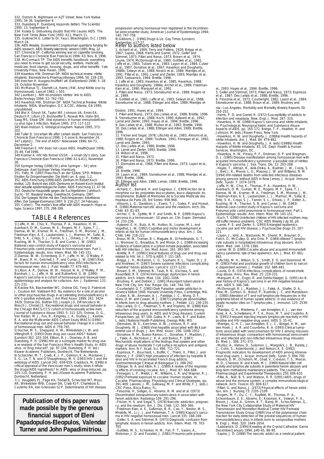332. Ostrom N. Nightmare on AZT Street. New York Native

1995; 34-36, September 4. 333. Duesberg P. Duesberg responds (letter). The Scientist 1995: 13, September 4.

334. Kolata G. Debunking doubts that HIV causes AIDS. The New York Times (New York) 1993: A11, March 11. 335. Gutknecht G. Letter to Dr. Fauci. (Washington, D.C.) 1995:

March 24

336. AIDS Weekly. Government Congressman questions funding for AIDS research. AIDS Weekly (electronic version) 1995; May, 22. 337. Chronicle SF. California winning war on cigarette smoking. San Francisco Chronicle (San Francisco) 1996: A3, Nov. 8, 1996. 338. McCormack TP. The AIDS benefits handbook: everything

you need to know to get social security, welfare, medicaid,<br>medicare, food stamps, housing, drugs, and other benefits. Yale<br>University Press, New Haven, 1990.<br>339 Haverkos HW, Drotman DP. NIDA technical review: nitrite<br>inh

19, October November.<br>341 McManus TJ, Starrett LA, Harris JRW. Amyl Nitrite Use by<br>Homosexuals. Lancet 1982; i: 503.<br>342 Lauritsen J. NIH reconsiders nitrites' link to AIDS.<br>Biotechnology 1994; 12: 762-763.<br>183 Haverkos HW

unpublished. 344 Wei X, Ghosh SK, Taylor ME, Johnson VA, Emini EA, Deutsch P, Lifson JD, Bonhoeffer S, Nowak MA, Hahn BH, Saag MS, Shaw GM. Viral dynamics in human immunodeficiency virus type 1 infection. Nature 1995; 373: 117-122. 345 Wain-Hobson S. Virological mayhem. Nature 1995; 373:

 $102$ 346 Tuller D. Uncertain life after certain death. San Francisco Chronicle (San Francisco) 1996: 1-5 zone 6, November 24. 347 Leland J. The end of AIDS? Newsweek 1996; 64-73, December 2.

348 Freeman E. HIV does not cause AIDS. HealthQuest 1996; 35-49, Fall 1996.

349 Kramer A. HIV hits former USSR – a small city's story. San Francisco Chronicle (San Francisco) 1996: A1 & A11, November

26. 350 Springer Verlag (1996) 50 Jahre Springer – 50 Jahre

Zeitzeuge. Axel Springer Verlag, Hamburg.<br>251. Fietz, M. (1997) Haschisch an der Spitze; SPD: Mildere<br>Strafen für Drogenhaendler. Die Welt Jan. 8, ppp. 1,2.<br>352. AIDS-Forschung (1996) AIDS Zentrum im Robert Koch<br>Institut. Affen. Der Spiegel (Germany) 1997; 9: 216-217, 24 February. 355. Cohen J. The media's love affair with AIDS research: Hope vs. hype. Science 1997; 275: 298-299.

#### TABLE 4 References

1) Jaffe, H. W., Choi, K., Thomas, P. A., Haverkos, H. W., Ouerbach, D. M., Guinan, M. E., Rogers, M. F., Spira, T. J., Darrow, W. W., Kramer, M. A., Friedman, S. M., Monroe, J. M., Friedman-Kien, A. E., Laubenstein, L. J. 3) Lifson, A. R., Darrow, W. W., Hessol, N. A., O'Malley, P. M., Barnhart, J. L., Jaffe, H. W. and Rutherford, G. W. (1990) Kaposi's sarcoma in a cohort of homosexual and bisexual men:

epidemiology and analysis for cofactors. Am. J. Epidemiol. 131:<br>221-231.<br>4) Kaslow RA, Blackwelder WC, Ostrow DG, Yerg D, Palenicek<br>J, Coulson AH, Valdiserri RO. No evidence for a role of alcohol<br>or other psychoactive drug 3429; Ostrow DG, Beltran ED, Joseph JG, DiFranceisco W, Wesch J, Chmiel JS. Recreational drugs and sexual behavior in the Chicago MACS/CCS cohort of homosexually active men. Journal of Substance Abuse 1993; 5: 311-325; Ostrow, D. G., Van Raden, M. J., Fox, R., Kingsley, L. A., Dudley, J., Kaslow, R. A. and the Multicenter AIDS Cohort Study (MACS) (1990) Recreational drug use and sexual behavior change in a cohort

of homosexual men. AIDS 4: 759-765.<br>5) Ascher, M. S., Sheppard, H. W., Winkelstein Jr, W. and<br>Vittinghoff, E. (1993) Does drug use cause AIDS? Nature<br>(London) 362: 103-104. Ellison, B. J., Downey, A. B. and<br>Duesberg, P. H. virus- or drug induced?, pp. 97-104, Duesberg, P. H. (ed.)<br>Kluwer Academic Publishers, Dordrecht, The Netherlands.<br>6) Schechter, M. T., Craib, K. J. P., Gelmon, K. A., Montaner, J.<br>S. G., Le, T. N. and O'Shaughnessy, M. V. the drugs/AIDS hypothesis? In: AIDS: virus or drug-induced, pp. 105-110, Duesberg, P. H. (ed.) Kluwer Academic Publishers, Dordrecht, Netherland.

7) 1. Veugelers PJ, Page KA, Tindall B, Schechter MT, Moss AR, Winkelstein WW, Cooper DA, Craib KJP, Charlebois E, Coutinho RA, Van Griensven GJP. Determinants of HIV disease

**Publication of this paper was made possible by the generous financial support of Eleni Papadopulos-Eleopulos, Valendar Turner and John Papadimitriou.**

progression among homsexual men registered in the tricontinenseroconverter study. American Journal of Epidemiology 1994; 140: 747-758. 8) Gibbons, J. (1996) Drugs & Us. Gay Times (London)

September, p17-37.<br>Refer to authors listed below

Refer to authors listed below<br>1965: Refer to authors listed below<br>1.6 Achard et al., 1909; Terry and Pellens, 1928; Briggs et al.,<br>1967; Sapira, 1968; Harris and Garett, 1972; Geller and<br>Stimmel, 1973; Pillari and Narus, 1

Haverkos and Dougherty, 1988a; Archer et al., 1989; Friedman-Kien et al., 1990; Marquart et al., 1991.

3. Pillari and Narus, 1973; Stoneburner et al., 1988; Rogers et

al., 1989. 4. Gottlieb et al., 1981; Jaffe et al., 1983; Selwyn et al., 1988; Stoneburner et al., 1988; Ettinger and Albin, 1989; Mientjes et

Dobkin, 1991; Hayes et al., 1994.

7. Pillari and Narus, 1973; Des Jarlais et al., 1988; Brettle, 1996.<br>8. Stoneburner et al., 1988; Koch, 1990; Aylward et al., 1992;<br>Larrat and Zierler, 1993; Hayes et al., 1994; Brettle, 1996. 9. Des Jarlais et al., 1988; Muñoz et al., 1992; Brettle, 1996. 10. Des Jarlais et al., 1988; Ettinger and Albin, 1989; Brettle, 1996.

11. Fricker and Segal, 1978; Lifschitz et al., 1983; Alroomi et al., 1988; Rogers et al., 1989; Toufexis, 1991; Finnegan et al., 1992; Larrat and Zierler, 1993.

12. Des Jarlais et al., 1988; Brettle, 1996. 13. Larrat and Zierler, 1993; Brettle, 1996. 14. Wilson et al., 1996.

15. Pillari and Narus, 1973. 16. Pillari and Narus, 1973; Brettle, 1996. 17. Dismukes et al., 1968; Pillari and Narus, 1973; Layon et al.,

1984.

18. Brettle, 1996. 19. Layon et al., 1984; Stoneburner et al., 1988; Mientjes et al., 1993; Brettle, 1996. 20. Ettinger and Albin, 1989; Lerner, 1989; Brettle, 1996.

20. Ettinger and

–Achard, C., Bernard, H. and Gagneux, C. (1909) Action de la morphine sur les proprietes leucocytaires; leuco-diagnostic du morphinisme. Bulletin et Memoires de la Societe Medicale des Hopitaux de Paris 28, 3rd Series: 958-966. –Alroomi, L. G., Davidson, J., Evans, T. J., Galea, P. and Howat,

R. (1988) Maternal narcotic abuse and the newborn. Arch. Dis.

Child. 63: 81-83.<br>–Archer, C. B., Spittle, M. F. and Smith, N. P. (1989) Kaposi's<br>sarcoma in a homosexual—10 years on. Clin. Exper. Dermatol.<br>14: 233-236.

–Aylward, E. H., Butz, A. M., Hutton, N., Joyner, M. L. and Vogelhut, J. W. (1992) Cognitive and motor development in

infants at risk for human immunodeficiency virus. Am. J. Dis.<br>Child. 146: 218-222.<br>- Braun, M. M., Truman, B. I., Maguire, B., Di Ferdinando, G. T.,<br>Jr., Wormser, G., Broaddus, R. and Morse, D. L. (1989) Increasing<br>inciden "mainline" heroin addiction. Lancet ii: 1227-1231. –Brown, S. M., Stimmel, B., Taub, R. N., Kochwa, S. and Rosenfield, R. E. (1974) Immunologic dysfunction in heroin addicts. Arch. Intern. Med. 134: 1001-1006.<br>–Brudney, K. and Dobkin, J. (1991) Resurgent tuberculosis in<br>New York City. Am. Rev. Respir. Dis. 144: 744-749.<br>–Courtwright, D. T. (1982) Dark Paradise: opiate addiction in<br>Amer reduction of the acquired immunodeficiency syndrome among<br>intravenous drug users. In: AIDS and IV Drug Abusers: Current<br>Perspectives, pp. 97-109, Galea, R. P., Lewis, B. F. and Baker,<br>L. (eds.) National Health Publishing,

enteral use of drugs. J. Am. Med. Assoc. 206: 1048-1052. –Donahoe, R. M., Bueso-Ramos, C., Donahoe, F., Madden, J. J., Falek, A., Nicholson, J. K. A. and Bokos, P. (1987) Mechanistic implications of the findings that opiates and other<br>drugs of abuse moderate T-cell surface receptors and antigenic<br>markers. Ann. N.Y. Acad. Sci. 496: 711-721.<br>-Espinoza, P., Bouchard, I., Buffet, C., Thiers, V.

(1992) Perinatal exposure to cocaine: Human studies. In: Cocaine: Pharmacology, Physiology and Clinical Strategies, pp. 391-409, Lakoski, J. M., Galloway, M. P. and White, F. J. (eds.)

CRC Press, Boca Raton, FL.<br>-Firooznia, H., Seliger, G., Abrams, R. M. and et al. (1973)<br>Disseminated extrapulmonary tuberculosis in association with<br>heroin addiction. Radiology 109: 291-296.<br>-Fricker, H. S. and Segal, S. ( –Geller, S. A. and Stimmel, B. (1973) Diagnostic confusion from lymphatic lesions in heroin addicts. Ann. Intern. Med. 78: 703- יייצי<br>705

–Gottlieb, M. S., Schanker, H. M., Fan, P. T., Saxon, A., Weisman, J. D. and Pozalski, J. (1981) Pneumocystis pneumo-

al., 1993; Hayes et al., 1994; Brettle, 1996.<br>5. Geller and Stimmel, 1973; Pillari and Narus, 1973; Espinoza<br>et al., 1987; Des Jarlais et al., 1988; Brettle, 1996.<br>6. Firooznia et al., 1973; Courtwright, 1982; Layon et al.

Stoneburner et al., 1988; Braun et al., 1989; Brudney and nia—Los Angeles. Morbidity and Mortality Weekly Reports 30:

250-252. –Harris, P. D. and Garret, R. (1972) Susceptibility of addicts to infection and neoplasia. New. Engl. J. Med. 287: 310.<br>–Haverkos, H. W. (1988) Kaposi's sarcoma and nitrite inhalants.<br>In: Psychological, Neuropsychiatric and Substance Abuse<br>Aspects of AIDS, pp. 165-172, Bridge, T. P., Hea

–Haverkos, H. W. and Dougherty, J. A. (eds) (1988b) Health Hazards of Nitrite Inhalants. 83, US. Dept. Health & Human Services, Washington, DC.

–Haverkos, H. W., Pinsky, P. F., Drotman, D. P. and Bregman, D. J. (1985) Disease manifestation among homosexual men with

acquired immunodeficiency syndrome: a possible role of nitrites<br>in Kaposi's sarcoma. J. Sex. Trans. Dis. 12: 203-208.<br>-Hayes, T., Altman, R., Akili-Obika, A., Buehler, J. W., Costa, S.<br>J., Beil, J. K., Moore, L. G., Massey

–Jaffe, H. W., Choi, K., Thomas, P. A., Haverkos, H. W.,<br>Auerbach, D. M., Guinan, M. E., Rogers, M. F., Spira, T. J.,<br>Darrow, W. W., Kramer, M. A., Friedman, S. M., Monroe, J. M.,<br>Friedman-Kien, A. E., Laubenstein, L. J.,

National case-control study of Kaposi's sarcoma and<br>Pneumocystis carinii pneumonia in homosexual men: Part 1,<br>Epidemiologic results. Ann. Intern. Med. 99: 145-151.<br>-Koch, T. (1990) Uninfected children of HIV-infected mothe

cocaine use and HIV disease. J Psychoactive drugs 25: 207-<br>221

221.<br>–Layon, J., Idris, A., Warzynski, M., Sherer, R., Brauner, D.,<br>Patch, O., McCulley, D. and Orris, P. (1984) Altered T-lympho-<br>cyte subsets in hospitalized intravenous drug abusers. Arch.<br>–Lerner, W. D. (1989) Cocaine

663. –Lifschitz, M. H., Wilson, G. S., Smith, E. O. and Desmond, M. M. (1983) Fetal and postnatal growth of children born to narcot-

ic-dependent women. J. Pediatr. 102: 686-691. –Louria, D. B. (1974) Infectious complications of nonalcoholic drug abuse. Annu. Rev. Med. 25: 219-231.

–Marquart, K.-H., Engst, R. and Oehlschlaegel, G. (1991) An 8- year history of Kaposi's sarcoma in an HIV-negative bisexual man. AIDS 5: 346-348.

–McDonough, R. J., Madden, J. J., Falek, A., Shafer, D. A., Pline, M., Gordon, D., Bokof, P., Kuehnle, J. C. and Mandelson, J. (1980) Alteration of T and null lymphocyte frequencies in the peripheral blood of human opiate addicts: in vivo evidence of opiate receptor sites on T lymphocytes. J. Immunol. 125: 2539- 2543.

–Mientjes, G. H., Miedema, F., van Ameijden, E. J., van den<br>Hoek, A. A., Schellekens, P. T. A., Roos, M. T. and Coutinho, R.<br>A. (1991) Frequent injecting impairs lymphocyte reactivity in HIV-<br>positive and HIV-negative drug of intravenous drugs: comparison with homosexual seroconvert-ers and infected and non-infected intravenous drug misusers. Br. Med. J. 306: 371-373.

–Muñoz, A., Vlahov, D., Solomon, L., Margolick, J. B., Bareta, J. C., Cohn, S., Astemborski, J. and Nelson, K. E. (1992) Prognostic indicators for development of AIDS among intranvenous drug users. J. Acquir. Immune Defic. Syndr. 5: 694-700. –Novick, D. M., Ochshorn, M., Ghali, V., Croxson, T. S., Mercer, W. D., Chiorazzi, N. and Kreek, M. J. (1989) Natural killer cell activity and lymphocyte subsets in parenteral heroin abusers and long-term methadone maintenance patients. The Journal of Pharmacologyt and Experimental Therapeutics 250: 606-610. –Pillai, R., Nair, B. S. and Watson, R. R. (1991) AIDS, drugs of abuse and the immune system: a complex immunotoxicological network. Arch. Toxicol. 65: 609-617.

-Pillari, G. and Narus, J. (1973) Physical effects of heroin addic-<br>tion. Am. J. Nursing 73: 2105-2109.<br>-Rogers, M. F., Ou, C.-Y., Rayfield, M., Thomas, P. A.,<br>Schoenbaum, E. E., Abrams, E., Krasinski, K., Selwyn, P. A.,<br>M immunodeficiency virus in infants born to seropositive mothers. N. Engl. J. Med. 320: 1649-1654.

–Sadownick, D. (1994) Kneeling at the Crystal Cathedral. Genre December/January 1994, p40-45, 86-90. –Sapira, J. D. (1968) The narcotic addict as a medical patient.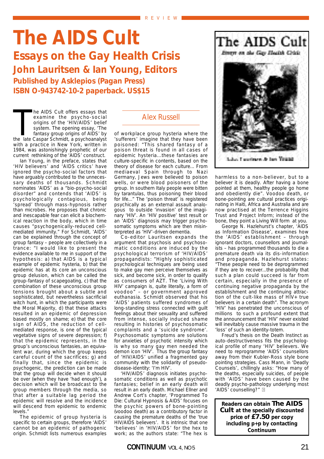#### **The AIDS Cult Essays on the Gay Health Crisis John Lauritsen & Ian Young, Editors Published by Asklepios (Pagan Press) ISBN O-943742-10-2 paperback. US\$15**

The AIDS Cult offers essays that<br>examine the psycho-social<br>origins of the 'HIV/AIDS' belief<br>system. The opening essay, 'The<br>fantasy group origins of AIDS' by<br>the late Caspar Schmidt, a psychoanalyst he AIDS Cult offers essays that examine the psycho-social origins of the 'HIV/AIDS' belief system. The opening essay, 'The fantasy group origins of AIDS' by with a practice in New York, written in 1984, was astonishingly prophetic of our current rethinking of the 'AIDS' construct.

Ian Young, in the preface, states that 'HIV believers' and 'AIDS critics' have ignored the psycho-social factors that have arguably contributed to the unnecessary deaths of thousands. Schmidt nominates 'AIDS' as a "bio-psycho-social disorder" and contends that 'AIDS' is psychologically contagious, being 'spread' through mass-hypnosis rather than microbes. He proposes that chronic and inescapable fear can elicit a biochemical reaction in the body, which in time causes "psychogenically-reduced cellmediated immunity." For Schmidt, 'AIDS' can be explained through the concept of group fantasy – people are collectively in a trance: "I would like to present the evidence available to me in support of the hypothesis: a) that AIDS is a typical example of epidemic hysteria, b) that the epidemic has at its core an unconscious group delusion, which can be called the group-fantasy of scapegoating, c) that the combination of these unconscious group tensions brought about a subtle and sophisticated, but nevertheless sacrificial witch hunt, in which the participants were the Moral Majority, d) that these attacks resulted in an epidemic of depression based mostly on shame; e) that the core sign of AIDS, the reduction of cellmediated response, is one of the typical vegetative signs of severe depression; f) that the epidemic represents, in the group's unconscious fantasies, an equivalent war, during which the group keeps careful count of the sacrifices; g) and finally that, since the epidemic is psychogenic, the prediction can be made that the group will decide when it should be over (when they have 'had enough'), a decision which will be broadcast to the group members through the media, so that after a suitable lag period the epidemic will resolve and the incidence will descend from epidemic to endemic levels."

The epidemic of group hysteria is specific to certain groups, therefore 'AIDS' cannot be an epidemic of pathogenic origin. Schmidt lists numerous examples

#### Alex Russell

of workplace group hysteria where the 'sufferers' imagine that they have been poisoned: "This shared fantasy of a poison threat is found in all cases of epidemic hysteria...these fantasies are culture-specific in contents, based on the theory of disease for each culture... From mediaeval Spain through to Nazi Germany, Jews were believed to poison wells, or were blood poisoners of the group. In southern Italy people were bitten by tarantulas, thus poisoning their blood for life..." The 'poison threat' is registered psychically as an external assault analogous to outside 'invasion' of the imaginary 'HIV'. An 'HIV positive' test result or an 'AIDS' diagnosis may trigger psychosomatic symptoms which are then misinterpreted as 'HIV'-driven dementia.

Co-editor Lauritsen expands the argument that psychosis and psychosomatic conditions are induced by the psychological terrorism of 'HIV/AIDS' propagandists: "Highly sophisticated psychological techniques are being used to make gay men perceive themselves as sick, and become sick, in order to qualify as consumers of AZT. The 'Living With HIV' campaign is, quite literally, a form of voodoo" – or government approved euthanasia. Schmidt observed that his 'AIDS' patients suffered syndromes of long-standing stress connected with guilt feelings about their sexuality and suffered from intense, socially induced shame resulting in histories of psychosomatic complaints and a 'suicide syndrome'. Psychosomatic symptoms are solutions for anxieties of psychotic intensity which is why so many gay men needed the demon icon 'HIV'. Thus the group fantasy of 'HIV/AIDS' unified a fragmented gay community with the solidarity of pseudodisease-identity: 'I'm HIV'.

'HIV/AIDS' diagnosis initiates psychosomatic conditions as well as psychotic fantasies; belief in an early death will result in an early death. Michael Ellner and Andrew Cort's chapter, 'Programmed To Die: Cultural Hypnosis & AIDS' focuses on the psychic powers of bone-pointing (voodoo death) as a contributory factor in causing the premature deaths of the 'true HIV/AIDS believers'. It is intrinsic that one 'believes' in 'HIV/AIDS' for the hex to work; as the authors state: "The hex is

harmless to a non-believer, but to a believer it is deadly. After having a bone pointed at them, healthy people go home and obediently die". Voodoo death, or bone-pointing are cultural practices originating in Haiti, Africa and Australia and are now practised at the Terrence Higgins Trust and Project Inform; instead of the bone, they point a Living Will form at you.

George N. Hazlehurst's chapter, 'AIDS as Information Disease', examines how the 'AIDS' establishment – through ignorant doctors, counsellors and journalists – has programmed thousands to die a premature death via its dis-information and propaganda. Hazlehurst states: "These people need to be deprogrammed if they are to recover...the probability that such a plan could succeed is far from certain, especially in the presence of continuing negative propaganda by the establishment and the continuing attraction of the cult-like mass of HIV+ true believers in a certain death". The acronym 'HIV' has penetrated the unconscious of millions to such a profound extent that the announcement that 'HIV' never existed will inevitably cause massive trauma in the 'loss' of such an identity-totem.

Freud's thesis on the Death Instinct as auto-destructiveness fits the psychological profile of many 'HIV' believers. We need to reprogramme 'AIDS' counsellors away from their Kubler-Ross style bone pointing strategies. Cass Mann, in 'Deadly Counsels', chillingly asks: "How many of the deaths, especially suicides, of people with 'AIDS' have been caused by the deadly psycho-pathology underlying most 'AIDS' counselling?" **c**

**Readers can obtain** *The AIDS Cult* **at the specially discounted price of £7.50 per copy including p+p by contacting** *Continuum*

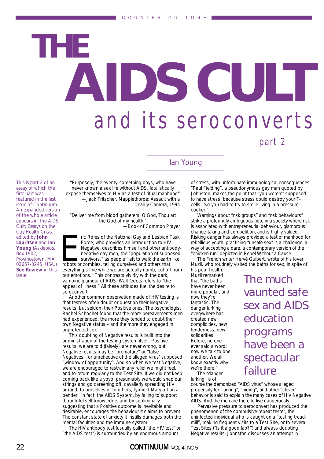## *THE AIDS CULT and its seroconverts*

part 2

#### Ian Young

*This is part 2 of an essay of which the first part was featured in the last issue of* Continuum. A*n expanded version of the whole article appears in* The AIDS Cult: Essays on the Gay Health Crisis, *edited by John Lauritsen and Ian Young (Asklepios, Box 1902, Provincetown, MA 02657-0245, USA.) See Review in this*

"Purposely, the twenty-something boys, who have never known a sex life without AIDS, fatalistically expose themselves to HIV as a test of ritual manhood" —Jack Fritscher, Mapplethorpe: Assault with a Deadly Camera, 1994

"Deliver me from blood gatherers, O God, Thou art the God of my health." —Book of Common Prayer

ric Rofes of the National Gay and Lesbian<br>Force, who provides an introduction to HIV<br>Negative, describes himself and other antil<br>negative gay men, the "population of supp<br>survivors," as people "left to walk the earth<br>robot ric Rofes of the National Gay and Lesbian Task Force, who provides an introduction to HIV Negative, describes himself and other antibodynegative gay men, the "population of supposed survivors," as people "left to walk the earth like everything's fine while we are actually numb, cut off from our emotions." This contrasts vividly with the dark, *issue.* **b** our emotions." This contrasts vividly with the dark, Muzil remarked vampiric glamour of AIDS. Walt Odets refers to "the that "the baths **The much** appeal of illness." All these attitudes fuel the desire to seroconvert.

Another common observation made of HIV testing is that testees often doubt or question their Negative results, but seldom their Positive ones. The psychologist Rachel Schochet found that the more bereavements men had experienced, the more they tended to doubt their own Negative status – and the more they engaged in unprotected sex.

This doubting of Negative results is built into the administration of the testing system itself. Positive results, we are told (falsely), are never wrong, but Negative results may be "premature" or "false Negatives", or unreflective of the alleged virus' supposed "window of opportunity". And so when we test Negative, we are encouraged to restrain any relief we might feel, and to return regularly to the Test Site. If we did not keep coming back like a yoyo, presumably we would snap our strings and go careening off, cavalierly spreading HIV around, to ourselves or to others, typhoid Mary off on a bender. In fact, the AIDS System, by failing to support thoughtful self-knowledge, and by subliminally suggesting that a Positive outcome is inevitable and desirable, encourages the behaviour it claims to prevent. The constant state of anxiety it instills damages both the mental faculties and the immune system.

The HIV antibody test (usually called "the HIV test" or "the AIDS test") is surrounded by an enormous amount

of stress, with unfortunate immunological consequences. "Paul Fielding", a pseudonymous gay man quoted by Johnston, makes the point that "you weren't supposed to have stress, because stress could destroy your Tcells...So you had to try to smile living in a pressure cooker."

Warnings about "risk groups" and "risk behaviours" strike a profoundly ambiguous note in a society where risk is associated with entrepreneurial behaviour, glamorous chance-taking and competition, and is highly valued. Risking danger has always provided a test of manhood for rebellious youth: practising "unsafe sex" is a challenge, a way of accepting a dare, a contemporary version of the "chicken run" depicted in Rebel Without a Cause.

The French writer Hervé Guibert, wrote of his lover Muzil, who routinely visited the baths for sex, in spite of

his poor health. Muzil remarked that "the baths have never been more popular, and now they're fantastic. The danger lurking everywhere has created new complicities, new tenderness, new solidarities. Before, no one ever said a word; now we talk to one another. We all know exactly why we're there."

*vaunted safe sex and AIDS education programs have been a spectacular failure*

The "danger lurking" is of

course the demonized "AIDS virus" whose alleged propensity for "lurking", "hiding", and other "clever" behavior is said to explain the many cases of HIV Negative AIDS. And the men are there to live dangerously.

Pervasive pressure to seroconvert has produced the phenomenon of the compulsive repeat tester, the uninfected individual who is caught on a "testing treadmill", making frequent visits to a Test Site, or to several Test Sites ("Is it a good lab?") and always doubting Negative results. Johnston discusses an attempt in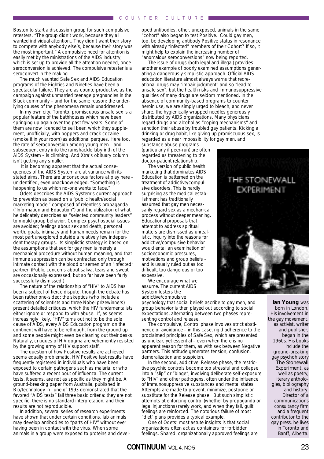Boston to start a discussion group for such compulsive retesters. "The group didn't work, because they all wanted individual attention...They didn't want their story to compete with anybody else's, because their story was the most important." A compulsive need for attention is easily met by the ministrations of the AIDS industry, which is set up to provide all the attention needed, once seroconversion is achieved. The compulsive retester is a seroconvert in the making.

The much vaunted Safe Sex and AIDS Education programs of the Eighties and Nineties have been a spectacular failure. They are as counterproductive as the campaign against unmarried teenage pregnancies in the Black community – and for the same reason: the underlying causes of the phenomena remain unaddressed.

In my own city, Toronto, promiscuous unsafe sex is a popular feature of the bathhouses which have been springing up again over the past few years. Some of them are now licenced to sell beer, which they supplement, unofficially, with poppers and crack cocaine (smoke it in your room) as additional perques. Here too, the rate of seroconversion among young men – and subsequent entry into the ramshackle labyrinth of the AIDS System – is climbing. And Xtra's obituary column isn't getting any smaller.

It is becoming apparent that the actual consequences of the AIDS System are at variance with its stated aims. There are unconscious factors at play here – unidentified, even unacknowledged. "Something is happening to us which no-one wants to face."

Odets describes the AIDS System's current approach to prevention as based on a "public health/social marketing model" composed of relentless propaganda ("Information and Education") and the utilization of what he delicately describes as "selected community leaders" to mould group behavior. Complex psychosocial issues are avoided; feelings about sex and death, personal worth, goals, intimacy and human needs remain for the most part unexplored outside a relatively few independent therapy groups. Its simplistic strategy is based on the assumptions that sex for gay men is merely a mechanical procedure without human meaning, and that immune suppression can be contracted only through intimate contact with the blood or semen of an "infected" partner. (Public concerns about saliva, tears and sweat are occasionally expressed, but so far have been fairly successfully dismissed.)

The nature of the relationship of "HIV" to AIDS has been a subject of fierce dispute, though the debate has been rather one-sided: the skeptics (who include a scattering of scientists and three Nobel prizewinners) present detailed critiques, which the HIV fundamentalists either ignore or respond to with abuse. If, as seems increasingly likely, "HIV" turns out not to be the sole cause of AIDS, every AIDS Education program on the continent will have to be rethought from the ground up and some people might even be cleaning out their desks. Naturally, critiques of HIV dogma are vehemently resisted by the growing army of HIV support staff.

The question of how Positive results are achieved seems equally problematic. HIV Positive test results have frequently registered in individuals who have been exposed to certain pathogens such as malaria, or who have suffered a recent bout of influenza. The current tests, it seems, are not as specific as they might be. A ground-breaking paper from Australia, published in Bio/technology in June of 1993 demonstrated that the favored "AIDS tests" fail three basic criteria: they are not specific, there is no standard interpretation, and their results are not reproducible.

In addition, several series of research experiments have shown that under certain conditions, lab animals may develop antibodies to "parts of HIV" without ever having been in contact with the virus. When some animals in a group were exposed to proteins and developed antibodies, other, unexposed, animals in the same "cohort" also began to test Positive. Could gay men, too, be developing antibody Positive status in resonance with already "infected" members of their Cohort? If so, it might help to explain the increasing number of "anomalous seroconversions" now being reported.

The issue of drugs (both legal and illegal) provides another example of poorly examined assumptions generating a dangerously simplistic approach. Official AIDS education literature almost always warns that recreational drugs may "impair judgment" and so "lead to unsafe sex", but the health risks and immunosuppressive qualities of many drugs are seldom mentioned. In the absence of community-based programs to counter heroin use, we are simply urged to bleach, and never share, the hygienically wrapped needles generously distributed by AIDS organizations. Many physicians regard drugs and alcohol as "coping mechanisms" and sanction their abuse by troubled gay patients. Kicking a drinking or drug habit, like giving up promiscuous sex, is regarded as a near impossibility for gay men, and

substance abuse programs (particularly if peer-run) are often regarded as threatening to the doctor-patient relationship.

The version of public health marketing that dominates AIDS Education is patterned on the treatment of addictive/compulsive disorders. This is hardly surprising as the medical establishment has traditionally assumed that gay men necessarily regard sex as a mechanical process without deeper meaning. Educational proposals that attempt to address spiritual matters are dismissed as unrealistic. Inquiry into the reasons for addictive/compulsive behavior would entail an examination of socioeconomic pressures, motivations and group beliefs – and is usually ruled out as too difficult, too dangerous or too expensive.

We encourage what we assume. The current AIDS System fosters the addictive/compulsive

psychology that social beliefs ascribe to gay men, and group behavior is then played out according to social expectations, alternating between two phases representing control and release.

The compulsive, Control phase involves strict abstinence or avoidance – in this case, rigid adherence to the proclaimed principles of Safe Sex, which are presented as unclear, yet essential – even when there is no apparent reason for them, as with sex between Negative partners. This attitude generates tension, confusion, demoralization and suspicion.

In the second, addictive, Release phase, the restrictive psychic controls become too stressful and collapse into a "slip" or "binge", involving deliberate self-exposure to "HIV" and other pathogens, often under the influence of immunosuppressive substances and mental states. Attempts are made to prevent, minimize, postpone or substitute for the Release phase. But such simplistic attempts at enforcing control (whether by propaganda or legal injunctions) rarely work, and when they fail, guilt feelings are reinforced. The notorious failure of most "diet" plans provides a typical example.

One of Odets' most astute insights is that social organizations often act as containers for forbidden feelings. Shared, organizationally approved feelings are



*Ian Young was born in London. His involvement in the gay movement, as activist, writer and publisher, began in the 1960s. His books include the ground-breaking gay psychohistory* The Stonewall Experiment*, as well as poetry, literary anthologies, bibliography and history. Director of a communications consultancy firm and a frequent contributor to the gay press, he lives in Toronto and Banff, Alberta.*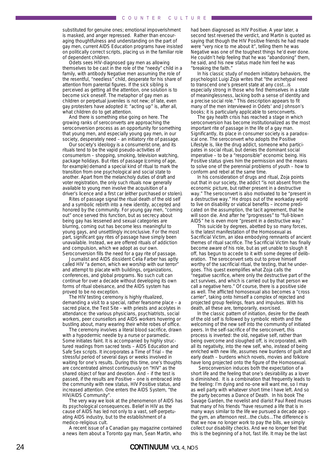substituted for genuine ones; emotional impoverishment is masked, and anger repressed. Rather than encouraging thoughtfulness and understanding on the part of gay men, current AIDS Education programs have insisted on politically correct scripts, placing us in the familiar role of dependent children.

Odets sees HIV-diagnosed gay men as allowing themselves to be cast in the role of the "needy" child in a family, with antibody Negative men assuming the role of the resentful, "needless" child, desperate for his share of attention from parental figures. If the sick sibling is perceived as getting all the attention, one solution is to become sick oneself. The metaphor of gay men as children or perpetual juveniles is not new; of late, even gay protesters have adopted it: "acting up" is, after all, what children do to get attention.

And there is something else going on here. The growing ranks of seroconverts are approaching the seroconversion process as an opportunity for something that young men, and especially young gay men, in our society, desperately need – an initiatory rite of passage.

Our society's ideology is a consumerist one, and its rituals tend to be the vapid pseudo-activities of consumerism – shopping, smoking, television watching, package holidays. But rites of passage (coming of age, for example) demand a special kind of ritual to mark the transition from one psychological and social state to another. Apart from the melancholy duties of draft and voter registration, the only such rituals now generally available to young men involve the acquisition of a driver's licence and a first car (either purchased or stolen).

Rites of passage signal the ritual death of the old self and a symbolic rebirth into a new identity, accepted and honored by the community. For young gay men, "coming out" once served this function, but as secrecy about being gay has lessened and sexual categories are blurring, coming out has become less meaningful to young gays, and unsettlingly inconclusive. For the most part, significant gay rites of passage have simply been unavailable. Instead, we are offered rituals of addiction and compulsion, which we adopt as our own. Seroconversion fills the need for a gay rite of passage.

Journalist and AIDS dissident Celia Farber has aptly called HIV "a demon, which we worship with our terror" and attempt to placate with buildings, organizations, conferences, and global programs. No such cult can continue for over a decade without developing its own forms of ritual obeisance, and the AIDS system has proved to be no exception.

The HIV testing ceremony is highly ritualized, demanding a visit to a special, rather fearsome place – a sacred place, the Test Site – with priests and acolytes in attendance: the various physicians, psychiatrists, social workers, peer counsellors and AIDS workers hovering or bustling about, many wearing their white robes of office.

The ceremony involves a literal blood sacrifice, drawn with a hypodermic needle by a nurse or paramedic. Some initiates faint. It is accompanied by highly structured readings from sacred texts – AIDS Education and Safe Sex scripts. It incorporates a Time of Trial – the stressful period of several days or weeks involved in waiting for one's results. During this time, one's thoughts are concentrated almost continuously on "HIV" as the shared object of fear and devotion. And – if the test is passed, if the results are Positive – one is embraced into the community with new status, HIV Positive status, and increased attention. One enters the AIDS System, "the HIV/AIDS Community".

The very way we look at the phenomenon of AIDS has its psychological consequences. Belief in HIV as the cause of AIDS has led not only to a vast, self-perpetuating AIDS industry, but to the establishment of a medico-religious cult.

A recent issue of a Canadian gay magazine contained a news item about a Toronto gay man, Sean Martin, who had been diagnosed as HIV Positive. A year later, a second test reversed the verdict, and Martin is quoted as saying that though the HIV Positive friends he had made were "very nice to me about it", telling them he was Negative was one of the toughest things he'd ever done. He couldn't help feeling that he was "abandoning" them, he said, and his new status made him feel he was "breaking the faith."

In his classic study of modern initiatory behaviors, the psychologist Luigi Zoja writes that "the archetypal need to transcend one's present state at any cost...is especially strong in those who find themselves in a state of meaninglessness, lacking both a sense of identity and a precise social role." This description appears to fit many of the men interviewed in Odets' and Johnson's books; it is particularly applicable to seroconverts.

The gay health crisis has reached a stage in which seroconversion has become institutionalized as the most important rite of passage in the life of a gay man. Significantly, its place in consumer society is a paradoxical one. The seroconvert who adopts the Positive Lifestyle is, like the drug addict, someone who participates in social ritual, but denies the dominant social imperative – to be a "responsible" economic being. His Positive status gives him the permission and the means to solve one of the perennial problems of youth – how to conform and rebel at the same time.

In his consideration of drugs and ritual, Zoja points out that in our society, the addict "is not absent from the economic picture, but rather present in a destructive way." The seroconvert is also motivated to be "present in a destructive way." He drops out of the workaday world to live on disability or viatical benefits – income predicated on the assumption, the tacit agreement, that he will soon die. And after he "progresses" to "full-blown AIDS" he is even more "present in a destructive way."

This suicide by degrees, abetted by so many forces, is the latest manifestation of the Homosexual as Sacrificial Victim, an idea embodying remnants of ancient themes of ritual sacrifice. The Sacrificial Victim has finally become aware of his role, but as yet unable to slough it off, has begun to accede to it with some degree of deliberation. The seroconvert sets out to prove himself worthy of the sacrificial ritual, the testing, that he undergoes. This quest exemplifies what Zoja calls the "negative sacrifice, where only the destructive part of the act survives, and which is carried out by that person we call a negative hero." Of course, there is a positive side as well. The afflicted homosexual also becomes a "cross carrier", taking onto himself a complex of rejected and projected group feelings, fears and impulses. With his death, all these are, temporarily, exorcised.

In the classic pattern of initiation, desire for the death of the old self is followed by symbolic rebirth and the welcoming of the new self into the community of initiated peers. In the self-sacrifice of the seroconvert, this process is inverted: the old, negative self, rather than being overcome and sloughed off, is incorporated, with all its negativity, into the new self, who, instead of being enriched with new life, assumes new burdens of guilt and early death – burdens which novels, movies and folklore have long projected onto the figure of the Homosexual.

Seroconversion induces both the expectation of a short life and the feeling that one's desirability as a lover is diminished. It is a combination that frequently leads to the feeling: I'm dying and no-one will want me, so I may as well party with whatever short time I have left. And so the party becomes a Dance of Death. In his book The Savage Garden, the novelist and diarist Paul Reed muses that many of his friends "have resumed a life that is in many ways similar to the life we pursued a decade ago – the gym, an afternoon rest...the clubs...The difference is that we now no longer work to pay the bills, we simply collect our disability checks. And we no longer feel that this is the beginning of a hot, fast life. It may be the last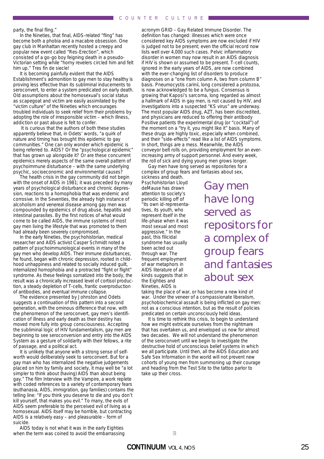#### COUNTER CULTURE

party, the final fling."

In the Nineties, that final, AIDS-related "fling" has become both a phobia and a macabre obsession. One gay club in Manhattan recently hosted a creepy and popular new event called "Res-Erection", which consisted of a go-go boy feigning death in a pseudo-Victorian setting while "horny revelers circled him and felt him up." Tres fin de siecle!

It is becoming painfully evident that the AIDS Establishment's admonition to gay men to stay healthy is proving less effective than its subliminal inducements to seroconvert, to enter a system predicated on early death. Old assumptions about the homosexual's social status as scapegoat and victim are easily assimilated by the "victim culture" of the Nineties which encourages troubled individuals to seek relief from their problems by adopting the role of irresponsible victim – which illness, addiction or past abuse is felt to confer.

It is curious that the authors of both these studies apparently believe that, in Odets' words, "a quirk of nature and timing has brought this epidemic to gay communities." One can only wonder which epidemic is being referred to. AIDS? Or the "psychological epidemic" that has grown up alongside it? Or are these concurrent epidemics merely aspects of the same overall pattern of psychoimmune disturbance – with the same underlying psychic, socioeconomic and environmental causes?

The health crisis in the gay community did not begin with the onset of AIDS in 1981; it was preceded by many years of psychological disturbance and chronic depression, reactions to a homophobia that was endemic and corrosive. In the Seventies, the already high instance of alcoholism and venereal disease among gay men was compounded by epidemics of drug abuse, hepatitis and intestinal parasites. By the first notices of what would come to be called AIDS, the immune systems of most gay men living the lifestyle that was promoted to them had already been severely compromised.

In the early Nineties, the psychohistorian, medical researcher and AIDS activist Casper Schmidt noted a pattern of psychoimmunological events in many of the gay men who develop AIDS. Their immune disturbances, he found, began with chronic depression, rooted in childhood unhappiness and related to socially induced guilt, internalized homophobia and a protracted "fight or flight" syndrome. As these feelings somatized into the body, the result was a chronically increased level of cortisol production, a steady depletion of T-cells, frantic overproduction of antibodies, and eventual immune collapse.

The evidence presented by Johnston and Odets suggests a continuation of this pattern into a second generation, with the ominous difference that now, with the phenomenon of the seroconvert, gay men's identification of illness and early death as their destiny has moved more fully into group consciousness. Accepting the subliminal logic of HIV fundamentalism, gay men are beginning to see seroconversion and entry into the AIDS System as a gesture of solidarity with their fellows, a rite of passage, and a political act.

It is unlikely that anyone with a strong sense of selfworth would deliberately seek to seroconvert. But for a gay man who has internalized the negative judgements placed on him by family and society, it may well be "a lot simpler to think about (having) AIDS than about being gay." The film Interview with the Vampire, a work replete with coded references to a variety of contemporary fears (euthanasia, AIDS, immigration, gay families) contains the telling line: "If you think you deserve to die and you don't kill yourself, that makes you evil." To many, the evils of AIDS seem preferable to the perceived evil of living as a homosexual. AIDS itself may be horrible, but contracting AIDS is a relatively easy – and pleasurable – form of suicide.

AIDS today is not what it was in the early Eighties when the term was coined to avoid the embarrassing acronym GRID – Gay Related Immune Disorder. The definition has changed: illnesses which were once considered key AIDS symptoms are now excluded if HIV is judged not to be present; even the official record now lists well over 4,000 such cases. Pelvic inflammatory disorder in women may now result in an AIDS diagnosis if HIV is shown or assumed to be present. T-cell counts, ignored in the early years of AIDS, are now combined with the ever-changing list of disorders to produce diagnoses on a "one from column A, two from column B" basis. Pneumocystis carinii, long considered a protozoa, is now acknowledged to be a fungus. Consensus is growing that Kaposi's sarcoma, long regarded as almost a hallmark of AIDS in gay men, is not caused by HIV, and investigations into a suspected "KS virus" are underway. The most popular AIDS drug, AZT, has been discredited, and physicians are reduced to offering their antibody Positive patients the experimental drug (or "cocktail") of the moment on a "try it, you might like it" basis. Many of these drugs are highly toxic, especially when combined, and their "side-effects" read like a list of AIDS symptoms. In short, things are a mess. Meanwhile, the AIDS conveyor belt rolls on, providing employment for an everincreasing army of support personnel. And every week, the roll of sick and dying young men grows longer.

Gay men have long served as repositories for a complex of group fears and fantasies about sex,

sickness and death. Psychohistorian Lloyd deMause has drawn attention to society's periodic killing off of "its own id-representatives, its youth, who represent itself in the life-phase when it was most sexual and most aggressive." In the past, this filicidal syndrome has usually been acted out through war. The frequent employment of war metaphors in AIDS literature of all kinds suggests that in the Eighties and Nineties, AIDS is

*Gay men have long served as repositors for a complex of group fears and fantasies about sex*

taking the place of war, or has become a new kind of war. Under the veneer of a compassionate liberalism, psychobiochemical assault is being inflicted on gay men: not as a conscious intention, but as the result of policies predicated on certain unconsciously held ideas.

It is time to rethink this crisis, to begin to understand how we might extricate ourselves from the nightmare that has overtaken us, and enveloped us now for almost two decades. We will not understand the phenomenon of the seroconvert until we begin to investigate the destructive hold of unconscious belief systems in which we all participate. Until then, all the AIDS Education and Safe Sex Information in the world will not prevent new cohorts of young men from summoning up their courage and heading from the Test Site to the tattoo parlor to take up their cross.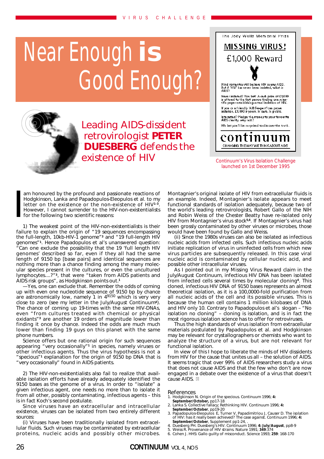## Near Enough *is* Good Enough?



*Leading AIDS-dissident retrovirologist PETER DUESBERG defends the existence of HIV*



*Continuum*'s Virus Isolation Challenge launched on 1st December 1995

I am honoured by the profound and passionate reactions of Hodgkinson, Lanka and Papadopulos-Eleopulos *et al.* to my letter on the existence or the non-existence of HIV*1-3*. However, I cannot surrender to the HIV-non-existentialists for the following two scientific reasons:

1) The weakest point of the HIV-non-existentialists is their failure to explain the origin of "19 sequences encompassing the full-length, 10kb-HIV-1 genome"*<sup>3</sup>* and "19 full-length HIV genomes"*1*. Hence Papadopulos *et al*'s unanswered question: "Can one exclude the possibility that the 19 'full length HIV genomes' described so far, even if they all had the same length of 9150 bp [base pairs] and identical sequences are nothing more than a chance finding among the many molecular species present in the cultures, or even the uncultured lymphocytes....?"*3*, that were "taken from AIDS patients and AIDS risk groups", as Hodgkinson points out.*<sup>1</sup>*

—Yes, one can exclude that. Remember the odds of coming up with even one nucleotide sequence of 9150 bp by chance are astronomically low, namely 1 in 4<sup>9150</sup> which is very very close to zero (see my letter in the July/August *Continuum4*). The chance of coming up 19-times with the same HIV-DNAs, even "from cultures treated with chemical or physical oxidants"*<sup>3</sup>* are another 19 orders of magnitude lower than finding it once by chance. Indeed the odds are much much lower than finding 19 guys on this planet with the same phone numbers.

Science offers but one rational origin for such sequences appearing "very occasionally"*<sup>1</sup>* in species, namely viruses or other infectious agents. Thus the virus hypothesis is not a "specious"*<sup>1</sup>* explanation for the origin of 9150 bp DNA that is "very occasionally" found in AIDS patients.

2) The HIV-non-existentialists also fail to realize that available isolation efforts have already adequately identified the 9150 bases as the genome of a virus. In order to "isolate" a given infectious agent, one needs no more than to isolate it from all other, possibly contaminating, infectious agents – this is in fact Koch's second postulate.

Since viruses have an extracellular and intracellular existence, viruses can be isolated from two entirely different sources:

(i) Viruses have been traditionally isolated from extracellular fluids. Such viruses may be contaminated by extracellular proteins, nucleic acids and possibly other microbes. Montagnier's original isolate of HIV from extracellular fluids is an example. Indeed, Montagnier's isolate appears to meet functional standards of isolation adequately, because two of the world's leading retrovirologists, Robert Gallo of the NIH and Robin Weiss of the Chester Beatty have re-isolated *only* HIV from Montagnier's virus stock*5,6*. If Montagnier's virus had been grossly contaminated by other viruses or microbes, those would have been found by Gallo and Weiss.

(ii) Since the 1980s viruses can also be isolated as infectious nucleic acids from infected cells. Such infectious nucleic acids initiate replication of virus in uninfected cells from which new virus particles are subsequently released. In this case viral nucleic acid is contaminated by cellular nucleic acid, and possible other intracellular viruses.

As I pointed out in my Missing Virus Reward claim in the July/August *Continuum,* infectious HIV DNA has been isolated from infected cells several times by molecular cloning*4*. This cloned, infectious HIV DNA of 9150 bases represents an almost theoretical isolation, as it is a 100,0000-fold purification from all nucleic acids of the cell and its possible viruses. This is because the human cell contains 1 million kilobases of DNA and HIV only 10. Contrary to Papadopulos *et al*'s slogan – "No isolation no cloning" – cloning is isolation, and is in fact the most rigorous isolation science has to offer for retroviruses.

Thus the high standards of virus isolation from extracellular materials postulated by Papadopulos *et al.* and Hodgkinson may be relevant for crystallographers or chemists who want to analyze the structure of a virus, but are not relevant for functional isolation.

In view of this I hope to liberate the minds of HIV dissidents from HIV for the cause that unites us all – the solution of AIDS. It seems tragic that over 99% of AIDS researchers study a virus that does not cause AIDS and that the few who don't are now engaged in a debate over the existence of a virus that doesn't cause AIDS. **c**

#### References

- 
- 
- 
- 1. Hodgkinson N. Origin of the specious. *Continuum* 1996; 4:<br> **September/October**, pp17-18<br>
2. Lanka S. Collective falloy; Rethinking HIV. *Continuum* 1996; 4:<br> **September/October**, pp19-20<br> **September/October, pp19-20**<br>
- **September/October**, Supplement pp1-24, . 4. Duesberg PH. Duesberg's HIV. *Continuum* 1996; **4: July/August**, pp8-9 5. Weiss R. Provenance of HIV strains. *Nature* 1991; **349**:374
- 
- 6. Cohen J. HHS: Gallo guilty of misconduct. *Science* 1993; **259**: 168-170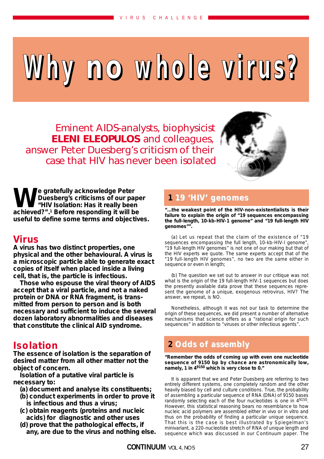## **Why** *no* **whole v irus ?**

*Eminent AIDS-analysts, biophysicist ELENI ELEOPULOS and colleagues, answer Peter Duesberg's criticism of their case that HIV has never been isolated*



**We gratefully acknowledge Peter<br>Duesberg's criticisms of our pa<br>achieved<sup>2"</sup> 1 Before responding it will be Duesberg's criticisms of our paper "HIV Isolation: Has it really been achieved?''.1 Before responding it will be useful to define some terms and objectives.** 

#### **Virus**

**A virus has two distinct properties, one physical and the other behavioural. A virus is a microscopic particle able to generate exact copies of itself when placed inside a living cell, that is, the particle is infectious.** 

**Those who espouse the viral theory of AIDS accept that a viral particle, and not a naked protein or DNA or RNA fragment, is transmitted from person to person and is both necessary and sufficient to induce the several dozen laboratory abnormalities and diseases that constitute the clinical AID syndrome.**

#### **Isolation**

**The essence of isolation is the separation of desired matter from all other matter not the object of concern.** 

**Isolation of a putative viral particle is necessary to:** 

- **(a) document and analyse its constituents;**
- **(b) conduct experiments in order to prove it is infectious and thus a virus;**
- **(c) obtain reagents (proteins and nucleic acids) for diagnostic and other uses**
- **(d) prove that the pathological effects, if any, are due to the virus and nothing else.**

#### **1 19 'HIV' genomes 19 'HIV' genomes**

**"...the weakest point of the HIV-non-existentialists is their failure to explain the origin of "19 sequences encompassing the full-length, 10-kb-HIV-1 genome" and "19 full-length HIV genomes"".** 

(a) Let us repeat that the claim of the existence of "19 sequences encompassing the full length, 10-kb-HIV-l genome", "19 full-length HIV genomes" is not one of our making but that of the HIV experts we quote. The same experts accept that of the "19 full-length HIV genomes", no two are the same either in sequence or even in length;

(b) The question we set out to answer in our critique was not what is the origin of the 19 full-length HIV-1 sequences but does the presently available data prove that these sequences represent the genome of a unique, exogenous retrovirus, HIV? The answer, we repeat, is NO.

Nonetheless, although it was not our task to determine the origin of these sequences, we did present a number of alternative mechanisms that science offers as a "rational origin for such sequences" in addition to "viruses or other infectious agents".

#### **2 Odds of assembly Odds of assembly**

**"Remember the odds of coming up with even one nucleotide sequence of 9150 bp by chance are astronomically low, namely, 1 in 4<sup>9150</sup> which is very close to 0."** 

It is apparent that we and Peter Duesberg are referring to two entirely different systems, one completely random and the other heavily biased by cell and culture conditions. True, the probability of assembling a particular sequence of RNA (DNA) of 9150 bases randomly selecting each of the four nucleotides is one in 49150. However, this statistical reasoning bears no resemblance to how nucleic acid polymers are assembled either *in vivo* or *in vitro* and thus on the probability of finding a particular unique sequence. That this is the case is best illustrated by Spiegelman's minivariant, a 220-nucleotide stretch of RNA of unique length and sequence which was discussed in our *Continuum* paper. The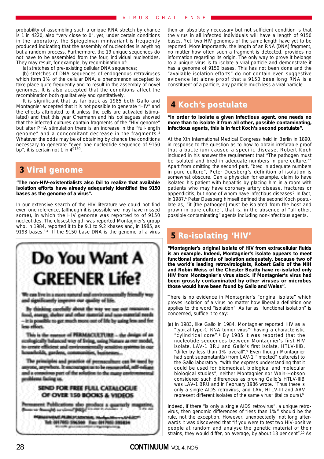probability of assembling such a unique RNA stretch by chance is 1 in 4220, also "very close to 0", yet, under certain conditions in the laboratory, the Spiegelman minivariant is frequently produced indicating that the assembly of nucleotides is anything but a random process. Furthermore, the 19 unique sequences do not have to be assembled from the four, individual nucleotides. They may result, for example, by recombination of:

(a) stretches of pre-existing cellular DNA sequences;

(b) stretches of DNA sequences of endogenous retroviruses which form 1% of the cellular DNA, a phenomenon accepted to take place quite frequently and to result in the assembly of novel genomes. It is also accepted that the conditions affect the recombination both qualitatively and qantitatively.

It is significant that as far back as 1985 both Gallo and Montagnier accepted that it is not possible to generate "HIV" and the effects attributed to it unless the cells are activated (stimulated) and that this year Chermann and his colleagues showed that the infected cultures contain fragments of the "HIV genome" but after PHA stimulation there is an increase in the "full-length genome" and a concomitant decrease in the fragments.2 Whatever the odds may be of obtaining by chance the conditions necessary to generate "even one nucleotide sequence of 9150 bp", it is certain not 1 in 49150

#### **3 Viral genome iral genome**

**"The non-HIV-existentialists also fail to realize that available isolation efforts have already adequately identified the 9150 bases as the genome of a virus".**

In our extensive search of the HIV literature we could not find even one reference, (although it is possible we may have missed some), in which the HIV genome was reported to of 9150 nucleotides. The closest length was reported Montagnier's group who, in 1984, reported it to be 9.1 to 9.2 kbases and, in 1985, as 9193 bases.<sup>3,4</sup> If the 9150 base DNA is the genome of a virus

### Do You Want A **GREENER Life?**

tricate live in a more material and environm santly impount our quality of life.

r carchally at sit the way we use out to and other merical and non-material room ic to get much more out of life by using low and for

e al PSRMACULTURE - de des atord way of Bring, using Nature as our model, ki polonički pisatelji

s and practice of pe c. animated a. In encourage and to be reason ous part of the set ur und

#### SENID FOR FREE FULL CATALOGUE OF OVER 150 BOOKS & VIDEO

Tel: 0017051 596300 Tax: 0017051 585834

then an absolutely necessary but not sufficient condition is that the virus in all infected individuals will have a length of 9150 bases. Yet, two HIV genomes of the same length have yet to be reported. More importantly, the length of an RNA (DNA) fragment, no matter how often such a fragment is detected, provides no information regarding its origin. The only way to prove it belongs to a unique virus is to isolate a viral particle and demonstrate it has a genome of 9150 bases. This has not been done and the "available isolation efforts" do not contain even suggestive evidence let alone proof that a 9150 base long RNA is a constituent of a particle, any particle much less a viral particle.

#### **4 Koch's postulate s postulate**

**"In order to isolate a given infectious agent, one needs no more than to isolate it from all other, possible contaminating, infectious agents, this is in fact Koch's second postulate".**

At the Xth International Medical Congress held in Berlin in 1890, in response to the question as to how to obtain irrefutable proof that a bacterium caused a specific disease, Robert Koch included in his answer the requirement that "The pathogen must be isolated and bred in adequate numbers in pure culture."5 Apart from omitting the second part, "bred in adequate numbers in pure culture", Peter Duesberg's definition of isolation is somewhat obscure. Can a physician for example, claim to have isolated his patient with hepatitis by placing him in a room with patients who may have coronary artery disease, fractures or appendicitis, but none of whom have infectious diseases? In fact, in 1987,<sup>6</sup> Peter Duesberg himself defined the second Koch postulate as, "it [the pathogen] must be isolated from the host and grown in pure culture", that is, in the absence of "all other, possible contaminating" agents including non-infectious agents.

#### **5 Re-isolating 'HIV' Re-isolating 'HIV'**

**"Montagnier's original isolate of HIV from extracellular fluids is an example. Indeed, Montagnier's isolate appears to meet functional standards of isolation adequately, because two of the world's leading retrovirologists, Robert Gallo of the NIH and Robin Weiss of the Chester Beatty have re-isolated only HIV from Montagnier's virus stock. If Montagnier's virus had been grossly contaminated by other viruses or microbes those would have been found by Gallo and Weiss".** 

There is no evidence in Montagnier's "original isolate" which proves isolation of a virus no matter how liberal a definition one applies to the word "isolation". As far as "functional isolation" is concerned, suffice it to say:

(a) In 1983, like Gallo in 1984, Montagnier reported HIV as a "typical type-C RNA tumor virus"7 having a characteristic "cylindrical core".8 By 1985 it was reported that the nucleotide sequences between Montagnier's first HIV isolate, LAV-1 BRU and Gallo's first isolate, HTLV-IIIB, "differ by less than 1% overall".9 Even though Montagnier had sent supernatant(s) from LAV-1 "infected" culture(s) to the Gallo laboratory, "with the express understanding that it could be used for biomedical, biological and molecular biological studies", neither Montagnier nor Wain-Hobson considered such differences as proving Gallo's HTLV-IIIB was LAV-1 BRU and in February 1986 wrote, "Thus there is only a single AIDS retrovirus, and LAV, HTLV-III and ARV represent different isolates of the same virus" (italics ours).9

Indeed, if there "is only a single AIDS retrovirus", a unique retrovirus, then genomic differences of "less than 1%" should be the rule, not the exception. However, unexpectedly, not long afterwards it was discovered that "If you were to test two HIV-positive people at random and analyse the genetic material of their strains, they would differ, on average, by about 13 per cent".<sup>10</sup> As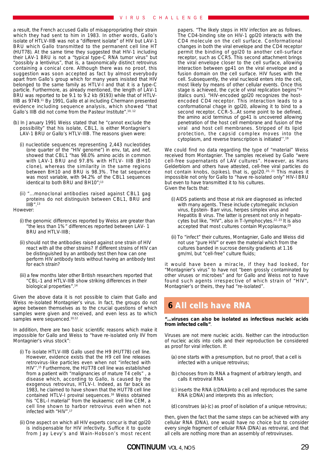a result, the French accused Gallo of misappropriating their strain which they had sent to him in 1983. In other words, Gallo's isolate of HTLV-IIIB was not a "different isolate" of HIV but LAV-1 BRU which Gallo transmitted to the permanent cell line HT (HUT78). At the same time they suggested that HIV-1 including their LAV-1 BRU is not a "typical type-C RNA tumor virus" but "possibly a lentivirus", that is, a taxonomically distinct retrovirus containing a conical core. Although there was no proof, this suggestion was soon accepted as fact by almost everybody apart from Gallo's group which for many years insisted that HIV belonged to the same family as HTLV-I and that it is a type-C particle. Furthermore, as already mentioned, the length of LAV-1 BRU was reported to be 9.1 to 9.2 kb (9193) while that of HTLV-IIIB as 9749.11 By 1991, Gallo et al including Chermann presented evidence including sequence analysis, which showed "that Gallo's IIIB did not come from the Pasteur Institute".10, 12

- (b) In January 1991 Weiss stated that he "cannot exclude the possibility" that his isolate, CBL1, is either Montagnier's LAV-1 BRU or Gallo's HTLV-IIIB. The reasons given were:
	- (i) nucleotide sequences representing 2,443 nucleotides (one quarter of the "HIV genome") in env, tat, and nef, showed that CBL1 "has 98.0% amino acids in common with LAV-1 BRU and 97.8% with HTLV- IIIB (BH10 clone), whereas the similarity in the same regions between BH10 and BRU is 98.3%. The tat sequence was most variable, with 94.2% of the CBL1 sequences identical to both BRU and BH10";13
	- (ii) "...monoclonal antibodies raised against CBL1 gag proteins do not distinguish between CBL1, BRU and  $IIIIB$ ".<sup>13</sup>

However:

- (i) the genomic differences reported by Weiss are greater than "the less than 1%" differences reported between LAV- 1 BRU and HTLV-IIIB;
- (ii) should not the antibodies raised against one strain of HIV react with all the other strains? If different strains of HIV can be distinguished by an antibody test then how can one perform HIV antibody tests without having an antibody test for each strain?
- (iii) a few months later other British researchers reported that "CBL-1 and HTLV-IIIB show striking differences in their biological properties".14

Given the above data it is not possible to claim that Gallo and Weiss re-isolated Montagnier's virus. In fact, the groups do not agree between themselves as to the crucial questions of which samples were given and received, and even less as to which samples were sequenced.<sup>10,12</sup>

In addition, there are two basic scientific reasons which make it impossible for Gallo and Weiss to "have re-isolated only IIV from Montagnier's virus stock":

- (i) To isolate HTLV-IIIB Gallo used the H9 (HUT78) cell line. However, evidence exists that the H9 cell line releases retrovirus-like particles even when not "infected with HIV''.15 Furthermore, the HUT78 cell line was established from a patient with "malignancies of mature T4 cells" , a disease which, according to Gallo, is caused by the exogenous retrovirus, HTLV-I. Indeed, as far back as 1983, he claimed to have shown that the HUT78 cell line contained HTLV-I proviral sequences.16 Weiss obtained his "CBL-l material" from the leukaemic cell line CEM, a cell line shown to harbor retrovirus even when not infected with "HIV".17
- (ii) One aspect on which all HIV experts concur is that gpl20 is indispensable for HIV infectivity. Suffice it to quote from Jay Levy's and Wain-Hobson's most recent

papers. "The likely steps in HIV infection are as follows. The CD4-binding site on HIV-1 gpl20 interacts with the CD4 molecule on the cell surface. Conformational changes in both the viral envelope and the CD4 receptor permit the binding of gpl20 to another cell-surface receptor, such as CCR5. This second attachment brings the viral envelope closer to the cell surface, allowing interaction between gp41 on the viral envelope and a fusion domain on the cell surface. HIV fuses with the cell. Subsequently, the viral nucleoid enters into the cell, most likely by means of other cellular events. Once this stage is achieved, the cycle of viral replication begins"<sup>18</sup> (italics ours). "HIV-encoded gpl20 recognizes the hostencoded CD4 receptor. This interaction leads to a conformational chage in gpl20, allowing it to bind to a second receptor, CCR-5...At some point to be defined, the amino acid terminus of gp41 is uncovered allowing penetration of the host cell membrane and fusion of the viral and host cell membranes. Stripped of its lipid protection, the capsid complex moves into the cytoplasm, and reverse transcription is initiated''.19

We could find no data regarding the type of "material" Weiss received from Montagnier. The samples received by Gallo "were cell-free supernatants of LAV cultures". However, as Hans Gelderblom and others have attested, cell-free viral particles do not contain knobs, (spikes), that is, gpl20.20, 21 This makes it impossible not only for Gallo to "have re-isolated only" HIV-l BRU but even to have transmitted it to his cultures. Given the facts that:

- (i) AIDS patients and those at risk are diagnosed as infected with many agents. These include cytomegalic inclusion virus, Epstein- Barr virus, herpes simplex virus and Hepatitis B virus. The latter is present not only in hepatocytes but like, "HIV", also in T-lymphocytes.<sup>22, 23</sup> It is also accepted that most cultures contain Mycoplasma;<sup>29</sup>
- (ii) To "infect" their cultures, Montagnier, Gallo and Weiss did not use "pure HIV" or even the material which from the cultures banded in sucrose density gradients at 1.16 gm/ml, but "cell-free" culture fluids;

it would have been a miracle, if they had looked, for "Montagnier's virus" to have not "been grossly contaminated by other viruses or microbes" and for Gallo and Weiss not to have found such agents irrespective of which strain of "HIV", Montagnier's or theirs, they had "re-isolated".

#### **6 All cells have RNA All cells have RNA**

**"...viruses can also be isolated as infectious nucleic acids from infected cells"**.

Viruses are not mere nucleic acids. Neither can the introduction of nucleic acids into cells and their reproduction be considered as proof for viral infection. If:

- (a) one starts with a presumption, but no proof, that a cell is infected with a unique retrovirus;
- (b) chooses from its RNA a fragment of arbitrary length, and calls it retroviral RNA
- (c) inserts the RNA (cDNA)into a cell and reproduces the same RNA (cDNA) and interprets this as infection;
- (d) construes (a)-(c) as proof of isolation of a unique retrovirus;

then, given the fact that the same steps can be achieved with any cellular RNA (DNA), one would have no choice but to consider every single fragment of cellular RNA (DNA) as retroviral, and that all cells are nothing more than an assembly of retroviruses.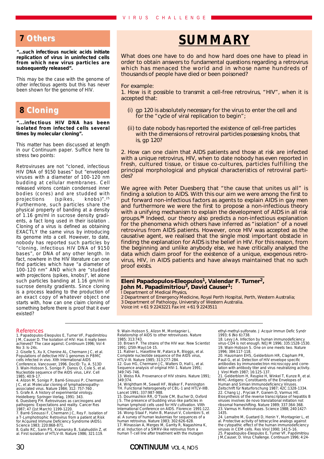#### **7 Others**

**"...such infectious nucleic acids initiate replication of virus in uninfected cells from which new virus particles are subsequently released".** 

This may be the case with the genome of other infectious agents but this has never been shown for the genome of HIV.

#### **8 Cloning Cloning**

**"...infectious HIV DNA has been isolated from infected cells several times by molecular cloning".** 

This matter has been discussed at length in our Continuum paper. Suffice here to stress two points:

Retroviruses are not "cloned, infectious HIV DNA of 9150 bases" but "enveloped viruses with a diameter of 100-120 nm budding at cellular membranes. Cell released virions contain condensed inner bodies (cores) and are studded with<br>projections (spikes, knobs)".<sup>25</sup> projections Furthermore, such particles share the physical property of banding at a density of 1.16 gm/ml in sucrose density gradients, a fact long used in their isolation . Cloning of a virus is defined as obtaining EXACTLY the same virus by introducing its genome into a cell. However, to date, nobody has reported such particles by "cloning, infectious HIV DNA of 9150 bases", or DNA of any other length. In fact, nowhere in the HIV literature can one find particles which have "a diameter of 100-120 nm" AND which are "studded with projections (spikes, knobs)", let alone such particles banding at 1.16 gm/ml in sucrose density gradients. Since cloning is a process leading to the production of an exact copy of whatever object one starts with, how can one claim cloning of something before there is proof that it ever existed?

#### **References**

- 1. Papadopulos-Eleopulos E, Turner VF, Papdimitriou JM, Causer D. The Isolation of HIV: Has it really been achieved? The case against. Continuum 1996; Vol 4 No 3: ls-24s.
- 2. Giselle S, Xu X, Chenine AL, Chermann JC, et al. Populations of defective HIV-1 genomes in PBMC cells infected in vivo. XIth International AIDS Conference. Vancouver, 1996. DocID: Tu. A. 513D
- 3. Wain-Hobson S, Sonigo P, Danos O, Cole S, et al. Nucleotide sequence of the AIDS virus, LAV. Cell 1985; 40:9-17.
- 4. Alizon M, Sonigo P, Barré-Sinoussi P, Chermann JC, et al. Molecular cloning of lymphadenopathy-associated virus. Nature 1984; 312: 757-760 .
- 5. Grafe A. A history of experimental virology. Heidelberg: Springer-Verlag, 1991: 343. 6. Duesberg PH. Retroviruses as carcinogens and
- 
- pathogens: Expectations and reality. Cancer Res 1987; 47 (1st March): 1199-1220. 7. Barré-Sinoussi F, Chermann JC, Rey F. Isolation of
- a T-Lymphotrophic Retrovirus from a patient at Risk for Acquired Immune Deficiency Syndrome (AIDS).
- Science 1983; 220:868-871. 8. Gallo RC, Sarin PS, Kramarsky B, Salahuddin Z, et
- al. First isolation of HTLV-III. Nature 1986; 321:119.
- 9. Wain-Hobson S, Alizon M, Montagnier L. Relationship of AIDS to other retroviruses. Nature 1985; 313:743.
- 10. Brown P. The strains of the HIV war. New Scientist 1991; (25th May):14-15. 11. Ratner L, Haseltine W, Patarca R, Bloggs, et al.
- Complete nucleotide sequence of the AIDS virus, HTLV-III. Nature 1985; 313:277-284.
- 12. Guo HG, Chermann JC, Walters D, Hall L, et al. Sequence analysis of original HIV-1. Nature 1991; 349:745-746.
- 13. Weiss RA. Provenance of HIV strains. Nature 1991; 349:374.
- 14. Wrightham M, Sewell HF, Walker F, Pennington TH. Functional heterogeneity of CBL-1 and HTLV-IIIB. Lancet 1991; 337:987-988.
- 15. Dourmashkin RR, O'Toole CM, Bucher D, Oxford JS. The presence of budding virus-like particles in human lymphoid cells used for HIV cultivation. VIIth International Conference on AIDS. Florence: 1991:122. 16. Wong-Staal F, Hahn B, Manzuri V, Colombini S, et al. A survey of human leukemias for sequences of a human retrovirus. Nature 1983; 302:626-628. 17. Minassian A, Merges M, Garrity R, Nagashima K, et al. Induction of a SMRV-like retrovirus from a human T-cell line after treatment with the mutagen

#### **SUMMARY**

What does one have to do and how hard does one have to plead in order to obtain answers to fundamental questions regarding a retrovirus which has menaced the world and in whose name hundreds of thousands of people have died or been poisoned?

#### For example:

1. How is it possible to transmit a cell-free retrovirus, "HIV", when it is accepted that:

- (i) gp 120 is absolutely necessary for the virus to enter the cell and for the "cycle of viral replication to begin";
- (ii) to date nobody has reported the existence of cell-free particles with the dimensions of retroviral particles possessing knobs, that is, gp 120?

2. How can one claim that AIDS patients and those at risk are infected with a unique retrovirus, HIV, when to date nobody has even reported in fresh, cultured tissue, or tissue co-cultures, particles fulfilling the principal morphological and physical characteristics of retroviral particles?

We agree with Peter Duesberg that "the cause that unites us all" is finding a solution to AIDS. With this our aim we were among the first to put forward non-infectious factors as agents to explain AIDS in gay men and furthermore we were the first to propose a non-infectious theory with a unifying mechanism to explain the development of AIDS in all risk groups.*<sup>26</sup>* Indeed, our theory also predicts a non-infectious explanation for the phenomena which others have inferred as "isolation" of a novel retrovirus from AIDS patients. However, once HIV was accepted as the causative agent, we realised that the single most important obstacle in finding the explanation for AIDS is the belief in HIV. For this reason, from the beginning and unlike anybody else, we have critically analysed the data which claim proof for the existence of a unique, exogenous retrovirus, HIV, in AIDS patients and have always maintained that no such proof exists.

#### **Eleni Papadopulos-Eleopulos1, Valendar F. Turner2, John M. Papadimitriou3, David Causer1:** l Department of Medical Physics,

- 2 Department of Emergency Medicine, Royal Perth Hospital, Perth, Western Australia; 3 Department of Pathology, University of Western Australia.
- Voice int + 61 9 2243221 Fax int + 61 9 2243511

ethyl-methyl-sulfonate. J Acquir Immun Defic Syndr 1993; 6 (No 6):738.

18. Levy JA. Infection by human immunodeficiency virus-CD4 is not enough. NEJM 1996; 335:1528-1530. 19. Wain-Hobson S. One on one meets two. Nature 1996; 384:117-118.

20. Hausmann EHS, Gelderblom HR, Clapham PR, Pauli G, et al. Detection of HIV envelope specific antibodies by immunoelectron microscopy and correlation with antibody titer and virus neutralizing activity. J Virol Meth 1987; 16:125-137. 21. Gelderblom H, Reupke H, Winkel T, Kunze R, et al.

MHC-Antigens: Constituents of the Envelopes of Human and Simian Immunodeficiency Viruses. Zeitschrift für Naturforschung 1987; 42C:1328-1334. 22. Chang LJ, Pryciak P, Ganem D, Varmus HE. Biosynthesis of the reverse transcriptase of hepatitis B viruses involves de novo translational initiation not ribsomal frameshifting. Nature 1989; 337:364-368. 23. Varmus H. Retroviruses. Science 1988; 240:1427- 1435.

24. Lemaitre M, Guetard D, Henin Y, Montagnier L, et al. Protective activity of tetracycline analogs against the cytopathic effect of the human immunodeficiency viruses in CEM cells. Res Virol 1990; 141:5-16. 25. Papadopulos-Eleopulos E, Turner VF, Papdimitriou JM,Causer, D. Virus Challenge. Continuum 1996; 4:24-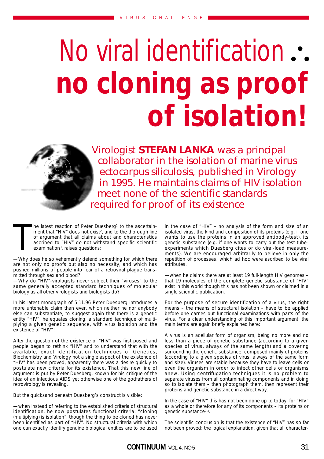## No viral identification :. **no cloning as proof of isolation!**



*Virologist STEFAN LANKA was a principal collaborator in the isolation of marine virus* ectocarpus siliculosis*, published in* Virology *in 1995. He maintains claims of HIV isolation meet none of the scientific standards required for proof of its existence*

T he latest reaction of Peter Duesberg<sup>1</sup> to the ascertainment that "HIV" does not exist<sup>2</sup>, and to the thorough line of argument that all claims about and characteristics ascribed to "HIV" do not withstand specific scientific examination<sup>3</sup>, raises questions:

—Why does he so vehemently defend something for which there are not only no proofs but also no necessity, and which has pushed millions of people into fear of a retroviral plague transmitted through sex and blood?

—Why do "HIV"-virologists never subject their "viruses" to the same generally accepted standard techniques of molecular biology as all other virologists and biologists do?

In his latest monograph of 5.11.96 Peter Duesberg introduces a more untenable claim than ever, which neither he nor anybody else can substantiate, to suggest again that there is a genetic entity "HIV": he equates cloning, a standard technique of multiplying a given genetic sequence, with virus isolation and the existence of "HIV"!

After the question of the existence of "HIV" was first posed and people began to rethink "HIV" and to understand that with the available, exact identification techniques of Genetics, Biochemistry and Virology not a single aspect of the existence of "HIV" has been proved, apparently there was a desire quickly to postulate new criteria for its existence. That this new line of argument is put by Peter Duesberg, known for his critique of the idea of an infectious AIDS yet otherwise one of the godfathers of retrovirology is revealing.

But the quicksand beneath Duesberg's construct is visible:

—when instead of referring to the established criteria of structural identification, he now postulates functional criteria: "cloning (multiplying) is isolation", though the thing to be cloned has never been identified as part of "HIV". No structural criteria with which one can exactly identify genuine biological entities are to be used

in the case of "HIV" – no analysis of the form and size of an isolated virus, the kind and composition of its proteins (e.g. if one wants to use the proteins in an approved antibody-test), its genetic substance (e.g. if one wants to carry out the test-tubeexperiments which Duesberg cites or do viral-load measurements). We are encouraged arbitrarily to believe in only the repetition of processes, which ad hoc were ascribed to be viral attributes.

—when he claims there are at least 19 full-length HIV genomes – that 19 molecules of the complete genetic substance of "HIV" exist in this world though this has not been shown or claimed in a single scientific publication.

For the purpose of secure identification of a virus, the right means – the means of structural isolation – have to be applied before one carries out functional examinations with parts of the virus. For a clear understanding of this important argument, the main terms are again briefly explained here:

A virus is an acellular form of organism, being no more and no less than a piece of genetic substance (according to a given species of virus, always of the same length) and a covering surrounding the genetic substance, composed mainly of proteins (according to a given species of virus, always of the same form and size). Viruses are stable because they have to leave cells or even the organism in order to infect other cells or organisms anew. Using centrifugation techniques it is no problem to separate viruses from all contaminating components and in doing so to isolate them - then photograph them, then represent their proteins and genetic substance in a direct way.

In the case of "HIV" this has not been done up to today, for "HIV" as a whole or therefore for any of its components – its proteins or genetic substance<sup>2,3</sup>.

The scientific conclusion is that the existence of "HIV" has so far not been proved; the logical explanation, given that all character-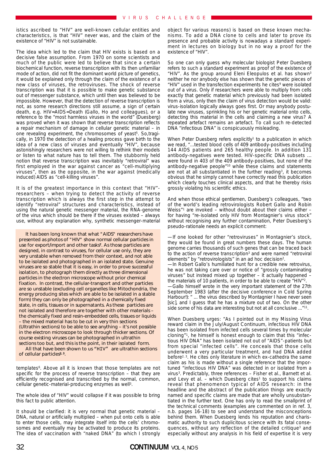istics ascribed to "HIV" are well-known cellular entities and characteristics, is that "HIV" never was, and the claim of the existence of "HIV" is not sustainable.

The idea which led to the claim that HIV exists is based on a decisive false assumption. From 1970 on some scientists and much of the public were led to believe that since a certain biochemical function, reverse transcription with its then unfamiliar mode of action, did not fit the dominant world picture of genetics, it would be explained only through the claim of the existence of a new class of viruses, the retroviruses. The shock of reverse transcription was that it is possible to make genetic substance out of messenger substance, which until then was believed to be impossible. However, that the detection of reverse transcription is not, as some research directions still assume, a sign of certain death, e.g. HIV=AIDS=Death (Gallo, Ho and colleagues), or a reference to the "most harmless viruses in the world" (Duesberg) was proved when it was shown that reverse transcription reflects a repair mechanism of damage in cellular genetic material – in one revealing experiment, the chromosomes of yeast<sup>5</sup>. So,tragically, in 1970 the detection of a healing process gave birth to the idea of a new class of viruses and eventually "HIV", because astonishingly researchers were not willing to rethink their models or listen to what nature has to tell them. The stubbornly held notion that reverse transcription was inevitably "retroviral" was first employed in the war against cancer as "cell-multiplying viruses", then as the opposite, in the war against (medically induced) AIDS as "cell-killing viruses".

It is of the greatest importance in this context that "HIV" researchers – when trying to detect the activity of reverse transcription which is always the first step in the attempt to identify "retroviral" structures and characteristics, instead of using the natural genetic messenger material, the RNA-genome of the virus which should be there if the viruses existed – always use, without any explanation why, synthetic messenger-material

It has been long known that what "AIDS" researchers have presented as photos of "HIV" show normal cellular particles in use for export/import and other tasks*7*. As those particles are designed, in contrast to viruses, for cellular use only, they are very unstable when removed from their context, and not able to be isolated and photographed in an isolated state. Genuine viruses are so stable that it is easy, in order to prove successful isolation, to photograph them directly as three dimensional particles in the electron microscope without prior chemical fixation. In contrast, the cellular-transport and other particles are so unstable (excluding cell organelles like Mitochondria, the energy producing sites which are able to be isolated in a stable form) they can only be photographed in a chemically fixed state, in cells, tissues or in supernatants. As these particles are not isolated and therefore are together with other materials – the chemically fixed and resin-embedded cells, tissues or liquids – the mixed material has to be cut in very thin sections (Ultrathin sections) to be able to see anything – it's not possible in the electron microscope to look through thicker sections. Of course existing viruses can be photographed in ultrathin sections too but, and this is the point, in their isolated form.

All that have been shown to us "HIV" are ultrathin sections of cellular particles*2, 3*.

templates<sup>6</sup>. Above all it is known that those templates are not specific for the process of reverse transcription – that they are efficiently recognised and transcribed by the normal, common, cellular genetic-material-producing enzymes as well<sup>3</sup>.

The whole idea of "HIV" would collapse if it was possible to bring this fact to public attention.

It should be clarified: it is very normal that genetic material – DNA, natural or artificially multiplied – when put onto cells is able to enter those cells, may integrate itself into the cells' chromosomes and eventually may be activated to produce its proteins. The idea of vaccination with "naked DNA" (to which I strongly

object for various reasons) is based on these known mechanisms. To add a DNA clone to cells and later to prove its presence and probable activity is nowadays a standard experiment in lectures on biology but in no way a proof for the existence of "HIV".

So one can only guess why molecular biologist Peter Duesberg refers to such a standard experiment as proof of the existence of "HIV". As the group around Eleni Eleopulos et al. has shown3 neither he nor anybody else has shown that the genetic pieces of "HIV" used in the transfection experiments he cites<sup>9</sup> were isolated out of a virus. Only if researchers were able to multiply from cells exactly that genetic material which previously had been isolated from a virus, only then the claim of virus detection would be valid: virus-isolation logically always goes first. Or may anybody postulate new viruses, sprinkling his or her genetic material onto cells, detecting this material in the cells and claiming a new virus? A repeated artefact remains an artefact. To call such re-detected DNA "infectious DNA" is conspicuously misleading.

When Peter Duesberg refers explicitly<sup>1</sup> to a publication in which we read, "...tested blood cells of 409 antibody-positives including 144 AIDS patients and 265 healthy people. In addition 131 antibody-negatives were tested. HIV-specific DNA subsets ... were found in 403 of the 409 antibody-positives, but none of the antibody-negative people"10 while these claims and statements are not at all substantiated in the further reading<sup>3</sup>, it becomes obvious that he simply cannot have correctly read this publication which clearly touches clinical aspects, and that he thereby risks grossly violating his scientific ethics.

And when those ethical gentlemen, Duesberg's colleagues, "two of the world's leading retrovirologists Robert Gallo and Robin Weiss"1 are invoked – without doubt about their claims either – for having "re-isolated only HIV from Montagnier's virus stock" without recognising any further contamination, Peter Duesberg's pseudo-rationale needs an explicit comment:

—If one looked for other "retroviruses" in Montagnier's stock, they would be found in great numbers these days. The human genome carries thousands of such genes that can be traced back to the action of reverse transcription<sup>3</sup> and were named "retroviral elements" by "retrovirologists" in an ad hoc decision<sup>2</sup>. —In Robert Gallo's humiliated hunt for a credible new retrovirus, he was not taking care over or notice of "grossly contaminating viruses" but instead mixed up together – it actually happened – the materials of 10 patients, in order to be able to create "HIV"2. —Gallo himself wrote in the very important statement of the 27th

September 1983 (after the decisive conference in Cold Spring Harbour!): " ... the virus described by Montagnier I have never seen [sic], and I guess that he has a mixture out of two. On the other side some of his data are interesting but not at all conclusive ..."11.

When Duesberg urges: "As I pointed out in my Missing Virus reward claim in the July/August Continuum, infectious HIV DNA has been isolated from infected cells several times by molecular cloning"1, he himself is honest enough to claim that this "infectious HIV DNA" has been isolated not out of "AIDS"-patients but from special "infected cells". He conceals that those cells underwent a very particular treatment, and had DNA added before2, 3. He cites only literature in which ex-cathedra the same claim as his is made without a single reference that the importuned "infectious HIV DNA" was detected in or isolated from a virus<sup>3</sup>. Predictably, three references - Fisher et al., Barnett et al. and Levy et al.  $-$  which Duesberg cites<sup>1</sup> to support his claims reveal that phenomenon typical of AIDS research: in the headline and the abstract of the publication things are exactly named and specific claims are made that are wholly unsubstantiated in the further text. One has only to read the smallprint of the technical comments (examples are commented on in ref. 3, n.b. pages 16-18) to see and understand the misconceptions behind them. When Duesberg lends his reputation and charismatic authority to such duplicitous science with its fatal consequences, without any reflection of the detailed critique3 and especially without any analysis in his field of expertise it is very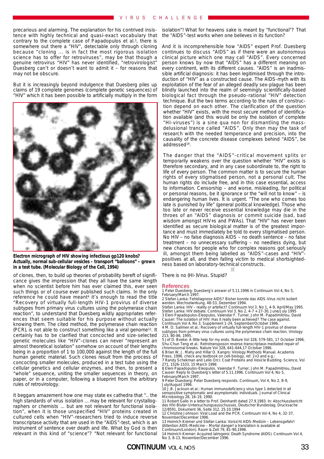precarious and alarming. The explanation for his contrived insistence with highly technical and quasi-exact vocabulary that contrary to the complete case of Papadopulos et al.3, there is somewhere out there a "HIV", detectable only through cloning because "cloning ... is in fact the most rigorous isolation science has to offer for retroviruses", may be that though a genuine retrovirus "HIV" has never identified, "retrovirologist" Duesberg can't or doesn't want to admit it – for reasons that may not be obscure.

But it is increasingly beyond indulgence that Duesberg piles up claims of 19 complete genomes (complete genetic sequences) of "HIV" which it has been possible to artificially multiply in the form



*Electron micrograph of HIV showing infectious gp120 knobs? Actually, normal sub-cellular vesicles – transport "balloons" – grown in a test tube. (Molecular Biology of the Cell, 1994)*

of clones, then, to build up theories of probability bereft of significance gives the impression that they all have the same length when no scientist before him has ever claimed this, ever seen such things or of course ever published such claims. In the only reference he could have meant<sup>4</sup> it's enough to read the title "Recovery of virtually full-length HIV-1 provirus of diverse subtypes from primary virus cultures using the polymerase chain reaction", to understand that Duesberg wildly appropriates references that seem suitable for his purpose without actually knowing them. The cited method, the polymerase chain reaction (PCR), is not able to construct something like a viral genome12. It certainly has to be clarified that concocted and size-selected genetic molecules like "HIV"-clones can never "represent an almost theoretical isolation" somehow on account of their lengths being in a proportion of 1 to 100,000 against the length of the full human genetic material. Such clones result from the process of concocting smaller molecules, produced in a test tube using the cellular genetics and cellular enzymes, and then, to present a "whole" sequence, uniting the smaller sequences in theory, on paper, or in a computer, following a blueprint from the arbitrary rules of retrovirology.

It beggars amazement how one may state ex cathedra that ".. the high standards of virus isolation ... may be relevant for crystallographers or chemists ... but are not relevant for functional isolation", when it is those unspecified "HIV" proteins created in cultured cells when "HIV"-researchers tried to induce reverse transcriptase activity that are used in the "AIDS"-test, which is an instrument of sentence over death and life. What by God is then relevant in this kind of "science"? "Not relevant for functional

isolation"! What for heavens sake is meant by "functional"? That the "AIDS"-test works when one believes in its function?

And it is incomprehensible how "AIDS" expert Prof. Duesberg continues to discuss "AIDS" as if there were an autonomous clinical picture which one may call "AIDS". Every concerned person knows by now that "AIDS" has a different meaning on every continent, with its different causes. "AIDS" is an inadmissible artificial diagnosis: it has been legitimised through the introduction of "HIV" as a constructed cause. The AIDS-myth with its exploitation of the fear of an alleged deadly sex-plague has been blindly launched into the realm of seemingly scientifically-based biological fact through the pseudo-rational "HIV" detection technique. But the two terms according to the rules of construction depend on each other. The clarification of the question whether "HIV" exists, with the most secure method of identification available (and this would be only the isolation of complete "HI-viruses") is a sine qua non for dismantling the massdelusional trance called "AIDS". Only then may the task of research with the needed temperance and precision, into the causality of the concrete disease complexes behind "AIDS", be addressed14.

**c** The danger that the "AIDS"-critical movement splits or temporarily weakens over the question whether "HIV" exists is therefore secondary, and in any case subordinate to, the right to life of every person. The common matter is to secure the human rights of every stigmatised person, not a personal cult. The human rights do include free, and in this case essential, access to information. Censorship – and worse, misleading, for political or personal reasons, be it ignorance or the "will not to know" – is endangering human lives. It is urgent. "The one who comes too late is punished by life" (general political knowledge). Those who too late or never receive essential knowledge may die in the throes of an "AIDS" diagnosis or commit suicide (sad, bad wisdom amongst HIV+s and PWAs). That "HIV" has never been identified as secure biological matter is of the greatest importance and must immediately be told to every stigmatised person. No HIV – no false diagnosis AIDS – no death sentence – no false treatment – no unnecessary suffering – no needless dying, but new chances for people who for complex reasons got seriously ill, amongst them being labelled as "AIDS"-cases and "HIV" positives at all, and then falling victim to medical shortsightedness based on laboratory-technical constructs.

There is no (HI-)Virus. Stupid?

#### **References**

1 Peter Duesberg: Duesberg's answer of 5.11.1996 in Continuum Vol 4, No 5, February/March 1997.

2 Stefan Lanka: Fehldiagnose AIDS? Bisher konnte das AlDS-Virus nicht isoliert werden. Wechselwirkung, 48-53, Dezember 1994.

Stefan Lanka: HIV – reality or artefact? Continuum Vol 3, No 1, 4-9, April/May 1995.<br>Stefan Lanka: HIV debate. Continuum Vol 3, No 2, 4-7 + 27-30, June/July 1995<br>3 Eleni Papadopulos-Eleopulos, Valendar F. Turner, John M. P

Causer: The isolation of HIV: Has it really been achieved? The case against.<br>Continuum Vol 4, No 3, Supplement 1-24, September/October 1996.<br>4 M. O. Salimen et al.: Recovery of virtually full-length HIV-1 provirus of diver

subtypes from primary virus cultures using the polymerase chain reaction. Virology 213, 80-86, 1995.

5 Jef D. Boeke: A little help for my ends. Nature Vol 328, 579-581, 17 October 1996. Shu-Chun Teng et al.: Retrotransposon reverse-transcriptase-mediated repair of

chromosomal breaks. Nature Vol 328, 641-644,17 October 1996. 6 Brian W. J. Mahy and Hillar O. Kangro: Virology Methods Manual. Academis Press, 1996. check any textbook on cell-biology, ref. 2+3 and e.g.

7 Randy Schekman and Lelio Orci: Coat Proteins and Vesicle Budding. Science, Vol 271, 1526-1533, 15 March 1996

8 Eleni Papadopulos-Eleopulos, Vaiendar F. Turner, John M. Papadimitriou, David Causer: Reply to Duesberg's letter of 5.11.1996. Continuum Vol 4, No 5, February/March 1997.

9 Peter Duesberg: Peter Duesberg responds. Continuum, Vol 4, No 2, 8-9, July/August 1996.

10 J.B. Jackson et al.: Human immunodeficiency virus type 1 detected in all seropositive symptomatic and asymptomatic individuals. Journal of Clinical

Microbiology 28, 16-19, 1990. 11 Robert Gallo in a letter to Prof. Deinhardt dated 27.9.1983. In: Abschlussbericht des HlV-Bluter-Untersuchungsausschusses, Deutscher Bundestag, Drucksache

12/8591, Dokument 36, Seite 312, 25.10.1994 12 Christine Johnson: Viral Load and the PCR. Continuum Vol 4, No 4, 32-37, November/December 1996.

13 Heinrich Kremer und Stefan Lanka: Vorsicht AlDS-Medizin – Lebensgefahr! (Attention AlDS-Medicine – Mortal danger! a translation is available at Continuum/London). Raum & Zeit 79, 81-90,1996.

14 Heinrich Kremer: Acquired latrogenic Death Syndrome (AIDS). Continuum Vol 4, No 3, 8-13, November/December 1996.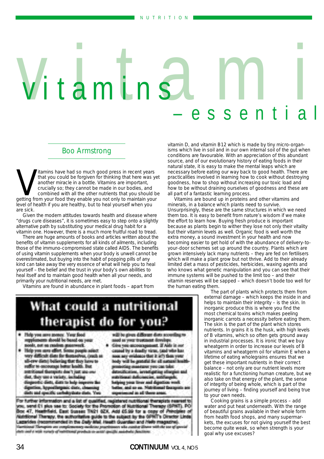## Vitamins1 Mi –essential

#### Boo Armstrong

Itamins have had so much good press in recent years<br>that you could be forgiven for thinking that here was yeanother miracle in a bottle. Vitamins are important,<br>crucially so; they cannot be made in our bodies, and<br>combined itamins have had so much good press in recent years that you could be forgiven for thinking that here was yet another miracle in a bottle. Vitamins are important, crucially so; they cannot be made in our bodies, and combined with all the other nutrients that you should be level of health if you are healthy, but to heal yourself when you are sick.

Given the modern attitudes towards health and disease where "drugs cure diseases", it is sometimes easy to step onto a slightly alternative path by substituting your medical drug habit for a vitamin one. However, there is a much more fruitful road to tread.

There are huge amounts of books and articles written about the benefits of vitamin supplements for all kinds of ailments, including those of the immuno-compromised state called AIDS. The benefits of using vitamin supplements when your body is unwell cannot be overestimated, but buying into the habit of popping pills of any kind can take away the very essence of what will help you to heal yourself – the belief and the trust in your body's own abilities to heal itself and to maintain good health when all your needs, and primarily your nutritional needs, are met.

Vitamins are found in abundance in plant foods – apart from

vitamin D, and vitamin B12 which is made by tiny micro-organisms which live in soil and in our own internal soil of the gut when conditions are favourable. With an appreciation of this abundant source, and of our evolutionary history of eating foods in their natural state, it is easy to make the mental leaps which are necessary before eating our way back to good health. There are practicalities involved in learning how to cook without destroying goodness, how to shop without increasing our toxic load and how to be without draining ourselves of goodness and these are all part of a fantastic learning process.

Vitamins are bound up in proteins and other vitamins and minerals, in a balance which plants need to survive. Unsurprisingly, these are the same structures in which we need them too. It is easy to benefit from nature's wisdom if we make the effort to learn how. Buying fresh produce is important because as plants begin to wither they lose not only their vitality but their vitamin levels as well. Organic food is well worth the extra money, a sound investment in your health and now becoming easier to get hold of with the abundance of delivery-toyour-door schemes set up around the country. Plants which are grown intensively lack many nutrients – they are fed on fertilisers which will make a plant grow but not thrive. Add to their already limited diet a mass of pesticides, herbicides, waxing agents and who knows what genetic manipulation and you can see that their immune systems will be pushed to the limit too – and their vitamin reserves will be sapped – which doesn't bode too well for the human eating them.

> The part of plants which protects them from external damage – which keeps the inside in and helps to maintain their integrity – is the skin. In inorganic produce this is where you find the most chemical toxins which makes peeling inorganic carrots a necessity before eating them. The skin is the part of the plant which stores nutrients. In grains it is the husk, with high levels of B vitamins, which so often gets ground away in industrial processes. It is ironic that we buy wheatgerm in order to increase our levels of B vitamins and wheatgerm oil for vitamin E when a lifetime of eating wholegrains ensures that we get these important nutrients in their correct balance – not only are our nutrient levels more realistic for a functioning human creature, but we also take on that energy of the plant, the sense of integrity of being whole, which is part of the journey of living – finding yourself and being true to your own needs.

Cooking grains is a simple process – add water and put heat underneath. With the range of beautiful grains available in their whole form from health food shops, and many supermarkets, the excuses for not giving yourself the best become quite weak, so when strength is your goal why use excuses?

#### What could a nutritional therapist do for you?

- Help you mive income, Your Soci sunt about to based on your , not on midian guaranti.
- you care affort. Some poople a ficult dies for those drug, credit et sw dien) believing that they have to<br>it to account in hand health. But **Coul Generiti de l'jut ac e** d, they use a variety, include dici dieta, digas no bate in a, Igyain Berginás dó s and specific carbohydrate diets. You
- will be given different diets according to nied as your transmiss develop
- City was abovious and if Aris is not aiod by a deadly virus, (and vibe hair Larry evidence that it in it then you is will be imported in fact off manager level aggia vien can take ir voqe timir and dip on mode and so car. Natities كا المست

'or further information and a list of qualified, registered nutritional therapists nearest to y (BPWT), PO r, send E1 plus see to: Goolety for the Promotion of Nutritional There x 47, Heathfield, East Guasex TN21 GZX, Add EG39 for a copy of Princip Nordicmel Therapy, the authoritative guide to the subject by the GPNT's Director Lind icións (recominiended in the Delly Meil, Health Guardian and Helly magazine) diciar promissours who contact illustration and one of a in was kanton **STAR** is and a with variety of workbook products to antif specific model to function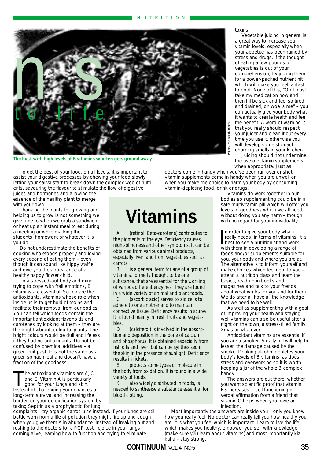**Vitamins**

A (retinol; Beta-carotene) contributes to the pigments of the eye. Deficiency causes night-blindness and other symptoms. It can be obtained from various animal products, especially liver, and from vegetables such as

B is a general term for any of a group of

D (calciferol) is involved in the absorption and deposition in the bone of calcium and phosphorus. It is obtained especially from fish oils and liver, but can be synthesised in the skin in the presence of sunlight. Deficiency

E protects some types of molecule in the body from oxidation. It is found in a wide

K also widely distributed in foods, is needed to synthesise a substance essential for

vitamins, formerly thought to be one substance, that are essential for the working of various different enzymes. They are found in a wide variety of animal and plant foods. C (ascorbic acid) serves to aid cells to adhere to one another and to maintain connective tissue. Deficiency results in scurvy. It is found mainly in fresh fruits and vegeta-



carrots.

bles.

results in rickets.

variety of foods.

blood clotting.

*The husk with high levels of B vitamins so often gets ground away*

To get the best of your food, on all levels, it is important to assist your digestive processes by chewing your food slowly, letting your saliva start to break down the complex web of nutrients, savouring the flavour to stimulate the flow of digestive juices and hormones and allowing the

essence of the healthy plant to merge with your own.

Thanking the plants for growing and helping us to grow is not something we give time to when we grab a sandwich or heat up an instant meal to eat during a meeting or while marking the students' homework or whatever it is you do.

Do not underestimate the benefits of cooking wholefoods properly and loving every second of eating them – even though it can sound like hippy waffle and give you the appearance of a healthy happy flower child.

To a stressed-out body and mind trying to cope with frail emotions, B vitamins are essential. So too are the antioxidants, vitamins whose role when inside us is to get hold of toxins and facilitate their removal from our bodies. You can tell which foods contain the important antioxidant flavonoids and carotenes by looking at them – they are the bright vibrant, colourful plants. The bright colours would be dull and lifeless if they had no antioxidants. Do not be confused by chemical additives – a green fruit pastille is not the same as a green spinach leaf and doesn't have a fraction of the goodness.

The antioxidant vitamins are A, C<br>and E. Vitamin A is particularly<br>good for your lungs and skin.<br>Instead of challenging your chances and E. Vitamin A is particularly Instead of challenging your chances of long-term survival and increasing the burden on your detoxification system by taking Septrin as a prophylactic for lung

complaints – try organic carrot juice instead. If your lungs are still battle worn from a life of pollution they might fire up and cough when you give them A in abundance. Instead of freaking out and rushing to the doctors for a PCP test, rejoice in your lungs coming alive, learning how to function and trying to eliminate

toxins.

Vegetable juicing in general is a great way to increase your vitamin levels, especially when your appetite has been ruined by stress and drugs. If the thought of eating a few pounds of vegetables is out of your comprehension, try juicing them for a power-packed nutrient hit which will make you feel fantastic to boot. None of this, "Oh I must take my medication now and then I'll be sick and feel so tired and drained, oh woe is me" – you can actually give your body what it wants to create health and feel the benefit. A word of warning is that you really should respect your juicer and clean it out every time you use it, otherwise you will develop some stomachchurning smells in your kitchen.

Juicing should not undermine the use of vitamin supplements when appropriate. Just as

doctors come in handy when you've been run over or shot, vitamin supplements come in handy when you are unwell or when you make the choice to harm your body by consuming vitamin-depleting food, drink or drugs.

> Vitamins do work together in our bodies so supplementing could be in a safe multivitamin pill which will offer you levels of goodness which we all need, without doing you any harm – though with no regard for your individuality.

In order to give your body what it<br>really needs, in terms of vitamins,<br>best to see a nutritionist and work<br>with them in developing a range of n order to give your body what it really needs, in terms of vitamins, it is with them in developing a range of foods and/or supplements suitable for you, your body and where you are at. The alternative is to inform yourself and make choices which feel right to you – attend a nutrition class and learn the basics, read up in books and magazines and talk to your friends about what works for you and for them. We do after all have all the knowledge that we need to be well.

As well as supplementing with a goal of improving your health and staying well vitamins can also be useful after a night on the town, a stress-filled family Xmas or whatever.

Antioxidant vitamins are essential if you are a smoker. A daily pill will help to lessen the damage caused by the smoke. Drinking alcohol depletes your body's levels of B vitamins, as does stress and overworking so it is worth keeping a jar of the whole B complex handy.

The answers are out there, whether you want scientific proof that vitamin B3 increases T-cell functioning or verbal affirmation from a friend that vitamin C helps when you have an infection.

Most importantly the answers are inside you – only you know how you really feel. No doctor can really tell you how healthy you are, it is what you feel which is important. Learn to live the life which makes you healthy, empower yourself with knowledge (make sure you learn about vitamins) and most importantly kia kaha – stay strong.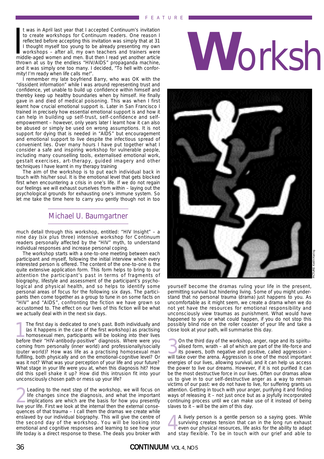It was in April last year that I accepted Continuum's invitation<br>to create workshops for Continuum readers. One reason I<br>reflected before accepting this invitation was simply that at 31<br>I thought myself too young to be alr t was in April last year that I accepted Continuum's invitation to create workshops for Continuum readers. One reason I reflected before accepting this invitation was simply that at 31 I thought myself too young to be already presenting my own workshops – after all, my own teachers and trainers were thrown at us by the endless "HIV/AIDS" propaganda machine, and it was simply one too many. I decided, "To hell with conformity! I'm ready when life calls me!".

I remember my late boyfriend Barry, who was OK with the "dissident information" while I was around representing trust and confidence, yet unable to build up confidence within himself and thereby keep up healthy boundaries when by himself. He finally gave in and died of medical poisoning. This was when I first learnt how crucial emotional support is. Later in San Francisco I trained in precisely how essential emotional support is and how it can help in building up self-trust, self-confidence and selfempowerment – however, only years later I learnt how it can also be abused or simply be used on wrong assumptions. It is not support for dying that is needed in "AIDS" but encouragement and emotional support to live despite the infectious spread of convenient lies. Over many hours I have put together what I consider a safe and inspiring workshop for vulnerable people, including many counselling tools, externalised emotional work, gestalt exercises, art-therapy, guided imagery and other techniques I have learnt in my therapy training

The aim of the workshop is to put each individual back in touch with his/her soul. It is the emotional level that gets blocked first when encountering a crisis in one's life. If we do not regain our feelings we will exhaust ourselves from within – laying out the psychological grounds for exhausting one's immune system. So let me take the time here to carry you gently though not in too

#### Michael U. Baumgartner

much detail through this workshop, entitled: "HIV Insight" – a nine day (six plus three) intensive workshop for Continuum readers personally affected by the "HIV" myth, to understand individual responses and increase personal coping.

The workshop starts with a one-to-one meeting between each participant and myself, following the initial interview which every interested person is offered. The content of the one-to-one is the quite extensive application form. This form helps to bring to our attention the participant's past in terms of fragments of biography, lifestyle and assessment of the participant's psychological and physical health, and so helps to identify some personal areas of focus for the following six days. The participants then come together as a group to tune in on some facts on "HIV" and "AIDS", confronting the fiction we have grown so accustomed to. The effect on our lives of this fiction will be what we actually deal with in the next six days.

The first day is dedicated to one's past. Both individually and<br>
(as it happens in the case of the first workshop) as practising<br>
homosexual men, participants will be looking into their lives<br>
before their "HIV-antibody-po (as it happens in the case of the first workshop) as practising before their "HIV-antibody-positive" diagnosis. Where were you coming from personally (inner world) and professionally/socially (outer world)? How was life as a practising homosexual man fulfilling, both physically and on the emotional-cognitive level? Or was it not? What was your perception of your life and your future? What stage in your life were you at, when this diagnosis hit? How did this spell shake it up? How did this intrusion fit into your unconsciously chosen path or mess up your life?

Leading to the next step of the workshop, we will focus on<br>life changes since the diagnosis, and what the important<br>implications are which are the basis for how you presently<br>live your life. First we look at the internal t life changes since the diagnosis, and what the important implications are which are the basis for how you presently live your life. First we look at the internal then the external consequences of that trauma – I call them the dramas we create while enslaved by our individual biography. This will give the centre of the second day of the workshop. You will be looking into emotional and cognitive responses and learning to see how your life today is a direct response to these. The deals you broker with

## *Worksh*



yourself become the dramas ruling your life in the present, permitting survival but hindering living. Some of you might understand that no personal trauma (drama) just happens to you. As uncomfortable as it might seem, we create a drama when we do not yet have the resources for emotional responsibility and unconsciously view traumas as punishment. What would have happened to you or what could happen, if you do not stop this possibly blind ride on the roller coaster of your life and take a close look at your path, will summarise this day.

On the third day of the workshop, anger, rage and its spiritualised form, wrath – all of which are part of the life-force and its powers, both negative and positive, called aggression – will take over the arena. Aggression alised form, wrath – all of which are part of the life-force and its powers, both negative and positive, called aggression – will take over the arena. Aggression is one of the most important energies of our lives, allowing survival, and it can help us access the power to live our dreams. However, if it is not purified it can be the most destructive force in our lives. Often our dramas allow us to give in to our self-destructive anger as a way to remain victims of our past: we do not have to live, for suffering grants us attention. Getting in touch with your anger, purifying it and finding ways of releasing it – not just once but as a joyfully incorporated continuing process until we can make use of it instead of being slaves to it – will be the aim of this day.

A lively person is a gentle person so a saying goes. While<br>surviving creates tension that can in the long run exhaust<br>even our physical resources, life asks for the ability to adapt<br>and stay flavible. To be in touch with o surviving creates tension that can in the long run exhaust even our physical resources, life asks for the ability to adapt and stay flexible. To be in touch with our grief and able to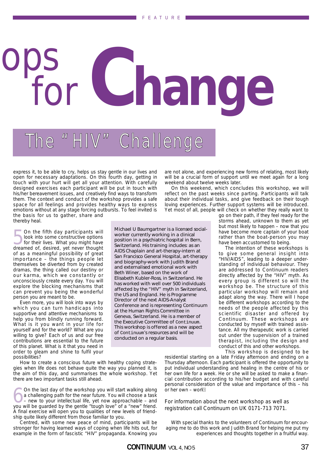Michael U Baumgartner is a licensed socialworker currently working in a clinical position in a psychiatric hospital in Bern, Switzerland. His training includes: as an AIDS Chaplain and art-therapy-intern at San Francisco General Hospital, art-therapy and biography-work with Judith Brand and externalised emotional work with Beth Winer, based on the work of Elisabeth Kubler-Ross, in Switzerland. He has worked with well over 500 individuals affected by the "HIV" myth in Switzerland, the US and England. He is Programme Director of the next AIDS-Analyst

Conference and is representing *Continuum* at the Human Rights Committee in Geneva, Switzerland. He is a member of the Executive Committee of Continuum. This workshop is offered as a new aspect of Continuum's resources and will be conducted on a regular basis.

# *ops for Change*

### 'he "HIV" Challenge

express it, to be able to cry, helps us stay gentle in our lives and open for necessary adaptations. On this fourth day, getting in touch with your hurt will get all your attention. With carefully designed exercises each participant will be put in touch with his/her bereavement issues, and creatively find ways to transform them. The context and conduct of the workshop provides a safe space for all feelings and provides healthy ways to express emotions without at any stage forcing outbursts. To feel invited is the basis for us to gather, share and thereby heal.

5On the fifth day participants will look into some constructive options for their lives. What you might have dreamed of, desired, yet never thought of as a meaningful possibility of great importance - the things people let themselves be diverted from by created dramas, the thing called our destiny or our karma, which we constantly or unconsciously create every day. You will explore the blocking mechanisms that can prevent you being the wonderful person you are meant to be.

Even more, you will look into ways by which you can turn handicaps into supportive and attentive mechanisms to help you from blindly running forward. What is it you want in your life for yourself and for the world? What are you willing to give? Each of us and our free contributions are essential to the future of this planet. What is it that you need in order to gleam and shine to fulfil your possibilities?

How to create a conscious future with healthy coping strategies when life does not behave quite the way you planned it, is the aim of this day, and summarises the whole workshop. Yet there are two important tasks still ahead.

On the last day of the workshop you will start walking along<br>
a challenging path for the near future. You will choose a task<br>
– new to your intellectual life, yet now approachable – and<br>
you will be quarded by the gentle " a challenging path for the near future. You will choose a task you will be guarded by the gentle "tough love" of a "new" friend. A final exercise will open you to qualities of new levels of friendship quite likely different from those familiar to you.

Centred, with some new peace of mind, participants will be stronger for having learned ways of coping when life hits out, for example in the form of fascistic "HIV" propaganda. Knowing you are not alone, and experiencing new forms of relating, most likely will be a crucial form of support until we meet again for a long weekend about twelve weeks later. On this weekend, which concludes this workshop, we will

reflect on the past weeks since parting. Participants will talk about their individual tasks, and give feedback on their tough loving experiences. Further support systems will be introduced. Yet most of all, people will check on whether they really want to

go on their path, if they feel ready for the storms ahead, unknown to them as yet but most likely to happen – now that you have become more captain of your boat rather than the boat-person you may have been accustomed to being.

The intention of these workshops is to give some general insight into "HIV/AIDS", leading to a deeper understanding of individual behaviour. They are addressed to Continuum readers directly affected by the "HIV" myth. As every group is different so will the workshop be. The structure of this particular workshop will remain and adapt along the way. There will I hope be different workshops according to the needs of the people affected by this scientific disaster and offered by Continuum. These workshops are conducted by myself with trained assistance. All my therapeutic work is carried out under the supervision of a trained therapist, including the design and conduct of this and other workshops.

This workshop is designed to be

residential starting on a late Friday afternoon and ending on a Thursday afternoon. Each participant is offered the opportunity to put individual understanding and healing in the centre of his or her own life for a week. He or she will be asked to make a financial contribution according to his/her budget and with careful personal consideration of the value and importance of this – his or her own – work.

For information about the next workshop as well as registration call Continuum on UK 0171-713 7071.

With special thanks to the volunteers of Continuum for encouraging me to do this work and Judith Brand for helping me put my experiences and thoughts together in a fruitful way.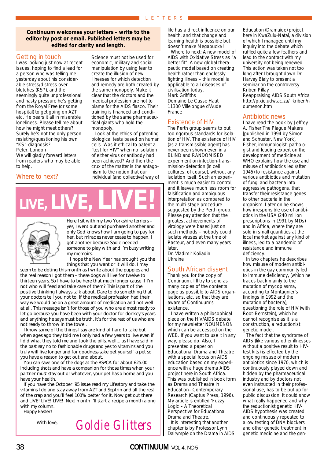#### *Continuum* **welcomes your letters – write to the editor by post or email. Published letters may be edited for clarity and length.**

#### Getting in touch

I was looking just now at recent issues, hoping to find a lead for a person who was telling me yesterday about his considerable stress/distress over blotches (KS?), and the seemingly quite unprofessional and nasty pressure he's getting from the Royal Free (or some hospital) to get going on AZT etc. He bears it all in miserable loneliness. Please tell me about how he might meet others? Surely he's not the only person resisting/questioning his own "KS"-diagnosis? Peter, London We will gladly forward letters from readers who may be able to help.

Where to next?

Science must not be used for economic, military and social manipulation by using fear to create the illusion of new illnesses for which detection and remedy are both created by the same monopoly. Make it clear that the doctors and the medical profession are not to blame for the AIDS fiasco. Their training is financed and conditioned by the same pharmaceutical giants who hold the monopoly.

Look at the ethics of patenting biological tests based on human cells. Was it ethical to patent a "test for HIV" when no isolation of either virus or antibody had been achieved? And then the crux of the matter is the antagonism to the notion that our individual (and collective) way of

## *LIVE, LIVE, LIVE!*



Here I sit with my two Yorkshire terriers – yes, I went out and purchased another and only God knows how I am going to pay for her, but miracles never cease to happen. I got another because Sadie needed someone to play with and I'm busy writing my memoirs.

I hope the New Year has brought you the things that you want or it will do. I may

seem to be doting this month as I write about the puppies and the real reason I got them – these dogs will live for twelve to thirteen years. So I have to be here that much longer cause if I'm not who will feed and take care of them? This is part of the positive thinking I always talk about. Dare to do something that your doctors tell you not to. If the medical profession had their way we would be on a great amount of medication and not well at all. This message isn't for those of you who are almost ready to let go because you have been with your doctor for donkey's years and anything he says must be truth. It's for the rest of us who are not ready to throw in the towel.

I know some of the things I say are kind of hard to take but when ages ago they told me I only had a few years to live even if I did what they told me and took the pills, well... as I have said in the past say no to fashionable drugs and yes to vitamins and you truly will live longer and for goodness sake get yourself a pet so you have a reason to get out and about.

You can save one of the dogs at the RSPCA for about £25.00 including shots and have a companion for those times when your partner must stay out or whatever, your pet has a home and you have your health.

If you have the October '95 issue read my Lifestory and take the vitamins I do and stay away from AZT and Septrin and all the rest of the crap and you'll feel 100% better for it. Now get out there and LIVE! LIVE! LIVE! Next month I'll start a recipe a month along with my column.

Happy Easter!

With love, *Goldie Glitters* 

life has a direct influence on our health, and that change and learning health is possible but doesn't make Megabuck\$!

Where to next: A new model of AIDS with Oxidative Stress as "a better fit". A new global therapeutic model based on creating health rather than endlessly fighting illness – this model is applicable to all diseases of civilisation today. Mark Griffiths Domaine Le Casse Haut 11300 Villelongue d'Aude France

#### Existence of HIV

The Perth group seems to put too rigorous standards for isolation of HIV. The existence of HIV (as a transmissible agent) has never been shown even in a BLIND and RANDOMISED experiment on infection-transmission-detection (in cell cultures, of course), without any isolation itself. Such an experiment is much easier to control, and it leaves much less room for falsification and ambiguous interpretation as compared to the multi-stage procedure suggested by the Perth group. Please pay attention that the greatest achievements of virology were based just on such methods – nobody could isolate viruses at the time of Pasteur, and even many years later.

Dr. Vladimir Koliadin Ukraine

#### South African dissent

Thank you for the copy of Continuum. I'll try to send as many copies of the contents page as possible to AIDS organisations, etc. so that they are aware of Continuum's existence.

I have written a philosophical piece on the HIV/AIDS debate for my newsletter NOUMENON which can be accessed on the WEB. If you want to use it in any way, please do. Also, I presented a paper on Educational Drama and Theatre with a special focus on AIDS education based on my experience with a huge drama AIDS project here in South Africa. This was published in book form as Drama and Theatre in Education– Contemporary Research (Captus Press, 1996). My article is entitled 'Fuzzy Logic – A Theoretical Perspective for Educational Drama and Theatre.' It is interesting that another chapter is by Professor Lynn Dalrymple on the Drama in AIDS

Education (Dramaide) project here in KwaZulu-Natal, a division of which I managed until my inquiry into the debate which ruffled quite a few feathers and lead to the contract with my university not being renewed. This action was taken not too long after I brought down Dr Harvey Bialy to present a seminar on the controversy. Kriben Pillay Reappraising AIDS South Africa http://pixie.udw.ac.za/~kriben/n oumenon.htm

#### Antibiotic news

I have read the book by Jeffrey A. Fisher The Plague Makers [published in 1994 by Simon and Schuster, New York]. Fisher, immunologist, pathologist and leading expert on the development of medicine at WHO explains how the use and misuse of antibiotics led (after 1945) to resistance against various antibiotics and mutation of fungi and bacteria into aggressive pathogens, that transfer their resistance genes to other bacteria in the organism. Later on he shows how irresponsible use of antibiotics in the USA (240 million prescriptions in 1991 by MDs) and in Africa, where they are sold in small quantities at the local market against any kind of illness, led to a pandemic of resistance and immune deficiency.

In two chapters he describes how misuse of modern antibiotics in the gay community led to immune deficiency, (which he traces back mainly to the mutation of mycoplasma, according to Montagnier's findings in 1992 and the mutation of bacteria), questioning the role of HIV (with Root-Bernstein), which he cannot recognise as it is a construction, a reductionist genetic model.

The fact that the syndrome of AIDS (like various other illnesses without a positive result to HIVtest kits) is effected by the ongoing misuse of modern antibiotics since 1970, which is continuously played down and hidden by the pharmaceutical industry and by doctors not even instructed in their professional use, has to be put up for public discussion. It could show what really happened and why the reductionist genetic HIV-AIDS hypothesis was created and continuously repeated to allow testing of DNA blockers and other genetic treatment in genetic medicine and the gen-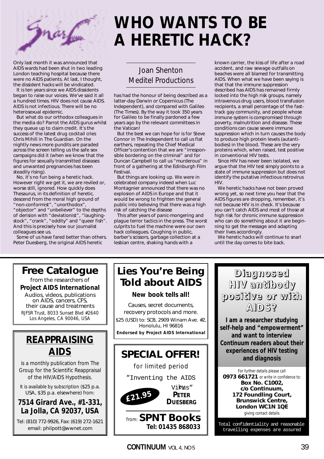

Only last month it was announced that AIDS wards had been shut in two leading London teaching hospital because there were no AIDS patients. At last, I thought, the dissident hacks will be vindicated.

It is ten years since we AIDS dissidents began to raise our voices. We've said it all a hundred times. HIV does not cause AIDS. AIDS is not infectious. There will be no heterosexual epidemic.

But what do our orthodox colleagues in the media do? Parrot the AIDS gurus whilst they queue up to claim credit. It's the success of the latest drug cocktail cries Chris Mihill in *The Guardian.* On the nightly news more pundits are paraded across the screen telling us the safe sex campaigns did it (when we know that the figures for sexually transmitted diseases and unwanted pregnancies has been steadily rising).

No, it's no fun being a heretic hack. However right we get it, we are reviled or, worse still, ignored. How quickly does Thesaurus, in its definition of heretic, descend from the moral high ground of "non-conformist", "unorthodox", "objector" and "unbeliever" to the depths of derision with "deviationist", "laughingstock", "crank", "oddity" and "queer fish". And this is precisely how our journalist colleagues see us.

Some of us have fared better than others. Peter Duesberg, the original AIDS heretic

### **WHO WANTS TO BE A HERETIC HACK?**

#### Joan Shenton Meditel Productions

has had the honour of being described as a latter-day Darwin or Copernicus (*The Independent*), and compared with Galileo (*The Times*). By the way it took 350 years for Galileo to be finally pardoned a few years ago by the relevant committees in the Vatican!

But the best we can hope for is for Steve Connor in *The Independent* to call us flat earthers, repeating the Chief Medical Officer's contention that we are "irresponsible bordering on the criminal" and for Duncan Campbell to call us "murderous" in front of a gathering at the Edinburgh Film Festival.

But things are looking up. We were in celebrated company indeed when Luc Montagnier announced that there was no explosion of AIDS in Europe and that it would be wrong to frighten the general public into believing that there was a high risk of catching the disease

This after years of panic-mongering and plague terror tactics in the press. The worst culprits to fuel the machine were our own hack colleagues. Coughing in public, barber's scissors, garbage collection at a lesbian centre, shaking hands with a

known carrier, the kiss of life after a road accident, and raw sewage outfalls on beaches were all blamed for transmitting AIDS. When what we have been saying is that that the immune suppression described has AIDS has remained firmly locked into the high risk groups, namely intravenous drug users, blood transfusion recipients, a small percentage of the fasttrack gay community, and people whose immune system is compromised through poverty, malnutrition and disease. These conditions can cause severe immune suppression which in turn causes the body to produce high protein levels (autantibodies) in the blood. These are the very proteins which, when raised, test positive in conventional HIV tests.

Since HIV has never been isolated, we argue that the HIV test simply points to a state of immune suppression but does not identify the putative infectious retrovirus HIV.

We heretic hacks have not been proved wrong yet, so next time you hear that the AIDS figures are dropping, remember, it's not because HIV is in check. It's because you can't catch AIDS and most of those at high risk for chronic immune suppression who can do something about it are beginning to get the message and adapting their lives accordingly.

We heretic hacks will continue to snarl until the day comes to bite back.

#### **Free Catalogue**

from the researchers of **Project AIDS International** Audios, videos, publications on AIDS, cancers, CFS, their cause and treatments RJFSR Trust, 8033 Sunset Blvd #2640 Los Angeles, CA 90046, USA

#### **REAPPRAISING AIDS**

is a monthly publication from The Group for the Scientific Reappraisal of the HIV/AIDS Hypothesis.

It is available by subscription (\$25 p.a. USA, \$35 p.a. elsewhere) from:

#### **7514 Girard Ave., #1-331, La Jolla, CA 92037, USA**

Tel: (810) 772-9926, Fax: (619) 272-1621 email: philpott@wwnet.com

#### **Lies You're Being Told about AIDS**

#### **New book tells all!**

Causes, secret documents, recovery protocols and *more.* \$25 (USD) to: SCB, 2909 Winam Ave. #2, Honolulu, HI 96816 **Endorsed by Project AIDS International**



*Diagnosed HIV antibody positive or with AIDS?*

**I am a researcher studying self-help and "empowerment" and want to interview** *Continuum* **readers about their experiences of HIV testing and diagnosis**

For further details please call **0973 661721** or write in confidence to: **Box No. C1002, c/o Continuum, 172 Foundling Court, Brunswick Centre, London WC1N 1QE**  giving contact details

Total confidentiality and reasonable travelling expenses are assured